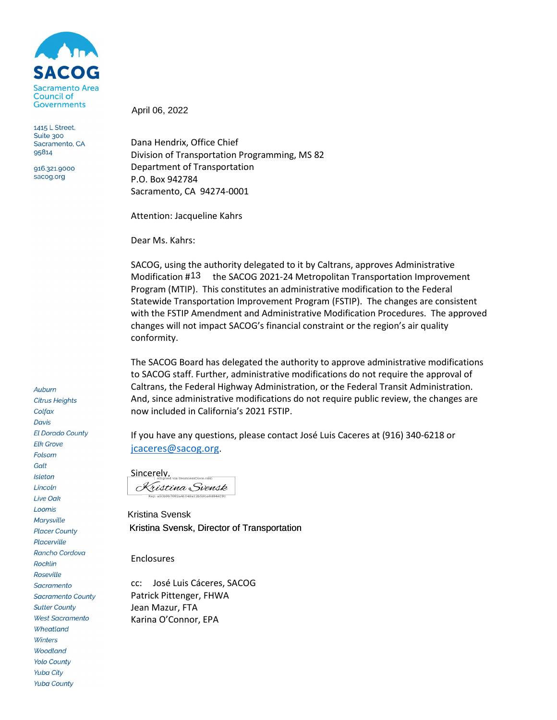

1415 L Street, Suite 300 Sacramento, CA 95814

916.321.9000 sacog.org

**Citrus Heights** Colfax **Davis El Dorado County Elk Grove** Folsom Galt **Isleton** Lincoln **Live Oak** Loomis **Marysville Placer County** Placerville Rancho Cordova **Rocklin** Roseville Sacramento **Sacramento County Sutter County West Sacramento** Wheatland Winters **Woodland Yolo County Yuba City Yuba County** 

Auburn

April 06, 2022

Dana Hendrix, Office Chief Division of Transportation Programming, MS 82 Department of Transportation P.O. Box 942784 Sacramento, CA 94274-0001

Attention: Jacqueline Kahrs

Dear Ms. Kahrs:

SACOG, using the authority delegated to it by Caltrans, approves Administrative Modification  $\#$ <sup>13</sup> the SACOG 2021-24 Metropolitan Transportation Improvement Program (MTIP). This constitutes an administrative modification to the Federal Statewide Transportation Improvement Program (FSTIP). The changes are consistent with the FSTIP Amendment and Administrative Modification Procedures. The approved changes will not impact SACOG's financial constraint or the region's air quality conformity.

The SACOG Board has delegated the authority to approve administrative modifications to SACOG staff. Further, administrative modifications do not require the approval of Caltrans, the Federal Highway Administration, or the Federal Transit Administration. And, since administrative modifications do not require public review, the changes are now included in California's 2021 FSTIP.

If you have any questions, please contact José Luis Caceres at (916) 340-6218 or [jcaceres@sacog.org.](mailto:jcaceres@sacog.org)

Sincerely, Signed via SeamlessDocs.com Kristina Svensk Key: a50b9b7682a41049a12b59ba6d84419

Kristina Svensk, Director of Transportation Kristina Svensk

Enclosures

cc: José Luis Cáceres, SACOG Patrick Pittenger, FHWA Jean Mazur, FTA Karina O'Connor, EPA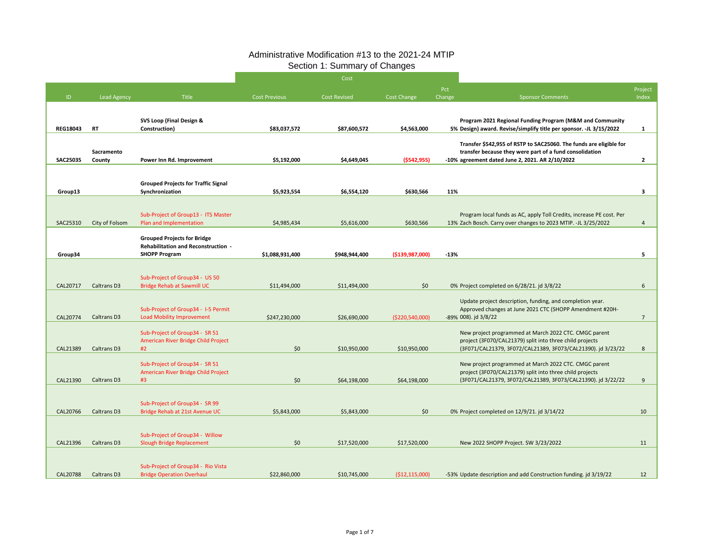| Pct<br>Change | <b>Sponsor Comments</b>                                                                                                                                                           | Project<br>Index |
|---------------|-----------------------------------------------------------------------------------------------------------------------------------------------------------------------------------|------------------|
|               |                                                                                                                                                                                   |                  |
|               | Program 2021 Regional Funding Program (M&M and Community<br>5% Design) award. Revise/simplify title per sponsor. -JL 3/15/2022                                                    | 1                |
|               | Transfer \$542,955 of RSTP to SAC25060. The funds are eligible for<br>transfer because they were part of a fund consolidation                                                     |                  |
|               | -10% agreement dated June 2, 2021. AR 2/10/2022                                                                                                                                   | 2                |
|               |                                                                                                                                                                                   |                  |
| 11%           |                                                                                                                                                                                   | 3                |
|               | Program local funds as AC, apply Toll Credits, increase PE cost. Per<br>13% Zach Bosch. Carry over changes to 2023 MTIP. -JL 3/25/2022                                            | 4                |
|               |                                                                                                                                                                                   |                  |
| $-13%$        |                                                                                                                                                                                   | 5                |
|               |                                                                                                                                                                                   |                  |
|               | 0% Project completed on 6/28/21. jd 3/8/22                                                                                                                                        | 6                |
|               | Update project description, funding, and completion year.<br>Approved changes at June 2021 CTC (SHOPP Amendment #20H-<br>-89% 008). jd 3/8/22                                     | $\overline{7}$   |
|               | New project programmed at March 2022 CTC. CMGC parent<br>project (3F070/CAL21379) split into three child projects<br>(3F071/CAL21379, 3F072/CAL21389, 3F073/CAL21390). jd 3/23/22 | 8                |
|               | New project programmed at March 2022 CTC. CMGC parent<br>project (3F070/CAL21379) split into three child projects<br>(3F071/CAL21379, 3F072/CAL21389, 3F073/CAL21390). jd 3/22/22 | 9                |
|               | 0% Project completed on 12/9/21. jd 3/14/22                                                                                                                                       | 10               |
|               | New 2022 SHOPP Project. SW 3/23/2022                                                                                                                                              | 11               |
|               | -53% Update description and add Construction funding. jd 3/19/22                                                                                                                  | 12               |

|                 |                       |                                                                                  |                      | Cost                |                    |               |                                                                                                                                               |                |
|-----------------|-----------------------|----------------------------------------------------------------------------------|----------------------|---------------------|--------------------|---------------|-----------------------------------------------------------------------------------------------------------------------------------------------|----------------|
| ID.             | <b>Lead Agency</b>    | <b>Title</b>                                                                     | <b>Cost Previous</b> | <b>Cost Revised</b> | Cost Change        | Pct<br>Change | <b>Sponsor Comments</b>                                                                                                                       | Proje<br>Inde  |
|                 |                       |                                                                                  |                      |                     |                    |               |                                                                                                                                               |                |
| <b>REG18043</b> | <b>RT</b>             | <b>SVS Loop (Final Design &amp;</b><br>Construction)                             | \$83,037,572         | \$87,600,572        | \$4,563,000        |               | Program 2021 Regional Funding Program (M&M and Community<br>5% Design) award. Revise/simplify title per sponsor. -JL 3/15/2022                |                |
|                 | Sacramento            |                                                                                  |                      |                     |                    |               | Transfer \$542,955 of RSTP to SAC25060. The funds are eligible for<br>transfer because they were part of a fund consolidation                 |                |
| <b>SAC25035</b> | County                | Power Inn Rd. Improvement                                                        | \$5,192,000          | \$4,649,045         | (5542, 955)        |               | -10% agreement dated June 2, 2021. AR 2/10/2022                                                                                               | 2              |
| Group13         |                       | <b>Grouped Projects for Traffic Signal</b><br>Synchronization                    | \$5,923,554          | \$6,554,120         | \$630,566          | 11%           |                                                                                                                                               | 3              |
|                 |                       |                                                                                  |                      |                     |                    |               |                                                                                                                                               |                |
| SAC25310        | <b>City of Folsom</b> | Sub-Project of Group13 - ITS Master<br>Plan and Implementation                   | \$4,985,434          | \$5,616,000         | \$630,566          |               | Program local funds as AC, apply Toll Credits, increase PE cost. Per<br>13% Zach Bosch. Carry over changes to 2023 MTIP. -JL 3/25/2022        | 4              |
|                 |                       | <b>Grouped Projects for Bridge</b><br><b>Rehabilitation and Reconstruction -</b> |                      |                     |                    |               |                                                                                                                                               |                |
| Group34         |                       | <b>SHOPP Program</b>                                                             | \$1,088,931,400      | \$948,944,400       | ( \$139, 987, 000] | $-13%$        |                                                                                                                                               |                |
|                 |                       |                                                                                  |                      |                     |                    |               |                                                                                                                                               |                |
| CAL20717        | <b>Caltrans D3</b>    | Sub-Project of Group34 - US 50<br><b>Bridge Rehab at Sawmill UC</b>              | \$11,494,000         | \$11,494,000        | \$0                |               | 0% Project completed on 6/28/21. jd 3/8/22                                                                                                    | 6              |
| CAL20774        | Caltrans D3           | Sub-Project of Group34 - 1-5 Permit<br><b>Load Mobility Improvement</b>          | \$247,230,000        | \$26,690,000        | ( \$220, 540, 000) |               | Update project description, funding, and completion year.<br>Approved changes at June 2021 CTC (SHOPP Amendment #20H-<br>-89% 008). jd 3/8/22 | $\overline{7}$ |
|                 |                       |                                                                                  |                      |                     |                    |               |                                                                                                                                               |                |
|                 |                       | Sub-Project of Group34 - SR 51<br>American River Bridge Child Project            |                      |                     |                    |               | New project programmed at March 2022 CTC. CMGC parent<br>project (3F070/CAL21379) split into three child projects                             |                |
| CAL21389        | Caltrans D3           | #2                                                                               | \$0\$                | \$10,950,000        | \$10,950,000       |               | (3F071/CAL21379, 3F072/CAL21389, 3F073/CAL21390). jd 3/23/22                                                                                  | 8              |
|                 |                       | Sub-Project of Group34 - SR 51<br>American River Bridge Child Project            |                      |                     |                    |               | New project programmed at March 2022 CTC. CMGC parent<br>project (3F070/CAL21379) split into three child projects                             |                |
| CAL21390        | Caltrans D3           | #3                                                                               | \$0\$                | \$64,198,000        | \$64,198,000       |               | (3F071/CAL21379, 3F072/CAL21389, 3F073/CAL21390). jd 3/22/22                                                                                  | 9              |
|                 |                       |                                                                                  |                      |                     |                    |               |                                                                                                                                               |                |
| CAL20766        | Caltrans D3           | Sub-Project of Group34 - SR 99<br>Bridge Rehab at 21st Avenue UC                 | \$5,843,000          | \$5,843,000         | \$0                |               | 0% Project completed on 12/9/21. jd 3/14/22                                                                                                   | 10             |
|                 |                       |                                                                                  |                      |                     |                    |               |                                                                                                                                               |                |
|                 |                       | Sub-Project of Group34 - Willow                                                  |                      |                     |                    |               |                                                                                                                                               |                |
| CAL21396        | Caltrans D3           | Slough Bridge Replacement                                                        | \$0\$                | \$17,520,000        | \$17,520,000       |               | New 2022 SHOPP Project. SW 3/23/2022                                                                                                          | 11             |
|                 |                       |                                                                                  |                      |                     |                    |               |                                                                                                                                               |                |
| CAL20788        | Caltrans D3           | Sub-Project of Group34 - Rio Vista<br><b>Bridge Operation Overhaul</b>           | \$22,860,000         | \$10,745,000        | ( \$12, 115, 000)  |               | -53% Update description and add Construction funding. jd 3/19/22                                                                              | 12             |

# Administrative Modification #13 to the 2021-24 MTIP Section 1: Summary of Changes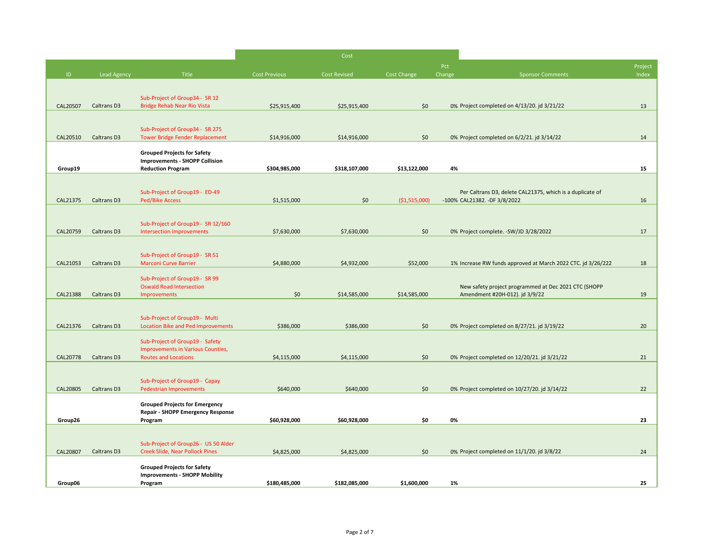|          |                    |                                                                                   |                      | Cost          |                |               |                                                                                           |                  |
|----------|--------------------|-----------------------------------------------------------------------------------|----------------------|---------------|----------------|---------------|-------------------------------------------------------------------------------------------|------------------|
| ID       | <b>Lead Agency</b> | Title                                                                             | <b>Cost Previous</b> | Cost Revised  | Cost Change    | Pct<br>Change | <b>Sponsor Comments</b>                                                                   | Project<br>Index |
|          |                    |                                                                                   |                      |               |                |               |                                                                                           |                  |
|          |                    | Sub-Project of Group34 - SR 12                                                    |                      |               |                |               |                                                                                           |                  |
| CAL20507 | <b>Caltrans D3</b> | <b>Bridge Rehab Near Rio Vista</b>                                                | \$25,915,400         | \$25,915,400  | \$0            |               | 0% Project completed on 4/13/20. jd 3/21/22                                               | 13               |
|          |                    |                                                                                   |                      |               |                |               |                                                                                           |                  |
|          |                    | Sub-Project of Group34 - SR 275                                                   |                      |               |                |               |                                                                                           |                  |
| CAL20510 | Caltrans D3        | <b>Tower Bridge Fender Replacement</b>                                            | \$14,916,000         | \$14,916,000  | \$0            |               | 0% Project completed on 6/2/21. jd 3/14/22                                                | 14               |
|          |                    | <b>Grouped Projects for Safety</b>                                                |                      |               |                |               |                                                                                           |                  |
|          |                    | <b>Improvements - SHOPP Collision</b>                                             |                      |               |                |               |                                                                                           |                  |
| Group19  |                    | <b>Reduction Program</b>                                                          | \$304,985,000        | \$318,107,000 | \$13,122,000   | 4%            |                                                                                           | 15               |
|          |                    |                                                                                   |                      |               |                |               |                                                                                           |                  |
| CAL21375 | <b>Caltrans D3</b> | Sub-Project of Group19 - ED-49<br><b>Ped/Bike Access</b>                          | \$1,515,000          | \$0           | ( \$1,515,000) |               | Per Caltrans D3, delete CAL21375, which is a duplicate of<br>-100% CAL21382. -DF 3/8/2022 | 16               |
|          |                    |                                                                                   |                      |               |                |               |                                                                                           |                  |
|          |                    |                                                                                   |                      |               |                |               |                                                                                           |                  |
| CAL20759 | Caltrans D3        | Sub-Project of Group19 - SR 12/160<br><b>Intersection Improvements</b>            | \$7,630,000          | \$7,630,000   | \$0            |               | 0% Project complete. - SW/JD 3/28/2022                                                    | 17               |
|          |                    |                                                                                   |                      |               |                |               |                                                                                           |                  |
|          |                    | Sub-Project of Group19 - SR 51                                                    |                      |               |                |               |                                                                                           |                  |
| CAL21053 | <b>Caltrans D3</b> | <b>Marconi Curve Barrier</b>                                                      | \$4,880,000          | \$4,932,000   | \$52,000       |               | 1% Increase RW funds approved at March 2022 CTC. jd 3/26/222                              | 18               |
|          |                    | Sub-Project of Group19 - SR 99                                                    |                      |               |                |               |                                                                                           |                  |
|          |                    | <b>Oswald Road Intersection</b>                                                   |                      |               |                |               | New safety project programmed at Dec 2021 CTC (SHOPP                                      |                  |
| CAL21388 | <b>Caltrans D3</b> | Improvements                                                                      | \$0                  | \$14,585,000  | \$14,585,000   |               | Amendment #20H-012). jd 3/9/22                                                            | 19               |
|          |                    |                                                                                   |                      |               |                |               |                                                                                           |                  |
|          |                    | Sub-Project of Group19 - Multi                                                    |                      |               |                |               |                                                                                           |                  |
| CAL21376 | Caltrans D3        | <b>Location Bike and Ped Improvements</b>                                         | \$386,000            | \$386,000     | \$0            |               | 0% Project completed on 8/27/21. jd 3/19/22                                               | 20               |
|          |                    | Sub-Project of Group19 - Safety                                                   |                      |               |                |               |                                                                                           |                  |
| CAL20778 | Caltrans D3        | Improvements in Various Counties,<br><b>Routes and Locations</b>                  | \$4,115,000          | \$4,115,000   | \$0            |               | 0% Project completed on 12/20/21. jd 3/21/22                                              | 21               |
|          |                    |                                                                                   |                      |               |                |               |                                                                                           |                  |
|          |                    |                                                                                   |                      |               |                |               |                                                                                           |                  |
| CAL20805 | <b>Caltrans D3</b> | Sub-Project of Group19 - Capay<br><b>Pedestrian Improvements</b>                  | \$640,000            | \$640,000     | \$0            |               | 0% Project completed on 10/27/20. jd 3/14/22                                              | 22               |
|          |                    |                                                                                   |                      |               |                |               |                                                                                           |                  |
|          |                    | <b>Grouped Projects for Emergency</b><br><b>Repair - SHOPP Emergency Response</b> |                      |               |                |               |                                                                                           |                  |
| Group26  |                    | Program                                                                           | \$60,928,000         | \$60,928,000  | \$0            | 0%            |                                                                                           | 23               |
|          |                    |                                                                                   |                      |               |                |               |                                                                                           |                  |
|          |                    | Sub-Project of Group26 - US 50 Alder                                              |                      |               |                |               |                                                                                           |                  |
| CAL20807 | <b>Caltrans D3</b> | <b>Creek Slide, Near Pollock Pines</b>                                            | \$4,825,000          | \$4,825,000   | \$0            |               | 0% Project completed on 11/1/20. jd 3/8/22                                                | 24               |
|          |                    | <b>Grouped Projects for Safety</b>                                                |                      |               |                |               |                                                                                           |                  |
|          |                    | <b>Improvements - SHOPP Mobility</b>                                              |                      |               |                |               |                                                                                           |                  |
| Group06  |                    | Program                                                                           | \$180,485,000        | \$182,085,000 | \$1,600,000    | 1%            |                                                                                           | 25               |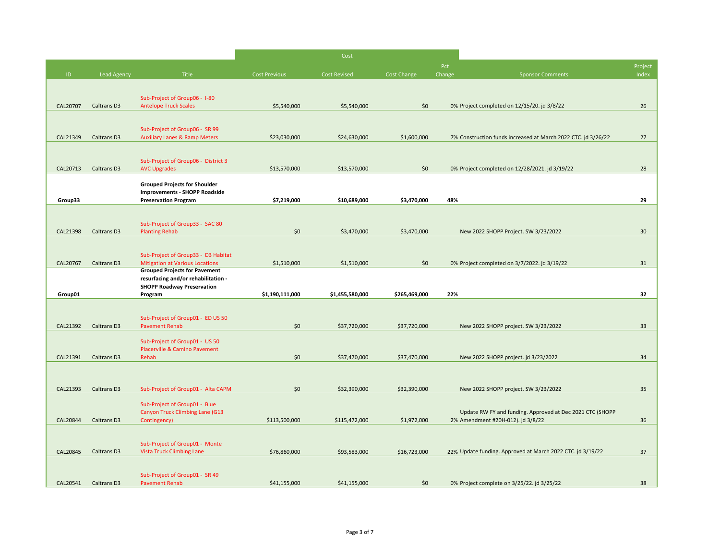|          |                    |                                                                         |                      | Cost                |               |        |                                                               |                 |
|----------|--------------------|-------------------------------------------------------------------------|----------------------|---------------------|---------------|--------|---------------------------------------------------------------|-----------------|
|          |                    |                                                                         |                      |                     |               | Pct    |                                                               | Project         |
| ID.      | <b>Lead Agency</b> | Title                                                                   | <b>Cost Previous</b> | <b>Cost Revised</b> | Cost Change   | Change | <b>Sponsor Comments</b>                                       | Index           |
|          |                    |                                                                         |                      |                     |               |        |                                                               |                 |
| CAL20707 | <b>Caltrans D3</b> | Sub-Project of Group06 - 1-80<br><b>Antelope Truck Scales</b>           | \$5,540,000          | \$5,540,000         | \$0           |        | 0% Project completed on 12/15/20. jd 3/8/22                   | 26              |
|          |                    |                                                                         |                      |                     |               |        |                                                               |                 |
|          |                    | Sub-Project of Group06 - SR 99                                          |                      |                     |               |        |                                                               |                 |
| CAL21349 | <b>Caltrans D3</b> | <b>Auxiliary Lanes &amp; Ramp Meters</b>                                | \$23,030,000         | \$24,630,000        | \$1,600,000   |        | 7% Construction funds increased at March 2022 CTC. jd 3/26/22 | 27              |
|          |                    |                                                                         |                      |                     |               |        |                                                               |                 |
|          |                    | Sub-Project of Group06 - District 3                                     |                      |                     |               |        |                                                               |                 |
| CAL20713 | <b>Caltrans D3</b> | <b>AVC Upgrades</b>                                                     | \$13,570,000         | \$13,570,000        | \$0           |        | 0% Project completed on 12/28/2021. jd 3/19/22                | 28              |
|          |                    | <b>Grouped Projects for Shoulder</b>                                    |                      |                     |               |        |                                                               |                 |
| Group33  |                    | <b>Improvements - SHOPP Roadside</b><br><b>Preservation Program</b>     | \$7,219,000          | \$10,689,000        | \$3,470,000   | 48%    |                                                               | 29              |
|          |                    |                                                                         |                      |                     |               |        |                                                               |                 |
|          |                    | Sub-Project of Group33 - SAC 80                                         |                      |                     |               |        |                                                               |                 |
| CAL21398 | <b>Caltrans D3</b> | <b>Planting Rehab</b>                                                   | \$0                  | \$3,470,000         | \$3,470,000   |        | New 2022 SHOPP Project. SW 3/23/2022                          | 30 <sup>°</sup> |
|          |                    |                                                                         |                      |                     |               |        |                                                               |                 |
|          |                    | Sub-Project of Group33 - D3 Habitat                                     |                      |                     |               |        |                                                               |                 |
| CAL20767 | <b>Caltrans D3</b> | <b>Mitigation at Various Locations</b>                                  | \$1,510,000          | \$1,510,000         | \$0           |        | 0% Project completed on 3/7/2022. jd 3/19/22                  | 31              |
|          |                    | <b>Grouped Projects for Pavement</b>                                    |                      |                     |               |        |                                                               |                 |
|          |                    | resurfacing and/or rehabilitation -                                     |                      |                     |               |        |                                                               |                 |
| Group01  |                    | <b>SHOPP Roadway Preservation</b><br>Program                            | \$1,190,111,000      | \$1,455,580,000     | \$265,469,000 | 22%    |                                                               | 32              |
|          |                    |                                                                         |                      |                     |               |        |                                                               |                 |
|          |                    | Sub-Project of Group01 - ED US 50                                       |                      |                     |               |        |                                                               |                 |
| CAL21392 | <b>Caltrans D3</b> | <b>Pavement Rehab</b>                                                   | \$0                  | \$37,720,000        | \$37,720,000  |        | New 2022 SHOPP project. SW 3/23/2022                          | 33              |
|          |                    | Sub-Project of Group01 - US 50                                          |                      |                     |               |        |                                                               |                 |
|          |                    | <b>Placerville &amp; Camino Pavement</b>                                |                      |                     |               |        |                                                               |                 |
| CAL21391 | <b>Caltrans D3</b> | Rehab                                                                   | \$0                  | \$37,470,000        | \$37,470,000  |        | New 2022 SHOPP project. jd 3/23/2022                          | 34              |
|          |                    |                                                                         |                      |                     |               |        |                                                               |                 |
| CAL21393 | <b>Caltrans D3</b> | Sub-Project of Group01 - Alta CAPM                                      | \$0                  | \$32,390,000        | \$32,390,000  |        | New 2022 SHOPP project. SW 3/23/2022                          | 35              |
|          |                    |                                                                         |                      |                     |               |        |                                                               |                 |
|          |                    | Sub-Project of Group01 - Blue<br><b>Canyon Truck Climbing Lane (G13</b> |                      |                     |               |        | Update RW FY and funding. Approved at Dec 2021 CTC (SHOPP     |                 |
| CAL20844 | <b>Caltrans D3</b> | Contingency)                                                            | \$113,500,000        | \$115,472,000       | \$1,972,000   |        | 2% Amendment #20H-012). jd 3/8/22                             | 36              |
|          |                    |                                                                         |                      |                     |               |        |                                                               |                 |
|          |                    | Sub-Project of Group01 - Monte                                          |                      |                     |               |        |                                                               |                 |
| CAL20845 | <b>Caltrans D3</b> | <b>Vista Truck Climbing Lane</b>                                        | \$76,860,000         | \$93,583,000        | \$16,723,000  |        | 22% Update funding. Approved at March 2022 CTC. jd 3/19/22    | 37              |
|          |                    | Sub-Project of Group01 - SR 49                                          |                      |                     |               |        |                                                               |                 |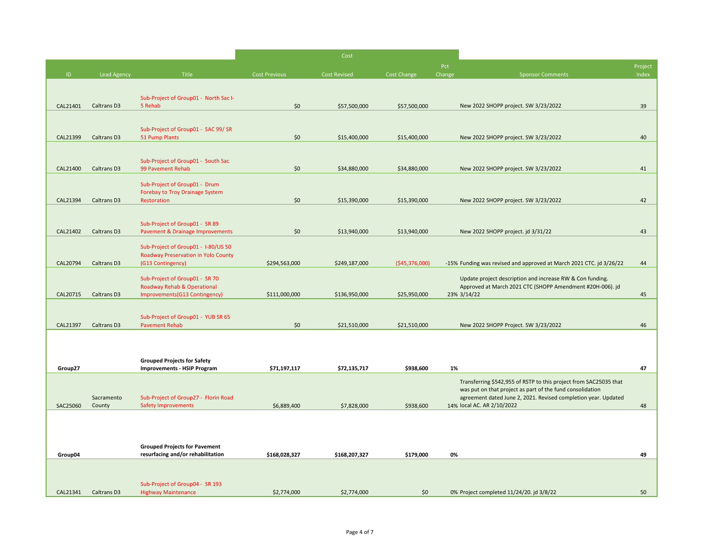|          |                    |                                                             |                      | Cost                |                 |        |                                                                                                                             |         |
|----------|--------------------|-------------------------------------------------------------|----------------------|---------------------|-----------------|--------|-----------------------------------------------------------------------------------------------------------------------------|---------|
|          |                    |                                                             |                      |                     |                 | Pct    |                                                                                                                             | Project |
| ID       | <b>Lead Agency</b> | Title                                                       | <b>Cost Previous</b> | <b>Cost Revised</b> | Cost Change     | Change | <b>Sponsor Comments</b>                                                                                                     | Index   |
|          |                    |                                                             |                      |                     |                 |        |                                                                                                                             |         |
|          |                    | Sub-Project of Group01 - North Sac I-                       |                      |                     |                 |        |                                                                                                                             |         |
| CAL21401 | <b>Caltrans D3</b> | 5 Rehab                                                     | \$0                  | \$57,500,000        | \$57,500,000    |        | New 2022 SHOPP project. SW 3/23/2022                                                                                        | 39      |
|          |                    |                                                             |                      |                     |                 |        |                                                                                                                             |         |
|          |                    | Sub-Project of Group01 - SAC 99/ SR                         |                      |                     |                 |        |                                                                                                                             |         |
| CAL21399 | Caltrans D3        | 51 Pump Plants                                              | \$0                  | \$15,400,000        | \$15,400,000    |        | New 2022 SHOPP project. SW 3/23/2022                                                                                        | 40      |
|          |                    |                                                             |                      |                     |                 |        |                                                                                                                             |         |
|          |                    | Sub-Project of Group01 - South Sac                          |                      |                     |                 |        |                                                                                                                             |         |
| CAL21400 | Caltrans D3        | 99 Pavement Rehab                                           | \$0                  | \$34,880,000        | \$34,880,000    |        | New 2022 SHOPP project. SW 3/23/2022                                                                                        | 41      |
|          |                    | Sub-Project of Group01 - Drum                               |                      |                     |                 |        |                                                                                                                             |         |
|          |                    | <b>Forebay to Troy Drainage System</b>                      |                      |                     |                 |        |                                                                                                                             |         |
| CAL21394 | Caltrans D3        | Restoration                                                 | \$0                  | \$15,390,000        | \$15,390,000    |        | New 2022 SHOPP project. SW 3/23/2022                                                                                        | 42      |
|          |                    |                                                             |                      |                     |                 |        |                                                                                                                             |         |
|          |                    | Sub-Project of Group01 - SR 89                              |                      |                     |                 |        |                                                                                                                             |         |
| CAL21402 | Caltrans D3        | <b>Pavement &amp; Drainage Improvements</b>                 | \$0                  | \$13,940,000        | \$13,940,000    |        | New 2022 SHOPP project. jd 3/31/22                                                                                          | 43      |
|          |                    | Sub-Project of Group01 - I-80/US 50                         |                      |                     |                 |        |                                                                                                                             |         |
|          |                    | <b>Roadway Preservation in Yolo County</b>                  |                      |                     |                 |        |                                                                                                                             |         |
| CAL20794 | <b>Caltrans D3</b> | (G13 Contingency)                                           | \$294,563,000        | \$249,187,000       | ( \$45,376,000) |        | -15% Funding was revised and approved at March 2021 CTC. jd 3/26/22                                                         | 44      |
|          |                    | Sub-Project of Group01 - SR 70                              |                      |                     |                 |        | Update project description and increase RW & Con funding.                                                                   |         |
|          |                    | <b>Roadway Rehab &amp; Operational</b>                      |                      |                     |                 |        | Approved at March 2021 CTC (SHOPP Amendment #20H-006). jd                                                                   |         |
| CAL20715 | <b>Caltrans D3</b> | Improvements(G13 Contingency)                               | \$111,000,000        | \$136,950,000       | \$25,950,000    |        | 23% 3/14/22                                                                                                                 | 45      |
|          |                    |                                                             |                      |                     |                 |        |                                                                                                                             |         |
|          | Caltrans D3        | Sub-Project of Group01 - YUB SR 65<br><b>Pavement Rehab</b> |                      |                     |                 |        |                                                                                                                             |         |
| CAL21397 |                    |                                                             | \$0                  | \$21,510,000        | \$21,510,000    |        | New 2022 SHOPP Project. SW 3/23/2022                                                                                        | 46      |
|          |                    |                                                             |                      |                     |                 |        |                                                                                                                             |         |
|          |                    |                                                             |                      |                     |                 |        |                                                                                                                             |         |
|          |                    | <b>Grouped Projects for Safety</b>                          |                      |                     |                 |        |                                                                                                                             |         |
| Group27  |                    | <b>Improvements - HSIP Program</b>                          | \$71,197,117         | \$72,135,717        | \$938,600       | 1%     |                                                                                                                             | 47      |
|          |                    |                                                             |                      |                     |                 |        | Transferring \$542,955 of RSTP to this project from SAC25035 that                                                           |         |
|          | Sacramento         | Sub-Project of Group27 - Florin Road                        |                      |                     |                 |        | was put on that project as part of the fund consolidation<br>agreement dated June 2, 2021. Revised completion year. Updated |         |
| SAC25060 | County             | <b>Safety Improvements</b>                                  | \$6,889,400          | \$7,828,000         | \$938,600       |        | 14% local AC. AR 2/10/2022                                                                                                  | 48      |
|          |                    |                                                             |                      |                     |                 |        |                                                                                                                             |         |
|          |                    |                                                             |                      |                     |                 |        |                                                                                                                             |         |
|          |                    |                                                             |                      |                     |                 |        |                                                                                                                             |         |
|          |                    | <b>Grouped Projects for Pavement</b>                        |                      |                     |                 |        |                                                                                                                             |         |
| Group04  |                    | resurfacing and/or rehabilitation                           | \$168,028,327        | \$168,207,327       | \$179,000       | 0%     |                                                                                                                             | 49      |
|          |                    |                                                             |                      |                     |                 |        |                                                                                                                             |         |
|          |                    |                                                             |                      |                     |                 |        |                                                                                                                             |         |
| CAL21341 | <b>Caltrans D3</b> | Sub-Project of Group04 - SR 193                             | \$2,774,000          |                     | \$0             |        |                                                                                                                             | 50      |
|          |                    | <b>Highway Maintenance</b>                                  |                      | \$2,774,000         |                 |        | 0% Project completed 11/24/20. jd 3/8/22                                                                                    |         |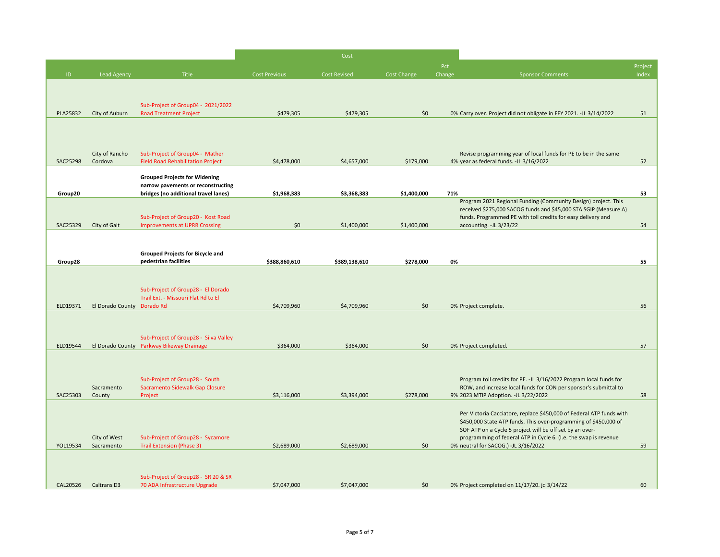|          |                            |                                                                            |                      | Cost                |             |               |                                                                                                                                                                                                    |               |
|----------|----------------------------|----------------------------------------------------------------------------|----------------------|---------------------|-------------|---------------|----------------------------------------------------------------------------------------------------------------------------------------------------------------------------------------------------|---------------|
| ID       | <b>Lead Agency</b>         | Title                                                                      | <b>Cost Previous</b> | <b>Cost Revised</b> | Cost Change | Pct<br>Change | <b>Sponsor Comments</b>                                                                                                                                                                            | Proje<br>Inde |
|          |                            |                                                                            |                      |                     |             |               |                                                                                                                                                                                                    |               |
|          |                            | Sub-Project of Group04 - 2021/2022                                         |                      |                     |             |               |                                                                                                                                                                                                    |               |
| PLA25832 | City of Auburn             | <b>Road Treatment Project</b>                                              | \$479,305            | \$479,305           | \$0         |               | 0% Carry over. Project did not obligate in FFY 2021. -JL 3/14/2022                                                                                                                                 | 51            |
|          |                            |                                                                            |                      |                     |             |               |                                                                                                                                                                                                    |               |
|          | City of Rancho             | Sub-Project of Group04 - Mather                                            |                      |                     |             |               | Revise programming year of local funds for PE to be in the same                                                                                                                                    |               |
| SAC25298 | Cordova                    | <b>Field Road Rehabilitation Project</b>                                   | \$4,478,000          | \$4,657,000         | \$179,000   |               | 4% year as federal funds. -JL 3/16/2022                                                                                                                                                            | 52            |
|          |                            | <b>Grouped Projects for Widening</b>                                       |                      |                     |             |               |                                                                                                                                                                                                    |               |
| Group20  |                            | narrow pavements or reconstructing<br>bridges (no additional travel lanes) | \$1,968,383          | \$3,368,383         | \$1,400,000 | 71%           |                                                                                                                                                                                                    | 53            |
|          |                            | Sub-Project of Group20 - Kost Road                                         |                      |                     |             |               | Program 2021 Regional Funding (Community Design) project. This<br>received \$275,000 SACOG funds and \$45,000 STA SGIP (Measure A)<br>funds. Programmed PE with toll credits for easy delivery and |               |
| SAC25329 | City of Galt               | <b>Improvements at UPRR Crossing</b>                                       | \$0                  | \$1,400,000         | \$1,400,000 |               | accounting. - JL 3/23/22                                                                                                                                                                           | 54            |
|          |                            |                                                                            |                      |                     |             |               |                                                                                                                                                                                                    |               |
| Group28  |                            | <b>Grouped Projects for Bicycle and</b><br>pedestrian facilities           | \$388,860,610        | \$389,138,610       | \$278,000   | 0%            |                                                                                                                                                                                                    | 55            |
|          |                            |                                                                            |                      |                     |             |               |                                                                                                                                                                                                    |               |
|          |                            | Sub-Project of Group28 - El Dorado                                         |                      |                     |             |               |                                                                                                                                                                                                    |               |
| ELD19371 | El Dorado County Dorado Rd | Trail Ext. - Missouri Flat Rd to El                                        | \$4,709,960          | \$4,709,960         | \$0         |               | 0% Project complete.                                                                                                                                                                               | 56            |
|          |                            |                                                                            |                      |                     |             |               |                                                                                                                                                                                                    |               |
|          |                            | Sub-Project of Group28 - Silva Valley                                      |                      |                     |             |               |                                                                                                                                                                                                    |               |
| ELD19544 | El Dorado County           | Parkway Bikeway Drainage                                                   | \$364,000            | \$364,000           | \$0\$       |               | 0% Project completed.                                                                                                                                                                              | 57            |
|          |                            |                                                                            |                      |                     |             |               |                                                                                                                                                                                                    |               |
|          |                            | Sub-Project of Group28 - South                                             |                      |                     |             |               | Program toll credits for PE. -JL 3/16/2022 Program local funds for                                                                                                                                 |               |
| SAC25303 | Sacramento<br>County       | Sacramento Sidewalk Gap Closure<br>Project                                 | \$3,116,000          | \$3,394,000         | \$278,000   |               | ROW, and increase local funds for CON per sponsor's submittal to<br>9% 2023 MTIP Adoption. -JL 3/22/2022                                                                                           | 58            |
|          |                            |                                                                            |                      |                     |             |               |                                                                                                                                                                                                    |               |
|          |                            |                                                                            |                      |                     |             |               | Per Victoria Cacciatore, replace \$450,000 of Federal ATP funds with<br>\$450,000 State ATP funds. This over-programming of \$450,000 of                                                           |               |
|          | City of West               | Sub-Project of Group28 - Sycamore                                          |                      |                     |             |               | SOF ATP on a Cycle 5 project will be off set by an over-<br>programming of federal ATP in Cycle 6. (I.e. the swap is revenue                                                                       |               |
| YOL19534 | Sacramento                 | <b>Trail Extension (Phase 3)</b>                                           | \$2,689,000          | \$2,689,000         | \$0         |               | 0% neutral for SACOG.) -JL 3/16/2022                                                                                                                                                               | 59            |
|          |                            |                                                                            |                      |                     |             |               |                                                                                                                                                                                                    |               |
|          |                            | Sub-Project of Group28 - SR 20 & SR                                        |                      |                     |             |               |                                                                                                                                                                                                    |               |
| CAL20526 | <b>Caltrans D3</b>         | 70 ADA Infrastructure Upgrade                                              | \$7,047,000          | \$7,047,000         | \$0         |               | 0% Project completed on 11/17/20. jd 3/14/22                                                                                                                                                       | <b>60</b>     |

| Pct<br>Change | <b>Sponsor Comments</b>                                                                                                      | Project<br>Index |
|---------------|------------------------------------------------------------------------------------------------------------------------------|------------------|
|               |                                                                                                                              |                  |
|               |                                                                                                                              |                  |
|               | 0% Carry over. Project did not obligate in FFY 2021. -JL 3/14/2022                                                           | 51               |
|               |                                                                                                                              |                  |
|               |                                                                                                                              |                  |
|               |                                                                                                                              |                  |
|               | Revise programming year of local funds for PE to be in the same<br>4% year as federal funds. -JL 3/16/2022                   | 52               |
|               |                                                                                                                              |                  |
|               |                                                                                                                              |                  |
| 71%           | Program 2021 Regional Funding (Community Design) project. This                                                               | 53               |
|               | received \$275,000 SACOG funds and \$45,000 STA SGIP (Measure A)                                                             |                  |
|               | funds. Programmed PE with toll credits for easy delivery and<br>accounting. - JL 3/23/22                                     | 54               |
|               |                                                                                                                              |                  |
|               |                                                                                                                              |                  |
| 0%            |                                                                                                                              | 55               |
|               |                                                                                                                              |                  |
|               |                                                                                                                              |                  |
|               |                                                                                                                              |                  |
|               | 0% Project complete.                                                                                                         | 56               |
|               |                                                                                                                              |                  |
|               |                                                                                                                              |                  |
|               | 0% Project completed.                                                                                                        | 57               |
|               |                                                                                                                              |                  |
|               | Program toll credits for PE. - JL 3/16/2022 Program local funds for                                                          |                  |
|               | ROW, and increase local funds for CON per sponsor's submittal to                                                             |                  |
|               | 9% 2023 MTIP Adoption. -JL 3/22/2022                                                                                         | 58               |
|               | Per Victoria Cacciatore, replace \$450,000 of Federal ATP funds with                                                         |                  |
|               | \$450,000 State ATP funds. This over-programming of \$450,000 of                                                             |                  |
|               | SOF ATP on a Cycle 5 project will be off set by an over-<br>programming of federal ATP in Cycle 6. (I.e. the swap is revenue |                  |
|               | 0% neutral for SACOG.) -JL 3/16/2022                                                                                         | 59               |
|               |                                                                                                                              |                  |
|               |                                                                                                                              |                  |
|               | 0% Project completed on 11/17/20. jd 3/14/22                                                                                 | 60               |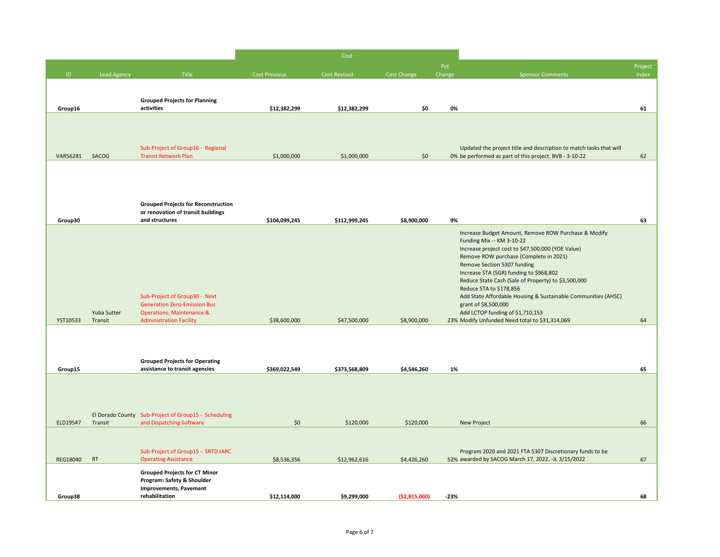| Proje<br>Inde                                                                                                                                                                      |
|------------------------------------------------------------------------------------------------------------------------------------------------------------------------------------|
|                                                                                                                                                                                    |
| 61                                                                                                                                                                                 |
| Updated the project title and description to match tasks that will                                                                                                                 |
| 0% be performed as part of this project. BVB - 3-10-22<br>62<br>63                                                                                                                 |
| Increase Budget Amount, Remove ROW Purchase & Modify<br>Reduce State Cash (Sale of Property) to \$3,500,000<br>Add State Affordable Housing & Sustainable Communities (AHSC)<br>64 |
| 65                                                                                                                                                                                 |
|                                                                                                                                                                                    |
| 66                                                                                                                                                                                 |
| Program 2020 and 2021 FTA 5307 Discretionary funds to be<br>52% awarded by SACOG March 17, 2022. -JL 3/15/2022<br>67                                                               |
| 68                                                                                                                                                                                 |
| Increase project cost to \$47,500,000 (YOE Value)                                                                                                                                  |

| Pct    |                                                                                                                              | Project |
|--------|------------------------------------------------------------------------------------------------------------------------------|---------|
| Change | <b>Sponsor Comments</b>                                                                                                      | Index   |
|        |                                                                                                                              |         |
| 0%     |                                                                                                                              | 61      |
|        |                                                                                                                              |         |
|        |                                                                                                                              |         |
|        | Updated the project title and description to match tasks that will<br>0% be performed as part of this project. BVB - 3-10-22 | 62      |
|        |                                                                                                                              |         |
|        |                                                                                                                              |         |
|        |                                                                                                                              |         |
|        |                                                                                                                              |         |
| 9%     |                                                                                                                              | 63      |
|        | Increase Budget Amount, Remove ROW Purchase & Modify<br>Funding Mix -- KM 3-10-22                                            |         |
|        | Increase project cost to \$47,500,000 (YOE Value)                                                                            |         |
|        | Remove ROW purchase (Complete in 2021)<br>Remove Section 5307 funding                                                        |         |
|        | Increase STA (SGR) funding to \$968,802<br>Reduce State Cash (Sale of Property) to \$3,500,000                               |         |
|        | Reduce STA to \$178,856                                                                                                      |         |
|        | Add State Affordable Housing & Sustainable Communities (AHSC)<br>grant of \$8,500,000                                        |         |
|        | Add LCTOP funding of \$1,710,153<br>23% Modify Unfunded Need total to \$31,314,069                                           | 64      |
|        |                                                                                                                              |         |
|        |                                                                                                                              |         |
|        |                                                                                                                              |         |
| 1%     |                                                                                                                              | 65      |
|        |                                                                                                                              |         |
|        |                                                                                                                              |         |
|        |                                                                                                                              |         |
|        | <b>New Project</b>                                                                                                           | 66      |
|        |                                                                                                                              |         |
|        | Program 2020 and 2021 FTA 5307 Discretionary funds to be<br>52% awarded by SACOG March 17, 2022. -JL 3/15/2022               | 67      |
|        |                                                                                                                              |         |
|        |                                                                                                                              |         |
| $-23%$ |                                                                                                                              | 68      |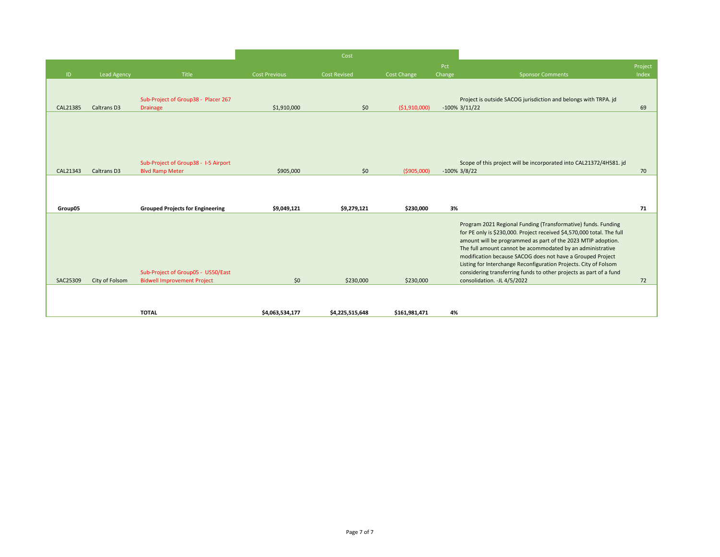|          |                    |                                                                          |                      | Cost                |                |               |                                                                                                                                                                                                                                                                                                                                                                                                         |                  |
|----------|--------------------|--------------------------------------------------------------------------|----------------------|---------------------|----------------|---------------|---------------------------------------------------------------------------------------------------------------------------------------------------------------------------------------------------------------------------------------------------------------------------------------------------------------------------------------------------------------------------------------------------------|------------------|
| D        | <b>Lead Agency</b> | Title                                                                    | <b>Cost Previous</b> | <b>Cost Revised</b> | Cost Change    | Pct<br>Change | <b>Sponsor Comments</b>                                                                                                                                                                                                                                                                                                                                                                                 | Project<br>Index |
| CAL21385 | Caltrans D3        | Sub-Project of Group38 - Placer 267<br><b>Drainage</b>                   | \$1,910,000          | \$0                 | ( \$1,910,000) |               | Project is outside SACOG jurisdiction and belongs with TRPA. jd<br>$-100\%$ 3/11/22                                                                                                                                                                                                                                                                                                                     | 69               |
|          |                    |                                                                          |                      |                     |                |               |                                                                                                                                                                                                                                                                                                                                                                                                         |                  |
|          |                    | Sub-Project of Group38 - I-5 Airport                                     |                      |                     |                |               | Scope of this project will be incorporated into CAL21372/4H581. jd                                                                                                                                                                                                                                                                                                                                      |                  |
| CAL21343 | Caltrans D3        | <b>Blvd Ramp Meter</b>                                                   | \$905,000            | \$0                 | (\$905,000)    |               | $-100\%$ 3/8/22                                                                                                                                                                                                                                                                                                                                                                                         | 70               |
| Group05  |                    | <b>Grouped Projects for Engineering</b>                                  | \$9,049,121          | \$9,279,121         | \$230,000      | 3%            |                                                                                                                                                                                                                                                                                                                                                                                                         | 71               |
|          |                    |                                                                          |                      |                     |                |               |                                                                                                                                                                                                                                                                                                                                                                                                         |                  |
|          |                    |                                                                          |                      |                     |                |               | Program 2021 Regional Funding (Transformative) funds. Funding<br>for PE only is \$230,000. Project received \$4,570,000 total. The full<br>amount will be programmed as part of the 2023 MTIP adoption.<br>The full amount cannot be acommodated by an administrative<br>modification because SACOG does not have a Grouped Project<br>Listing for Interchange Reconfiguration Projects. City of Folsom |                  |
| SAC25309 | City of Folsom     | Sub-Project of Group05 - US50/East<br><b>Bidwell Improvement Project</b> | \$0                  | \$230,000           | \$230,000      |               | considering transferring funds to other projects as part of a fund<br>consolidation. - JL 4/5/2022                                                                                                                                                                                                                                                                                                      | 72               |
|          |                    |                                                                          |                      |                     |                |               |                                                                                                                                                                                                                                                                                                                                                                                                         |                  |
|          |                    | <b>TOTAL</b>                                                             | \$4,063,534,177      | \$4,225,515,648     | \$161,981,471  | 4%            |                                                                                                                                                                                                                                                                                                                                                                                                         |                  |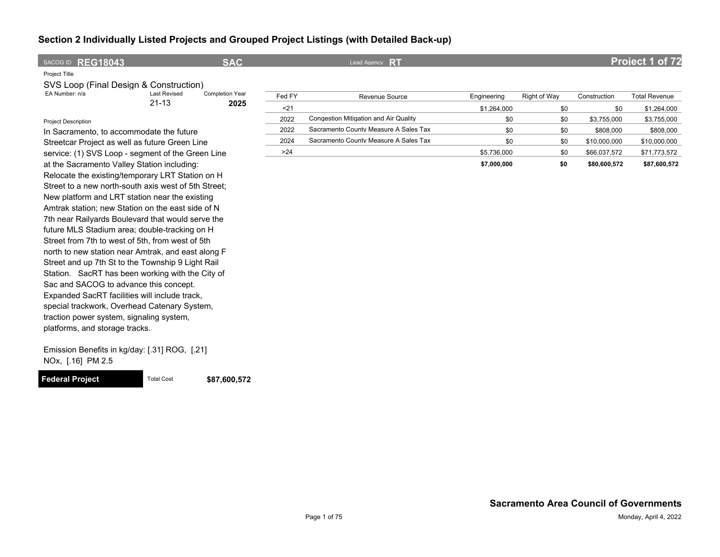| SACOG ID REG18043                              |                     | <b>SAC</b>             |                                       | Lead Agency RT                        |             |              |              | Project 1 of 72      |
|------------------------------------------------|---------------------|------------------------|---------------------------------------|---------------------------------------|-------------|--------------|--------------|----------------------|
| Project Title                                  |                     |                        |                                       |                                       |             |              |              |                      |
| SVS Loop (Final Design & Construction)         |                     |                        |                                       |                                       |             |              |              |                      |
| EA Number: n/a                                 | <b>Last Revised</b> | <b>Completion Year</b> | Fed FY                                | Revenue Source                        | Engineering | Right of Way | Construction | <b>Total Revenue</b> |
|                                                | $21 - 13$           | 2025                   | $21$                                  |                                       | \$1.264.000 | \$0          | \$0          | \$1,264,000          |
| <b>Project Description</b>                     |                     |                        | 2022                                  | Congestion Mitigation and Air Quality | \$0         | \$0          | \$3,755,000  | \$3,755,000          |
| In Sacramento, to accommodate the future       |                     | 2022                   | Sacramento County Measure A Sales Tax | \$0                                   | \$0         | \$808,000    | \$808,000    |                      |
| Streetcar Project as well as future Green Line |                     | 2024                   | Sacramento County Measure A Sales Tax | \$0                                   | \$0         | \$10,000,000 | \$10,000,000 |                      |

>24 \$5,736,000 \$0 \$66,037,572 \$71,773,572

Emission Benefits in kg/day: [.31] ROG, [.21] NOx, [.16] PM 2.5

Sac and SACOG to advance this concept. Expanded SacRT facilities will include track, special trackwork, Overhead Catenary System, traction power system, signaling system,

platforms, and storage tracks.

service: (1) SVS Loop - segment of the Green Line at the Sacramento Valley Station including: Relocate the existing/temporary LRT Station on H Street to a new north-south axis west of 5th Street; New platform and LRT station near the existing Amtrak station; new Station on the east side of N 7th near Railyards Boulevard that would serve the future MLS Stadium area; double-tracking on H Street from 7th to west of 5th, from west of 5th north to new station near Amtrak, and east along F Street and up 7th St to the Township 9 Light Rail Station. SacRT has been working with the City of

**Federal Project** Total Cost \$87,600,572

**\$7,000,000 \$0 \$80,600,572 \$87,600,572**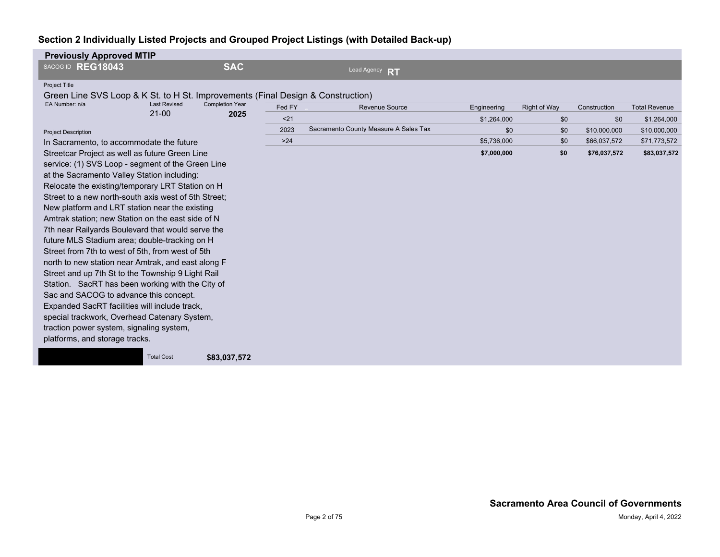| <b>Previously Approved MTIP</b>                                                 |                                  |                                |        |                                       |             |              |              |                      |
|---------------------------------------------------------------------------------|----------------------------------|--------------------------------|--------|---------------------------------------|-------------|--------------|--------------|----------------------|
| SACOG ID REG18043                                                               |                                  | <b>SAC</b>                     |        | Lead Agency<br><b>RT</b>              |             |              |              |                      |
| <b>Project Title</b>                                                            |                                  |                                |        |                                       |             |              |              |                      |
| Green Line SVS Loop & K St. to H St. Improvements (Final Design & Construction) |                                  |                                |        |                                       |             |              |              |                      |
| EA Number: n/a                                                                  | <b>Last Revised</b><br>$21 - 00$ | <b>Completion Year</b><br>2025 | Fed FY | Revenue Source                        | Engineering | Right of Way | Construction | <b>Total Revenue</b> |
|                                                                                 |                                  |                                | < 21   |                                       | \$1,264,000 | \$0          | \$0          | \$1,264,000          |
| <b>Project Description</b>                                                      |                                  |                                | 2023   | Sacramento County Measure A Sales Tax | \$0         | \$0          | \$10,000,000 | \$10,000,000         |
| In Sacramento, to accommodate the future                                        |                                  |                                | $>24$  |                                       | \$5.736.000 | \$0          | \$66,037,572 | \$71,773,572         |
| Streetcar Project as well as future Green Line                                  |                                  |                                |        |                                       | \$7,000,000 | \$0          | \$76,037,572 | \$83,037,572         |
| service: (1) SVS Loop - segment of the Green Line                               |                                  |                                |        |                                       |             |              |              |                      |
| at the Sacramento Valley Station including:                                     |                                  |                                |        |                                       |             |              |              |                      |
| Relocate the existing/temporary LRT Station on H                                |                                  |                                |        |                                       |             |              |              |                      |
| Street to a new north-south axis west of 5th Street;                            |                                  |                                |        |                                       |             |              |              |                      |
| New platform and LRT station near the existing                                  |                                  |                                |        |                                       |             |              |              |                      |
| Amtrak station; new Station on the east side of N                               |                                  |                                |        |                                       |             |              |              |                      |
| 7th near Railyards Boulevard that would serve the                               |                                  |                                |        |                                       |             |              |              |                      |
| future MLS Stadium area; double-tracking on H                                   |                                  |                                |        |                                       |             |              |              |                      |
| Street from 7th to west of 5th, from west of 5th                                |                                  |                                |        |                                       |             |              |              |                      |
| north to new station near Amtrak, and east along F                              |                                  |                                |        |                                       |             |              |              |                      |
| Street and up 7th St to the Township 9 Light Rail                               |                                  |                                |        |                                       |             |              |              |                      |
| Station. SacRT has been working with the City of                                |                                  |                                |        |                                       |             |              |              |                      |
| Sac and SACOG to advance this concept.                                          |                                  |                                |        |                                       |             |              |              |                      |
| Expanded SacRT facilities will include track,                                   |                                  |                                |        |                                       |             |              |              |                      |
| special trackwork, Overhead Catenary System,                                    |                                  |                                |        |                                       |             |              |              |                      |
| traction power system, signaling system,                                        |                                  |                                |        |                                       |             |              |              |                      |
| platforms, and storage tracks.                                                  |                                  |                                |        |                                       |             |              |              |                      |
|                                                                                 | <b>Total Cost</b>                | \$83,037,572                   |        |                                       |             |              |              |                      |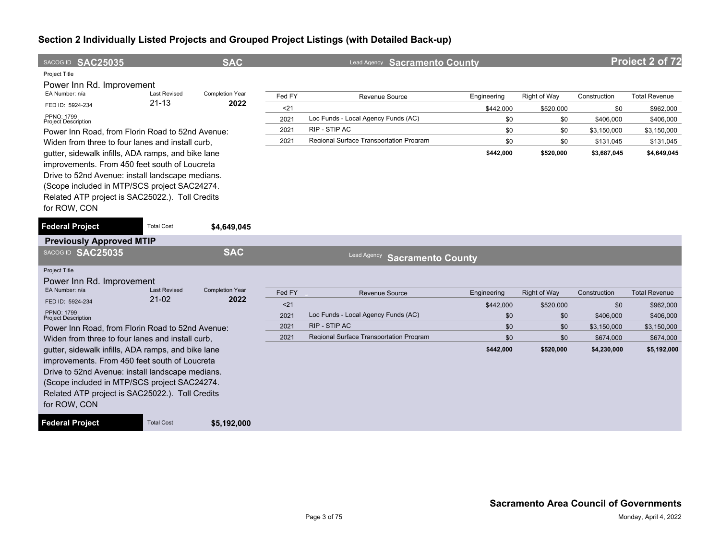| SACOG ID SAC25035<br><b>Project Title</b>                                                                                                                                                                                                                                                                                                                                                                                                                                                                |                                  | <b>SAC</b>                     |                                        | Lead Agency Sacramento County                                                                                     |                                                            |                                                             |                                                                             | Project 2 of 72                                                                           |
|----------------------------------------------------------------------------------------------------------------------------------------------------------------------------------------------------------------------------------------------------------------------------------------------------------------------------------------------------------------------------------------------------------------------------------------------------------------------------------------------------------|----------------------------------|--------------------------------|----------------------------------------|-------------------------------------------------------------------------------------------------------------------|------------------------------------------------------------|-------------------------------------------------------------|-----------------------------------------------------------------------------|-------------------------------------------------------------------------------------------|
| Power Inn Rd. Improvement<br>EA Number: n/a<br>FED ID: 5924-234<br><b>PPNO: 1799</b><br><b>Project Description</b><br>Power Inn Road, from Florin Road to 52nd Avenue:<br>Widen from three to four lanes and install curb.<br>gutter, sidewalk infills, ADA ramps, and bike lane<br>improvements. From 450 feet south of Loucreta<br>Drive to 52nd Avenue: install landscape medians.<br>(Scope included in MTP/SCS project SAC24274.<br>Related ATP project is SAC25022.). Toll Credits<br>for ROW, CON | <b>Last Revised</b><br>$21 - 13$ | <b>Completion Year</b><br>2022 | Fed FY<br>$21$<br>2021<br>2021<br>2021 | Revenue Source<br>Loc Funds - Local Agency Funds (AC)<br>RIP - STIP AC<br>Regional Surface Transportation Program | Engineering<br>\$442,000<br>\$0<br>\$0<br>\$0<br>\$442,000 | Right of Way<br>\$520,000<br>\$0<br>\$0<br>\$0<br>\$520,000 | Construction<br>\$0<br>\$406,000<br>\$3,150,000<br>\$131,045<br>\$3,687,045 | <b>Total Revenue</b><br>\$962,000<br>\$406,000<br>\$3,150,000<br>\$131,045<br>\$4,649,045 |
| <b>Federal Project</b>                                                                                                                                                                                                                                                                                                                                                                                                                                                                                   | <b>Total Cost</b>                | \$4,649,045                    |                                        |                                                                                                                   |                                                            |                                                             |                                                                             |                                                                                           |
| <b>Previously Approved MTIP</b>                                                                                                                                                                                                                                                                                                                                                                                                                                                                          |                                  |                                |                                        |                                                                                                                   |                                                            |                                                             |                                                                             |                                                                                           |
| SACOG ID SAC25035                                                                                                                                                                                                                                                                                                                                                                                                                                                                                        |                                  | <b>SAC</b>                     |                                        | Lead Agency<br><b>Sacramento County</b>                                                                           |                                                            |                                                             |                                                                             |                                                                                           |
| <b>Project Title</b><br>Power Inn Rd. Improvement                                                                                                                                                                                                                                                                                                                                                                                                                                                        |                                  |                                |                                        |                                                                                                                   |                                                            |                                                             |                                                                             |                                                                                           |
| EA Number: n/a                                                                                                                                                                                                                                                                                                                                                                                                                                                                                           | <b>Last Revised</b>              | <b>Completion Year</b>         | Fed FY                                 | <b>Revenue Source</b>                                                                                             | Engineering                                                | <b>Right of Way</b>                                         | Construction                                                                | <b>Total Revenue</b>                                                                      |
| FED ID: 5924-234                                                                                                                                                                                                                                                                                                                                                                                                                                                                                         | $21-02$                          | 2022                           | < 21                                   |                                                                                                                   | \$442,000                                                  | \$520,000                                                   | \$0                                                                         | \$962,000                                                                                 |
| PPNO: 1799<br><b>Project Description</b>                                                                                                                                                                                                                                                                                                                                                                                                                                                                 |                                  |                                | 2021                                   | Loc Funds - Local Agency Funds (AC)                                                                               | \$0                                                        | \$0                                                         | \$406.000                                                                   | \$406,000                                                                                 |
| Power Inn Road, from Florin Road to 52nd Avenue:                                                                                                                                                                                                                                                                                                                                                                                                                                                         |                                  |                                | 2021                                   | RIP - STIP AC                                                                                                     | \$0                                                        | \$0                                                         | \$3,150,000                                                                 | \$3,150,000                                                                               |
| Widen from three to four lanes and install curb,                                                                                                                                                                                                                                                                                                                                                                                                                                                         |                                  |                                | 2021                                   | Regional Surface Transportation Program                                                                           | \$0                                                        | \$0                                                         | \$674.000                                                                   | \$674,000                                                                                 |
| gutter, sidewalk infills, ADA ramps, and bike lane<br>improvements. From 450 feet south of Loucreta<br>Drive to 52nd Avenue: install landscape medians.<br>(Scope included in MTP/SCS project SAC24274.<br>Related ATP project is SAC25022.). Toll Credits<br>for ROW, CON<br><b>Federal Project</b>                                                                                                                                                                                                     | <b>Total Cost</b>                | \$5,192,000                    |                                        |                                                                                                                   | \$442,000                                                  | \$520,000                                                   | \$4,230,000                                                                 | \$5,192,000                                                                               |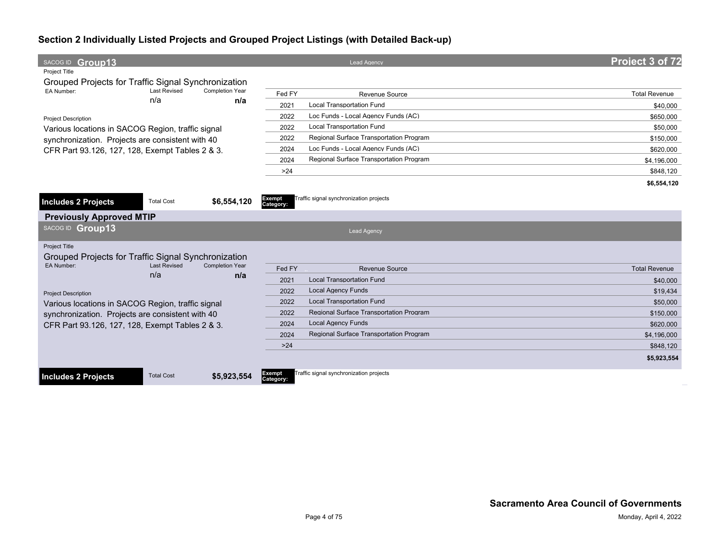| SACOG ID Group13                                    |                            |                               |                     | <b>Lead Agency</b>                      | Project 3 of 72      |
|-----------------------------------------------------|----------------------------|-------------------------------|---------------------|-----------------------------------------|----------------------|
| Project Title                                       |                            |                               |                     |                                         |                      |
| Grouped Projects for Traffic Signal Synchronization |                            |                               |                     |                                         |                      |
| EA Number:                                          | <b>Last Revised</b><br>n/a | <b>Completion Year</b><br>n/a | Fed FY              | <b>Revenue Source</b>                   | <b>Total Revenue</b> |
|                                                     |                            |                               | 2021                | Local Transportation Fund               | \$40,000             |
| <b>Project Description</b>                          |                            |                               | 2022                | Loc Funds - Local Agency Funds (AC)     | \$650,000            |
| Various locations in SACOG Region, traffic signal   |                            |                               | 2022                | <b>Local Transportation Fund</b>        | \$50,000             |
| synchronization. Projects are consistent with 40    |                            |                               | 2022                | Regional Surface Transportation Program | \$150,000            |
| CFR Part 93.126, 127, 128, Exempt Tables 2 & 3.     |                            |                               | 2024                | Loc Funds - Local Agency Funds (AC)     | \$620,000            |
|                                                     |                            |                               | 2024                | Regional Surface Transportation Program | \$4,196,000          |
|                                                     |                            |                               | >24                 |                                         | \$848,120            |
|                                                     |                            |                               |                     |                                         | \$6,554,120          |
|                                                     |                            |                               |                     | Traffic signal synchronization projects |                      |
| <b>Includes 2 Projects</b>                          | <b>Total Cost</b>          | \$6,554,120                   | Exempt<br>Category: |                                         |                      |
| <b>Previously Approved MTIP</b>                     |                            |                               |                     |                                         |                      |
| SACOG ID Group13                                    |                            |                               |                     | <b>Lead Agency</b>                      |                      |
| Project Title                                       |                            |                               |                     |                                         |                      |
| Grouped Projects for Traffic Signal Synchronization |                            |                               |                     |                                         |                      |
| EA Number:                                          | <b>Last Revised</b>        | <b>Completion Year</b>        | Fed FY              | <b>Revenue Source</b>                   | <b>Total Revenue</b> |
|                                                     | n/a                        | n/a                           | 2021                | <b>Local Transportation Fund</b>        | \$40,000             |
| <b>Project Description</b>                          |                            |                               | 2022                | <b>Local Agency Funds</b>               | \$19.434             |
| Various locations in SACOG Region, traffic signal   |                            |                               | 2022                | <b>Local Transportation Fund</b>        | \$50,000             |
| synchronization. Projects are consistent with 40    |                            |                               | 2022                | Regional Surface Transportation Program | \$150,000            |
| CFR Part 93.126, 127, 128, Exempt Tables 2 & 3.     |                            |                               | 2024                | <b>Local Agency Funds</b>               | \$620,000            |
|                                                     |                            |                               | 2024                | Regional Surface Transportation Program | \$4,196,000          |
|                                                     |                            |                               | $>24$               |                                         | \$848.120            |
|                                                     |                            |                               |                     |                                         | \$5,923,554          |
| <b>Includes 2 Projects</b>                          | <b>Total Cost</b>          | \$5,923,554                   | Exempt<br>Category: | Traffic signal synchronization projects |                      |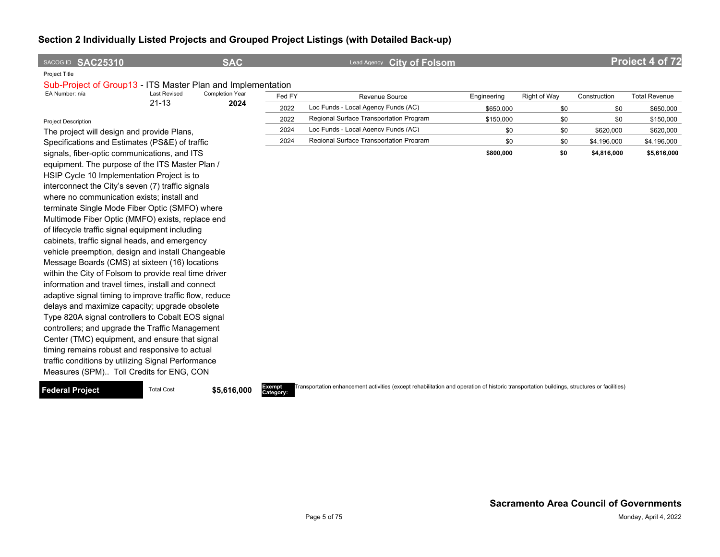| SACOG ID SAC25310                                           |                     | <b>SAC</b>      |        | <b>City of Folsom</b><br>Lead Agency    |             |              |              | Project 4 of 72      |
|-------------------------------------------------------------|---------------------|-----------------|--------|-----------------------------------------|-------------|--------------|--------------|----------------------|
| Project Title                                               |                     |                 |        |                                         |             |              |              |                      |
| Sub-Project of Group13 - ITS Master Plan and Implementation |                     |                 |        |                                         |             |              |              |                      |
| EA Number: n/a                                              | <b>Last Revised</b> | Completion Year | Fed FY | <b>Revenue Source</b>                   | Engineering | Right of Way | Construction | <b>Total Revenue</b> |
|                                                             | $21 - 13$           | 2024            | 2022   | Loc Funds - Local Agency Funds (AC)     | \$650,000   | \$0          | \$0          | \$650,000            |
| <b>Project Description</b>                                  |                     |                 | 2022   | Regional Surface Transportation Program | \$150,000   | \$0          | \$0          | \$150,000            |
| The project will design and provide Plans,                  |                     |                 | 2024   | Loc Funds - Local Agency Funds (AC)     | \$0         | \$0          | \$620,000    | \$620,000            |
| Specifications and Estimates (PS&E) of traffic              |                     |                 | 2024   | Regional Surface Transportation Program | \$0         | \$0          | \$4,196,000  | \$4,196,000          |
| signals, fiber-optic communications, and ITS                |                     |                 |        |                                         | \$800,000   | \$0          | \$4,816,000  | \$5,616,000          |
| equipment. The purpose of the ITS Master Plan /             |                     |                 |        |                                         |             |              |              |                      |
| HSIP Cycle 10 Implementation Project is to                  |                     |                 |        |                                         |             |              |              |                      |
| interconnect the City's seven (7) traffic signals           |                     |                 |        |                                         |             |              |              |                      |
| where no communication exists; install and                  |                     |                 |        |                                         |             |              |              |                      |
| terminate Single Mode Fiber Optic (SMFO) where              |                     |                 |        |                                         |             |              |              |                      |
| Multimode Fiber Optic (MMFO) exists, replace end            |                     |                 |        |                                         |             |              |              |                      |
| of lifecycle traffic signal equipment including             |                     |                 |        |                                         |             |              |              |                      |
| cabinets, traffic signal heads, and emergency               |                     |                 |        |                                         |             |              |              |                      |
| vehicle preemption, design and install Changeable           |                     |                 |        |                                         |             |              |              |                      |
| Message Boards (CMS) at sixteen (16) locations              |                     |                 |        |                                         |             |              |              |                      |
| within the City of Folsom to provide real time driver       |                     |                 |        |                                         |             |              |              |                      |
| information and travel times, install and connect           |                     |                 |        |                                         |             |              |              |                      |
| adaptive signal timing to improve traffic flow, reduce      |                     |                 |        |                                         |             |              |              |                      |
| delays and maximize capacity; upgrade obsolete              |                     |                 |        |                                         |             |              |              |                      |
| Type 820A signal controllers to Cobalt EOS signal           |                     |                 |        |                                         |             |              |              |                      |
| controllers; and upgrade the Traffic Management             |                     |                 |        |                                         |             |              |              |                      |
| Center (TMC) equipment, and ensure that signal              |                     |                 |        |                                         |             |              |              |                      |
| timing remains robust and responsive to actual              |                     |                 |        |                                         |             |              |              |                      |
| traffic conditions by utilizing Signal Performance          |                     |                 |        |                                         |             |              |              |                      |

#### **Federal Project** Total Cost **\$5,616,000**

Measures (SPM).. Toll Credits for ENG, CON

**Category:**

Transportation enhancement activities (except rehabilitation and operation of historic transportation buildings, structures or facilities)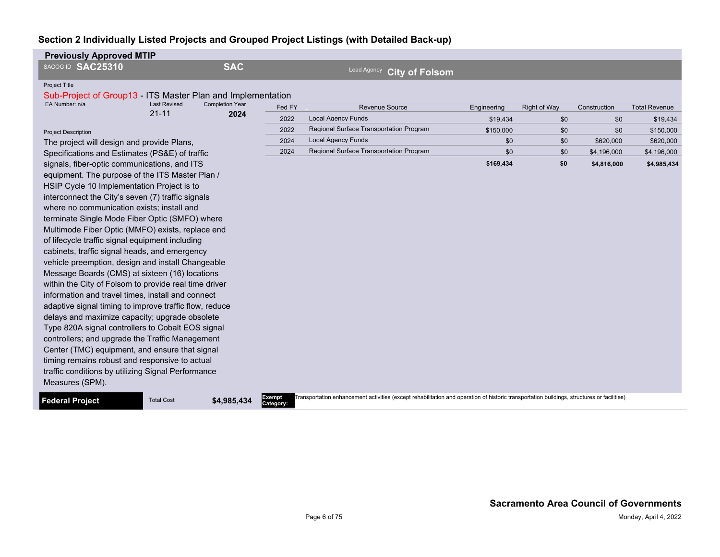| <b>Previously Approved MTIP</b>                                                     |                     |                        |                     |                                                                                                                                            |             |                     |              |                      |
|-------------------------------------------------------------------------------------|---------------------|------------------------|---------------------|--------------------------------------------------------------------------------------------------------------------------------------------|-------------|---------------------|--------------|----------------------|
| SACOG ID SAC25310                                                                   |                     | <b>SAC</b>             |                     | Lead Agency<br><b>City of Folsom</b>                                                                                                       |             |                     |              |                      |
| <b>Project Title</b><br>Sub-Project of Group13 - ITS Master Plan and Implementation |                     |                        |                     |                                                                                                                                            |             |                     |              |                      |
| EA Number: n/a                                                                      | <b>Last Revised</b> | <b>Completion Year</b> | Fed FY              | Revenue Source                                                                                                                             | Engineering | <b>Right of Way</b> | Construction | <b>Total Revenue</b> |
|                                                                                     | $21 - 11$           | 2024                   | 2022                | <b>Local Agency Funds</b>                                                                                                                  | \$19.434    | \$0                 | \$0          | \$19,434             |
| <b>Project Description</b>                                                          |                     |                        | 2022                | Regional Surface Transportation Program                                                                                                    | \$150,000   | \$0                 | \$0          | \$150,000            |
| The project will design and provide Plans,                                          |                     |                        | 2024                | <b>Local Agency Funds</b>                                                                                                                  | \$0         | \$0                 | \$620,000    | \$620,000            |
| Specifications and Estimates (PS&E) of traffic                                      |                     |                        | 2024                | Regional Surface Transportation Program                                                                                                    | \$0         | \$0                 | \$4,196,000  | \$4,196,000          |
| signals, fiber-optic communications, and ITS                                        |                     |                        |                     |                                                                                                                                            | \$169,434   | \$0                 | \$4,816,000  | \$4,985,434          |
| equipment. The purpose of the ITS Master Plan /                                     |                     |                        |                     |                                                                                                                                            |             |                     |              |                      |
| HSIP Cycle 10 Implementation Project is to                                          |                     |                        |                     |                                                                                                                                            |             |                     |              |                      |
| interconnect the City's seven (7) traffic signals                                   |                     |                        |                     |                                                                                                                                            |             |                     |              |                      |
| where no communication exists; install and                                          |                     |                        |                     |                                                                                                                                            |             |                     |              |                      |
| terminate Single Mode Fiber Optic (SMFO) where                                      |                     |                        |                     |                                                                                                                                            |             |                     |              |                      |
| Multimode Fiber Optic (MMFO) exists, replace end                                    |                     |                        |                     |                                                                                                                                            |             |                     |              |                      |
| of lifecycle traffic signal equipment including                                     |                     |                        |                     |                                                                                                                                            |             |                     |              |                      |
| cabinets, traffic signal heads, and emergency                                       |                     |                        |                     |                                                                                                                                            |             |                     |              |                      |
| vehicle preemption, design and install Changeable                                   |                     |                        |                     |                                                                                                                                            |             |                     |              |                      |
| Message Boards (CMS) at sixteen (16) locations                                      |                     |                        |                     |                                                                                                                                            |             |                     |              |                      |
| within the City of Folsom to provide real time driver                               |                     |                        |                     |                                                                                                                                            |             |                     |              |                      |
| information and travel times, install and connect                                   |                     |                        |                     |                                                                                                                                            |             |                     |              |                      |
| adaptive signal timing to improve traffic flow, reduce                              |                     |                        |                     |                                                                                                                                            |             |                     |              |                      |
| delays and maximize capacity; upgrade obsolete                                      |                     |                        |                     |                                                                                                                                            |             |                     |              |                      |
| Type 820A signal controllers to Cobalt EOS signal                                   |                     |                        |                     |                                                                                                                                            |             |                     |              |                      |
| controllers; and upgrade the Traffic Management                                     |                     |                        |                     |                                                                                                                                            |             |                     |              |                      |
| Center (TMC) equipment, and ensure that signal                                      |                     |                        |                     |                                                                                                                                            |             |                     |              |                      |
| timing remains robust and responsive to actual                                      |                     |                        |                     |                                                                                                                                            |             |                     |              |                      |
| traffic conditions by utilizing Signal Performance                                  |                     |                        |                     |                                                                                                                                            |             |                     |              |                      |
| Measures (SPM).                                                                     |                     |                        |                     |                                                                                                                                            |             |                     |              |                      |
| <b>Federal Project</b>                                                              | <b>Total Cost</b>   | \$4,985,434            | Exempt<br>Category: | Transportation enhancement activities (except rehabilitation and operation of historic transportation buildings, structures or facilities) |             |                     |              |                      |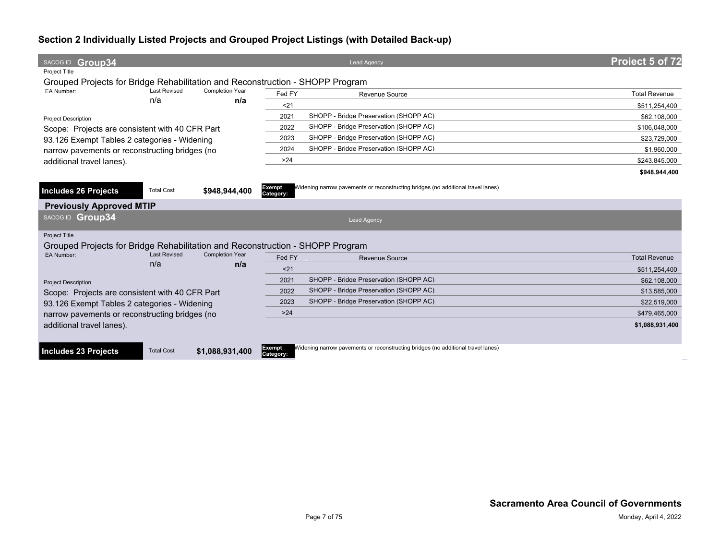| SACOG ID Group34                                                              |                     |                        |                     | <b>Lead Agency</b>                                                               | Project 5 of 72      |
|-------------------------------------------------------------------------------|---------------------|------------------------|---------------------|----------------------------------------------------------------------------------|----------------------|
| <b>Project Title</b>                                                          |                     |                        |                     |                                                                                  |                      |
| Grouped Projects for Bridge Rehabilitation and Reconstruction - SHOPP Program |                     |                        |                     |                                                                                  |                      |
| EA Number:                                                                    | <b>Last Revised</b> | <b>Completion Year</b> | Fed FY              | Revenue Source                                                                   | <b>Total Revenue</b> |
|                                                                               | n/a                 | n/a                    | < 21                |                                                                                  | \$511,254,400        |
| <b>Project Description</b>                                                    |                     |                        | 2021                | SHOPP - Bridge Preservation (SHOPP AC)                                           | \$62,108,000         |
| Scope: Projects are consistent with 40 CFR Part                               |                     |                        | 2022                | SHOPP - Bridge Preservation (SHOPP AC)                                           | \$106,048,000        |
| 93.126 Exempt Tables 2 categories - Widening                                  |                     |                        | 2023                | SHOPP - Bridge Preservation (SHOPP AC)                                           | \$23,729,000         |
| narrow pavements or reconstructing bridges (no                                |                     |                        | 2024                | SHOPP - Bridge Preservation (SHOPP AC)                                           | \$1,960,000          |
| additional travel lanes).                                                     |                     |                        | $>24$               |                                                                                  | \$243,845,000        |
|                                                                               |                     |                        |                     |                                                                                  | \$948,944,400        |
|                                                                               |                     |                        |                     | Widening narrow pavements or reconstructing bridges (no additional travel lanes) |                      |
| Includes 26 Projects                                                          | <b>Total Cost</b>   | \$948,944,400          | Exempt<br>Category: |                                                                                  |                      |
| <b>Previously Approved MTIP</b>                                               |                     |                        |                     |                                                                                  |                      |
| SACOG ID Group34                                                              |                     |                        |                     | <b>Lead Agency</b>                                                               |                      |
| Project Title                                                                 |                     |                        |                     |                                                                                  |                      |
| Grouped Projects for Bridge Rehabilitation and Reconstruction - SHOPP Program |                     |                        |                     |                                                                                  |                      |
| EA Number:                                                                    | <b>Last Revised</b> | <b>Completion Year</b> | Fed FY              | Revenue Source                                                                   | <b>Total Revenue</b> |
|                                                                               | n/a                 | n/a                    | < 21                |                                                                                  | \$511,254,400        |
| <b>Project Description</b>                                                    |                     |                        | 2021                | SHOPP - Bridge Preservation (SHOPP AC)                                           | \$62,108,000         |
| Scope: Projects are consistent with 40 CFR Part                               |                     |                        | 2022                | SHOPP - Bridge Preservation (SHOPP AC)                                           | \$13,585,000         |
| 93.126 Exempt Tables 2 categories - Widening                                  |                     |                        | 2023                | SHOPP - Bridge Preservation (SHOPP AC)                                           | \$22,519,000         |
| narrow pavements or reconstructing bridges (no                                |                     |                        | >24                 |                                                                                  | \$479.465.000        |
| additional travel lanes).                                                     |                     |                        |                     |                                                                                  | \$1,088,931,400      |
|                                                                               |                     |                        |                     |                                                                                  |                      |
|                                                                               |                     |                        | Exempt              | Widening narrow pavements or reconstructing bridges (no additional travel lanes) |                      |
| Includes 23 Projects                                                          | <b>Total Cost</b>   | \$1,088,931,400        | Category:           |                                                                                  |                      |
|                                                                               |                     |                        |                     |                                                                                  |                      |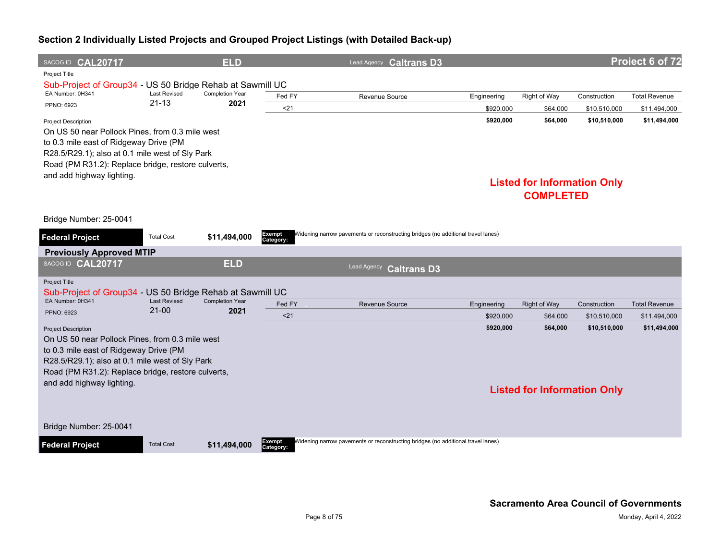| SACOG ID CAL20717                                                                                                                                                                                                                                             |                     | <b>ELD</b>             |                            | Lead Agency <b>Caltrans D3</b>                                                   |             |                                                                    |              | Project 6 of 72      |
|---------------------------------------------------------------------------------------------------------------------------------------------------------------------------------------------------------------------------------------------------------------|---------------------|------------------------|----------------------------|----------------------------------------------------------------------------------|-------------|--------------------------------------------------------------------|--------------|----------------------|
| Project Title                                                                                                                                                                                                                                                 |                     |                        |                            |                                                                                  |             |                                                                    |              |                      |
| Sub-Project of Group34 - US 50 Bridge Rehab at Sawmill UC<br>EA Number: 0H341                                                                                                                                                                                 | <b>Last Revised</b> | <b>Completion Year</b> |                            |                                                                                  |             |                                                                    |              |                      |
| PPNO: 6923                                                                                                                                                                                                                                                    | $21 - 13$           | 2021                   | Fed FY                     | Revenue Source                                                                   | Engineering | Right of Way                                                       | Construction | <b>Total Revenue</b> |
|                                                                                                                                                                                                                                                               |                     |                        | 21                         |                                                                                  | \$920,000   | \$64,000                                                           | \$10,510,000 | \$11,494,000         |
| <b>Project Description</b><br>On US 50 near Pollock Pines, from 0.3 mile west<br>to 0.3 mile east of Ridgeway Drive (PM<br>R28.5/R29.1); also at 0.1 mile west of Sly Park<br>Road (PM R31.2): Replace bridge, restore culverts,<br>and add highway lighting. |                     |                        |                            |                                                                                  | \$920,000   | \$64,000<br><b>Listed for Information Only</b><br><b>COMPLETED</b> | \$10,510,000 | \$11,494,000         |
| Bridge Number: 25-0041                                                                                                                                                                                                                                        |                     |                        |                            |                                                                                  |             |                                                                    |              |                      |
| <b>Federal Project</b>                                                                                                                                                                                                                                        | <b>Total Cost</b>   | \$11,494,000           | <b>Exempt</b><br>Category: | Widening narrow pavements or reconstructing bridges (no additional travel lanes) |             |                                                                    |              |                      |
| <b>Previously Approved MTIP</b>                                                                                                                                                                                                                               |                     |                        |                            |                                                                                  |             |                                                                    |              |                      |
| SACOG ID CAL20717                                                                                                                                                                                                                                             |                     | <b>ELD</b>             |                            | Lead Agency<br><b>Caltrans D3</b>                                                |             |                                                                    |              |                      |
| Project Title                                                                                                                                                                                                                                                 |                     |                        |                            |                                                                                  |             |                                                                    |              |                      |
| Sub-Project of Group34 - US 50 Bridge Rehab at Sawmill UC                                                                                                                                                                                                     | <b>Last Revised</b> | <b>Completion Year</b> |                            |                                                                                  |             |                                                                    |              |                      |
| EA Number: 0H341<br>PPNO: 6923                                                                                                                                                                                                                                | $21 - 00$           | 2021                   | Fed FY                     | <b>Revenue Source</b>                                                            | Engineering | <b>Right of Way</b>                                                | Construction | <b>Total Revenue</b> |
|                                                                                                                                                                                                                                                               |                     |                        | < 21                       |                                                                                  | \$920,000   | \$64,000                                                           | \$10,510,000 | \$11,494,000         |
| <b>Project Description</b><br>On US 50 near Pollock Pines, from 0.3 mile west<br>to 0.3 mile east of Ridgeway Drive (PM<br>R28.5/R29.1); also at 0.1 mile west of Sly Park<br>Road (PM R31.2): Replace bridge, restore culverts,<br>and add highway lighting. |                     |                        |                            |                                                                                  | \$920,000   | \$64,000<br><b>Listed for Information Only</b>                     | \$10,510,000 | \$11,494,000         |
| Bridge Number: 25-0041<br><b>Federal Project</b>                                                                                                                                                                                                              | <b>Total Cost</b>   | \$11,494,000           | <b>Exempt</b><br>Category: | Widening narrow pavements or reconstructing bridges (no additional travel lanes) |             |                                                                    |              |                      |
|                                                                                                                                                                                                                                                               |                     |                        |                            |                                                                                  |             |                                                                    |              |                      |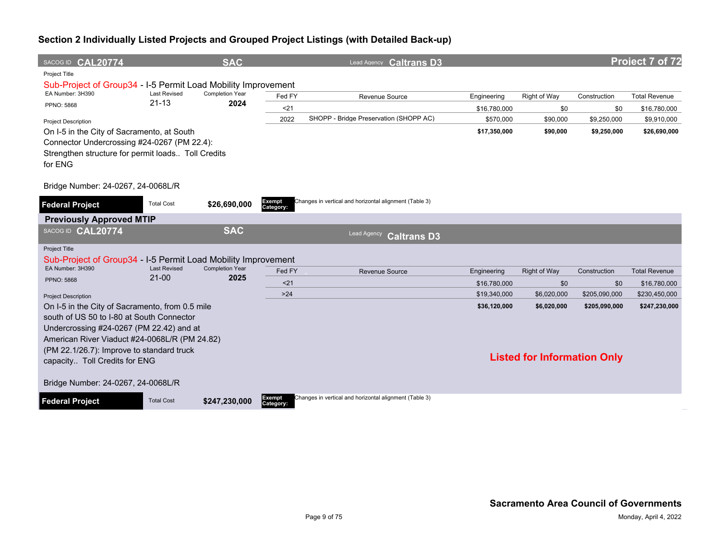| SACOG ID CAL20774                                                                                                                                                                         |                     | <b>SAC</b>             |                            | Lead Agency <b>Caltrans D3</b>                         |              |                                    |               | Project 7 of 72      |
|-------------------------------------------------------------------------------------------------------------------------------------------------------------------------------------------|---------------------|------------------------|----------------------------|--------------------------------------------------------|--------------|------------------------------------|---------------|----------------------|
| Project Title                                                                                                                                                                             |                     |                        |                            |                                                        |              |                                    |               |                      |
| Sub-Project of Group34 - I-5 Permit Load Mobility Improvement<br>EA Number: 3H390                                                                                                         | <b>Last Revised</b> | <b>Completion Year</b> | Fed FY                     | Revenue Source                                         | Engineering  | Right of Way                       | Construction  | <b>Total Revenue</b> |
| <b>PPNO: 5868</b>                                                                                                                                                                         | $21 - 13$           | 2024                   | $21$                       |                                                        | \$16,780,000 | \$0                                | \$0           | \$16,780,000         |
| <b>Project Description</b>                                                                                                                                                                |                     |                        | 2022                       | SHOPP - Bridge Preservation (SHOPP AC)                 | \$570,000    | \$90,000                           | \$9,250,000   | \$9,910,000          |
| On I-5 in the City of Sacramento, at South<br>Connector Undercrossing #24-0267 (PM 22.4):<br>Strengthen structure for permit loads Toll Credits<br>for ENG                                |                     |                        |                            |                                                        | \$17,350,000 | \$90,000                           | \$9,250,000   | \$26,690,000         |
| Bridge Number: 24-0267, 24-0068L/R                                                                                                                                                        |                     |                        |                            |                                                        |              |                                    |               |                      |
| <b>Federal Project</b>                                                                                                                                                                    | <b>Total Cost</b>   | \$26,690,000           | Exempt<br>Category:        | Changes in vertical and horizontal alignment (Table 3) |              |                                    |               |                      |
| <b>Previously Approved MTIP</b>                                                                                                                                                           |                     |                        |                            |                                                        |              |                                    |               |                      |
| SACOG ID CAL20774                                                                                                                                                                         |                     | <b>SAC</b>             |                            | Lead Agency<br><b>Caltrans D3</b>                      |              |                                    |               |                      |
| <b>Project Title</b><br>Sub-Project of Group34 - I-5 Permit Load Mobility Improvement                                                                                                     |                     |                        |                            |                                                        |              |                                    |               |                      |
| EA Number: 3H390                                                                                                                                                                          | <b>Last Revised</b> | <b>Completion Year</b> | Fed FY                     | Revenue Source                                         | Engineering  | <b>Right of Way</b>                | Construction  | <b>Total Revenue</b> |
| <b>PPNO: 5868</b>                                                                                                                                                                         | $21 - 00$           | 2025                   | $21$                       |                                                        | \$16,780,000 | \$0                                | \$0           | \$16,780,000         |
| <b>Project Description</b>                                                                                                                                                                |                     |                        | $>24$                      |                                                        | \$19,340,000 | \$6,020,000                        | \$205,090,000 | \$230,450,000        |
| On I-5 in the City of Sacramento, from 0.5 mile<br>south of US 50 to I-80 at South Connector<br>Undercrossing #24-0267 (PM 22.42) and at<br>American River Viaduct #24-0068L/R (PM 24.82) |                     |                        |                            |                                                        | \$36,120,000 | \$6,020,000                        | \$205,090,000 | \$247,230,000        |
| (PM 22.1/26.7): Improve to standard truck<br>capacity Toll Credits for ENG                                                                                                                |                     |                        |                            |                                                        |              | <b>Listed for Information Only</b> |               |                      |
| Bridge Number: 24-0267, 24-0068L/R                                                                                                                                                        |                     |                        |                            |                                                        |              |                                    |               |                      |
| <b>Federal Project</b>                                                                                                                                                                    | <b>Total Cost</b>   | \$247,230,000          | <b>Exempt</b><br>Category: | Changes in vertical and horizontal alignment (Table 3) |              |                                    |               |                      |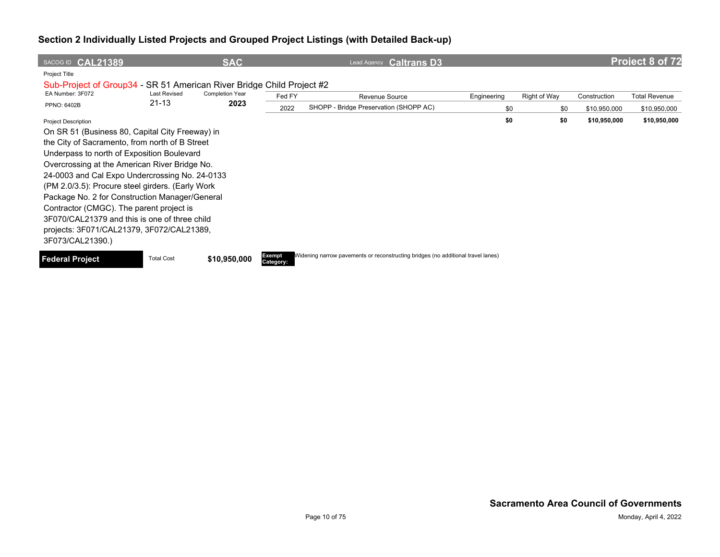| SACOG ID CAL21389                                                     |                     | <b>SAC</b>             |                            | <b>Caltrans D3</b><br>Lead Agency                                                |             |     |              |              | <b>Project 8 of 72</b> |
|-----------------------------------------------------------------------|---------------------|------------------------|----------------------------|----------------------------------------------------------------------------------|-------------|-----|--------------|--------------|------------------------|
| Project Title                                                         |                     |                        |                            |                                                                                  |             |     |              |              |                        |
| Sub-Project of Group34 - SR 51 American River Bridge Child Project #2 |                     |                        |                            |                                                                                  |             |     |              |              |                        |
| EA Number: 3F072                                                      | <b>Last Revised</b> | <b>Completion Year</b> | Fed FY                     | Revenue Source                                                                   | Engineering |     | Right of Way | Construction | <b>Total Revenue</b>   |
| <b>PPNO: 6402B</b>                                                    | $21 - 13$           | 2023                   | 2022                       | SHOPP - Bridge Preservation (SHOPP AC)                                           |             | \$0 | \$0          | \$10,950,000 | \$10,950,000           |
| <b>Project Description</b>                                            |                     |                        |                            |                                                                                  |             | \$0 | \$0          | \$10,950,000 | \$10,950,000           |
| On SR 51 (Business 80, Capital City Freeway) in                       |                     |                        |                            |                                                                                  |             |     |              |              |                        |
| the City of Sacramento, from north of B Street                        |                     |                        |                            |                                                                                  |             |     |              |              |                        |
| Underpass to north of Exposition Boulevard                            |                     |                        |                            |                                                                                  |             |     |              |              |                        |
| Overcrossing at the American River Bridge No.                         |                     |                        |                            |                                                                                  |             |     |              |              |                        |
| 24-0003 and Cal Expo Undercrossing No. 24-0133                        |                     |                        |                            |                                                                                  |             |     |              |              |                        |
| (PM 2.0/3.5): Procure steel girders. (Early Work                      |                     |                        |                            |                                                                                  |             |     |              |              |                        |
| Package No. 2 for Construction Manager/General                        |                     |                        |                            |                                                                                  |             |     |              |              |                        |
| Contractor (CMGC). The parent project is                              |                     |                        |                            |                                                                                  |             |     |              |              |                        |
| 3F070/CAL21379 and this is one of three child                         |                     |                        |                            |                                                                                  |             |     |              |              |                        |
| projects: 3F071/CAL21379, 3F072/CAL21389,                             |                     |                        |                            |                                                                                  |             |     |              |              |                        |
| 3F073/CAL21390.)                                                      |                     |                        |                            |                                                                                  |             |     |              |              |                        |
| Federal Project                                                       | <b>Total Cost</b>   | \$10,950,000           | <b>Exempt</b><br>Category: | Widening narrow pavements or reconstructing bridges (no additional travel lanes) |             |     |              |              |                        |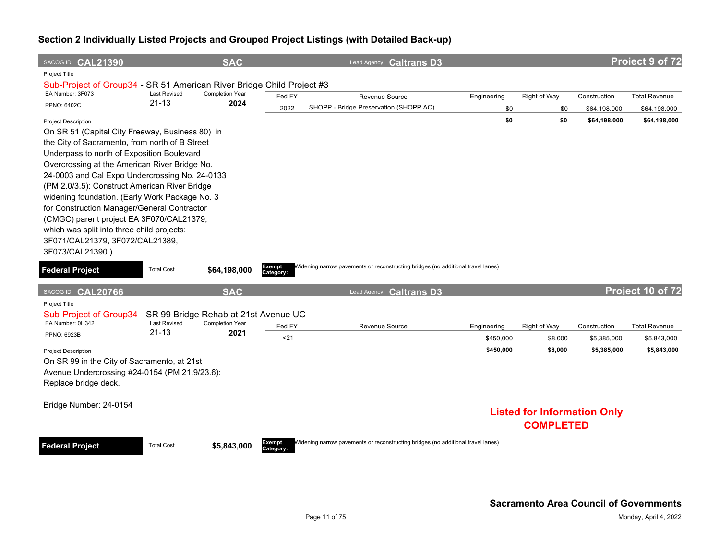| SACOG ID CAL21390                                                     |                                  | <b>SAC</b>             |                     | Lead Agency Caltrans D3                                                          |             |                                    |              | Project 9 of 72      |
|-----------------------------------------------------------------------|----------------------------------|------------------------|---------------------|----------------------------------------------------------------------------------|-------------|------------------------------------|--------------|----------------------|
| Project Title                                                         |                                  |                        |                     |                                                                                  |             |                                    |              |                      |
| Sub-Project of Group34 - SR 51 American River Bridge Child Project #3 |                                  |                        |                     |                                                                                  |             |                                    |              |                      |
| EA Number: 3F073                                                      | <b>Last Revised</b><br>$21 - 13$ | <b>Completion Year</b> | Fed FY              | Revenue Source                                                                   | Engineering | <b>Right of Way</b>                | Construction | <b>Total Revenue</b> |
| PPNO: 6402C                                                           |                                  | 2024                   | 2022                | SHOPP - Bridge Preservation (SHOPP AC)                                           | \$0         | \$0                                | \$64,198,000 | \$64,198,000         |
| <b>Project Description</b>                                            |                                  |                        |                     |                                                                                  | \$0         | \$0                                | \$64,198,000 | \$64,198,000         |
| On SR 51 (Capital City Freeway, Business 80) in                       |                                  |                        |                     |                                                                                  |             |                                    |              |                      |
| the City of Sacramento, from north of B Street                        |                                  |                        |                     |                                                                                  |             |                                    |              |                      |
| Underpass to north of Exposition Boulevard                            |                                  |                        |                     |                                                                                  |             |                                    |              |                      |
| Overcrossing at the American River Bridge No.                         |                                  |                        |                     |                                                                                  |             |                                    |              |                      |
| 24-0003 and Cal Expo Undercrossing No. 24-0133                        |                                  |                        |                     |                                                                                  |             |                                    |              |                      |
| (PM 2.0/3.5): Construct American River Bridge                         |                                  |                        |                     |                                                                                  |             |                                    |              |                      |
| widening foundation. (Early Work Package No. 3                        |                                  |                        |                     |                                                                                  |             |                                    |              |                      |
| for Construction Manager/General Contractor                           |                                  |                        |                     |                                                                                  |             |                                    |              |                      |
| (CMGC) parent project EA 3F070/CAL21379,                              |                                  |                        |                     |                                                                                  |             |                                    |              |                      |
| which was split into three child projects:                            |                                  |                        |                     |                                                                                  |             |                                    |              |                      |
| 3F071/CAL21379, 3F072/CAL21389,                                       |                                  |                        |                     |                                                                                  |             |                                    |              |                      |
| 3F073/CAL21390.)                                                      |                                  |                        |                     |                                                                                  |             |                                    |              |                      |
| <b>Federal Project</b>                                                | <b>Total Cost</b>                | \$64,198,000           | Exempt<br>Category: | Widening narrow pavements or reconstructing bridges (no additional travel lanes) |             |                                    |              |                      |
|                                                                       |                                  |                        |                     |                                                                                  |             |                                    |              |                      |
|                                                                       |                                  |                        |                     |                                                                                  |             |                                    |              |                      |
| SACOG ID CAL20766                                                     |                                  | <b>SAC</b>             |                     | Lead Agency Caltrans D3                                                          |             |                                    |              | Project 10 of 72     |
| Project Title                                                         |                                  |                        |                     |                                                                                  |             |                                    |              |                      |
| Sub-Project of Group34 - SR 99 Bridge Rehab at 21st Avenue UC         |                                  |                        |                     |                                                                                  |             |                                    |              |                      |
| EA Number: 0H342                                                      | <b>Last Revised</b>              | <b>Completion Year</b> | Fed FY              | Revenue Source                                                                   | Engineering | Right of Way                       | Construction | <b>Total Revenue</b> |
| <b>PPNO: 6923B</b>                                                    | $21 - 13$                        | 2021                   | <21                 |                                                                                  | \$450,000   | \$8,000                            | \$5,385,000  | \$5,843,000          |
| <b>Project Description</b>                                            |                                  |                        |                     |                                                                                  | \$450,000   | \$8,000                            | \$5,385,000  | \$5,843,000          |
| On SR 99 in the City of Sacramento, at 21st                           |                                  |                        |                     |                                                                                  |             |                                    |              |                      |
| Avenue Undercrossing #24-0154 (PM 21.9/23.6):                         |                                  |                        |                     |                                                                                  |             |                                    |              |                      |
| Replace bridge deck.                                                  |                                  |                        |                     |                                                                                  |             |                                    |              |                      |
|                                                                       |                                  |                        |                     |                                                                                  |             |                                    |              |                      |
| Bridge Number: 24-0154                                                |                                  |                        |                     |                                                                                  |             |                                    |              |                      |
|                                                                       |                                  |                        |                     |                                                                                  |             | <b>Listed for Information Only</b> |              |                      |
|                                                                       |                                  |                        |                     |                                                                                  |             | <b>COMPLETED</b>                   |              |                      |
|                                                                       | <b>Total Cost</b>                |                        |                     | Widening narrow pavements or reconstructing bridges (no additional travel lanes) |             |                                    |              |                      |
| <b>Federal Project</b>                                                |                                  | \$5,843,000            | Exempt<br>Category: |                                                                                  |             |                                    |              |                      |
|                                                                       |                                  |                        |                     |                                                                                  |             |                                    |              |                      |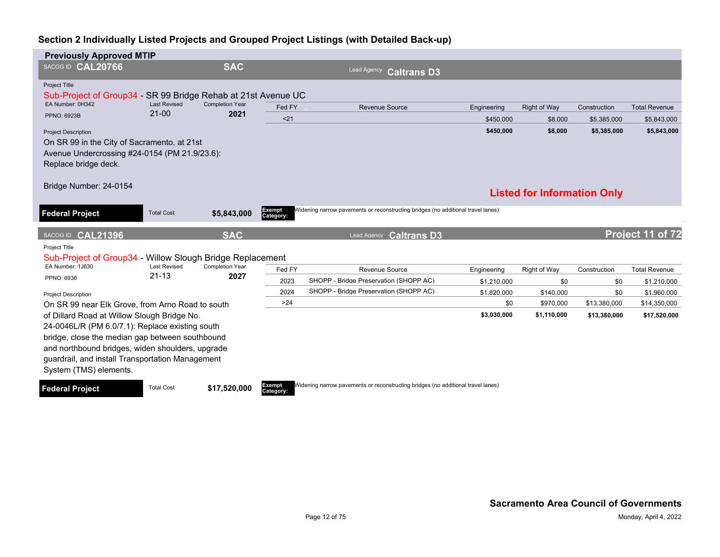| <b>Previously Approved MTIP</b>                                                                                      |                                  |                                |                     |                                                                                  |             |                                    |              |                      |
|----------------------------------------------------------------------------------------------------------------------|----------------------------------|--------------------------------|---------------------|----------------------------------------------------------------------------------|-------------|------------------------------------|--------------|----------------------|
| SACOG ID CAL20766                                                                                                    |                                  | <b>SAC</b>                     |                     | Lead Agency<br><b>Caltrans D3</b>                                                |             |                                    |              |                      |
| <b>Project Title</b><br>Sub-Project of Group34 - SR 99 Bridge Rehab at 21st Avenue UC                                |                                  |                                |                     |                                                                                  |             |                                    |              |                      |
| EA Number: 0H342                                                                                                     | <b>Last Revised</b><br>$21 - 00$ | <b>Completion Year</b>         | Fed FY              | <b>Revenue Source</b>                                                            | Engineering | Right of Way                       | Construction | <b>Total Revenue</b> |
| <b>PPNO: 6923B</b>                                                                                                   |                                  | 2021                           | $21$                |                                                                                  | \$450,000   | \$8,000                            | \$5,385,000  | \$5,843,000          |
| <b>Project Description</b>                                                                                           |                                  |                                |                     |                                                                                  | \$450,000   | \$8,000                            | \$5,385,000  | \$5,843,000          |
| On SR 99 in the City of Sacramento, at 21st<br>Avenue Undercrossing #24-0154 (PM 21.9/23.6):<br>Replace bridge deck. |                                  |                                |                     |                                                                                  |             |                                    |              |                      |
| Bridge Number: 24-0154                                                                                               |                                  |                                |                     |                                                                                  |             | <b>Listed for Information Only</b> |              |                      |
| <b>Federal Project</b>                                                                                               | <b>Total Cost</b>                | \$5,843,000                    | Exempt<br>Category: | Widening narrow pavements or reconstructing bridges (no additional travel lanes) |             |                                    |              |                      |
| SACOG ID CAL21396                                                                                                    |                                  | <b>SAC</b>                     |                     | <b>Caltrans D3</b><br><b>Lead Agency</b>                                         |             |                                    |              | Project 11 of 72     |
| Project Title                                                                                                        |                                  |                                |                     |                                                                                  |             |                                    |              |                      |
| Sub-Project of Group34 - Willow Slough Bridge Replacement                                                            |                                  |                                |                     |                                                                                  |             |                                    |              |                      |
| EA Number: 1J630                                                                                                     | <b>Last Revised</b><br>$21 - 13$ | <b>Completion Year</b><br>2027 | Fed FY              | <b>Revenue Source</b>                                                            | Engineering | Right of Way                       | Construction | <b>Total Revenue</b> |
| PPNO: 6936                                                                                                           |                                  |                                | 2023                | SHOPP - Bridge Preservation (SHOPP AC)                                           | \$1,210,000 | \$0                                | \$0          | \$1,210,000          |
| <b>Project Description</b>                                                                                           |                                  |                                | 2024                | SHOPP - Bridge Preservation (SHOPP AC)                                           | \$1,820,000 | \$140,000                          | \$0          | \$1,960,000          |
| On SR 99 near Elk Grove, from Arno Road to south                                                                     |                                  |                                | >24                 |                                                                                  | \$0         | \$970,000                          | \$13,380,000 | \$14,350,000         |
| of Dillard Road at Willow Slough Bridge No.                                                                          |                                  |                                |                     |                                                                                  | \$3,030,000 | \$1,110,000                        | \$13,380,000 | \$17,520,000         |
| 24-0046L/R (PM 6.0/7.1): Replace existing south                                                                      |                                  |                                |                     |                                                                                  |             |                                    |              |                      |
| bridge, close the median gap between southbound                                                                      |                                  |                                |                     |                                                                                  |             |                                    |              |                      |
| and northbound bridges, widen shoulders, upgrade                                                                     |                                  |                                |                     |                                                                                  |             |                                    |              |                      |
| guardrail, and install Transportation Management<br>System (TMS) elements.                                           |                                  |                                |                     |                                                                                  |             |                                    |              |                      |
| <b>Federal Project</b>                                                                                               | <b>Total Cost</b>                | \$17,520,000                   | Exempt<br>Category: | Widening narrow pavements or reconstructing bridges (no additional travel lanes) |             |                                    |              |                      |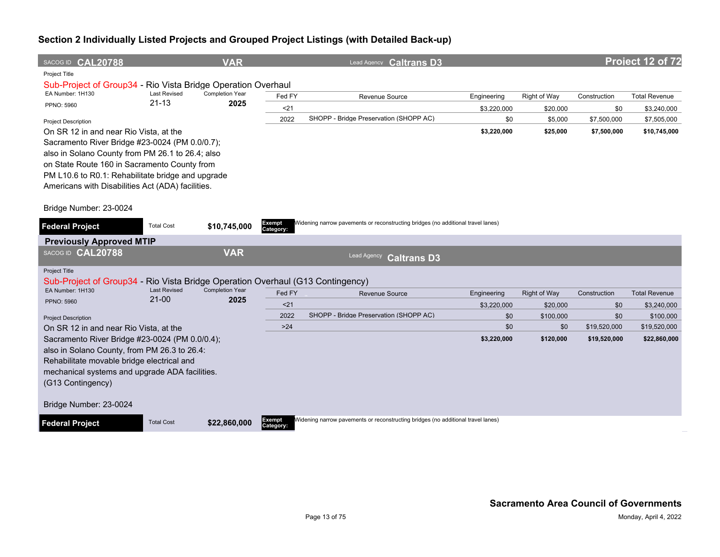| <b>VAR</b><br>SACOG ID CAL20788                                                        |                     | Lead Agency Caltrans D3                                                          |             |                     |              | Project 12 of 72     |
|----------------------------------------------------------------------------------------|---------------------|----------------------------------------------------------------------------------|-------------|---------------------|--------------|----------------------|
| Project Title<br>Sub-Project of Group34 - Rio Vista Bridge Operation Overhaul          |                     |                                                                                  |             |                     |              |                      |
| EA Number: 1H130<br><b>Last Revised</b><br><b>Completion Year</b><br>$21 - 13$<br>2025 | Fed FY              | Revenue Source                                                                   | Engineering | <b>Right of Way</b> | Construction | <b>Total Revenue</b> |
| PPNO: 5960                                                                             | $21$                |                                                                                  | \$3,220,000 | \$20,000            | \$0          | \$3,240,000          |
| <b>Project Description</b>                                                             | 2022                | SHOPP - Bridge Preservation (SHOPP AC)                                           | \$0         | \$5,000             | \$7,500,000  | \$7,505,000          |
| On SR 12 in and near Rio Vista, at the                                                 |                     |                                                                                  | \$3,220,000 | \$25,000            | \$7,500,000  | \$10,745,000         |
| Sacramento River Bridge #23-0024 (PM 0.0/0.7);                                         |                     |                                                                                  |             |                     |              |                      |
| also in Solano County from PM 26.1 to 26.4; also                                       |                     |                                                                                  |             |                     |              |                      |
| on State Route 160 in Sacramento County from                                           |                     |                                                                                  |             |                     |              |                      |
| PM L10.6 to R0.1: Rehabilitate bridge and upgrade                                      |                     |                                                                                  |             |                     |              |                      |
| Americans with Disabilities Act (ADA) facilities.                                      |                     |                                                                                  |             |                     |              |                      |
| Bridge Number: 23-0024                                                                 |                     |                                                                                  |             |                     |              |                      |
| <b>Total Cost</b><br>\$10,745,000<br><b>Federal Project</b>                            | Exempt              | Widening narrow pavements or reconstructing bridges (no additional travel lanes) |             |                     |              |                      |
|                                                                                        | Category:           |                                                                                  |             |                     |              |                      |
| <b>Previously Approved MTIP</b><br><b>VAR</b><br>SACOG ID CAL20788                     |                     |                                                                                  |             |                     |              |                      |
|                                                                                        |                     | Lead Agency<br><b>Caltrans D3</b>                                                |             |                     |              |                      |
| Project Title                                                                          |                     |                                                                                  |             |                     |              |                      |
| Sub-Project of Group34 - Rio Vista Bridge Operation Overhaul (G13 Contingency)         |                     |                                                                                  |             |                     |              |                      |
| <b>Completion Year</b><br><b>Last Revised</b><br>EA Number: 1H130<br>$21 - 00$<br>2025 | Fed FY              | <b>Revenue Source</b>                                                            | Engineering | <b>Right of Way</b> | Construction | <b>Total Revenue</b> |
| <b>PPNO: 5960</b>                                                                      | $21$                |                                                                                  | \$3,220,000 | \$20,000            | \$0          | \$3,240,000          |
| <b>Project Description</b>                                                             | 2022                | SHOPP - Bridge Preservation (SHOPP AC)                                           | \$0         | \$100,000           | \$0          | \$100,000            |
| On SR 12 in and near Rio Vista, at the                                                 | $>24$               |                                                                                  | \$0         | \$0                 | \$19,520,000 | \$19,520,000         |
| Sacramento River Bridge #23-0024 (PM 0.0/0.4);                                         |                     |                                                                                  | \$3,220,000 | \$120,000           | \$19,520,000 | \$22,860,000         |
| also in Solano County, from PM 26.3 to 26.4:                                           |                     |                                                                                  |             |                     |              |                      |
| Rehabilitate movable bridge electrical and                                             |                     |                                                                                  |             |                     |              |                      |
| mechanical systems and upgrade ADA facilities.                                         |                     |                                                                                  |             |                     |              |                      |
| (G13 Contingency)                                                                      |                     |                                                                                  |             |                     |              |                      |
| Bridge Number: 23-0024                                                                 |                     |                                                                                  |             |                     |              |                      |
| <b>Federal Project</b><br><b>Total Cost</b><br>\$22,860,000                            | Exempt<br>Category: | Widening narrow pavements or reconstructing bridges (no additional travel lanes) |             |                     |              |                      |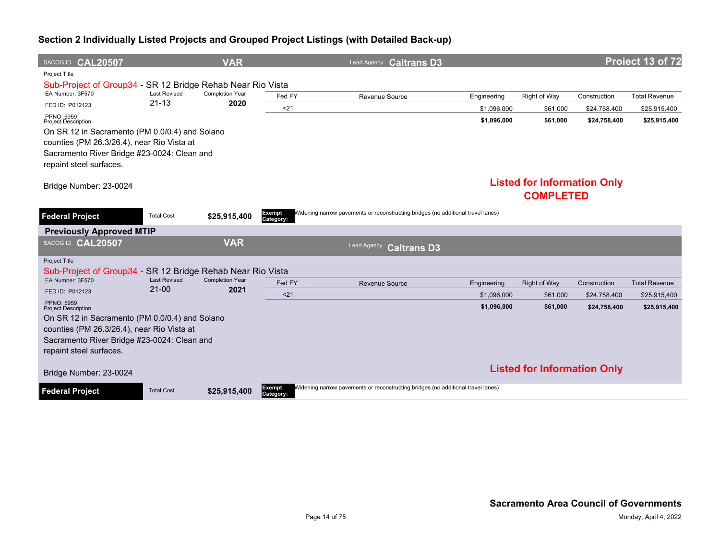| SACOG ID CAL20507                                          |                                | <b>VAR</b>                     |                            | Lead Agency Caltrans D3                                                          |             |                                    |              | Project 13 of 72     |
|------------------------------------------------------------|--------------------------------|--------------------------------|----------------------------|----------------------------------------------------------------------------------|-------------|------------------------------------|--------------|----------------------|
| <b>Project Title</b>                                       |                                |                                |                            |                                                                                  |             |                                    |              |                      |
| Sub-Project of Group34 - SR 12 Bridge Rehab Near Rio Vista |                                |                                |                            |                                                                                  |             |                                    |              |                      |
| EA Number: 3F570                                           | <b>Last Revised</b>            | <b>Completion Year</b>         | Fed FY                     | Revenue Source                                                                   | Engineering | Right of Way                       | Construction | <b>Total Revenue</b> |
| FED ID: P012123                                            | $21 - 13$                      | 2020                           | < 21                       |                                                                                  | \$1,096,000 | \$61,000                           | \$24,758,400 | \$25,915,400         |
| PPNO: 5959<br><b>Project Description</b>                   |                                |                                |                            |                                                                                  | \$1,096,000 | \$61,000                           | \$24,758,400 | \$25,915,400         |
| On SR 12 in Sacramento (PM 0.0/0.4) and Solano             |                                |                                |                            |                                                                                  |             |                                    |              |                      |
| counties (PM 26.3/26.4), near Rio Vista at                 |                                |                                |                            |                                                                                  |             |                                    |              |                      |
| Sacramento River Bridge #23-0024: Clean and                |                                |                                |                            |                                                                                  |             |                                    |              |                      |
| repaint steel surfaces.                                    |                                |                                |                            |                                                                                  |             |                                    |              |                      |
|                                                            |                                |                                |                            |                                                                                  |             | <b>Listed for Information Only</b> |              |                      |
| Bridge Number: 23-0024                                     |                                |                                |                            |                                                                                  |             |                                    |              |                      |
|                                                            |                                |                                |                            |                                                                                  |             | <b>COMPLETED</b>                   |              |                      |
| <b>Federal Project</b>                                     | <b>Total Cost</b>              | \$25,915,400                   | Exempt<br>Category:        | Widening narrow pavements or reconstructing bridges (no additional travel lanes) |             |                                    |              |                      |
| <b>Previously Approved MTIP</b>                            |                                |                                |                            |                                                                                  |             |                                    |              |                      |
| SACOG ID CAL20507                                          |                                | <b>VAR</b>                     |                            | <b>Lead Agency</b><br><b>Caltrans D3</b>                                         |             |                                    |              |                      |
| <b>Project Title</b>                                       |                                |                                |                            |                                                                                  |             |                                    |              |                      |
| Sub-Project of Group34 - SR 12 Bridge Rehab Near Rio Vista |                                |                                |                            |                                                                                  |             |                                    |              |                      |
| EA Number: 3F570                                           | <b>Last Revised</b><br>$21-00$ | <b>Completion Year</b><br>2021 | Fed FY                     | <b>Revenue Source</b>                                                            | Engineering | <b>Right of Way</b>                | Construction | <b>Total Revenue</b> |
| FED ID: P012123                                            |                                |                                | < 21                       |                                                                                  | \$1.096.000 | \$61,000                           | \$24,758,400 | \$25,915,400         |
| PPNO: 5959<br><b>Project Description</b>                   |                                |                                |                            |                                                                                  | \$1,096,000 | \$61,000                           | \$24,758,400 | \$25,915,400         |
| On SR 12 in Sacramento (PM 0.0/0.4) and Solano             |                                |                                |                            |                                                                                  |             |                                    |              |                      |
| counties (PM 26.3/26.4), near Rio Vista at                 |                                |                                |                            |                                                                                  |             |                                    |              |                      |
| Sacramento River Bridge #23-0024: Clean and                |                                |                                |                            |                                                                                  |             |                                    |              |                      |
| repaint steel surfaces.                                    |                                |                                |                            |                                                                                  |             |                                    |              |                      |
| Bridge Number: 23-0024                                     |                                |                                |                            |                                                                                  |             | <b>Listed for Information Only</b> |              |                      |
| <b>Federal Project</b>                                     | <b>Total Cost</b>              | \$25,915,400                   | <b>Exempt</b><br>Category: | Widening narrow pavements or reconstructing bridges (no additional travel lanes) |             |                                    |              |                      |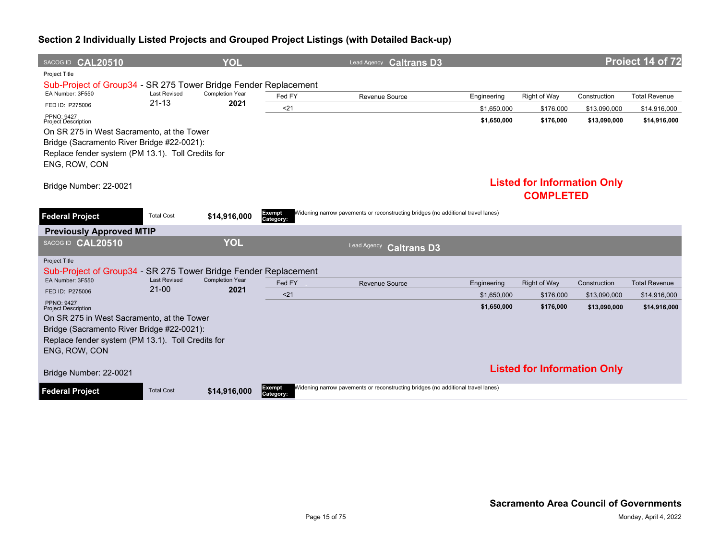| SACOG ID CAL20510                                               |                                  | YOL                            |                     |                       | Lead Agency <b>Caltrans D3</b>                                                   |             |                                    |              | Project 14 of 72     |
|-----------------------------------------------------------------|----------------------------------|--------------------------------|---------------------|-----------------------|----------------------------------------------------------------------------------|-------------|------------------------------------|--------------|----------------------|
| <b>Project Title</b>                                            |                                  |                                |                     |                       |                                                                                  |             |                                    |              |                      |
| Sub-Project of Group34 - SR 275 Tower Bridge Fender Replacement |                                  |                                |                     |                       |                                                                                  |             |                                    |              |                      |
| EA Number: 3F550                                                | <b>Last Revised</b><br>$21 - 13$ | <b>Completion Year</b><br>2021 | Fed FY              | Revenue Source        |                                                                                  | Engineering | Right of Way                       | Construction | <b>Total Revenue</b> |
| FED ID: P275006                                                 |                                  |                                | < 21                |                       |                                                                                  | \$1.650.000 | \$176,000                          | \$13,090,000 | \$14,916,000         |
| <b>PPNO: 9427</b><br><b>Project Description</b>                 |                                  |                                |                     |                       |                                                                                  | \$1,650,000 | \$176,000                          | \$13,090,000 | \$14,916,000         |
| On SR 275 in West Sacramento, at the Tower                      |                                  |                                |                     |                       |                                                                                  |             |                                    |              |                      |
| Bridge (Sacramento River Bridge #22-0021):                      |                                  |                                |                     |                       |                                                                                  |             |                                    |              |                      |
| Replace fender system (PM 13.1). Toll Credits for               |                                  |                                |                     |                       |                                                                                  |             |                                    |              |                      |
| ENG, ROW, CON                                                   |                                  |                                |                     |                       |                                                                                  |             |                                    |              |                      |
|                                                                 |                                  |                                |                     |                       |                                                                                  |             | <b>Listed for Information Only</b> |              |                      |
| Bridge Number: 22-0021                                          |                                  |                                |                     |                       |                                                                                  |             | <b>COMPLETED</b>                   |              |                      |
|                                                                 |                                  |                                |                     |                       |                                                                                  |             |                                    |              |                      |
| <b>Federal Project</b>                                          | <b>Total Cost</b>                | \$14,916,000                   | Exempt<br>Category: |                       | Widening narrow pavements or reconstructing bridges (no additional travel lanes) |             |                                    |              |                      |
| <b>Previously Approved MTIP</b>                                 |                                  |                                |                     |                       |                                                                                  |             |                                    |              |                      |
| SACOG ID CAL20510                                               |                                  | <b>YOL</b>                     |                     | Lead Agency           | <b>Caltrans D3</b>                                                               |             |                                    |              |                      |
| <b>Project Title</b>                                            |                                  |                                |                     |                       |                                                                                  |             |                                    |              |                      |
| Sub-Project of Group34 - SR 275 Tower Bridge Fender Replacement |                                  |                                |                     |                       |                                                                                  |             |                                    |              |                      |
| EA Number: 3F550                                                | <b>Last Revised</b><br>$21-00$   | <b>Completion Year</b><br>2021 | Fed FY              | <b>Revenue Source</b> |                                                                                  | Engineering | Right of Way                       | Construction | <b>Total Revenue</b> |
| FED ID: P275006                                                 |                                  |                                | < 21                |                       |                                                                                  | \$1,650,000 | \$176,000                          | \$13,090,000 | \$14,916,000         |
| <b>PPNO: 9427</b><br><b>Project Description</b>                 |                                  |                                |                     |                       |                                                                                  | \$1,650,000 | \$176,000                          | \$13,090,000 | \$14,916,000         |
| On SR 275 in West Sacramento, at the Tower                      |                                  |                                |                     |                       |                                                                                  |             |                                    |              |                      |
| Bridge (Sacramento River Bridge #22-0021):                      |                                  |                                |                     |                       |                                                                                  |             |                                    |              |                      |
| Replace fender system (PM 13.1). Toll Credits for               |                                  |                                |                     |                       |                                                                                  |             |                                    |              |                      |
| ENG, ROW, CON                                                   |                                  |                                |                     |                       |                                                                                  |             |                                    |              |                      |
| Bridge Number: 22-0021                                          |                                  |                                |                     |                       |                                                                                  |             | <b>Listed for Information Only</b> |              |                      |
| <b>Federal Project</b>                                          | <b>Total Cost</b>                | \$14,916,000                   | Exempt<br>Category: |                       | Widening narrow pavements or reconstructing bridges (no additional travel lanes) |             |                                    |              |                      |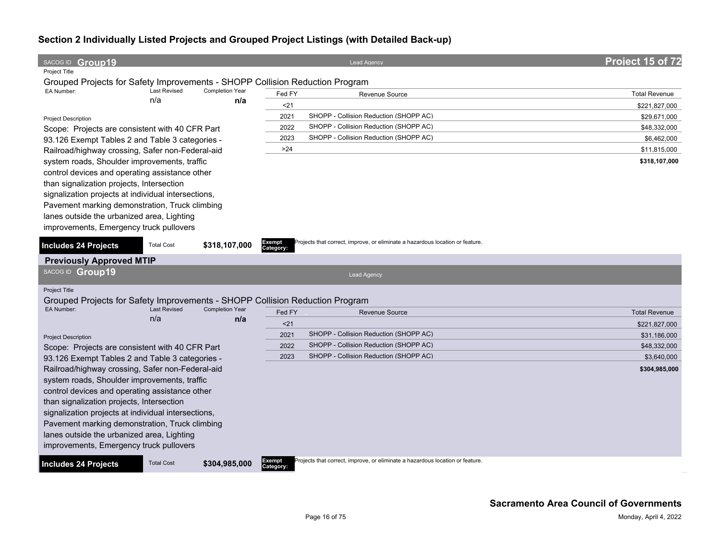| SACOG ID Group19                                                                                                                            | <b>Lead Agency</b>                                                                                   | Project 15 of 72     |
|---------------------------------------------------------------------------------------------------------------------------------------------|------------------------------------------------------------------------------------------------------|----------------------|
| <b>Project Title</b>                                                                                                                        |                                                                                                      |                      |
| Grouped Projects for Safety Improvements - SHOPP Collision Reduction Program                                                                |                                                                                                      |                      |
| EA Number:<br><b>Last Revised</b><br><b>Completion Year</b><br>n/a                                                                          | Fed FY<br>Revenue Source                                                                             | <b>Total Revenue</b> |
| n/a                                                                                                                                         | $21$                                                                                                 | \$221,827,000        |
| <b>Project Description</b>                                                                                                                  | SHOPP - Collision Reduction (SHOPP AC)<br>2021                                                       | \$29,671,000         |
| Scope: Projects are consistent with 40 CFR Part                                                                                             | SHOPP - Collision Reduction (SHOPP AC)<br>2022                                                       | \$48,332,000         |
| 93.126 Exempt Tables 2 and Table 3 categories -                                                                                             | SHOPP - Collision Reduction (SHOPP AC)<br>2023                                                       | \$6,462,000          |
| Railroad/highway crossing, Safer non-Federal-aid                                                                                            | >24                                                                                                  | \$11,815,000         |
| system roads, Shoulder improvements, traffic                                                                                                |                                                                                                      | \$318,107,000        |
| control devices and operating assistance other                                                                                              |                                                                                                      |                      |
| than signalization projects, Intersection                                                                                                   |                                                                                                      |                      |
| signalization projects at individual intersections,                                                                                         |                                                                                                      |                      |
| Pavement marking demonstration, Truck climbing                                                                                              |                                                                                                      |                      |
| lanes outside the urbanized area, Lighting                                                                                                  |                                                                                                      |                      |
| improvements, Emergency truck pullovers                                                                                                     |                                                                                                      |                      |
|                                                                                                                                             |                                                                                                      |                      |
| <b>Total Cost</b><br>\$318,107,000<br><b>Includes 24 Projects</b>                                                                           | Projects that correct, improve, or eliminate a hazardous location or feature.<br>Exempt<br>Category: |                      |
| <b>Previously Approved MTIP</b>                                                                                                             |                                                                                                      |                      |
| SACOG ID Group19                                                                                                                            | Lead Agency                                                                                          |                      |
|                                                                                                                                             |                                                                                                      |                      |
| <b>Project Title</b>                                                                                                                        |                                                                                                      |                      |
| Grouped Projects for Safety Improvements - SHOPP Collision Reduction Program<br><b>Last Revised</b><br><b>Completion Year</b><br>EA Number: |                                                                                                      |                      |
| n/a<br>n/a                                                                                                                                  | Fed FY<br><b>Revenue Source</b>                                                                      | <b>Total Revenue</b> |
|                                                                                                                                             | $21$                                                                                                 | \$221,827,000        |
| <b>Project Description</b>                                                                                                                  | SHOPP - Collision Reduction (SHOPP AC)<br>2021                                                       | \$31,186,000         |
| Scope: Projects are consistent with 40 CFR Part                                                                                             | SHOPP - Collision Reduction (SHOPP AC)<br>2022                                                       | \$48,332,000         |
| 93.126 Exempt Tables 2 and Table 3 categories -                                                                                             | SHOPP - Collision Reduction (SHOPP AC)<br>2023                                                       | \$3,640,000          |
| Railroad/highway crossing, Safer non-Federal-aid                                                                                            |                                                                                                      | \$304,985,000        |
| system roads, Shoulder improvements, traffic                                                                                                |                                                                                                      |                      |
| control devices and operating assistance other                                                                                              |                                                                                                      |                      |
| than signalization projects, Intersection                                                                                                   |                                                                                                      |                      |
| signalization projects at individual intersections,                                                                                         |                                                                                                      |                      |
| Pavement marking demonstration, Truck climbing                                                                                              |                                                                                                      |                      |
| lanes outside the urbanized area, Lighting                                                                                                  |                                                                                                      |                      |
| improvements, Emergency truck pullovers                                                                                                     |                                                                                                      |                      |
| <b>Total Cost</b><br>\$304,985,000<br><b>Includes 24 Projects</b>                                                                           | Projects that correct, improve, or eliminate a hazardous location or feature.<br>Exempt<br>Category: |                      |
|                                                                                                                                             |                                                                                                      |                      |
|                                                                                                                                             |                                                                                                      |                      |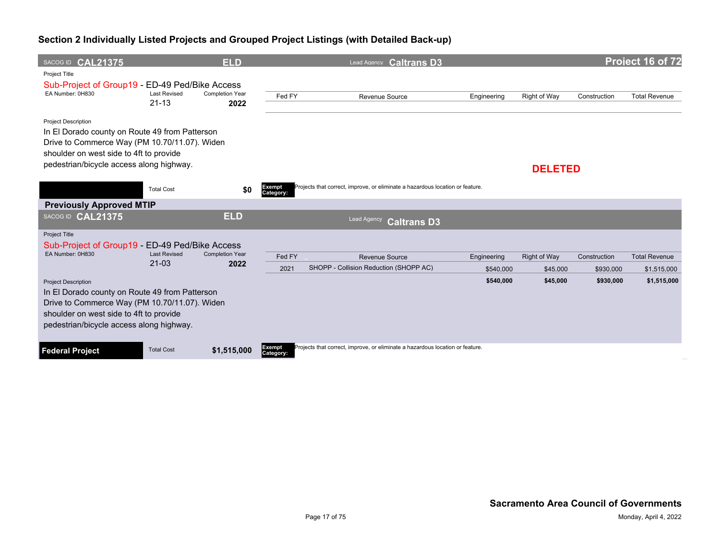| SACOG ID CAL21375                                                                                                                                                                                                    |                                  | <b>ELD</b>                     |                     | Lead Agency <b>Caltrans D3</b>                                                |                          |                                 |                           | Project 16 of 72                    |
|----------------------------------------------------------------------------------------------------------------------------------------------------------------------------------------------------------------------|----------------------------------|--------------------------------|---------------------|-------------------------------------------------------------------------------|--------------------------|---------------------------------|---------------------------|-------------------------------------|
| Project Title<br>Sub-Project of Group19 - ED-49 Ped/Bike Access<br>EA Number: 0H830                                                                                                                                  | <b>Last Revised</b><br>$21 - 13$ | <b>Completion Year</b><br>2022 | Fed FY              | Revenue Source                                                                | Engineering              | Right of Way                    | Construction              | <b>Total Revenue</b>                |
| <b>Project Description</b><br>In El Dorado county on Route 49 from Patterson<br>Drive to Commerce Way (PM 10.70/11.07). Widen<br>shoulder on west side to 4ft to provide<br>pedestrian/bicycle access along highway. |                                  |                                |                     |                                                                               |                          | <b>DELETED</b>                  |                           |                                     |
|                                                                                                                                                                                                                      | <b>Total Cost</b>                | \$0                            | Exempt<br>Category: | Projects that correct, improve, or eliminate a hazardous location or feature. |                          |                                 |                           |                                     |
| <b>Previously Approved MTIP</b>                                                                                                                                                                                      |                                  |                                |                     |                                                                               |                          |                                 |                           |                                     |
| SACOG ID CAL21375                                                                                                                                                                                                    |                                  | <b>ELD</b>                     |                     | Lead Agency<br><b>Caltrans D3</b>                                             |                          |                                 |                           |                                     |
| <b>Project Title</b><br>Sub-Project of Group19 - ED-49 Ped/Bike Access<br>EA Number: 0H830                                                                                                                           | <b>Last Revised</b><br>$21 - 03$ | <b>Completion Year</b><br>2022 | Fed FY<br>2021      | Revenue Source<br>SHOPP - Collision Reduction (SHOPP AC)                      | Engineering<br>\$540,000 | <b>Right of Way</b><br>\$45,000 | Construction<br>\$930,000 | <b>Total Revenue</b><br>\$1,515,000 |
| <b>Project Description</b><br>In El Dorado county on Route 49 from Patterson<br>Drive to Commerce Way (PM 10.70/11.07). Widen<br>shoulder on west side to 4ft to provide<br>pedestrian/bicycle access along highway. |                                  |                                |                     |                                                                               | \$540,000                | \$45,000                        | \$930,000                 | \$1,515,000                         |
| <b>Federal Project</b>                                                                                                                                                                                               | <b>Total Cost</b>                | \$1,515,000                    | Exempt<br>Category: | Projects that correct, improve, or eliminate a hazardous location or feature. |                          |                                 |                           |                                     |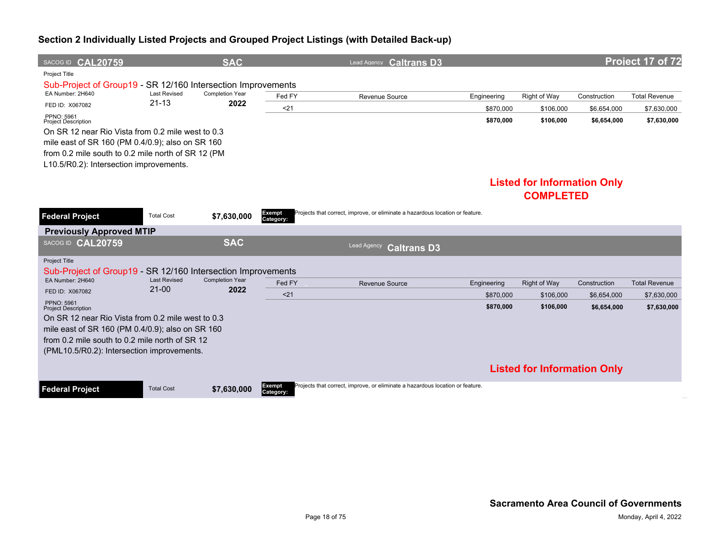| SACOG ID CAL20759                                            |                                  | <b>SAC</b>                     |                     | Lead Agency Caltrans D3                                                       |             |                                    |              | Project 17 of 72     |
|--------------------------------------------------------------|----------------------------------|--------------------------------|---------------------|-------------------------------------------------------------------------------|-------------|------------------------------------|--------------|----------------------|
| Project Title                                                |                                  |                                |                     |                                                                               |             |                                    |              |                      |
| Sub-Project of Group19 - SR 12/160 Intersection Improvements |                                  |                                |                     |                                                                               |             |                                    |              |                      |
| EA Number: 2H640                                             | <b>Last Revised</b><br>$21 - 13$ | <b>Completion Year</b>         | Fed FY              | Revenue Source                                                                | Engineering | Right of Way                       | Construction | <b>Total Revenue</b> |
| FED ID: X067082                                              |                                  | 2022                           | $21$                |                                                                               | \$870,000   | \$106,000                          | \$6,654,000  | \$7,630,000          |
| PPNO: 5961<br><b>Project Description</b>                     |                                  |                                |                     |                                                                               | \$870,000   | \$106,000                          | \$6,654,000  | \$7,630,000          |
| On SR 12 near Rio Vista from 0.2 mile west to 0.3            |                                  |                                |                     |                                                                               |             |                                    |              |                      |
| mile east of SR 160 (PM 0.4/0.9); also on SR 160             |                                  |                                |                     |                                                                               |             |                                    |              |                      |
| from 0.2 mile south to 0.2 mile north of SR 12 (PM           |                                  |                                |                     |                                                                               |             |                                    |              |                      |
| L10.5/R0.2): Intersection improvements.                      |                                  |                                |                     |                                                                               |             |                                    |              |                      |
|                                                              |                                  |                                |                     |                                                                               |             | <b>Listed for Information Only</b> |              |                      |
|                                                              |                                  |                                |                     |                                                                               |             | <b>COMPLETED</b>                   |              |                      |
|                                                              |                                  |                                |                     |                                                                               |             |                                    |              |                      |
| <b>Federal Project</b>                                       | <b>Total Cost</b>                | \$7,630,000                    | Exempt<br>Category: | Projects that correct, improve, or eliminate a hazardous location or feature. |             |                                    |              |                      |
| <b>Previously Approved MTIP</b>                              |                                  |                                |                     |                                                                               |             |                                    |              |                      |
| SACOG ID CAL20759                                            |                                  | <b>SAC</b>                     |                     | Lead Agency<br><b>Caltrans D3</b>                                             |             |                                    |              |                      |
| Project Title                                                |                                  |                                |                     |                                                                               |             |                                    |              |                      |
| Sub-Project of Group19 - SR 12/160 Intersection Improvements |                                  |                                |                     |                                                                               |             |                                    |              |                      |
| EA Number: 2H640                                             | <b>Last Revised</b><br>$21-00$   | <b>Completion Year</b><br>2022 | Fed FY              | Revenue Source                                                                | Engineering | <b>Right of Way</b>                | Construction | <b>Total Revenue</b> |
| FED ID: X067082                                              |                                  |                                | $21$                |                                                                               | \$870,000   | \$106,000                          | \$6.654.000  | \$7,630,000          |
| PPNO: 5961<br><b>Project Description</b>                     |                                  |                                |                     |                                                                               | \$870,000   | \$106,000                          | \$6,654,000  | \$7,630,000          |
| On SR 12 near Rio Vista from 0.2 mile west to 0.3            |                                  |                                |                     |                                                                               |             |                                    |              |                      |
| mile east of SR 160 (PM 0.4/0.9); also on SR 160             |                                  |                                |                     |                                                                               |             |                                    |              |                      |
| from 0.2 mile south to 0.2 mile north of SR 12               |                                  |                                |                     |                                                                               |             |                                    |              |                      |
| (PML10.5/R0.2): Intersection improvements.                   |                                  |                                |                     |                                                                               |             |                                    |              |                      |
|                                                              |                                  |                                |                     |                                                                               |             | <b>Listed for Information Only</b> |              |                      |
| <b>Federal Project</b>                                       | <b>Total Cost</b>                | \$7,630,000                    | Exempt<br>Category: | Projects that correct, improve, or eliminate a hazardous location or feature. |             |                                    |              |                      |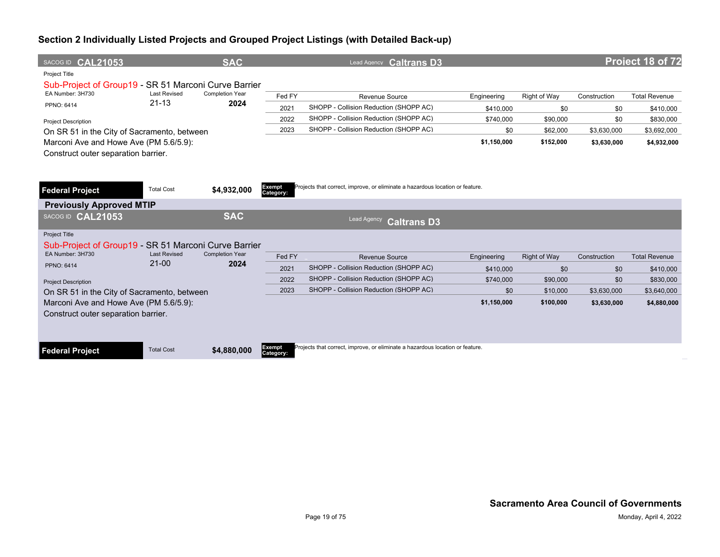| SACOG ID CAL21053                                                                                |                     | <b>SAC</b>             |                            | Lead Agency Caltrans D3                                                       |             |                     |              | Project 18 of 72     |
|--------------------------------------------------------------------------------------------------|---------------------|------------------------|----------------------------|-------------------------------------------------------------------------------|-------------|---------------------|--------------|----------------------|
| <b>Project Title</b><br>Sub-Project of Group19 - SR 51 Marconi Curve Barrier<br>EA Number: 3H730 | <b>Last Revised</b> | <b>Completion Year</b> |                            |                                                                               |             |                     |              |                      |
|                                                                                                  | $21 - 13$           | 2024                   | Fed FY                     | Revenue Source                                                                | Engineering | Right of Way        | Construction | <b>Total Revenue</b> |
| PPNO: 6414                                                                                       |                     |                        | 2021                       | SHOPP - Collision Reduction (SHOPP AC)                                        | \$410.000   | \$0                 | \$0          | \$410,000            |
| <b>Project Description</b>                                                                       |                     |                        | 2022                       | SHOPP - Collision Reduction (SHOPP AC)                                        | \$740,000   | \$90,000            | \$0          | \$830,000            |
| On SR 51 in the City of Sacramento, between                                                      |                     |                        | 2023                       | SHOPP - Collision Reduction (SHOPP AC)                                        | \$0         | \$62,000            | \$3,630,000  | \$3,692,000          |
| Marconi Ave and Howe Ave (PM 5.6/5.9):<br>Construct outer separation barrier.                    |                     |                        |                            |                                                                               | \$1,150,000 | \$152,000           | \$3,630,000  | \$4,932,000          |
| <b>Federal Project</b><br><b>Previously Approved MTIP</b>                                        | <b>Total Cost</b>   | \$4,932,000            | Exempt<br>Category:        | Projects that correct, improve, or eliminate a hazardous location or feature. |             |                     |              |                      |
| SACOG ID CAL21053                                                                                |                     | <b>SAC</b>             |                            | Lead Agency<br><b>Caltrans D3</b>                                             |             |                     |              |                      |
| <b>Project Title</b><br>Sub-Project of Group19 - SR 51 Marconi Curve Barrier<br>EA Number: 3H730 | <b>Last Revised</b> | <b>Completion Year</b> |                            |                                                                               |             |                     |              |                      |
|                                                                                                  | $21 - 00$           | 2024                   | Fed FY                     | <b>Revenue Source</b>                                                         | Engineering | <b>Right of Way</b> | Construction | <b>Total Revenue</b> |
| PPNO: 6414                                                                                       |                     |                        | 2021                       | SHOPP - Collision Reduction (SHOPP AC)                                        | \$410,000   | \$0                 | \$0          | \$410,000            |
| <b>Project Description</b>                                                                       |                     |                        | 2022                       | SHOPP - Collision Reduction (SHOPP AC)                                        | \$740,000   | \$90,000            | \$0          | \$830,000            |
| On SR 51 in the City of Sacramento, between                                                      |                     |                        | 2023                       | SHOPP - Collision Reduction (SHOPP AC)                                        | \$0         | \$10,000            | \$3,630,000  | \$3,640,000          |
| Marconi Ave and Howe Ave (PM 5.6/5.9):                                                           |                     |                        |                            |                                                                               | \$1,150,000 | \$100,000           | \$3,630,000  | \$4,880,000          |
| Construct outer separation barrier.                                                              |                     |                        |                            |                                                                               |             |                     |              |                      |
|                                                                                                  |                     |                        |                            |                                                                               |             |                     |              |                      |
| <b>Federal Project</b>                                                                           | <b>Total Cost</b>   | \$4,880,000            | <b>Exempt</b><br>Category: | Projects that correct, improve, or eliminate a hazardous location or feature. |             |                     |              |                      |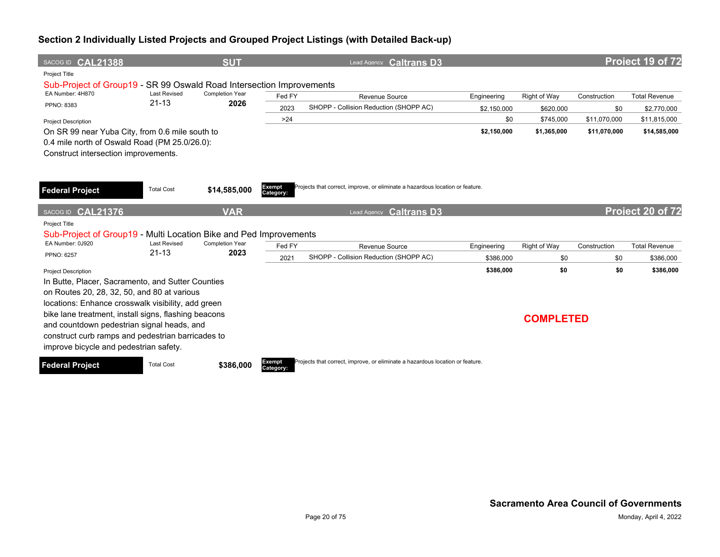| SACOG ID CAL21388                                                                                                                                                                                                                                                                                                                                           |                     | <b>SUT</b>             |                     | Lead Agency Caltrans D3                                                       |             |                  |              | Project 19 of 72     |
|-------------------------------------------------------------------------------------------------------------------------------------------------------------------------------------------------------------------------------------------------------------------------------------------------------------------------------------------------------------|---------------------|------------------------|---------------------|-------------------------------------------------------------------------------|-------------|------------------|--------------|----------------------|
| Project Title<br>Sub-Project of Group19 - SR 99 Oswald Road Intersection Improvements                                                                                                                                                                                                                                                                       |                     |                        |                     |                                                                               |             |                  |              |                      |
| EA Number: 4H870                                                                                                                                                                                                                                                                                                                                            | <b>Last Revised</b> | <b>Completion Year</b> | Fed FY              | Revenue Source                                                                | Engineering | Right of Way     | Construction | <b>Total Revenue</b> |
| PPNO: 8383                                                                                                                                                                                                                                                                                                                                                  | $21 - 13$           | 2026                   | 2023                | SHOPP - Collision Reduction (SHOPP AC)                                        | \$2,150,000 | \$620,000        | \$0          | \$2,770,000          |
| <b>Project Description</b>                                                                                                                                                                                                                                                                                                                                  |                     |                        | >24                 |                                                                               | \$0         | \$745,000        | \$11,070,000 | \$11,815,000         |
| On SR 99 near Yuba City, from 0.6 mile south to                                                                                                                                                                                                                                                                                                             |                     |                        |                     |                                                                               | \$2,150,000 | \$1,365,000      | \$11,070,000 | \$14,585,000         |
| 0.4 mile north of Oswald Road (PM 25.0/26.0):<br>Construct intersection improvements.                                                                                                                                                                                                                                                                       |                     |                        |                     |                                                                               |             |                  |              |                      |
| <b>Federal Project</b>                                                                                                                                                                                                                                                                                                                                      | <b>Total Cost</b>   | \$14,585,000           | Exempt<br>Category: | Projects that correct, improve, or eliminate a hazardous location or feature. |             |                  |              |                      |
| <b>CAL21376</b><br>SACOG ID                                                                                                                                                                                                                                                                                                                                 |                     | <b>VAR</b>             |                     | <b>Caltrans D3</b><br>Lead Agency                                             |             |                  |              | Project 20 of 72     |
| Project Title<br>Sub-Project of Group19 - Multi Location Bike and Ped Improvements                                                                                                                                                                                                                                                                          |                     |                        |                     |                                                                               |             |                  |              |                      |
| EA Number: 0J920                                                                                                                                                                                                                                                                                                                                            | <b>Last Revised</b> | <b>Completion Year</b> | Fed FY              | Revenue Source                                                                | Engineering | Right of Way     | Construction | <b>Total Revenue</b> |
| <b>PPNO: 6257</b>                                                                                                                                                                                                                                                                                                                                           | $21 - 13$           | 2023                   | 2021                | SHOPP - Collision Reduction (SHOPP AC)                                        | \$386,000   | \$0              | \$0          | \$386,000            |
| <b>Project Description</b>                                                                                                                                                                                                                                                                                                                                  |                     |                        |                     |                                                                               | \$386,000   | \$0              | \$0          | \$386,000            |
| In Butte, Placer, Sacramento, and Sutter Counties<br>on Routes 20, 28, 32, 50, and 80 at various<br>locations: Enhance crosswalk visibility, add green<br>bike lane treatment, install signs, flashing beacons<br>and countdown pedestrian signal heads, and<br>construct curb ramps and pedestrian barricades to<br>improve bicycle and pedestrian safety. |                     |                        |                     |                                                                               |             | <b>COMPLETED</b> |              |                      |
| Federal Project                                                                                                                                                                                                                                                                                                                                             | <b>Total Cost</b>   | \$386,000              | Exempt<br>Category: | Projects that correct, improve, or eliminate a hazardous location or feature. |             |                  |              |                      |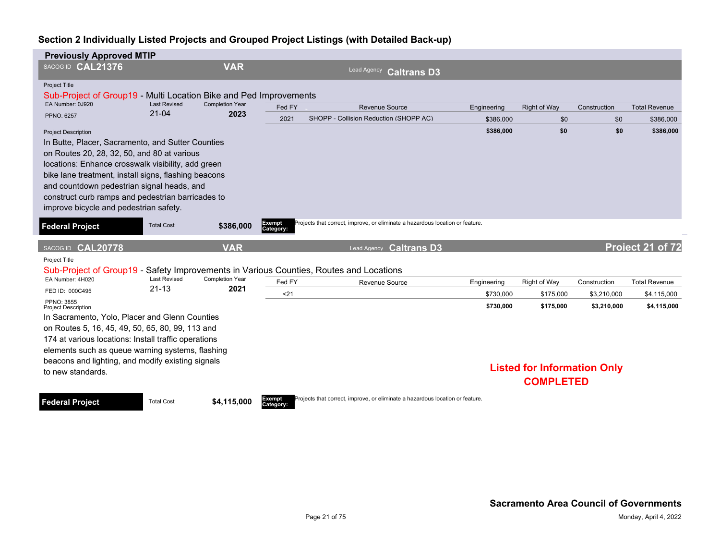| <b>Previously Approved MTIP</b>                                                                                                                                                                                                                                                                                                                                                                                     |                                  |                                |                     |                                                                               |                        |                                                        |                            |                            |
|---------------------------------------------------------------------------------------------------------------------------------------------------------------------------------------------------------------------------------------------------------------------------------------------------------------------------------------------------------------------------------------------------------------------|----------------------------------|--------------------------------|---------------------|-------------------------------------------------------------------------------|------------------------|--------------------------------------------------------|----------------------------|----------------------------|
| SACOG ID CAL21376                                                                                                                                                                                                                                                                                                                                                                                                   |                                  | <b>VAR</b>                     |                     | Lead Agency<br><b>Caltrans D3</b>                                             |                        |                                                        |                            |                            |
| Project Title<br>Sub-Project of Group19 - Multi Location Bike and Ped Improvements                                                                                                                                                                                                                                                                                                                                  |                                  |                                |                     |                                                                               |                        |                                                        |                            |                            |
| EA Number: 0J920                                                                                                                                                                                                                                                                                                                                                                                                    | <b>Last Revised</b><br>$21 - 04$ | <b>Completion Year</b><br>2023 | Fed FY              | <b>Revenue Source</b>                                                         | Engineering            | <b>Right of Way</b>                                    | Construction               | <b>Total Revenue</b>       |
| <b>PPNO: 6257</b>                                                                                                                                                                                                                                                                                                                                                                                                   |                                  |                                | 2021                | SHOPP - Collision Reduction (SHOPP AC)                                        | \$386,000              | \$0                                                    | \$0                        | \$386.000                  |
| <b>Project Description</b><br>In Butte, Placer, Sacramento, and Sutter Counties<br>on Routes 20, 28, 32, 50, and 80 at various<br>locations: Enhance crosswalk visibility, add green<br>bike lane treatment, install signs, flashing beacons<br>and countdown pedestrian signal heads, and<br>construct curb ramps and pedestrian barricades to<br>improve bicycle and pedestrian safety.<br><b>Federal Project</b> | <b>Total Cost</b>                | \$386,000                      | Exempt<br>Category: | Projects that correct, improve, or eliminate a hazardous location or feature. | \$386,000              | \$0                                                    | \$0                        | \$386,000                  |
| SACOG ID CAL20778                                                                                                                                                                                                                                                                                                                                                                                                   |                                  | <b>VAR</b>                     |                     | Lead Agency <b>Caltrans D3</b>                                                |                        |                                                        |                            | Project 21 of 72           |
| Project Title                                                                                                                                                                                                                                                                                                                                                                                                       |                                  |                                |                     |                                                                               |                        |                                                        |                            |                            |
| Sub-Project of Group19 - Safety Improvements in Various Counties, Routes and Locations<br>EA Number: 4H020                                                                                                                                                                                                                                                                                                          | <b>Last Revised</b>              | <b>Completion Year</b>         | Fed FY              | <b>Revenue Source</b>                                                         | Engineering            | <b>Right of Way</b>                                    | Construction               | <b>Total Revenue</b>       |
| FED ID: 000C495                                                                                                                                                                                                                                                                                                                                                                                                     | $21 - 13$                        | 2021                           | $21$                |                                                                               |                        |                                                        |                            |                            |
| PPNO: 3855<br><b>Project Description</b>                                                                                                                                                                                                                                                                                                                                                                            |                                  |                                |                     |                                                                               | \$730,000<br>\$730,000 | \$175,000<br>\$175,000                                 | \$3,210,000<br>\$3,210,000 | \$4,115,000<br>\$4,115,000 |
| In Sacramento, Yolo, Placer and Glenn Counties                                                                                                                                                                                                                                                                                                                                                                      |                                  |                                |                     |                                                                               |                        |                                                        |                            |                            |
| on Routes 5, 16, 45, 49, 50, 65, 80, 99, 113 and                                                                                                                                                                                                                                                                                                                                                                    |                                  |                                |                     |                                                                               |                        |                                                        |                            |                            |
| 174 at various locations: Install traffic operations                                                                                                                                                                                                                                                                                                                                                                |                                  |                                |                     |                                                                               |                        |                                                        |                            |                            |
| elements such as queue warning systems, flashing                                                                                                                                                                                                                                                                                                                                                                    |                                  |                                |                     |                                                                               |                        |                                                        |                            |                            |
| beacons and lighting, and modify existing signals                                                                                                                                                                                                                                                                                                                                                                   |                                  |                                |                     |                                                                               |                        |                                                        |                            |                            |
| to new standards.                                                                                                                                                                                                                                                                                                                                                                                                   |                                  |                                |                     |                                                                               |                        | <b>Listed for Information Only</b><br><b>COMPLETED</b> |                            |                            |



Projects that correct, improve, or eliminate a hazardous location or feature.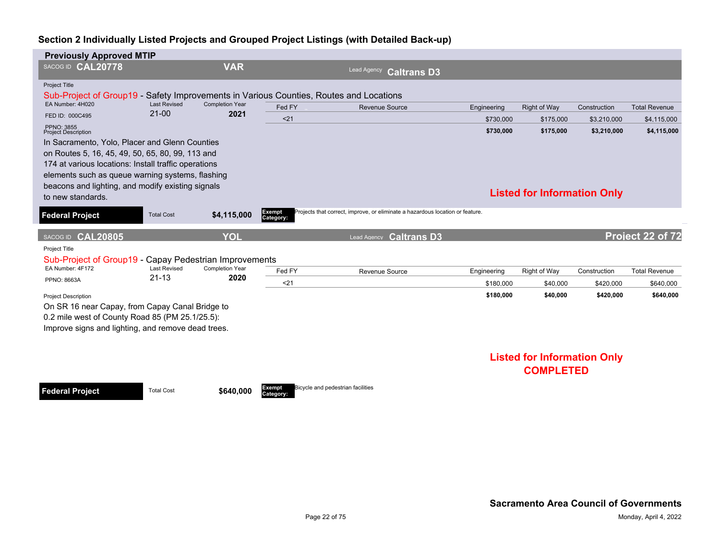| <b>Previously Approved MTIP</b>                                                        |                                  |                                |                     |                                                                               |             |                                    |              |                      |
|----------------------------------------------------------------------------------------|----------------------------------|--------------------------------|---------------------|-------------------------------------------------------------------------------|-------------|------------------------------------|--------------|----------------------|
| SACOG ID CAL20778                                                                      |                                  | <b>VAR</b>                     |                     | Lead Agency<br><b>Caltrans D3</b>                                             |             |                                    |              |                      |
| <b>Project Title</b>                                                                   |                                  |                                |                     |                                                                               |             |                                    |              |                      |
| Sub-Project of Group19 - Safety Improvements in Various Counties, Routes and Locations |                                  |                                |                     |                                                                               |             |                                    |              |                      |
| EA Number: 4H020                                                                       | <b>Last Revised</b><br>$21 - 00$ | <b>Completion Year</b><br>2021 | Fed FY              | <b>Revenue Source</b>                                                         | Engineering | Right of Way                       | Construction | <b>Total Revenue</b> |
| FED ID: 000C495                                                                        |                                  |                                | < 21                |                                                                               | \$730,000   | \$175,000                          | \$3,210,000  | \$4,115,000          |
| <b>PPNO: 3855</b><br><b>Project Description</b>                                        |                                  |                                |                     |                                                                               | \$730,000   | \$175,000                          | \$3,210,000  | \$4,115,000          |
| In Sacramento, Yolo, Placer and Glenn Counties                                         |                                  |                                |                     |                                                                               |             |                                    |              |                      |
| on Routes 5, 16, 45, 49, 50, 65, 80, 99, 113 and                                       |                                  |                                |                     |                                                                               |             |                                    |              |                      |
| 174 at various locations: Install traffic operations                                   |                                  |                                |                     |                                                                               |             |                                    |              |                      |
| elements such as queue warning systems, flashing                                       |                                  |                                |                     |                                                                               |             |                                    |              |                      |
| beacons and lighting, and modify existing signals                                      |                                  |                                |                     |                                                                               |             | <b>Listed for Information Only</b> |              |                      |
| to new standards.                                                                      |                                  |                                |                     |                                                                               |             |                                    |              |                      |
| <b>Federal Project</b>                                                                 | <b>Total Cost</b>                | \$4,115,000                    | Exempt<br>Category: | Projects that correct, improve, or eliminate a hazardous location or feature. |             |                                    |              |                      |
| SACOG ID CAL20805                                                                      |                                  | YOL                            |                     | Lead Agency <b>Caltrans D3</b>                                                |             |                                    |              | Project 22 of 72     |
| Project Title                                                                          |                                  |                                |                     |                                                                               |             |                                    |              |                      |
| Sub-Project of Group19 - Capay Pedestrian Improvements                                 |                                  |                                |                     |                                                                               |             |                                    |              |                      |
| EA Number: 4F172                                                                       | <b>Last Revised</b>              | <b>Completion Year</b>         | Fed FY              | Revenue Source                                                                | Engineering | Right of Way                       | Construction | <b>Total Revenue</b> |
| <b>PPNO: 8663A</b>                                                                     | $21 - 13$                        | 2020                           | $21$                |                                                                               | \$180,000   | \$40,000                           | \$420,000    | \$640,000            |
| <b>Project Description</b>                                                             |                                  |                                |                     |                                                                               | \$180,000   | \$40,000                           | \$420,000    | \$640,000            |
|                                                                                        |                                  |                                |                     |                                                                               |             |                                    |              |                      |
| On SR 16 near Capay, from Capay Canal Bridge to                                        |                                  |                                |                     |                                                                               |             |                                    |              |                      |
| 0.2 mile west of County Road 85 (PM 25.1/25.5):                                        |                                  |                                |                     |                                                                               |             |                                    |              |                      |
| Improve signs and lighting, and remove dead trees.                                     |                                  |                                |                     |                                                                               |             |                                    |              |                      |
|                                                                                        |                                  |                                |                     |                                                                               |             |                                    |              |                      |
|                                                                                        |                                  |                                |                     |                                                                               |             | <b>Listed for Information Only</b> |              |                      |

**Federal Project** Total Cost \$640,000

**Category:**

Bicycle and pedestrian facilities

# **COMPLETED**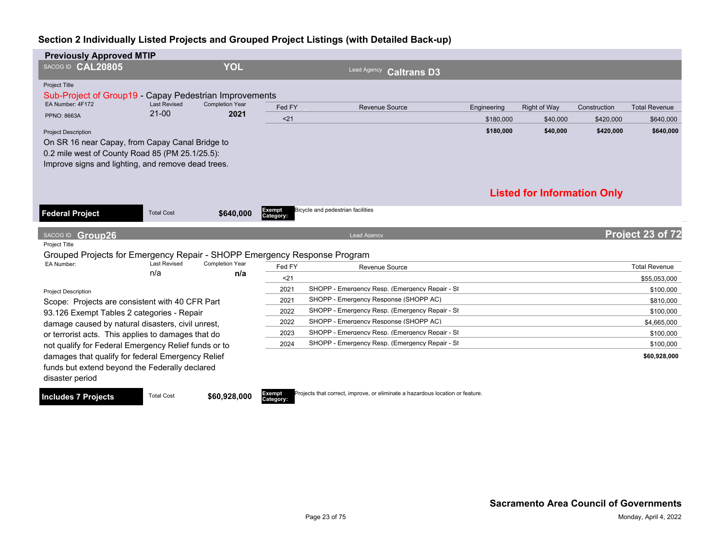| <b>Previously Approved MTIP</b>                                                                                                                          |                                  |                                |                     |                                                |             |                                    |              |                      |
|----------------------------------------------------------------------------------------------------------------------------------------------------------|----------------------------------|--------------------------------|---------------------|------------------------------------------------|-------------|------------------------------------|--------------|----------------------|
| SACOG ID CAL20805                                                                                                                                        |                                  | <b>YOL</b>                     |                     | Lead Agency<br><b>Caltrans D3</b>              |             |                                    |              |                      |
| Project Title<br>Sub-Project of Group19 - Capay Pedestrian Improvements                                                                                  |                                  |                                |                     |                                                |             |                                    |              |                      |
| EA Number: 4F172                                                                                                                                         | <b>Last Revised</b><br>$21 - 00$ | <b>Completion Year</b><br>2021 | Fed FY              | <b>Revenue Source</b>                          | Engineering | <b>Right of Way</b>                | Construction | <b>Total Revenue</b> |
| <b>PPNO: 8663A</b>                                                                                                                                       |                                  |                                | < 21                |                                                | \$180,000   | \$40,000                           | \$420,000    | \$640,000            |
| <b>Project Description</b>                                                                                                                               |                                  |                                |                     |                                                | \$180,000   | \$40,000                           | \$420,000    | \$640,000            |
| On SR 16 near Capay, from Capay Canal Bridge to<br>0.2 mile west of County Road 85 (PM 25.1/25.5):<br>Improve signs and lighting, and remove dead trees. |                                  |                                |                     |                                                |             |                                    |              |                      |
|                                                                                                                                                          |                                  |                                |                     |                                                |             | <b>Listed for Information Only</b> |              |                      |
| <b>Federal Project</b>                                                                                                                                   | <b>Total Cost</b>                | \$640,000                      | Exempt<br>Category: | Bicycle and pedestrian facilities              |             |                                    |              |                      |
| SACOG ID Group26                                                                                                                                         |                                  |                                |                     | <b>Lead Agency</b>                             |             |                                    |              | Project 23 of 72     |
| Project Title                                                                                                                                            |                                  |                                |                     |                                                |             |                                    |              |                      |
| Grouped Projects for Emergency Repair - SHOPP Emergency Response Program<br>EA Number:                                                                   | <b>Last Revised</b>              | Completion Year                |                     |                                                |             |                                    |              |                      |
|                                                                                                                                                          | n/a                              | n/a                            | Fed FY              | Revenue Source                                 |             |                                    |              | <b>Total Revenue</b> |
|                                                                                                                                                          |                                  |                                | $21$                |                                                |             |                                    |              | \$55,053,000         |
| <b>Project Description</b>                                                                                                                               |                                  |                                | 2021                | SHOPP - Emergency Resp. (Emergency Repair - St |             |                                    |              | \$100,000            |
| Scope: Projects are consistent with 40 CFR Part                                                                                                          |                                  |                                | 2021                | SHOPP - Emergency Response (SHOPP AC)          |             |                                    |              | \$810,000            |
| 93.126 Exempt Tables 2 categories - Repair                                                                                                               |                                  |                                | 2022                | SHOPP - Emergency Resp. (Emergency Repair - St |             |                                    |              | \$100,000            |
| damage caused by natural disasters, civil unrest,                                                                                                        |                                  |                                | 2022                | SHOPP - Emergency Response (SHOPP AC)          |             |                                    |              | \$4,665,000          |
| or terrorist acts. This applies to damages that do                                                                                                       |                                  |                                | 2023                | SHOPP - Emergency Resp. (Emergency Repair - St |             |                                    |              | \$100,000            |
| not qualify for Federal Emergency Relief funds or to                                                                                                     |                                  |                                | 2024                | SHOPP - Emergency Resp. (Emergency Repair - St |             |                                    |              | \$100,000            |
| damages that qualify for federal Emergency Relief<br>funds but extend beyond the Federally declared<br>disaster period                                   |                                  |                                |                     |                                                |             |                                    |              | \$60,928,000         |

**Includes 7 Projects** Total Cost **\$60,928,000** 

**Category:** Projects that correct, improve, or eliminate a hazardous location or feature.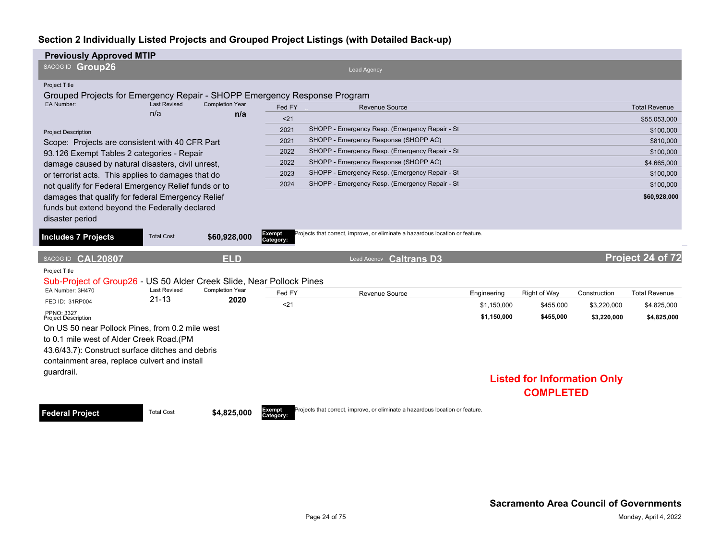| <b>Previously Approved MTIP</b>                                                                                        |                            |                               |                     |                                                                               |             |                                    |              |                      |
|------------------------------------------------------------------------------------------------------------------------|----------------------------|-------------------------------|---------------------|-------------------------------------------------------------------------------|-------------|------------------------------------|--------------|----------------------|
| SACOG ID Group26                                                                                                       |                            |                               |                     | <b>Lead Agency</b>                                                            |             |                                    |              |                      |
| <b>Project Title</b>                                                                                                   |                            |                               |                     |                                                                               |             |                                    |              |                      |
| Grouped Projects for Emergency Repair - SHOPP Emergency Response Program                                               |                            |                               |                     |                                                                               |             |                                    |              |                      |
| EA Number:                                                                                                             | <b>Last Revised</b><br>n/a | <b>Completion Year</b><br>n/a | Fed FY              | Revenue Source                                                                |             |                                    |              | <b>Total Revenue</b> |
|                                                                                                                        |                            |                               | $21$                |                                                                               |             |                                    |              | \$55.053.000         |
| <b>Project Description</b>                                                                                             |                            |                               | 2021                | SHOPP - Emergency Resp. (Emergency Repair - St                                |             |                                    |              | \$100,000            |
| Scope: Projects are consistent with 40 CFR Part                                                                        |                            |                               | 2021                | SHOPP - Emergency Response (SHOPP AC)                                         |             |                                    |              | \$810,000            |
| 93.126 Exempt Tables 2 categories - Repair                                                                             |                            |                               | 2022                | SHOPP - Emergency Resp. (Emergency Repair - St                                |             |                                    |              | \$100,000            |
| damage caused by natural disasters, civil unrest,                                                                      |                            |                               | 2022                | SHOPP - Emergency Response (SHOPP AC)                                         |             |                                    |              | \$4,665,000          |
| or terrorist acts. This applies to damages that do                                                                     |                            |                               | 2023                | SHOPP - Emergency Resp. (Emergency Repair - St                                |             |                                    |              | \$100,000            |
| not qualify for Federal Emergency Relief funds or to                                                                   |                            |                               | 2024                | SHOPP - Emergency Resp. (Emergency Repair - St.                               |             |                                    |              | \$100,000            |
| damages that qualify for federal Emergency Relief<br>funds but extend beyond the Federally declared<br>disaster period |                            |                               |                     |                                                                               |             |                                    |              | \$60,928,000         |
| <b>Includes 7 Projects</b>                                                                                             | <b>Total Cost</b>          | \$60,928,000                  | Exempt<br>Category: | Projects that correct, improve, or eliminate a hazardous location or feature. |             |                                    |              |                      |
| SACOG ID CAL20807                                                                                                      |                            | <b>ELD</b>                    |                     | <b>Caltrans D3</b><br>Lead Agency                                             |             |                                    |              | Project 24 of 72     |
| Project Title                                                                                                          |                            |                               |                     |                                                                               |             |                                    |              |                      |
| Sub-Project of Group26 - US 50 Alder Creek Slide, Near Pollock Pines                                                   |                            |                               |                     |                                                                               |             |                                    |              |                      |
| EA Number: 3H470                                                                                                       | <b>Last Revised</b>        | <b>Completion Year</b>        | Fed FY              | Revenue Source                                                                | Engineering | Right of Way                       | Construction | <b>Total Revenue</b> |
| FED ID: 31RP004                                                                                                        | $21 - 13$                  | 2020                          | $21$                |                                                                               | \$1.150.000 | \$455,000                          | \$3,220,000  | \$4,825,000          |
| PPNO: 3327<br><b>Project Description</b>                                                                               |                            |                               |                     |                                                                               | \$1,150,000 | \$455,000                          | \$3,220,000  | \$4,825,000          |
| On US 50 near Pollock Pines, from 0.2 mile west                                                                        |                            |                               |                     |                                                                               |             |                                    |              |                      |
| to 0.1 mile west of Alder Creek Road. (PM                                                                              |                            |                               |                     |                                                                               |             |                                    |              |                      |
| 43.6/43.7): Construct surface ditches and debris                                                                       |                            |                               |                     |                                                                               |             |                                    |              |                      |
| containment area, replace culvert and install                                                                          |                            |                               |                     |                                                                               |             |                                    |              |                      |
| guardrail.                                                                                                             |                            |                               |                     |                                                                               |             |                                    |              |                      |
|                                                                                                                        |                            |                               |                     |                                                                               |             | <b>Listed for Information Only</b> |              |                      |
|                                                                                                                        |                            |                               |                     |                                                                               |             | <b>COMPLETED</b>                   |              |                      |

**Federal Project** Total Cost \$4,825,000

**Category:**

Projects that correct, improve, or eliminate a hazardous location or feature.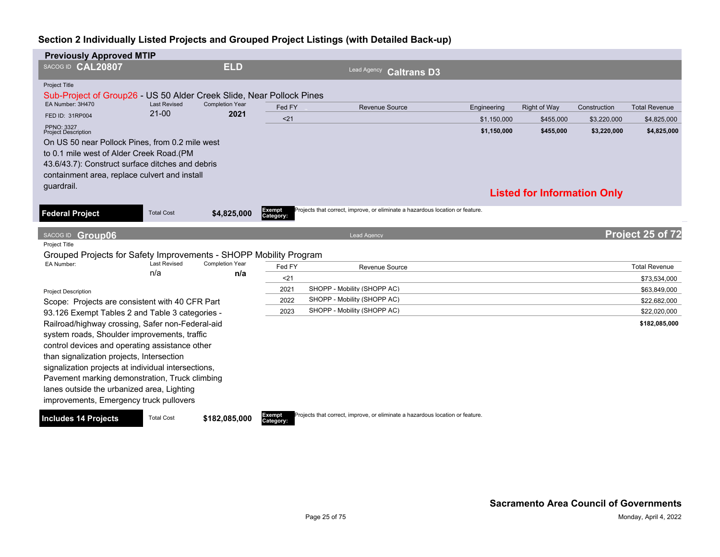| <b>Previously Approved MTIP</b>                                      |                     |                        |                            |                                                                               |             |                                    |              |                      |
|----------------------------------------------------------------------|---------------------|------------------------|----------------------------|-------------------------------------------------------------------------------|-------------|------------------------------------|--------------|----------------------|
| SACOG ID CAL20807                                                    |                     | <b>ELD</b>             |                            | Lead Agency<br><b>Caltrans D3</b>                                             |             |                                    |              |                      |
| <b>Project Title</b>                                                 |                     |                        |                            |                                                                               |             |                                    |              |                      |
| Sub-Project of Group26 - US 50 Alder Creek Slide, Near Pollock Pines |                     |                        |                            |                                                                               |             |                                    |              |                      |
| EA Number: 3H470                                                     | <b>Last Revised</b> | <b>Completion Year</b> | Fed FY                     | <b>Revenue Source</b>                                                         | Engineering | Right of Way                       | Construction | <b>Total Revenue</b> |
| FED ID: 31RP004                                                      | $21 - 00$           | 2021                   | $21$                       |                                                                               | \$1.150.000 | \$455.000                          | \$3,220,000  | \$4,825,000          |
| <b>PPNO: 3327</b><br><b>Project Description</b>                      |                     |                        |                            |                                                                               | \$1,150,000 | \$455,000                          | \$3,220,000  | \$4,825,000          |
| On US 50 near Pollock Pines, from 0.2 mile west                      |                     |                        |                            |                                                                               |             |                                    |              |                      |
| to 0.1 mile west of Alder Creek Road.(PM                             |                     |                        |                            |                                                                               |             |                                    |              |                      |
| 43.6/43.7): Construct surface ditches and debris                     |                     |                        |                            |                                                                               |             |                                    |              |                      |
| containment area, replace culvert and install                        |                     |                        |                            |                                                                               |             |                                    |              |                      |
| quardrail.                                                           |                     |                        |                            |                                                                               |             | <b>Listed for Information Only</b> |              |                      |
|                                                                      |                     |                        |                            |                                                                               |             |                                    |              |                      |
| <b>Federal Project</b>                                               | <b>Total Cost</b>   | \$4,825,000            | <b>Exempt</b><br>Category: | Projects that correct, improve, or eliminate a hazardous location or feature. |             |                                    |              |                      |
| SACOG ID Group06                                                     |                     |                        |                            | <b>Lead Agency</b>                                                            |             |                                    |              | Project 25 of 72     |
| <b>Project Title</b>                                                 |                     |                        |                            |                                                                               |             |                                    |              |                      |
| Grouped Projects for Safety Improvements - SHOPP Mobility Program    |                     |                        |                            |                                                                               |             |                                    |              |                      |
| EA Number:                                                           | <b>Last Revised</b> | <b>Completion Year</b> | Fed FY                     | Revenue Source                                                                |             |                                    |              | <b>Total Revenue</b> |
|                                                                      | n/a                 | n/a                    | $21$                       |                                                                               |             |                                    |              | \$73,534,000         |
| <b>Project Description</b>                                           |                     |                        | 2021                       | SHOPP - Mobility (SHOPP AC)                                                   |             |                                    |              | \$63,849,000         |
| Scope: Projects are consistent with 40 CFR Part                      |                     |                        | 2022                       | SHOPP - Mobility (SHOPP AC)                                                   |             |                                    |              | \$22,682,000         |
| 93.126 Exempt Tables 2 and Table 3 categories -                      |                     |                        | 2023                       | SHOPP - Mobility (SHOPP AC)                                                   |             |                                    |              | \$22,020,000         |
| Railroad/highway crossing, Safer non-Federal-aid                     |                     |                        |                            |                                                                               |             |                                    |              | \$182,085,000        |
| system roads, Shoulder improvements, traffic                         |                     |                        |                            |                                                                               |             |                                    |              |                      |
| control devices and operating assistance other                       |                     |                        |                            |                                                                               |             |                                    |              |                      |
| than signalization projects, Intersection                            |                     |                        |                            |                                                                               |             |                                    |              |                      |
| signalization projects at individual intersections,                  |                     |                        |                            |                                                                               |             |                                    |              |                      |
| Pavement marking demonstration, Truck climbing                       |                     |                        |                            |                                                                               |             |                                    |              |                      |
| lanes outside the urbanized area, Lighting                           |                     |                        |                            |                                                                               |             |                                    |              |                      |
| improvements, Emergency truck pullovers                              |                     |                        |                            |                                                                               |             |                                    |              |                      |
|                                                                      |                     |                        |                            |                                                                               |             |                                    |              |                      |
| <b>Includes 14 Projects</b>                                          | <b>Total Cost</b>   | \$182,085,000          | Exempt<br>Category:        | Projects that correct, improve, or eliminate a hazardous location or feature. |             |                                    |              |                      |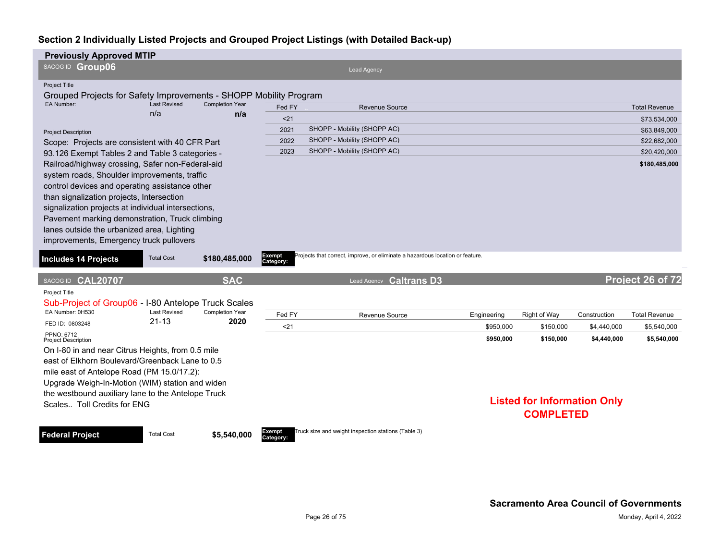| <b>Previously Approved MTIP</b>                                                                                                                                                                                                                                                                                                                                                                   |                            |                               |                            |                                                                               |             |                                                        |              |                      |
|---------------------------------------------------------------------------------------------------------------------------------------------------------------------------------------------------------------------------------------------------------------------------------------------------------------------------------------------------------------------------------------------------|----------------------------|-------------------------------|----------------------------|-------------------------------------------------------------------------------|-------------|--------------------------------------------------------|--------------|----------------------|
| SACOG ID Group06                                                                                                                                                                                                                                                                                                                                                                                  |                            |                               |                            | Lead Agency                                                                   |             |                                                        |              |                      |
| <b>Project Title</b>                                                                                                                                                                                                                                                                                                                                                                              |                            |                               |                            |                                                                               |             |                                                        |              |                      |
| Grouped Projects for Safety Improvements - SHOPP Mobility Program                                                                                                                                                                                                                                                                                                                                 |                            |                               |                            |                                                                               |             |                                                        |              |                      |
| EA Number:                                                                                                                                                                                                                                                                                                                                                                                        | <b>Last Revised</b><br>n/a | <b>Completion Year</b><br>n/a | Fed FY                     | <b>Revenue Source</b>                                                         |             |                                                        |              | <b>Total Revenue</b> |
|                                                                                                                                                                                                                                                                                                                                                                                                   |                            |                               | $21$                       |                                                                               |             |                                                        |              | \$73,534,000         |
| <b>Project Description</b>                                                                                                                                                                                                                                                                                                                                                                        |                            |                               | 2021                       | SHOPP - Mobility (SHOPP AC)                                                   |             |                                                        |              | \$63,849,000         |
| Scope: Projects are consistent with 40 CFR Part                                                                                                                                                                                                                                                                                                                                                   |                            |                               | 2022                       | SHOPP - Mobility (SHOPP AC)                                                   |             |                                                        |              | \$22,682,000         |
| 93.126 Exempt Tables 2 and Table 3 categories -                                                                                                                                                                                                                                                                                                                                                   |                            |                               | 2023                       | SHOPP - Mobility (SHOPP AC)                                                   |             |                                                        |              | \$20,420,000         |
| Railroad/highway crossing, Safer non-Federal-aid<br>system roads, Shoulder improvements, traffic<br>control devices and operating assistance other<br>than signalization projects, Intersection<br>signalization projects at individual intersections,<br>Pavement marking demonstration, Truck climbing<br>lanes outside the urbanized area, Lighting<br>improvements, Emergency truck pullovers |                            |                               |                            |                                                                               |             |                                                        |              | \$180,485,000        |
| <b>Includes 14 Projects</b>                                                                                                                                                                                                                                                                                                                                                                       | <b>Total Cost</b>          | \$180,485,000                 | <b>Exempt</b><br>Category: | Projects that correct, improve, or eliminate a hazardous location or feature. |             |                                                        |              |                      |
| SACOG ID CAL20707                                                                                                                                                                                                                                                                                                                                                                                 |                            | <b>SAC</b>                    |                            | Lead Agency Caltrans D3                                                       |             |                                                        |              | Project 26 of 72     |
| Project Title<br>Sub-Project of Group06 - I-80 Antelope Truck Scales                                                                                                                                                                                                                                                                                                                              |                            |                               |                            |                                                                               |             |                                                        |              |                      |
| EA Number: 0H530                                                                                                                                                                                                                                                                                                                                                                                  | <b>Last Revised</b>        | <b>Completion Year</b>        | Fed FY                     | Revenue Source                                                                | Engineering | Right of Way                                           | Construction | <b>Total Revenue</b> |
| FED ID: 0803248                                                                                                                                                                                                                                                                                                                                                                                   | $21 - 13$                  | 2020                          | $21$                       |                                                                               | \$950.000   | \$150,000                                              | \$4,440,000  | \$5,540,000          |
| PPNO: 6712<br><b>Project Description</b>                                                                                                                                                                                                                                                                                                                                                          |                            |                               |                            |                                                                               | \$950,000   | \$150,000                                              | \$4,440,000  | \$5,540,000          |
| On I-80 in and near Citrus Heights, from 0.5 mile                                                                                                                                                                                                                                                                                                                                                 |                            |                               |                            |                                                                               |             |                                                        |              |                      |
| east of Elkhorn Boulevard/Greenback Lane to 0.5<br>mile east of Antelope Road (PM 15.0/17.2):<br>Upgrade Weigh-In-Motion (WIM) station and widen                                                                                                                                                                                                                                                  |                            |                               |                            |                                                                               |             |                                                        |              |                      |
| the westbound auxiliary lane to the Antelope Truck<br>Scales Toll Credits for ENG                                                                                                                                                                                                                                                                                                                 |                            |                               |                            |                                                                               |             | <b>Listed for Information Only</b><br><b>COMPLETED</b> |              |                      |

**Federal Project** Total Cost \$5,540,000

**Category:**

ruck size and weight inspection stations (Table 3)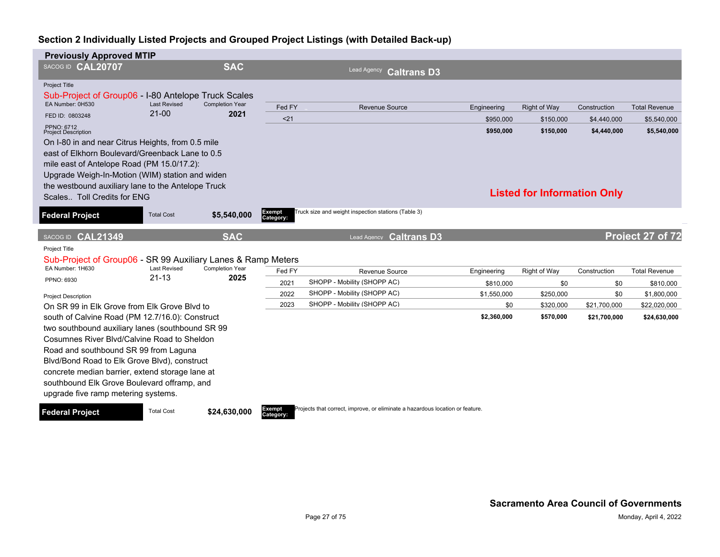| <b>Previously Approved MTIP</b>                                                   |                                  |                                |                     |                                                                               |             |                                    |              |                      |
|-----------------------------------------------------------------------------------|----------------------------------|--------------------------------|---------------------|-------------------------------------------------------------------------------|-------------|------------------------------------|--------------|----------------------|
| SACOG ID CAL20707                                                                 |                                  | <b>SAC</b>                     |                     | Lead Agency<br><b>Caltrans D3</b>                                             |             |                                    |              |                      |
| <b>Project Title</b>                                                              |                                  |                                |                     |                                                                               |             |                                    |              |                      |
| Sub-Project of Group06 - I-80 Antelope Truck Scales                               |                                  | <b>Completion Year</b><br>2021 |                     |                                                                               |             |                                    |              |                      |
| EA Number: 0H530                                                                  | <b>Last Revised</b><br>$21 - 00$ |                                | Fed FY              | <b>Revenue Source</b>                                                         | Engineering | <b>Right of Way</b>                | Construction | <b>Total Revenue</b> |
| FED ID: 0803248                                                                   |                                  |                                | $21$                |                                                                               | \$950,000   | \$150,000                          | \$4,440,000  | \$5,540,000          |
| PPNO: 6712<br><b>Project Description</b>                                          |                                  |                                |                     |                                                                               | \$950,000   | \$150,000                          | \$4,440,000  | \$5,540,000          |
| On I-80 in and near Citrus Heights, from 0.5 mile                                 |                                  |                                |                     |                                                                               |             |                                    |              |                      |
| east of Elkhorn Boulevard/Greenback Lane to 0.5                                   |                                  |                                |                     |                                                                               |             |                                    |              |                      |
| mile east of Antelope Road (PM 15.0/17.2):                                        |                                  |                                |                     |                                                                               |             |                                    |              |                      |
| Upgrade Weigh-In-Motion (WIM) station and widen                                   |                                  |                                |                     |                                                                               |             |                                    |              |                      |
| the westbound auxiliary lane to the Antelope Truck<br>Scales Toll Credits for ENG |                                  |                                |                     |                                                                               |             | <b>Listed for Information Only</b> |              |                      |
|                                                                                   |                                  |                                |                     |                                                                               |             |                                    |              |                      |
| <b>Federal Project</b>                                                            | <b>Total Cost</b>                | \$5,540,000                    | Exempt<br>Category: | Truck size and weight inspection stations (Table 3)                           |             |                                    |              |                      |
| SACOG ID CAL21349                                                                 |                                  | <b>SAC</b>                     |                     | <b>Caltrans D3</b><br><b>Lead Agency</b>                                      |             |                                    |              | Project 27 of 72     |
| <b>Project Title</b>                                                              |                                  |                                |                     |                                                                               |             |                                    |              |                      |
| Sub-Project of Group06 - SR 99 Auxiliary Lanes & Ramp Meters                      |                                  |                                |                     |                                                                               |             |                                    |              |                      |
| EA Number: 1H630                                                                  | <b>Last Revised</b>              | <b>Completion Year</b>         | Fed FY              | Revenue Source                                                                | Engineering | Right of Way                       | Construction | <b>Total Revenue</b> |
| PPNO: 6930                                                                        | $21 - 13$                        | 2025                           | 2021                | SHOPP - Mobility (SHOPP AC)                                                   | \$810,000   | \$0                                | \$0          | \$810,000            |
| <b>Project Description</b>                                                        |                                  |                                | 2022                | SHOPP - Mobility (SHOPP AC)                                                   | \$1,550,000 | \$250,000                          | \$0          | \$1,800,000          |
| On SR 99 in Elk Grove from Elk Grove Blvd to                                      |                                  |                                | 2023                | SHOPP - Mobility (SHOPP AC)                                                   | \$0         | \$320,000                          | \$21,700,000 | \$22,020,000         |
| south of Calvine Road (PM 12.7/16.0): Construct                                   |                                  |                                |                     |                                                                               | \$2,360,000 | \$570,000                          | \$21,700,000 | \$24,630,000         |
| two southbound auxiliary lanes (southbound SR 99)                                 |                                  |                                |                     |                                                                               |             |                                    |              |                      |
| Cosumnes River Blvd/Calvine Road to Sheldon                                       |                                  |                                |                     |                                                                               |             |                                    |              |                      |
| Road and southbound SR 99 from Laguna                                             |                                  |                                |                     |                                                                               |             |                                    |              |                      |
| Blvd/Bond Road to Elk Grove Blvd), construct                                      |                                  |                                |                     |                                                                               |             |                                    |              |                      |
| concrete median barrier, extend storage lane at                                   |                                  |                                |                     |                                                                               |             |                                    |              |                      |
| southbound Elk Grove Boulevard offramp, and                                       |                                  |                                |                     |                                                                               |             |                                    |              |                      |
| upgrade five ramp metering systems.                                               |                                  |                                |                     |                                                                               |             |                                    |              |                      |
| <b>Federal Project</b>                                                            | <b>Total Cost</b>                | \$24,630,000                   | Exempt<br>Category: | Projects that correct, improve, or eliminate a hazardous location or feature. |             |                                    |              |                      |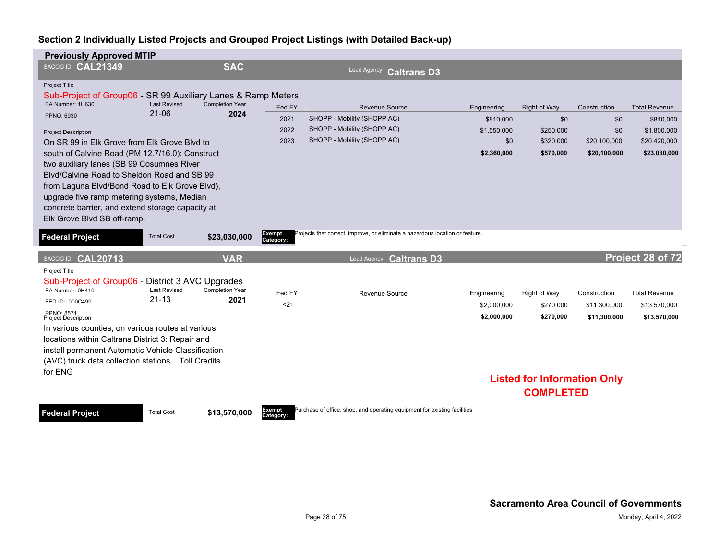| <b>Previously Approved MTIP</b>                                                                                                                                                                                                                                                                                                |                                  |                                |                     |                                                                                                                    |             |                                    |              |                      |
|--------------------------------------------------------------------------------------------------------------------------------------------------------------------------------------------------------------------------------------------------------------------------------------------------------------------------------|----------------------------------|--------------------------------|---------------------|--------------------------------------------------------------------------------------------------------------------|-------------|------------------------------------|--------------|----------------------|
| SACOG ID CAL21349                                                                                                                                                                                                                                                                                                              |                                  | <b>SAC</b>                     |                     | <b>Lead Agency</b><br><b>Caltrans D3</b>                                                                           |             |                                    |              |                      |
| Project Title<br>Sub-Project of Group06 - SR 99 Auxiliary Lanes & Ramp Meters                                                                                                                                                                                                                                                  |                                  |                                |                     |                                                                                                                    |             |                                    |              |                      |
| EA Number: 1H630                                                                                                                                                                                                                                                                                                               | <b>Last Revised</b><br>$21 - 06$ | <b>Completion Year</b><br>2024 | Fed FY              | Revenue Source                                                                                                     | Engineering | Right of Way                       | Construction | <b>Total Revenue</b> |
| PPNO: 6930                                                                                                                                                                                                                                                                                                                     |                                  |                                | 2021                | SHOPP - Mobility (SHOPP AC)                                                                                        | \$810,000   | \$0                                | \$0          | \$810,000            |
| <b>Project Description</b>                                                                                                                                                                                                                                                                                                     |                                  |                                | 2022                | SHOPP - Mobility (SHOPP AC)                                                                                        | \$1,550,000 | \$250,000                          | \$0          | \$1,800,000          |
| On SR 99 in Elk Grove from Elk Grove Blyd to                                                                                                                                                                                                                                                                                   |                                  |                                | 2023                | SHOPP - Mobility (SHOPP AC)                                                                                        | \$0         | \$320,000                          | \$20,100,000 | \$20,420,000         |
| south of Calvine Road (PM 12.7/16.0): Construct<br>two auxiliary lanes (SB 99 Cosumnes River<br>Blyd/Calvine Road to Sheldon Road and SB 99<br>from Laguna Blvd/Bond Road to Elk Grove Blvd),<br>upgrade five ramp metering systems, Median<br>concrete barrier, and extend storage capacity at<br>Elk Grove Blvd SB off-ramp. |                                  |                                |                     |                                                                                                                    | \$2,360,000 | \$570,000                          | \$20,100,000 | \$23,030,000         |
| <b>Federal Project</b><br>SACOG ID CAL20713                                                                                                                                                                                                                                                                                    | <b>Total Cost</b>                | \$23,030,000<br><b>VAR</b>     | Exempt<br>Category: | Projects that correct, improve, or eliminate a hazardous location or feature.<br><b>Caltrans D3</b><br>Lead Agency |             |                                    |              | Project 28 of 72     |
| Project Title                                                                                                                                                                                                                                                                                                                  |                                  |                                |                     |                                                                                                                    |             |                                    |              |                      |
| Sub-Project of Group06 - District 3 AVC Upgrades                                                                                                                                                                                                                                                                               |                                  |                                |                     |                                                                                                                    |             |                                    |              |                      |
| EA Number: 0H410                                                                                                                                                                                                                                                                                                               | <b>Last Revised</b><br>$21 - 13$ | <b>Completion Year</b><br>2021 | Fed FY              | Revenue Source                                                                                                     | Engineering | Right of Way                       | Construction | <b>Total Revenue</b> |
| FED ID: 000C499<br>PPNO: 8571                                                                                                                                                                                                                                                                                                  |                                  |                                | $21$                |                                                                                                                    | \$2,000.000 | \$270,000                          | \$11,300,000 | \$13,570,000         |
| <b>Project Description</b>                                                                                                                                                                                                                                                                                                     |                                  |                                |                     |                                                                                                                    | \$2,000,000 | \$270,000                          | \$11,300,000 | \$13,570,000         |
| In various counties, on various routes at various                                                                                                                                                                                                                                                                              |                                  |                                |                     |                                                                                                                    |             |                                    |              |                      |
| locations within Caltrans District 3: Repair and                                                                                                                                                                                                                                                                               |                                  |                                |                     |                                                                                                                    |             |                                    |              |                      |
| install permanent Automatic Vehicle Classification                                                                                                                                                                                                                                                                             |                                  |                                |                     |                                                                                                                    |             |                                    |              |                      |
| (AVC) truck data collection stations Toll Credits                                                                                                                                                                                                                                                                              |                                  |                                |                     |                                                                                                                    |             |                                    |              |                      |
| for ENG                                                                                                                                                                                                                                                                                                                        |                                  |                                |                     |                                                                                                                    |             | <b>Listed for Information Only</b> |              |                      |

**Federal Project** Total Cost \$13,570,000

**Category:**

Purchase of office, shop, and operating equipment for existing facilities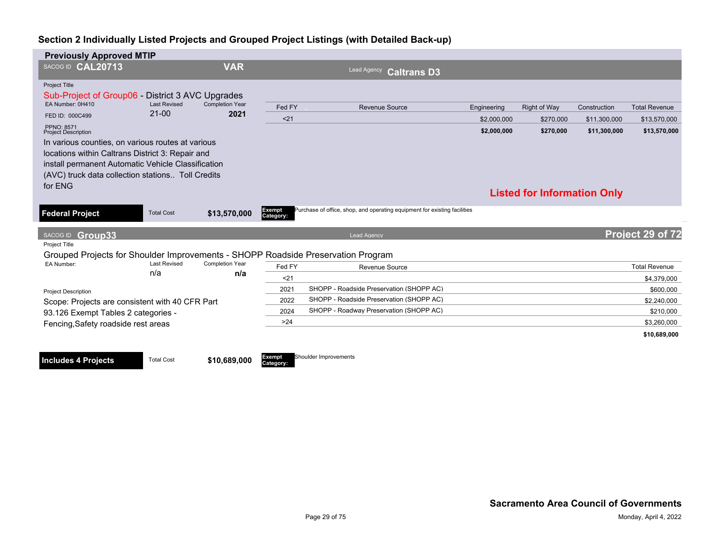| <b>Previously Approved MTIP</b>                                                                |                                |                                |                     |                                                                           |             |                                    |              |                      |
|------------------------------------------------------------------------------------------------|--------------------------------|--------------------------------|---------------------|---------------------------------------------------------------------------|-------------|------------------------------------|--------------|----------------------|
| SACOG ID CAL20713                                                                              |                                | <b>VAR</b>                     |                     | Lead Agency Caltrans D3                                                   |             |                                    |              |                      |
| Project Title                                                                                  |                                |                                |                     |                                                                           |             |                                    |              |                      |
| Sub-Project of Group06 - District 3 AVC Upgrades                                               |                                |                                |                     |                                                                           |             |                                    |              |                      |
| EA Number: 0H410                                                                               | <b>Last Revised</b><br>$21-00$ | <b>Completion Year</b><br>2021 | Fed FY              | <b>Revenue Source</b>                                                     | Engineering | Right of Way                       | Construction | <b>Total Revenue</b> |
| FED ID: 000C499                                                                                |                                |                                | $21$                |                                                                           | \$2,000,000 | \$270,000                          | \$11,300,000 | \$13,570,000         |
| <b>PPNO: 8571</b><br><b>Project Description</b>                                                |                                |                                |                     |                                                                           | \$2,000,000 | \$270,000                          | \$11,300,000 | \$13,570,000         |
| In various counties, on various routes at various                                              |                                |                                |                     |                                                                           |             |                                    |              |                      |
| locations within Caltrans District 3: Repair and                                               |                                |                                |                     |                                                                           |             |                                    |              |                      |
| install permanent Automatic Vehicle Classification                                             |                                |                                |                     |                                                                           |             |                                    |              |                      |
| (AVC) truck data collection stations Toll Credits                                              |                                |                                |                     |                                                                           |             |                                    |              |                      |
| for ENG                                                                                        |                                |                                |                     |                                                                           |             | <b>Listed for Information Only</b> |              |                      |
|                                                                                                |                                |                                |                     |                                                                           |             |                                    |              |                      |
| <b>Federal Project</b>                                                                         | <b>Total Cost</b>              | \$13,570,000                   | Exempt<br>Category: | Purchase of office, shop, and operating equipment for existing facilities |             |                                    |              |                      |
|                                                                                                |                                |                                |                     |                                                                           |             |                                    |              |                      |
| SACOG ID Group33                                                                               |                                |                                |                     | <b>Lead Agency</b>                                                        |             |                                    |              | Project 29 of 72     |
| Project Title                                                                                  |                                |                                |                     |                                                                           |             |                                    |              |                      |
| Grouped Projects for Shoulder Improvements - SHOPP Roadside Preservation Program<br>EA Number: | <b>Last Revised</b>            | <b>Completion Year</b>         |                     |                                                                           |             |                                    |              |                      |
|                                                                                                | n/a                            | n/a                            | Fed FY              | Revenue Source                                                            |             |                                    |              | <b>Total Revenue</b> |
|                                                                                                |                                |                                | $21$                |                                                                           |             |                                    |              | \$4,379,000          |
| <b>Project Description</b>                                                                     |                                |                                | 2021                | SHOPP - Roadside Preservation (SHOPP AC)                                  |             |                                    |              | \$600,000            |
| Scope: Projects are consistent with 40 CFR Part                                                |                                |                                | 2022                | SHOPP - Roadside Preservation (SHOPP AC)                                  |             |                                    |              | \$2,240,000          |
| 93.126 Exempt Tables 2 categories -                                                            |                                |                                | 2024                | SHOPP - Roadway Preservation (SHOPP AC)                                   |             |                                    |              | \$210,000            |
| Fencing, Safety roadside rest areas                                                            |                                |                                | >24                 |                                                                           |             |                                    |              | \$3.260.000          |
|                                                                                                |                                |                                |                     |                                                                           |             |                                    |              | \$10,689,000         |
|                                                                                                |                                |                                |                     |                                                                           |             |                                    |              |                      |

**Includes 4 Projects** Total Cost **\$10,689,000** 

**Category: Shoulder Improvements**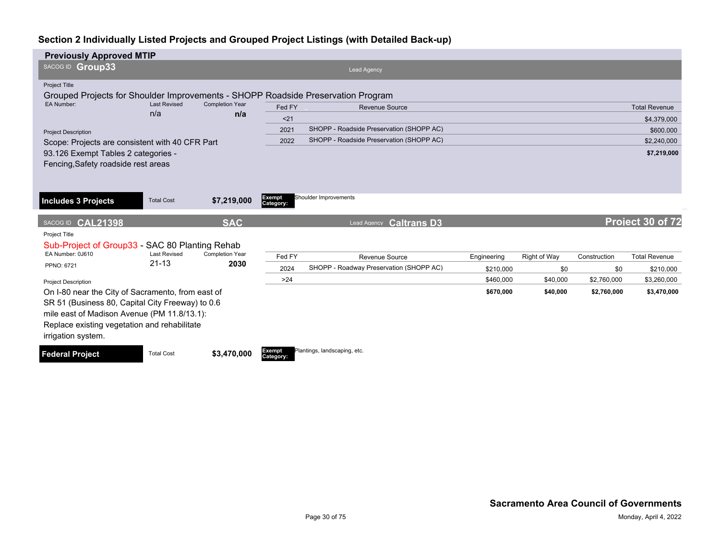| <b>Previously Approved MTIP</b>                                                                                                                                                                                            |                            |                               |                            |                                          |             |              |              |                      |
|----------------------------------------------------------------------------------------------------------------------------------------------------------------------------------------------------------------------------|----------------------------|-------------------------------|----------------------------|------------------------------------------|-------------|--------------|--------------|----------------------|
| SACOG ID Group33                                                                                                                                                                                                           |                            |                               |                            | <b>Lead Agency</b>                       |             |              |              |                      |
| <b>Project Title</b><br>Grouped Projects for Shoulder Improvements - SHOPP Roadside Preservation Program                                                                                                                   |                            |                               |                            |                                          |             |              |              |                      |
| EA Number:                                                                                                                                                                                                                 | <b>Last Revised</b><br>n/a | <b>Completion Year</b><br>n/a | Fed FY                     | Revenue Source                           |             |              |              | <b>Total Revenue</b> |
|                                                                                                                                                                                                                            |                            |                               | $21$                       |                                          |             |              |              | \$4,379,000          |
| <b>Project Description</b>                                                                                                                                                                                                 |                            |                               | 2021                       | SHOPP - Roadside Preservation (SHOPP AC) |             |              |              | \$600,000            |
| Scope: Projects are consistent with 40 CFR Part                                                                                                                                                                            |                            |                               | 2022                       | SHOPP - Roadside Preservation (SHOPP AC) |             |              |              | \$2,240,000          |
| 93.126 Exempt Tables 2 categories -                                                                                                                                                                                        |                            |                               |                            |                                          |             |              |              | \$7,219,000          |
| Fencing, Safety roadside rest areas                                                                                                                                                                                        |                            |                               |                            |                                          |             |              |              |                      |
| <b>Includes 3 Projects</b>                                                                                                                                                                                                 | <b>Total Cost</b>          | \$7,219,000                   | Exempt<br>Category:        | Shoulder Improvements                    |             |              |              |                      |
| SACOG ID CAL21398                                                                                                                                                                                                          |                            | <b>SAC</b>                    |                            | Lead Agency Caltrans D3                  |             |              |              | Project 30 of 72     |
| Project Title<br>Sub-Project of Group33 - SAC 80 Planting Rehab<br>EA Number: 0J610                                                                                                                                        | <b>Last Revised</b>        | <b>Completion Year</b>        | Fed FY                     | <b>Revenue Source</b>                    | Engineering | Right of Way | Construction | <b>Total Revenue</b> |
| PPNO: 6721                                                                                                                                                                                                                 | $21 - 13$                  | 2030                          | 2024                       | SHOPP - Roadway Preservation (SHOPP AC)  | \$210.000   | \$0          | \$0          | \$210,000            |
| <b>Project Description</b>                                                                                                                                                                                                 |                            |                               | $>24$                      |                                          | \$460,000   | \$40,000     | \$2,760,000  | \$3,260,000          |
| On I-80 near the City of Sacramento, from east of<br>SR 51 (Business 80, Capital City Freeway) to 0.6<br>mile east of Madison Avenue (PM 11.8/13.1):<br>Replace existing vegetation and rehabilitate<br>irrigation system. |                            |                               |                            |                                          | \$670,000   | \$40,000     | \$2,760,000  | \$3,470,000          |
| <b>Federal Project</b>                                                                                                                                                                                                     | <b>Total Cost</b>          | \$3,470,000                   | <b>Exempt</b><br>Category: | Plantings, landscaping, etc.             |             |              |              |                      |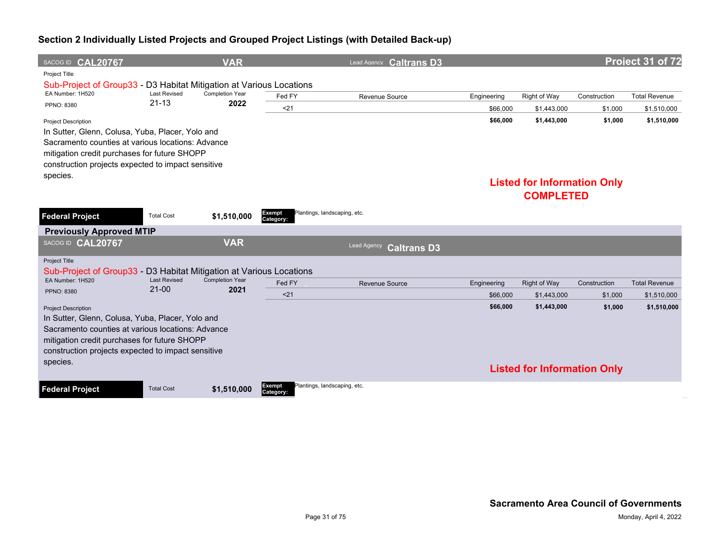| SACOG ID CAL20767                                                                                                                                                                                                                         |                                  | <b>VAR</b>                     |                     | Lead Agency Caltrans D3           |             |                                    |              | Project 31 of 72     |
|-------------------------------------------------------------------------------------------------------------------------------------------------------------------------------------------------------------------------------------------|----------------------------------|--------------------------------|---------------------|-----------------------------------|-------------|------------------------------------|--------------|----------------------|
| Project Title                                                                                                                                                                                                                             |                                  |                                |                     |                                   |             |                                    |              |                      |
| Sub-Project of Group33 - D3 Habitat Mitigation at Various Locations                                                                                                                                                                       |                                  |                                |                     |                                   |             |                                    |              |                      |
| EA Number: 1H520                                                                                                                                                                                                                          | <b>Last Revised</b><br>$21 - 13$ | <b>Completion Year</b><br>2022 | Fed FY              | Revenue Source                    | Engineering | Right of Way                       | Construction | <b>Total Revenue</b> |
| PPNO: 8380                                                                                                                                                                                                                                |                                  |                                | $21$                |                                   | \$66,000    | \$1,443,000                        | \$1,000      | \$1,510,000          |
| <b>Project Description</b><br>In Sutter, Glenn, Colusa, Yuba, Placer, Yolo and<br>Sacramento counties at various locations: Advance<br>mitigation credit purchases for future SHOPP<br>construction projects expected to impact sensitive |                                  |                                |                     |                                   | \$66,000    | \$1,443,000                        | \$1,000      | \$1,510,000          |
| species.                                                                                                                                                                                                                                  |                                  |                                |                     |                                   |             | <b>Listed for Information Only</b> |              |                      |
|                                                                                                                                                                                                                                           |                                  |                                |                     |                                   |             | <b>COMPLETED</b>                   |              |                      |
| <b>Federal Project</b>                                                                                                                                                                                                                    | <b>Total Cost</b>                | \$1,510,000                    | Exempt<br>Category: | Plantings, landscaping, etc.      |             |                                    |              |                      |
| <b>Previously Approved MTIP</b>                                                                                                                                                                                                           |                                  |                                |                     |                                   |             |                                    |              |                      |
| SACOG ID CAL20767                                                                                                                                                                                                                         |                                  | <b>VAR</b>                     |                     | Lead Agency<br><b>Caltrans D3</b> |             |                                    |              |                      |
| Project Title<br>Sub-Project of Group33 - D3 Habitat Mitigation at Various Locations                                                                                                                                                      |                                  |                                |                     |                                   |             |                                    |              |                      |
| EA Number: 1H520                                                                                                                                                                                                                          | <b>Last Revised</b>              | <b>Completion Year</b>         | Fed FY              | <b>Revenue Source</b>             | Engineering | <b>Right of Way</b>                | Construction | <b>Total Revenue</b> |
| PPNO: 8380                                                                                                                                                                                                                                | $21 - 00$                        | 2021                           | < 21                |                                   | \$66,000    | \$1,443,000                        | \$1,000      | \$1,510,000          |
| <b>Project Description</b>                                                                                                                                                                                                                |                                  |                                |                     |                                   | \$66,000    | \$1,443,000                        | \$1,000      | \$1,510,000          |
| In Sutter, Glenn, Colusa, Yuba, Placer, Yolo and<br>Sacramento counties at various locations: Advance<br>mitigation credit purchases for future SHOPP<br>construction projects expected to impact sensitive<br>species.                   |                                  |                                |                     |                                   |             | <b>Listed for Information Only</b> |              |                      |
| <b>Federal Project</b>                                                                                                                                                                                                                    | <b>Total Cost</b>                | \$1,510,000                    | Exempt<br>Category: | Plantings, landscaping, etc.      |             |                                    |              |                      |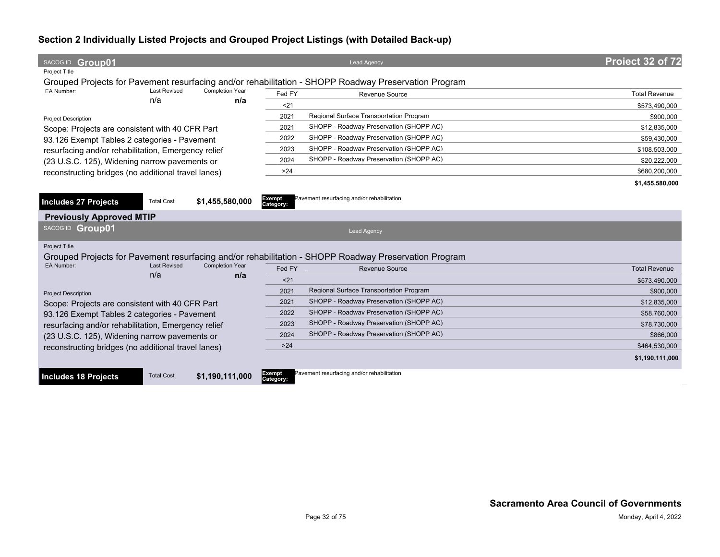| SACOG ID Group01                                    |                     |                        |                     | <b>Lead Agency</b>                                                                                   | Project 32 of 72     |
|-----------------------------------------------------|---------------------|------------------------|---------------------|------------------------------------------------------------------------------------------------------|----------------------|
| Project Title                                       |                     |                        |                     |                                                                                                      |                      |
|                                                     |                     |                        |                     | Grouped Projects for Pavement resurfacing and/or rehabilitation - SHOPP Roadway Preservation Program |                      |
| EA Number:                                          | <b>Last Revised</b> | <b>Completion Year</b> | Fed FY              | Revenue Source                                                                                       | <b>Total Revenue</b> |
|                                                     | n/a                 | n/a                    | $21$                |                                                                                                      | \$573,490,000        |
| <b>Project Description</b>                          |                     |                        | 2021                | Regional Surface Transportation Program                                                              | \$900,000            |
| Scope: Projects are consistent with 40 CFR Part     |                     |                        | 2021                | SHOPP - Roadway Preservation (SHOPP AC)                                                              | \$12,835,000         |
| 93.126 Exempt Tables 2 categories - Pavement        |                     |                        | 2022                | SHOPP - Roadway Preservation (SHOPP AC)                                                              | \$59,430,000         |
| resurfacing and/or rehabilitation, Emergency relief |                     |                        | 2023                | SHOPP - Roadway Preservation (SHOPP AC)                                                              | \$108,503,000        |
| (23 U.S.C. 125), Widening narrow pavements or       |                     |                        | 2024                | SHOPP - Roadway Preservation (SHOPP AC)                                                              | \$20,222,000         |
| reconstructing bridges (no additional travel lanes) |                     |                        | $>24$               |                                                                                                      | \$680,200,000        |
|                                                     |                     |                        |                     |                                                                                                      | \$1,455,580,000      |
|                                                     |                     |                        |                     |                                                                                                      |                      |
| Includes 27 Projects                                | <b>Total Cost</b>   | \$1,455,580,000        | Exempt<br>Category: | Pavement resurfacing and/or rehabilitation                                                           |                      |
| <b>Previously Approved MTIP</b>                     |                     |                        |                     |                                                                                                      |                      |
| SACOG ID Group01                                    |                     |                        |                     | <b>Lead Agency</b>                                                                                   |                      |
| <b>Project Title</b>                                |                     |                        |                     |                                                                                                      |                      |
|                                                     |                     |                        |                     | Grouped Projects for Pavement resurfacing and/or rehabilitation - SHOPP Roadway Preservation Program |                      |
| EA Number:                                          | <b>Last Revised</b> | <b>Completion Year</b> | Fed FY              | Revenue Source                                                                                       | <b>Total Revenue</b> |
|                                                     | n/a                 | n/a                    | $21$                |                                                                                                      | \$573.490.000        |
| <b>Project Description</b>                          |                     |                        | 2021                | Regional Surface Transportation Program                                                              | \$900,000            |
| Scope: Projects are consistent with 40 CFR Part     |                     |                        | 2021                | SHOPP - Roadway Preservation (SHOPP AC)                                                              | \$12,835,000         |
| 93.126 Exempt Tables 2 categories - Pavement        |                     |                        | 2022                | SHOPP - Roadway Preservation (SHOPP AC)                                                              | \$58,760,000         |
| resurfacing and/or rehabilitation, Emergency relief |                     |                        | 2023                | SHOPP - Roadway Preservation (SHOPP AC)                                                              | \$78,730,000         |
| (23 U.S.C. 125), Widening narrow pavements or       |                     |                        | 2024                | SHOPP - Roadway Preservation (SHOPP AC)                                                              | \$866,000            |
| reconstructing bridges (no additional travel lanes) |                     |                        | $>24$               |                                                                                                      | \$464,530,000        |
|                                                     |                     |                        |                     |                                                                                                      | \$1,190,111,000      |
|                                                     |                     |                        |                     |                                                                                                      |                      |
| <b>Includes 18 Projects</b>                         | <b>Total Cost</b>   | \$1,190,111,000        | Exempt<br>Category: | Pavement resurfacing and/or rehabilitation                                                           |                      |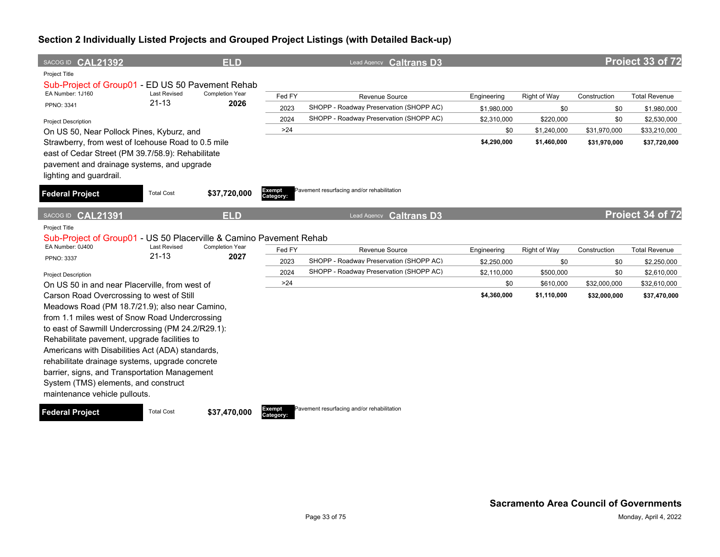| SACOG ID CAL21392                                                                                                                                                                |                                  | <b>ELD</b>              |                            | Lead Agency Caltrans D3                    |             |              |              | Project 33 of 72     |
|----------------------------------------------------------------------------------------------------------------------------------------------------------------------------------|----------------------------------|-------------------------|----------------------------|--------------------------------------------|-------------|--------------|--------------|----------------------|
| Project Title<br>Sub-Project of Group01 - ED US 50 Pavement Rehab                                                                                                                |                                  |                         |                            |                                            |             |              |              |                      |
| EA Number: 1J160                                                                                                                                                                 | <b>Last Revised</b>              | <b>Completion Year</b>  | Fed FY                     | Revenue Source                             | Engineering | Right of Way | Construction | <b>Total Revenue</b> |
| PPNO: 3341                                                                                                                                                                       | $21 - 13$                        | 2026                    | 2023                       | SHOPP - Roadway Preservation (SHOPP AC)    | \$1,980,000 | \$0          | \$0          | \$1,980,000          |
| <b>Project Description</b>                                                                                                                                                       |                                  |                         | 2024                       | SHOPP - Roadway Preservation (SHOPP AC)    | \$2,310,000 | \$220,000    | \$0          | \$2,530,000          |
| On US 50, Near Pollock Pines, Kyburz, and                                                                                                                                        |                                  |                         | >24                        |                                            | \$0         | \$1,240,000  | \$31,970,000 | \$33,210,000         |
| Strawberry, from west of Icehouse Road to 0.5 mile<br>east of Cedar Street (PM 39.7/58.9): Rehabilitate<br>pavement and drainage systems, and upgrade<br>lighting and guardrail. |                                  |                         |                            |                                            | \$4,290,000 | \$1,460,000  | \$31,970,000 | \$37,720,000         |
| <b>Federal Project</b>                                                                                                                                                           | <b>Total Cost</b>                | \$37,720,000            | <b>Exempt</b><br>Category: | Pavement resurfacing and/or rehabilitation |             |              |              |                      |
| SACOG ID CAL21391                                                                                                                                                                |                                  | <b>ELD</b>              |                            | <b>Caltrans D3</b><br>Lead Agency          |             |              |              | Project 34 of 72     |
| Project Title                                                                                                                                                                    |                                  |                         |                            |                                            |             |              |              |                      |
| Sub-Project of Group01 - US 50 Placerville & Camino Pavement Rehab                                                                                                               |                                  |                         |                            |                                            |             |              |              |                      |
| EA Number: 0J400                                                                                                                                                                 | <b>Last Revised</b><br>$21 - 13$ | Completion Year<br>2027 | Fed FY                     | Revenue Source                             | Engineering | Right of Way | Construction | <b>Total Revenue</b> |
| PPNO: 3337                                                                                                                                                                       |                                  |                         | 2023                       | SHOPP - Roadway Preservation (SHOPP AC)    | \$2,250,000 | \$0          | \$0          | \$2,250,000          |
| <b>Project Description</b>                                                                                                                                                       |                                  |                         | 2024                       | SHOPP - Roadway Preservation (SHOPP AC)    | \$2,110,000 | \$500,000    | \$0          | \$2,610,000          |
| On US 50 in and near Placerville, from west of                                                                                                                                   |                                  |                         | >24                        |                                            | \$0         | \$610,000    | \$32,000,000 | \$32,610,000         |
| Carson Road Overcrossing to west of Still                                                                                                                                        |                                  |                         |                            |                                            | \$4,360,000 | \$1,110,000  | \$32,000,000 | \$37,470,000         |
| Meadows Road (PM 18.7/21.9); also near Camino,                                                                                                                                   |                                  |                         |                            |                                            |             |              |              |                      |
| from 1.1 miles west of Snow Road Undercrossing                                                                                                                                   |                                  |                         |                            |                                            |             |              |              |                      |
| to east of Sawmill Undercrossing (PM 24.2/R29.1):                                                                                                                                |                                  |                         |                            |                                            |             |              |              |                      |
| Rehabilitate pavement, upgrade facilities to                                                                                                                                     |                                  |                         |                            |                                            |             |              |              |                      |
| Americans with Disabilities Act (ADA) standards,                                                                                                                                 |                                  |                         |                            |                                            |             |              |              |                      |
| rehabilitate drainage systems, upgrade concrete                                                                                                                                  |                                  |                         |                            |                                            |             |              |              |                      |
| barrier, signs, and Transportation Management                                                                                                                                    |                                  |                         |                            |                                            |             |              |              |                      |
| System (TMS) elements, and construct<br>maintenance vehicle pullouts.                                                                                                            |                                  |                         |                            |                                            |             |              |              |                      |

**Federal Project** Total Cost \$37,470,000

**Category:**

Pavement resurfacing and/or rehabilitation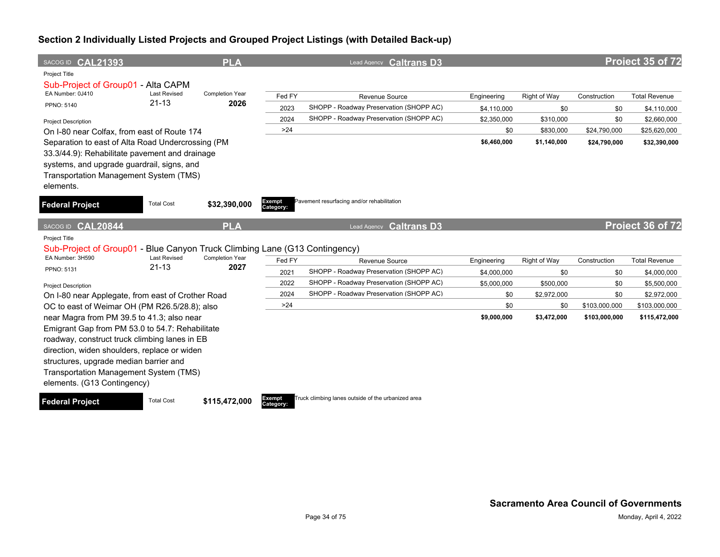| SACOG ID CAL21393                                                                                                                                                                                                                                                                                                 |                                  | <b>PLA</b>                     |                     | Lead Agency Caltrans D3                                   |                            |                     |                     | Project 35 of 72                    |
|-------------------------------------------------------------------------------------------------------------------------------------------------------------------------------------------------------------------------------------------------------------------------------------------------------------------|----------------------------------|--------------------------------|---------------------|-----------------------------------------------------------|----------------------------|---------------------|---------------------|-------------------------------------|
| Project Title                                                                                                                                                                                                                                                                                                     |                                  |                                |                     |                                                           |                            |                     |                     |                                     |
| Sub-Project of Group01 - Alta CAPM<br>EA Number: 0J410<br><b>PPNO: 5140</b>                                                                                                                                                                                                                                       | <b>Last Revised</b><br>$21 - 13$ | <b>Completion Year</b><br>2026 | Fed FY<br>2023      | Revenue Source<br>SHOPP - Roadway Preservation (SHOPP AC) | Engineering<br>\$4,110,000 | Right of Way<br>\$0 | Construction<br>\$0 | <b>Total Revenue</b><br>\$4,110,000 |
|                                                                                                                                                                                                                                                                                                                   |                                  |                                | 2024                | SHOPP - Roadway Preservation (SHOPP AC)                   | \$2,350,000                | \$310,000           | \$0                 | \$2,660,000                         |
| <b>Project Description</b><br>On I-80 near Colfax, from east of Route 174                                                                                                                                                                                                                                         |                                  |                                | $>24$               |                                                           | \$0                        | \$830,000           | \$24,790,000        | \$25,620,000                        |
| Separation to east of Alta Road Undercrossing (PM<br>33.3/44.9): Rehabilitate pavement and drainage<br>systems, and upgrade guardrail, signs, and<br>Transportation Management System (TMS)<br>elements.                                                                                                          |                                  |                                |                     |                                                           | \$6,460,000                | \$1,140,000         | \$24,790,000        | \$32,390,000                        |
| <b>Federal Project</b>                                                                                                                                                                                                                                                                                            | <b>Total Cost</b>                | \$32,390,000                   | Exempt<br>Category: | Pavement resurfacing and/or rehabilitation                |                            |                     |                     |                                     |
| <b>CAL20844</b><br>SACOG ID                                                                                                                                                                                                                                                                                       |                                  | <b>PLA</b>                     |                     | <b>Caltrans D3</b><br>Lead Agency                         |                            |                     |                     | Project 36 of 72                    |
| <b>Project Title</b><br>Sub-Project of Group01 - Blue Canyon Truck Climbing Lane (G13 Contingency)                                                                                                                                                                                                                |                                  |                                |                     |                                                           |                            |                     |                     |                                     |
| EA Number: 3H590                                                                                                                                                                                                                                                                                                  | <b>Last Revised</b>              | <b>Completion Year</b>         | Fed FY              | Revenue Source                                            | Engineering                | Right of Way        | Construction        | <b>Total Revenue</b>                |
| PPNO: 5131                                                                                                                                                                                                                                                                                                        | $21 - 13$                        | 2027                           | 2021                | SHOPP - Roadway Preservation (SHOPP AC)                   | \$4,000,000                | \$0                 | \$0                 | \$4,000,000                         |
| <b>Project Description</b>                                                                                                                                                                                                                                                                                        |                                  |                                | 2022                | SHOPP - Roadway Preservation (SHOPP AC)                   | \$5,000,000                | \$500,000           | \$0                 | \$5,500,000                         |
| On I-80 near Applegate, from east of Crother Road                                                                                                                                                                                                                                                                 |                                  |                                | 2024                | SHOPP - Roadway Preservation (SHOPP AC)                   | \$0                        | \$2,972,000         | \$0                 | \$2,972,000                         |
| OC to east of Weimar OH (PM R26.5/28.8); also                                                                                                                                                                                                                                                                     |                                  |                                | $>24$               |                                                           | \$0                        | \$0                 | \$103,000,000       | \$103,000,000                       |
| near Magra from PM 39.5 to 41.3; also near<br>Emigrant Gap from PM 53.0 to 54.7: Rehabilitate<br>roadway, construct truck climbing lanes in EB<br>direction, widen shoulders, replace or widen<br>structures, upgrade median barrier and<br>Transportation Management System (TMS)<br>elements. (G13 Contingency) |                                  |                                |                     |                                                           | \$9,000,000                | \$3,472,000         | \$103,000,000       | \$115,472,000                       |

**Federal Project** Total Cost \$115,472,000



Truck climbing lanes outside of the urbanized area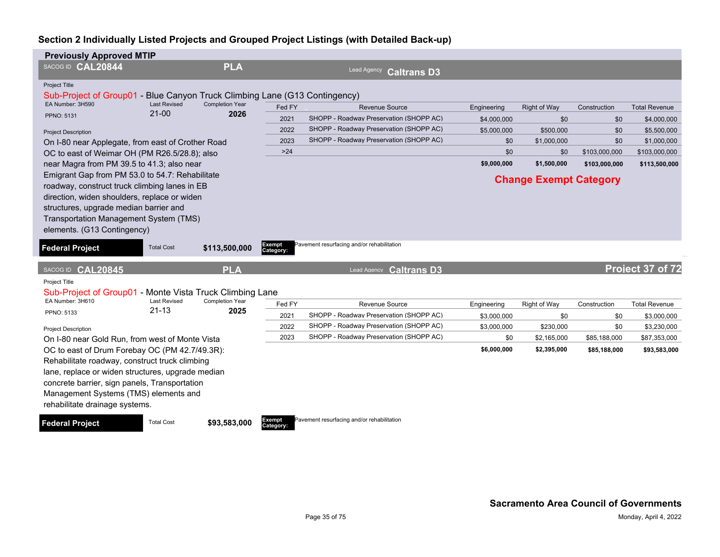| <b>Previously Approved MTIP</b>                                                                                                                                                                                                                                                   |                     |                                                                             |                     |                                            |             |                               |               |                      |
|-----------------------------------------------------------------------------------------------------------------------------------------------------------------------------------------------------------------------------------------------------------------------------------|---------------------|-----------------------------------------------------------------------------|---------------------|--------------------------------------------|-------------|-------------------------------|---------------|----------------------|
| SACOG ID CAL20844                                                                                                                                                                                                                                                                 |                     | <b>PLA</b>                                                                  |                     | Lead Agency<br><b>Caltrans D3</b>          |             |                               |               |                      |
| <b>Project Title</b>                                                                                                                                                                                                                                                              |                     |                                                                             |                     |                                            |             |                               |               |                      |
| Sub-Project of Group01<br>EA Number: 3H590                                                                                                                                                                                                                                        | <b>Last Revised</b> | Blue Canyon Truck Climbing Lane (G13 Contingency)<br><b>Completion Year</b> |                     |                                            |             |                               |               |                      |
| <b>PPNO: 5131</b>                                                                                                                                                                                                                                                                 | $21-00$             | 2026                                                                        | Fed FY              | <b>Revenue Source</b>                      | Engineering | <b>Right of Way</b>           | Construction  | <b>Total Revenue</b> |
|                                                                                                                                                                                                                                                                                   |                     |                                                                             | 2021                | SHOPP - Roadway Preservation (SHOPP AC)    | \$4,000,000 | \$0                           | \$0           | \$4,000,000          |
| <b>Project Description</b>                                                                                                                                                                                                                                                        |                     |                                                                             | 2022                | SHOPP - Roadway Preservation (SHOPP AC)    | \$5,000,000 | \$500,000                     | \$0           | \$5,500,000          |
| On I-80 near Applegate, from east of Crother Road                                                                                                                                                                                                                                 |                     |                                                                             | 2023                | SHOPP - Roadway Preservation (SHOPP AC)    | \$0         | \$1,000,000                   | \$0           | \$1,000,000          |
| OC to east of Weimar OH (PM R26.5/28.8); also                                                                                                                                                                                                                                     |                     |                                                                             | $>24$               |                                            | \$0         | \$0                           | \$103,000,000 | \$103,000,000        |
| near Magra from PM 39.5 to 41.3; also near                                                                                                                                                                                                                                        |                     |                                                                             |                     |                                            | \$9,000,000 | \$1,500,000                   | \$103,000,000 | \$113,500,000        |
| Emigrant Gap from PM 53.0 to 54.7: Rehabilitate<br>roadway, construct truck climbing lanes in EB<br>direction, widen shoulders, replace or widen<br>structures, upgrade median barrier and<br>Transportation Management System (TMS)<br>elements. (G13 Contingency)               |                     |                                                                             |                     |                                            |             | <b>Change Exempt Category</b> |               |                      |
| <b>Federal Project</b>                                                                                                                                                                                                                                                            | <b>Total Cost</b>   | \$113,500,000                                                               | Exempt<br>Category: | Pavement resurfacing and/or rehabilitation |             |                               |               |                      |
| SACOG ID CAL20845                                                                                                                                                                                                                                                                 |                     | <b>PLA</b>                                                                  |                     | Lead Agency Caltrans D3                    |             |                               |               | Project 37 of 72     |
| Project Title<br>Sub-Project of Group01 - Monte Vista Truck Climbing Lane                                                                                                                                                                                                         |                     |                                                                             |                     |                                            |             |                               |               |                      |
| EA Number: 3H610                                                                                                                                                                                                                                                                  | <b>Last Revised</b> | <b>Completion Year</b>                                                      | Fed FY              | Revenue Source                             | Engineering | Right of Way                  | Construction  | <b>Total Revenue</b> |
| PPNO: 5133                                                                                                                                                                                                                                                                        | $21 - 13$           | 2025                                                                        | 2021                | SHOPP - Roadway Preservation (SHOPP AC)    | \$3,000,000 | \$0                           | \$0           | \$3,000,000          |
| <b>Project Description</b>                                                                                                                                                                                                                                                        |                     |                                                                             | 2022                | SHOPP - Roadway Preservation (SHOPP AC)    | \$3,000,000 | \$230,000                     | \$0           | \$3,230,000          |
| On I-80 near Gold Run, from west of Monte Vista                                                                                                                                                                                                                                   |                     |                                                                             | 2023                | SHOPP - Roadway Preservation (SHOPP AC)    | \$0         | \$2,165,000                   | \$85,188,000  | \$87,353,000         |
| OC to east of Drum Forebay OC (PM 42.7/49.3R):<br>Rehabilitate roadway, construct truck climbing<br>lane, replace or widen structures, upgrade median<br>concrete barrier, sign panels, Transportation<br>Management Systems (TMS) elements and<br>rehabilitate drainage systems. |                     |                                                                             |                     |                                            | \$6,000,000 | \$2,395,000                   | \$85,188,000  | \$93,583,000         |
| <b>Federal Project</b>                                                                                                                                                                                                                                                            | <b>Total Cost</b>   | \$93,583,000                                                                | Exempt<br>Category: | Pavement resurfacing and/or rehabilitation |             |                               |               |                      |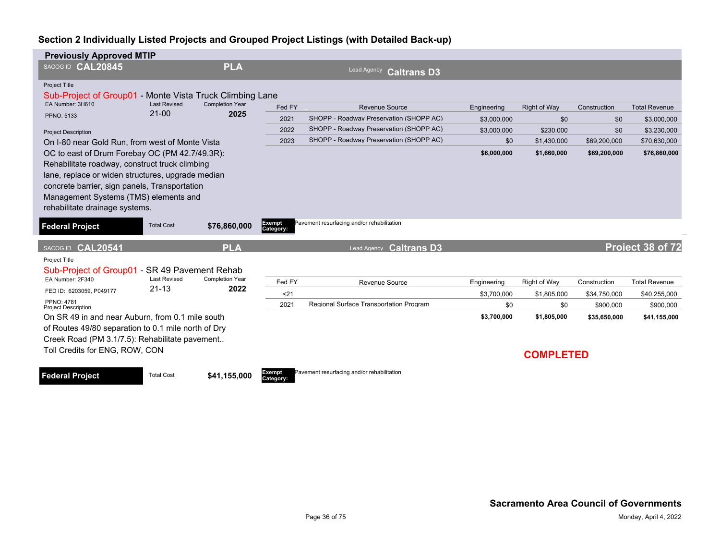| <b>Previously Approved MTIP</b>                                                                                                                                                                                                                                                   |                                  |                                |                     |                                            |             |                                 |              |                      |
|-----------------------------------------------------------------------------------------------------------------------------------------------------------------------------------------------------------------------------------------------------------------------------------|----------------------------------|--------------------------------|---------------------|--------------------------------------------|-------------|---------------------------------|--------------|----------------------|
| SACOG ID CAL20845                                                                                                                                                                                                                                                                 |                                  | <b>PLA</b>                     |                     | Lead Agency<br><b>Caltrans D3</b>          |             |                                 |              |                      |
| Project Title<br>Sub-Project of Group01 - Monte Vista Truck Climbing Lane                                                                                                                                                                                                         |                                  |                                |                     |                                            |             |                                 |              |                      |
| EA Number: 3H610                                                                                                                                                                                                                                                                  | <b>Last Revised</b><br>$21 - 00$ | <b>Completion Year</b><br>2025 | Fed FY              | <b>Revenue Source</b>                      | Engineering | <b>Right of Way</b>             | Construction | <b>Total Revenue</b> |
| <b>PPNO: 5133</b>                                                                                                                                                                                                                                                                 |                                  |                                | 2021                | SHOPP - Roadway Preservation (SHOPP AC)    | \$3,000,000 | \$0                             | \$0          | \$3,000,000          |
| <b>Project Description</b>                                                                                                                                                                                                                                                        |                                  |                                | 2022                | SHOPP - Roadway Preservation (SHOPP AC)    | \$3,000,000 | \$230,000                       | \$0          | \$3,230,000          |
| On I-80 near Gold Run, from west of Monte Vista                                                                                                                                                                                                                                   |                                  |                                | 2023                | SHOPP - Roadway Preservation (SHOPP AC)    | \$0         | \$1,430,000                     | \$69,200,000 | \$70,630,000         |
| OC to east of Drum Forebay OC (PM 42.7/49.3R):<br>Rehabilitate roadway, construct truck climbing<br>lane, replace or widen structures, upgrade median<br>concrete barrier, sign panels, Transportation<br>Management Systems (TMS) elements and<br>rehabilitate drainage systems. |                                  |                                |                     |                                            | \$6,000,000 | \$1,660,000                     | \$69,200,000 | \$76,860,000         |
| <b>Federal Project</b>                                                                                                                                                                                                                                                            | <b>Total Cost</b>                | \$76,860,000                   | Exempt<br>Category: | Pavement resurfacing and/or rehabilitation |             |                                 |              |                      |
| SACOG ID CAL20541                                                                                                                                                                                                                                                                 |                                  | <b>PLA</b>                     |                     | <b>Caltrans D3</b><br>Lead Agency          |             |                                 |              | Project 38 of 72     |
| Project Title<br>Sub-Project of Group01 - SR 49 Pavement Rehab                                                                                                                                                                                                                    |                                  |                                |                     |                                            |             |                                 |              |                      |
| EA Number: 2F340                                                                                                                                                                                                                                                                  | <b>Last Revised</b>              | Completion Year                | Fed FY              | Revenue Source                             | Engineering | Right of Way                    | Construction | <b>Total Revenue</b> |
| FED ID: 6203059, P049177                                                                                                                                                                                                                                                          | $21 - 13$                        | 2022                           | $21$                |                                            | \$3,700,000 | \$1,805,000                     | \$34,750,000 | \$40,255,000         |
|                                                                                                                                                                                                                                                                                   |                                  |                                |                     |                                            |             |                                 |              |                      |
| PPNO: 4781<br><b>Project Description</b>                                                                                                                                                                                                                                          |                                  |                                | 2021                | Regional Surface Transportation Program    | \$0         | \$0                             | \$900,000    | \$900,000            |
| On SR 49 in and near Auburn, from 0.1 mile south<br>of Routes 49/80 separation to 0.1 mile north of Dry<br>Creek Road (PM 3.1/7.5): Rehabilitate pavement<br>Toll Credits for ENG, ROW, CON                                                                                       |                                  |                                |                     |                                            | \$3,700,000 | \$1,805,000<br><b>COMPLETED</b> | \$35,650,000 | \$41,155,000         |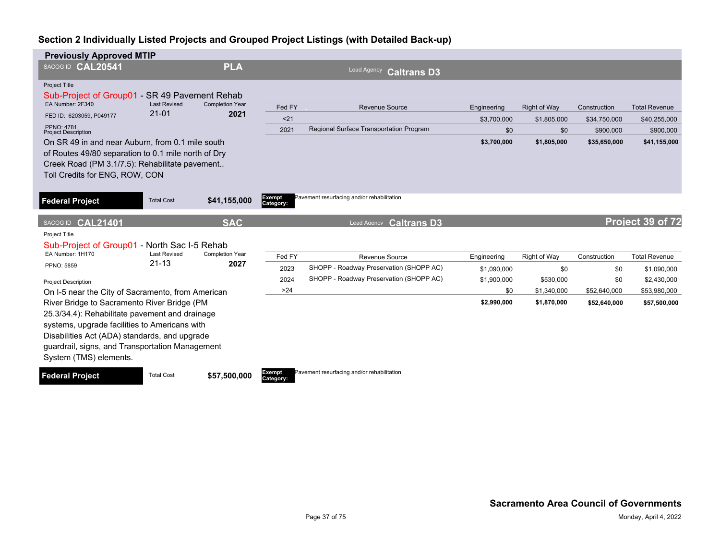| <b>Previously Approved MTIP</b>                                                                                                                                                                                                                                                                        |                                  |                                |                     |                                                           |                            |                     |              |                            |
|--------------------------------------------------------------------------------------------------------------------------------------------------------------------------------------------------------------------------------------------------------------------------------------------------------|----------------------------------|--------------------------------|---------------------|-----------------------------------------------------------|----------------------------|---------------------|--------------|----------------------------|
| SACOG ID CAL20541                                                                                                                                                                                                                                                                                      |                                  | <b>PLA</b>                     |                     | Lead Agency<br><b>Caltrans D3</b>                         |                            |                     |              |                            |
| <b>Project Title</b><br>Sub-Project of Group01 - SR 49 Pavement Rehab                                                                                                                                                                                                                                  |                                  |                                |                     |                                                           |                            |                     |              |                            |
| EA Number: 2F340                                                                                                                                                                                                                                                                                       | <b>Last Revised</b><br>$21 - 01$ | <b>Completion Year</b><br>2021 | Fed FY              | Revenue Source                                            | Engineering                | <b>Right of Way</b> | Construction | <b>Total Revenue</b>       |
| FED ID: 6203059, P049177<br>PPNO: 4781                                                                                                                                                                                                                                                                 |                                  |                                | < 21                |                                                           | \$3,700,000                | \$1,805,000         | \$34,750,000 | \$40,255,000               |
| <b>Project Description</b>                                                                                                                                                                                                                                                                             |                                  |                                | 2021                | Regional Surface Transportation Program                   | \$0                        | \$0                 | \$900,000    | \$900,000                  |
| On SR 49 in and near Auburn, from 0.1 mile south<br>of Routes 49/80 separation to 0.1 mile north of Dry<br>Creek Road (PM 3.1/7.5): Rehabilitate pavement<br>Toll Credits for ENG, ROW, CON                                                                                                            |                                  |                                |                     |                                                           | \$3,700,000                | \$1,805,000         | \$35,650,000 | \$41,155,000               |
| <b>Federal Project</b>                                                                                                                                                                                                                                                                                 | <b>Total Cost</b>                | \$41,155,000                   | Exempt<br>Category: | Pavement resurfacing and/or rehabilitation                |                            |                     |              |                            |
| SACOG ID CAL21401                                                                                                                                                                                                                                                                                      |                                  | <b>SAC</b>                     |                     | <b>Caltrans D3</b><br>Lead Agency                         |                            |                     |              | Project 39 of 72           |
| Project Title<br>Sub-Project of Group01 - North Sac I-5 Rehab<br>EA Number: 1H170                                                                                                                                                                                                                      |                                  |                                |                     |                                                           |                            |                     |              |                            |
|                                                                                                                                                                                                                                                                                                        | <b>Last Revised</b>              | <b>Completion Year</b>         | Fed FY              |                                                           |                            |                     |              | <b>Total Revenue</b>       |
| PPNO: 5859                                                                                                                                                                                                                                                                                             | $21 - 13$                        | 2027                           | 2023                | Revenue Source<br>SHOPP - Roadway Preservation (SHOPP AC) | Engineering                | Right of Way        | Construction |                            |
|                                                                                                                                                                                                                                                                                                        |                                  |                                | 2024                | SHOPP - Roadway Preservation (SHOPP AC)                   | \$1.090.000<br>\$1,900,000 | \$0<br>\$530,000    | \$0<br>\$0   | \$1,090,000<br>\$2,430,000 |
| <b>Project Description</b><br>On I-5 near the City of Sacramento, from American                                                                                                                                                                                                                        |                                  |                                | >24                 |                                                           | \$0                        | \$1,340,000         | \$52,640,000 | \$53,980,000               |
| River Bridge to Sacramento River Bridge (PM<br>25.3/34.4): Rehabilitate pavement and drainage<br>systems, upgrade facilities to Americans with<br>Disabilities Act (ADA) standards, and upgrade<br>guardrail, signs, and Transportation Management<br>System (TMS) elements.<br><b>Federal Project</b> | <b>Total Cost</b>                | \$57,500,000                   | Exempt              | Pavement resurfacing and/or rehabilitation                | \$2,990,000                | \$1,870,000         | \$52,640,000 | \$57,500,000               |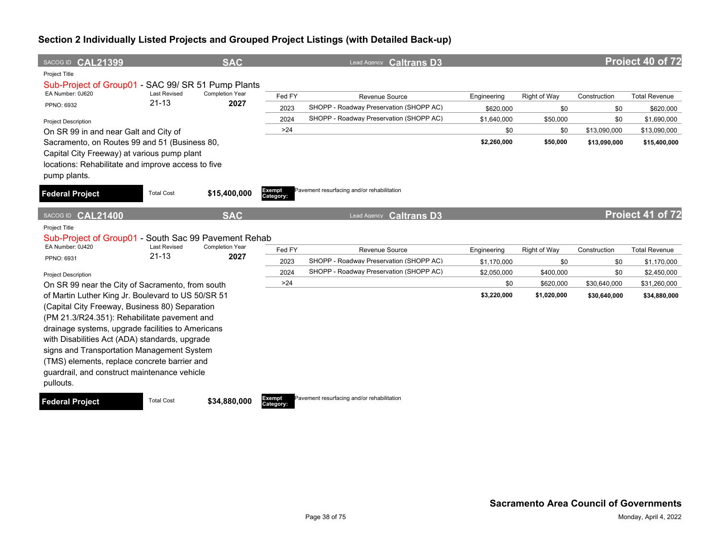| SACOG ID CAL21399                                                                                                                                                                                                                                                                                                                                                |                                  | <b>SAC</b>              |                     | Lead Agency <b>Caltrans D3</b>                                                     |                          |                          |                              | Project 40 of 72             |
|------------------------------------------------------------------------------------------------------------------------------------------------------------------------------------------------------------------------------------------------------------------------------------------------------------------------------------------------------------------|----------------------------------|-------------------------|---------------------|------------------------------------------------------------------------------------|--------------------------|--------------------------|------------------------------|------------------------------|
| Project Title<br>Sub-Project of Group01 - SAC 99/ SR 51 Pump Plants<br>EA Number: 0J620<br>PPNO: 6932                                                                                                                                                                                                                                                            | <b>Last Revised</b><br>$21 - 13$ | Completion Year<br>2027 | Fed FY<br>2023      | Revenue Source<br>SHOPP - Roadway Preservation (SHOPP AC)                          | Engineering              | Right of Way             | Construction                 | <b>Total Revenue</b>         |
|                                                                                                                                                                                                                                                                                                                                                                  |                                  |                         | 2024                | SHOPP - Roadway Preservation (SHOPP AC)                                            | \$620,000<br>\$1,640,000 | \$0<br>\$50,000          | \$0<br>\$0                   | \$620,000<br>\$1,690,000     |
| <b>Project Description</b><br>On SR 99 in and near Galt and City of                                                                                                                                                                                                                                                                                              |                                  |                         | >24                 |                                                                                    | \$0                      | \$0                      | \$13,090,000                 | \$13,090,000                 |
| Sacramento, on Routes 99 and 51 (Business 80,<br>Capital City Freeway) at various pump plant<br>locations: Rehabilitate and improve access to five<br>pump plants.                                                                                                                                                                                               |                                  |                         |                     |                                                                                    | \$2,260,000              | \$50,000                 | \$13,090,000                 | \$15,400,000                 |
| <b>Federal Project</b>                                                                                                                                                                                                                                                                                                                                           | <b>Total Cost</b>                | \$15,400,000            | Exempt<br>Category: | Pavement resurfacing and/or rehabilitation                                         |                          |                          |                              |                              |
| <b>CAL21400</b><br>SACOG ID                                                                                                                                                                                                                                                                                                                                      |                                  | <b>SAC</b>              |                     | <b>Caltrans D3</b><br><b>Lead Agency</b>                                           |                          |                          |                              | Project 41 of 72             |
| <b>Project Title</b><br>Sub-Project of Group01 - South Sac 99 Pavement Rehab<br>EA Number: 0J420                                                                                                                                                                                                                                                                 | <b>Last Revised</b>              | <b>Completion Year</b>  |                     |                                                                                    |                          |                          |                              |                              |
| PPNO: 6931                                                                                                                                                                                                                                                                                                                                                       | $21 - 13$                        | 2027                    | Fed FY              | Revenue Source                                                                     | Engineering              | Right of Way             | Construction                 | <b>Total Revenue</b>         |
|                                                                                                                                                                                                                                                                                                                                                                  |                                  |                         | 2023                | SHOPP - Roadway Preservation (SHOPP AC)<br>SHOPP - Roadway Preservation (SHOPP AC) | \$1.170.000              | \$0                      | \$0                          | \$1,170,000                  |
| <b>Project Description</b>                                                                                                                                                                                                                                                                                                                                       |                                  |                         | 2024<br>>24         |                                                                                    | \$2,050,000              | \$400,000                | \$0                          | \$2,450,000                  |
| On SR 99 near the City of Sacramento, from south<br>of Martin Luther King Jr. Boulevard to US 50/SR 51                                                                                                                                                                                                                                                           |                                  |                         |                     |                                                                                    | \$0<br>\$3,220,000       | \$620,000<br>\$1,020,000 | \$30,640,000<br>\$30,640,000 | \$31,260,000<br>\$34,880,000 |
| (Capital City Freeway, Business 80) Separation<br>(PM 21.3/R24.351): Rehabilitate pavement and<br>drainage systems, upgrade facilities to Americans<br>with Disabilities Act (ADA) standards, upgrade<br>signs and Transportation Management System<br>(TMS) elements, replace concrete barrier and<br>guardrail, and construct maintenance vehicle<br>pullouts. |                                  |                         |                     |                                                                                    |                          |                          |                              |                              |

**Federal Project** Total Cost \$34,880,000

**Category:**

Pavement resurfacing and/or rehabilitation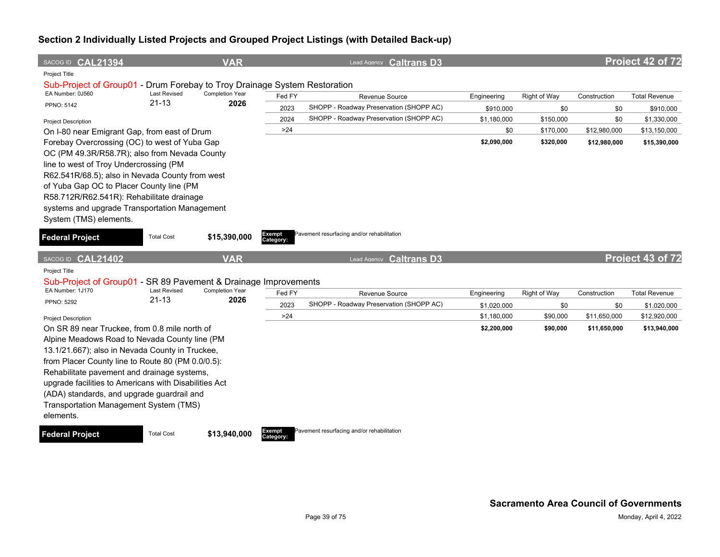| SACOG ID CAL21394                                                                          |                                  | <b>VAR</b>              |           | Lead Agency Caltrans D3                    |             |              |              | Project 42 of 72     |
|--------------------------------------------------------------------------------------------|----------------------------------|-------------------------|-----------|--------------------------------------------|-------------|--------------|--------------|----------------------|
| Project Title                                                                              |                                  |                         |           |                                            |             |              |              |                      |
| Sub-Project of Group01 - Drum Forebay to Troy Drainage System Restoration                  |                                  |                         |           |                                            |             |              |              |                      |
| EA Number: 0J560                                                                           | <b>Last Revised</b><br>$21 - 13$ | Completion Year<br>2026 | Fed FY    | Revenue Source                             | Engineering | Right of Way | Construction | <b>Total Revenue</b> |
| <b>PPNO: 5142</b>                                                                          |                                  |                         | 2023      | SHOPP - Roadway Preservation (SHOPP AC)    | \$910,000   | \$0          | \$0          | \$910,000            |
| <b>Project Description</b>                                                                 |                                  |                         | 2024      | SHOPP - Roadway Preservation (SHOPP AC)    | \$1,180,000 | \$150,000    | \$0          | \$1,330,000          |
| On I-80 near Emigrant Gap, from east of Drum                                               |                                  |                         | $>24$     |                                            | \$0         | \$170,000    | \$12,980,000 | \$13,150,000         |
| Forebay Overcrossing (OC) to west of Yuba Gap                                              |                                  |                         |           |                                            | \$2,090,000 | \$320,000    | \$12,980,000 | \$15,390,000         |
| OC (PM 49.3R/R58.7R); also from Nevada County                                              |                                  |                         |           |                                            |             |              |              |                      |
| line to west of Troy Undercrossing (PM                                                     |                                  |                         |           |                                            |             |              |              |                      |
| R62.541R/68.5); also in Nevada County from west                                            |                                  |                         |           |                                            |             |              |              |                      |
| of Yuba Gap OC to Placer County line (PM                                                   |                                  |                         |           |                                            |             |              |              |                      |
| R58.712R/R62.541R): Rehabilitate drainage<br>systems and upgrade Transportation Management |                                  |                         |           |                                            |             |              |              |                      |
| System (TMS) elements.                                                                     |                                  |                         |           |                                            |             |              |              |                      |
|                                                                                            |                                  |                         | Exempt    | Pavement resurfacing and/or rehabilitation |             |              |              |                      |
| <b>Federal Project</b>                                                                     | <b>Total Cost</b>                | \$15,390,000            | Category: |                                            |             |              |              |                      |
|                                                                                            |                                  |                         |           |                                            |             |              |              |                      |
| SACOG ID CAL21402                                                                          |                                  | <b>VAR</b>              |           | Lead Agency Caltrans D3                    |             |              |              | Project 43 of 72     |
| <b>Project Title</b>                                                                       |                                  |                         |           |                                            |             |              |              |                      |
| Sub-Project of Group01 - SR 89 Pavement & Drainage Improvements                            |                                  |                         |           |                                            |             |              |              |                      |
| EA Number: 1J170                                                                           | <b>Last Revised</b>              | <b>Completion Year</b>  | Fed FY    | Revenue Source                             | Engineering | Right of Way | Construction | <b>Total Revenue</b> |
| PPNO: 5292                                                                                 | $21 - 13$                        | 2026                    | 2023      | SHOPP - Roadway Preservation (SHOPP AC)    | \$1,020,000 | \$0          | \$0          | \$1,020,000          |
| <b>Project Description</b>                                                                 |                                  |                         | >24       |                                            | \$1,180,000 | \$90,000     | \$11,650,000 | \$12,920,000         |
| On SR 89 near Truckee, from 0.8 mile north of                                              |                                  |                         |           |                                            | \$2,200,000 | \$90,000     | \$11,650,000 | \$13,940,000         |
| Alpine Meadows Road to Nevada County line (PM                                              |                                  |                         |           |                                            |             |              |              |                      |
| 13.1/21.667); also in Nevada County in Truckee,                                            |                                  |                         |           |                                            |             |              |              |                      |
| from Placer County line to Route 80 (PM 0.0/0.5):                                          |                                  |                         |           |                                            |             |              |              |                      |
| Rehabilitate pavement and drainage systems,                                                |                                  |                         |           |                                            |             |              |              |                      |
| upgrade facilities to Americans with Disabilities Act                                      |                                  |                         |           |                                            |             |              |              |                      |
| (ADA) standards, and upgrade guardrail and                                                 |                                  |                         |           |                                            |             |              |              |                      |
| Transportation Management System (TMS)                                                     |                                  |                         |           |                                            |             |              |              |                      |
| elements.                                                                                  |                                  |                         |           |                                            |             |              |              |                      |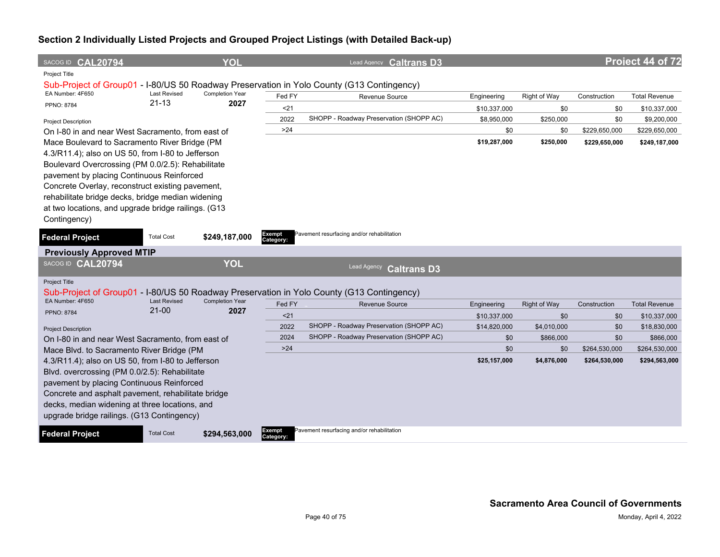| SACOG ID CAL20794                                   |                                  | <b>YOL</b>                     |                     | Lead Agency Caltrans D3                                                                   |              |                     |               | Project 44 of 72     |
|-----------------------------------------------------|----------------------------------|--------------------------------|---------------------|-------------------------------------------------------------------------------------------|--------------|---------------------|---------------|----------------------|
| Project Title                                       |                                  |                                |                     |                                                                                           |              |                     |               |                      |
|                                                     | <b>Last Revised</b>              |                                |                     | Sub-Project of Group01 - I-80/US 50 Roadway Preservation in Yolo County (G13 Contingency) |              |                     |               |                      |
| EA Number: 4F650                                    | $21 - 13$                        | <b>Completion Year</b><br>2027 | Fed FY              | Revenue Source                                                                            | Engineering  | Right of Way        | Construction  | <b>Total Revenue</b> |
| PPNO: 8784                                          |                                  |                                | 21                  |                                                                                           | \$10,337,000 | \$0                 | \$0           | \$10,337,000         |
| Project Description                                 |                                  |                                | 2022                | SHOPP - Roadway Preservation (SHOPP AC)                                                   | \$8,950,000  | \$250,000           | \$0           | \$9,200,000          |
| On I-80 in and near West Sacramento, from east of   |                                  |                                | $>24$               |                                                                                           | \$0          | \$0                 | \$229,650,000 | \$229,650,000        |
| Mace Boulevard to Sacramento River Bridge (PM       |                                  |                                |                     |                                                                                           | \$19,287,000 | \$250,000           | \$229,650,000 | \$249,187,000        |
| 4.3/R11.4); also on US 50, from I-80 to Jefferson   |                                  |                                |                     |                                                                                           |              |                     |               |                      |
| Boulevard Overcrossing (PM 0.0/2.5): Rehabilitate   |                                  |                                |                     |                                                                                           |              |                     |               |                      |
| pavement by placing Continuous Reinforced           |                                  |                                |                     |                                                                                           |              |                     |               |                      |
| Concrete Overlay, reconstruct existing pavement,    |                                  |                                |                     |                                                                                           |              |                     |               |                      |
| rehabilitate bridge decks, bridge median widening   |                                  |                                |                     |                                                                                           |              |                     |               |                      |
| at two locations, and upgrade bridge railings. (G13 |                                  |                                |                     |                                                                                           |              |                     |               |                      |
| Contingency)                                        |                                  |                                |                     |                                                                                           |              |                     |               |                      |
| <b>Federal Project</b>                              | <b>Total Cost</b>                | \$249,187,000                  | Exempt<br>Category: | Pavement resurfacing and/or rehabilitation                                                |              |                     |               |                      |
| <b>Previously Approved MTIP</b>                     |                                  |                                |                     |                                                                                           |              |                     |               |                      |
| SACOG ID CAL20794                                   |                                  | <b>YOL</b>                     |                     | Lead Agency<br><b>Caltrans D3</b>                                                         |              |                     |               |                      |
| <b>Project Title</b>                                |                                  |                                |                     |                                                                                           |              |                     |               |                      |
|                                                     |                                  |                                |                     | Sub-Project of Group01 - I-80/US 50 Roadway Preservation in Yolo County (G13 Contingency) |              |                     |               |                      |
| EA Number: 4F650                                    | <b>Last Revised</b><br>$21 - 00$ | <b>Completion Year</b><br>2027 | Fed FY              | Revenue Source                                                                            | Engineering  | <b>Right of Way</b> | Construction  | <b>Total Revenue</b> |
| <b>PPNO: 8784</b>                                   |                                  |                                | $21$                |                                                                                           | \$10,337,000 | \$0                 | \$0           | \$10,337,000         |
| <b>Project Description</b>                          |                                  |                                | 2022                | SHOPP - Roadway Preservation (SHOPP AC)                                                   | \$14,820,000 | \$4,010,000         | \$0           | \$18,830,000         |
| On I-80 in and near West Sacramento, from east of   |                                  |                                | 2024                | SHOPP - Roadway Preservation (SHOPP AC)                                                   | \$0          | \$866,000           | \$0           | \$866,000            |
| Mace Blvd. to Sacramento River Bridge (PM           |                                  |                                | $>24$               |                                                                                           | \$0          | \$0                 | \$264,530,000 | \$264,530,000        |
| 4.3/R11.4); also on US 50, from I-80 to Jefferson   |                                  |                                |                     |                                                                                           | \$25,157,000 | \$4,876,000         | \$264,530,000 | \$294,563,000        |
| Blvd. overcrossing (PM 0.0/2.5): Rehabilitate       |                                  |                                |                     |                                                                                           |              |                     |               |                      |
| pavement by placing Continuous Reinforced           |                                  |                                |                     |                                                                                           |              |                     |               |                      |
| Concrete and asphalt pavement, rehabilitate bridge  |                                  |                                |                     |                                                                                           |              |                     |               |                      |
| decks, median widening at three locations, and      |                                  |                                |                     |                                                                                           |              |                     |               |                      |
| upgrade bridge railings. (G13 Contingency)          |                                  |                                |                     |                                                                                           |              |                     |               |                      |
| <b>Federal Project</b>                              | <b>Total Cost</b>                | \$294,563,000                  | Exempt<br>Category: | Pavement resurfacing and/or rehabilitation                                                |              |                     |               |                      |
|                                                     |                                  |                                |                     |                                                                                           |              |                     |               |                      |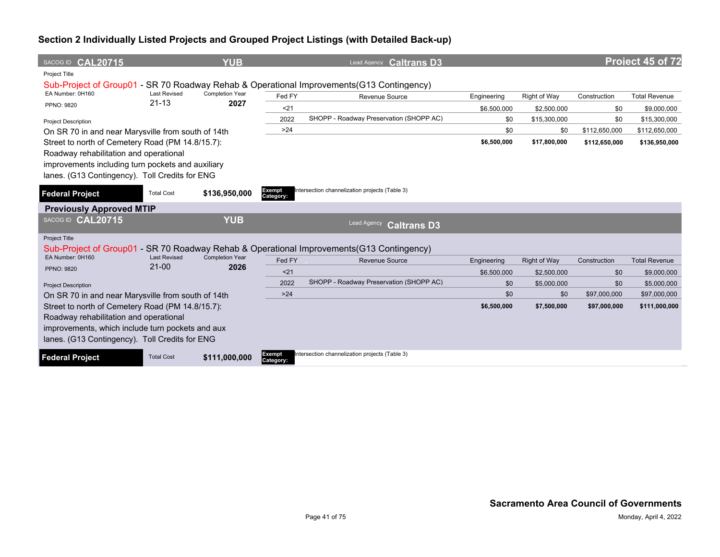| SACOG ID CAL20715                                  |                                  | <b>YUB</b>                     |                     | Lead Agency Caltrans D3                                                                   |             |                     |               | Project 45 of 72     |
|----------------------------------------------------|----------------------------------|--------------------------------|---------------------|-------------------------------------------------------------------------------------------|-------------|---------------------|---------------|----------------------|
| Project Title                                      |                                  |                                |                     |                                                                                           |             |                     |               |                      |
|                                                    |                                  |                                |                     | Sub-Project of Group01 - SR 70 Roadway Rehab & Operational Improvements (G13 Contingency) |             |                     |               |                      |
| EA Number: 0H160                                   | <b>Last Revised</b><br>$21 - 13$ | <b>Completion Year</b><br>2027 | Fed FY              | Revenue Source                                                                            | Engineering | Right of Way        | Construction  | <b>Total Revenue</b> |
| PPNO: 9820                                         |                                  |                                | < 21                |                                                                                           | \$6,500,000 | \$2,500,000         | \$0           | \$9,000,000          |
| <b>Project Description</b>                         |                                  |                                | 2022                | SHOPP - Roadway Preservation (SHOPP AC)                                                   | \$0         | \$15,300,000        | \$0           | \$15,300,000         |
| On SR 70 in and near Marysville from south of 14th |                                  |                                | $>24$               |                                                                                           | \$0         | \$0                 | \$112,650,000 | \$112,650,000        |
| Street to north of Cemetery Road (PM 14.8/15.7):   |                                  |                                |                     |                                                                                           | \$6,500,000 | \$17,800,000        | \$112,650,000 | \$136,950,000        |
| Roadway rehabilitation and operational             |                                  |                                |                     |                                                                                           |             |                     |               |                      |
| improvements including turn pockets and auxiliary  |                                  |                                |                     |                                                                                           |             |                     |               |                      |
| lanes. (G13 Contingency). Toll Credits for ENG     |                                  |                                |                     |                                                                                           |             |                     |               |                      |
| <b>Federal Project</b>                             | <b>Total Cost</b>                | \$136,950,000                  | Exempt<br>Category: | Intersection channelization projects (Table 3)                                            |             |                     |               |                      |
| <b>Previously Approved MTIP</b>                    |                                  |                                |                     |                                                                                           |             |                     |               |                      |
| SACOG ID CAL20715                                  |                                  | <b>YUB</b>                     |                     | Lead Agency<br><b>Caltrans D3</b>                                                         |             |                     |               |                      |
| <b>Project Title</b>                               |                                  |                                |                     |                                                                                           |             |                     |               |                      |
|                                                    |                                  |                                |                     | Sub-Project of Group01 - SR 70 Roadway Rehab & Operational Improvements (G13 Contingency) |             |                     |               |                      |
| EA Number: 0H160                                   | <b>Last Revised</b><br>$21 - 00$ | <b>Completion Year</b><br>2026 | Fed FY              | <b>Revenue Source</b>                                                                     | Engineering | <b>Right of Way</b> | Construction  | <b>Total Revenue</b> |
| PPNO: 9820                                         |                                  |                                | < 21                |                                                                                           | \$6,500,000 | \$2,500,000         | \$0           | \$9,000,000          |
| <b>Project Description</b>                         |                                  |                                | 2022                | SHOPP - Roadway Preservation (SHOPP AC)                                                   | \$0         | \$5,000,000         | \$0           | \$5,000,000          |
| On SR 70 in and near Marysville from south of 14th |                                  |                                | >24                 |                                                                                           | \$0         | \$0                 | \$97,000,000  | \$97,000,000         |
| Street to north of Cemetery Road (PM 14.8/15.7):   |                                  |                                |                     |                                                                                           | \$6,500,000 | \$7,500,000         | \$97,000,000  | \$111,000,000        |
| Roadway rehabilitation and operational             |                                  |                                |                     |                                                                                           |             |                     |               |                      |
| improvements, which include turn pockets and aux   |                                  |                                |                     |                                                                                           |             |                     |               |                      |
| lanes. (G13 Contingency). Toll Credits for ENG     |                                  |                                |                     |                                                                                           |             |                     |               |                      |
| <b>Federal Project</b>                             | <b>Total Cost</b>                | \$111,000,000                  | Exempt<br>Category: | Intersection channelization projects (Table 3)                                            |             |                     |               |                      |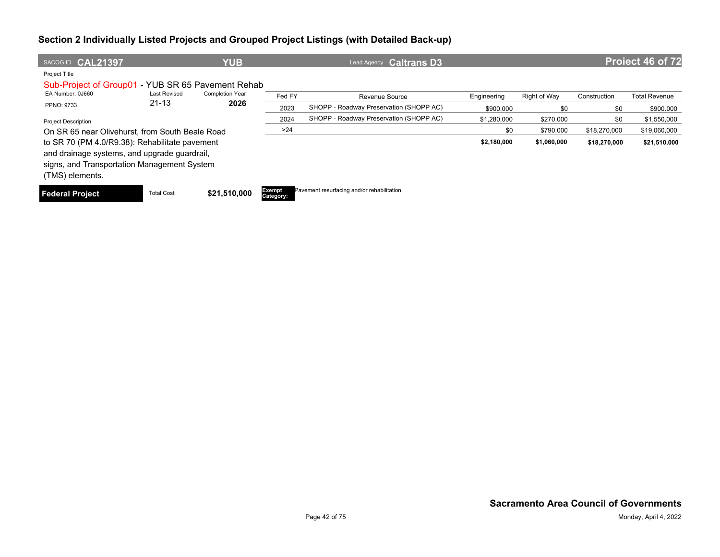| SACOG ID <b>CAL21397</b>                          |                     | <b>YUB</b>             |                            | <b>Caltrans D3</b><br>Lead Agency          |             |              |              | Project 46 of 72     |
|---------------------------------------------------|---------------------|------------------------|----------------------------|--------------------------------------------|-------------|--------------|--------------|----------------------|
| Project Title                                     |                     |                        |                            |                                            |             |              |              |                      |
| Sub-Project of Group01 - YUB SR 65 Pavement Rehab |                     |                        |                            |                                            |             |              |              |                      |
| EA Number: 0J660                                  | <b>Last Revised</b> | <b>Completion Year</b> | Fed FY                     | Revenue Source                             | Engineering | Right of Way | Construction | <b>Total Revenue</b> |
| <b>PPNO: 9733</b>                                 | $21 - 13$           | 2026                   | 2023                       | SHOPP - Roadway Preservation (SHOPP AC)    | \$900,000   | \$0          | \$0          | \$900,000            |
| <b>Project Description</b>                        |                     |                        | 2024                       | SHOPP - Roadway Preservation (SHOPP AC)    | \$1,280,000 | \$270,000    | \$0          | \$1,550,000          |
| On SR 65 near Olivehurst, from South Beale Road   |                     |                        | >24                        |                                            | \$0         | \$790,000    | \$18,270,000 | \$19,060,000         |
| to SR 70 (PM 4.0/R9.38): Rehabilitate pavement    |                     |                        |                            |                                            | \$2,180,000 | \$1,060,000  | \$18,270,000 | \$21,510,000         |
| and drainage systems, and upgrade guardrail,      |                     |                        |                            |                                            |             |              |              |                      |
| signs, and Transportation Management System       |                     |                        |                            |                                            |             |              |              |                      |
| (TMS) elements.                                   |                     |                        |                            |                                            |             |              |              |                      |
| <b>Federal Project</b>                            | <b>Total Cost</b>   | \$21,510,000           | <b>Exempt</b><br>Category: | Pavement resurfacing and/or rehabilitation |             |              |              |                      |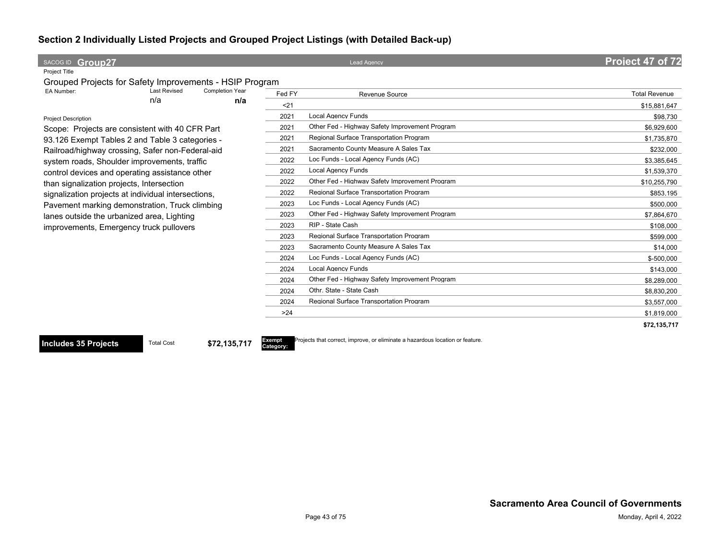| SACOG ID Group27                                        |                     |                        |        | <b>Lead Agency</b>                             | Project 47 of 72     |
|---------------------------------------------------------|---------------------|------------------------|--------|------------------------------------------------|----------------------|
| Project Title                                           |                     |                        |        |                                                |                      |
| Grouped Projects for Safety Improvements - HSIP Program |                     |                        |        |                                                |                      |
| EA Number:                                              | <b>Last Revised</b> | <b>Completion Year</b> | Fed FY | <b>Revenue Source</b>                          | <b>Total Revenue</b> |
|                                                         | n/a                 | n/a                    | $21$   |                                                | \$15.881.647         |
| <b>Project Description</b>                              |                     |                        | 2021   | <b>Local Agency Funds</b>                      | \$98,730             |
| Scope: Projects are consistent with 40 CFR Part         |                     |                        | 2021   | Other Fed - Highway Safety Improvement Program | \$6,929,600          |
| 93.126 Exempt Tables 2 and Table 3 categories -         |                     |                        | 2021   | Regional Surface Transportation Program        | \$1,735,870          |
| Railroad/highway crossing, Safer non-Federal-aid        |                     |                        | 2021   | Sacramento County Measure A Sales Tax          | \$232,000            |
| system roads, Shoulder improvements, traffic            |                     |                        | 2022   | Loc Funds - Local Agency Funds (AC)            | \$3.385.645          |
| control devices and operating assistance other          |                     |                        | 2022   | <b>Local Agency Funds</b>                      | \$1,539,370          |
| than signalization projects, Intersection               |                     |                        | 2022   | Other Fed - Highway Safety Improvement Program | \$10,255,790         |
| signalization projects at individual intersections,     |                     |                        | 2022   | Regional Surface Transportation Program        | \$853,195            |
| Pavement marking demonstration, Truck climbing          |                     |                        | 2023   | Loc Funds - Local Agency Funds (AC)            | \$500,000            |
| lanes outside the urbanized area, Lighting              |                     |                        | 2023   | Other Fed - Highway Safety Improvement Program | \$7,864,670          |
| improvements, Emergency truck pullovers                 |                     |                        | 2023   | RIP - State Cash                               | \$108,000            |
|                                                         |                     |                        | 2023   | Regional Surface Transportation Program        | \$599,000            |
|                                                         |                     |                        | 2023   | Sacramento County Measure A Sales Tax          | \$14,000             |
|                                                         |                     |                        | 2024   | Loc Funds - Local Agency Funds (AC)            | \$-500,000           |
|                                                         |                     |                        | 2024   | <b>Local Agency Funds</b>                      | \$143,000            |
|                                                         |                     |                        | 2024   | Other Fed - Highway Safety Improvement Program | \$8,289,000          |
|                                                         |                     |                        | 2024   | Othr. State - State Cash                       | \$8,830,200          |
|                                                         |                     |                        | 2024   | Regional Surface Transportation Program        | \$3,557,000          |
|                                                         |                     |                        | >24    |                                                | \$1,819,000          |
|                                                         |                     |                        |        |                                                | \$72,135,717         |

**Includes 35 Projects** Total Cost **\$72,135,717** 

**Category:**

Projects that correct, improve, or eliminate a hazardous location or feature.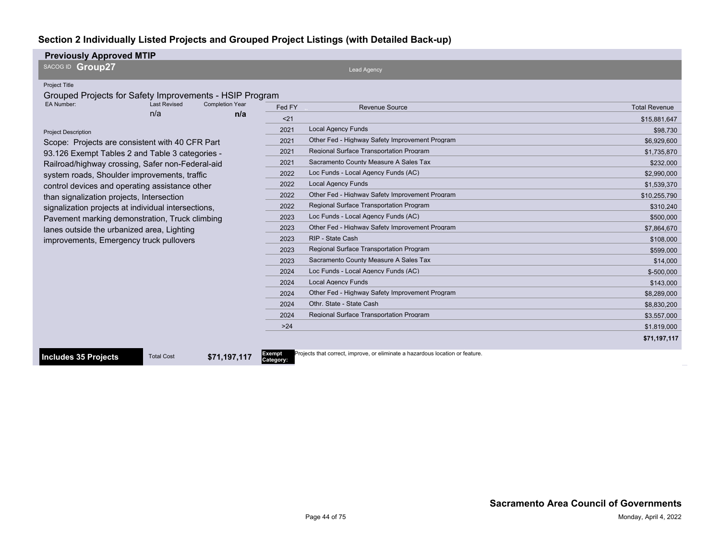| <b>Previously Approved MTIP</b>                                                                                                                                                                                                                                                                                                                                                                                                                                                                                                                                                                                                                                                                |                                                                                                                                                |                                                                                                                                                                                                                                                                                                                                                                                                                                                                                                                                                                                                                                                                                                |                                                                                                                                                                                                                                                                    |
|------------------------------------------------------------------------------------------------------------------------------------------------------------------------------------------------------------------------------------------------------------------------------------------------------------------------------------------------------------------------------------------------------------------------------------------------------------------------------------------------------------------------------------------------------------------------------------------------------------------------------------------------------------------------------------------------|------------------------------------------------------------------------------------------------------------------------------------------------|------------------------------------------------------------------------------------------------------------------------------------------------------------------------------------------------------------------------------------------------------------------------------------------------------------------------------------------------------------------------------------------------------------------------------------------------------------------------------------------------------------------------------------------------------------------------------------------------------------------------------------------------------------------------------------------------|--------------------------------------------------------------------------------------------------------------------------------------------------------------------------------------------------------------------------------------------------------------------|
| SACOG ID Group27                                                                                                                                                                                                                                                                                                                                                                                                                                                                                                                                                                                                                                                                               |                                                                                                                                                | <b>Lead Agency</b>                                                                                                                                                                                                                                                                                                                                                                                                                                                                                                                                                                                                                                                                             |                                                                                                                                                                                                                                                                    |
| Project Title<br>Grouped Projects for Safety Improvements - HSIP Program<br>EA Number:<br><b>Last Revised</b><br><b>Completion Year</b><br>n/a<br>n/a<br><b>Project Description</b><br>Scope: Projects are consistent with 40 CFR Part<br>93.126 Exempt Tables 2 and Table 3 categories -<br>Railroad/highway crossing, Safer non-Federal-aid<br>system roads, Shoulder improvements, traffic<br>control devices and operating assistance other<br>than signalization projects, Intersection<br>signalization projects at individual intersections,<br>Pavement marking demonstration, Truck climbing<br>lanes outside the urbanized area, Lighting<br>improvements, Emergency truck pullovers | Fed FY<br>$21$<br>2021<br>2021<br>2021<br>2021<br>2022<br>2022<br>2022<br>2022<br>2023<br>2023<br>2023<br>2023<br>2023<br>2024<br>2024<br>2024 | <b>Revenue Source</b><br><b>Local Agency Funds</b><br>Other Fed - Highway Safety Improvement Program<br><b>Regional Surface Transportation Program</b><br>Sacramento County Measure A Sales Tax<br>Loc Funds - Local Agency Funds (AC)<br><b>Local Agency Funds</b><br>Other Fed - Highway Safety Improvement Program<br>Regional Surface Transportation Program<br>Loc Funds - Local Agency Funds (AC)<br>Other Fed - Highway Safety Improvement Program<br>RIP - State Cash<br><b>Regional Surface Transportation Program</b><br>Sacramento County Measure A Sales Tax<br>Loc Funds - Local Agency Funds (AC)<br><b>Local Agency Funds</b><br>Other Fed - Highway Safety Improvement Program | <b>Total Revenue</b><br>\$15,881,647<br>\$98,730<br>\$6,929,600<br>\$1,735,870<br>\$232,000<br>\$2,990,000<br>\$1.539.370<br>\$10.255.790<br>\$310.240<br>\$500,000<br>\$7,864,670<br>\$108,000<br>\$599,000<br>\$14,000<br>\$-500.000<br>\$143.000<br>\$8,289,000 |
|                                                                                                                                                                                                                                                                                                                                                                                                                                                                                                                                                                                                                                                                                                | 2024                                                                                                                                           | Othr. State - State Cash                                                                                                                                                                                                                                                                                                                                                                                                                                                                                                                                                                                                                                                                       | \$8,830,200                                                                                                                                                                                                                                                        |
|                                                                                                                                                                                                                                                                                                                                                                                                                                                                                                                                                                                                                                                                                                | 2024                                                                                                                                           | <b>Regional Surface Transportation Program</b>                                                                                                                                                                                                                                                                                                                                                                                                                                                                                                                                                                                                                                                 | \$3,557,000                                                                                                                                                                                                                                                        |
|                                                                                                                                                                                                                                                                                                                                                                                                                                                                                                                                                                                                                                                                                                | $>24$                                                                                                                                          |                                                                                                                                                                                                                                                                                                                                                                                                                                                                                                                                                                                                                                                                                                | \$1,819,000                                                                                                                                                                                                                                                        |
|                                                                                                                                                                                                                                                                                                                                                                                                                                                                                                                                                                                                                                                                                                |                                                                                                                                                |                                                                                                                                                                                                                                                                                                                                                                                                                                                                                                                                                                                                                                                                                                | \$71,197,117                                                                                                                                                                                                                                                       |
|                                                                                                                                                                                                                                                                                                                                                                                                                                                                                                                                                                                                                                                                                                |                                                                                                                                                |                                                                                                                                                                                                                                                                                                                                                                                                                                                                                                                                                                                                                                                                                                |                                                                                                                                                                                                                                                                    |

**Includes 35 Projects** Total Cost **\$71,197,117** 

Exempt<br>Category:

rojects that correct, improve, or eliminate a hazardous location or feature.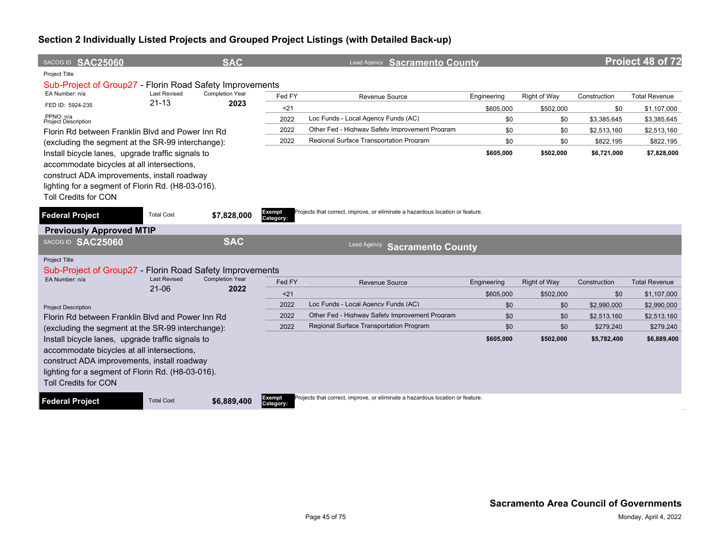| SACOG ID SAC25060                                                                               |                                  | <b>SAC</b>                     |                     | Lead Agency Sacramento County                                                 |                  |                     |                    | Project 48 of 72           |
|-------------------------------------------------------------------------------------------------|----------------------------------|--------------------------------|---------------------|-------------------------------------------------------------------------------|------------------|---------------------|--------------------|----------------------------|
| Project Title                                                                                   |                                  |                                |                     |                                                                               |                  |                     |                    |                            |
| Sub-Project of Group27 - Florin Road Safety Improvements<br>EA Number: n/a                      | <b>Last Revised</b>              | <b>Completion Year</b>         |                     |                                                                               |                  |                     |                    |                            |
| FED ID: 5924-235                                                                                | $21 - 13$                        | 2023                           | Fed FY              | Revenue Source                                                                | Engineering      | Right of Way        | Construction       | <b>Total Revenue</b>       |
| PPNO: n/a                                                                                       |                                  |                                | < 21<br>2022        | Loc Funds - Local Agency Funds (AC)                                           | \$605,000<br>\$0 | \$502,000<br>\$0    | \$0<br>\$3,385,645 | \$1,107,000<br>\$3,385,645 |
| <b>Project Description</b><br>Florin Rd between Franklin Blvd and Power Inn Rd                  |                                  |                                | 2022                | Other Fed - Highway Safety Improvement Program                                | \$0              | \$0                 | \$2,513,160        | \$2,513,160                |
| (excluding the segment at the SR-99 interchange):                                               |                                  |                                | 2022                | Regional Surface Transportation Program                                       | \$0              | \$0                 | \$822,195          | \$822,195                  |
| Install bicycle lanes, upgrade traffic signals to                                               |                                  |                                |                     |                                                                               | \$605,000        | \$502,000           | \$6,721,000        | \$7,828,000                |
| accommodate bicycles at all intersections,                                                      |                                  |                                |                     |                                                                               |                  |                     |                    |                            |
| construct ADA improvements, install roadway                                                     |                                  |                                |                     |                                                                               |                  |                     |                    |                            |
| lighting for a segment of Florin Rd. (H8-03-016).                                               |                                  |                                |                     |                                                                               |                  |                     |                    |                            |
| <b>Toll Credits for CON</b>                                                                     |                                  |                                |                     |                                                                               |                  |                     |                    |                            |
| <b>Federal Project</b>                                                                          | <b>Total Cost</b>                | \$7,828,000                    | Exempt<br>Category: | Projects that correct, improve, or eliminate a hazardous location or feature. |                  |                     |                    |                            |
| <b>Previously Approved MTIP</b>                                                                 |                                  |                                |                     |                                                                               |                  |                     |                    |                            |
| SACOG ID SAC25060                                                                               |                                  | <b>SAC</b>                     |                     | <b>Lead Agency</b><br><b>Sacramento County</b>                                |                  |                     |                    |                            |
| Project Title                                                                                   |                                  |                                |                     |                                                                               |                  |                     |                    |                            |
| Sub-Project of Group27 - Florin Road Safety Improvements                                        |                                  |                                |                     |                                                                               |                  |                     |                    |                            |
| EA Number: n/a                                                                                  | <b>Last Revised</b><br>$21 - 06$ | <b>Completion Year</b><br>2022 | Fed FY              | Revenue Source                                                                | Engineering      | <b>Right of Way</b> | Construction       | <b>Total Revenue</b>       |
|                                                                                                 |                                  |                                | $21$                |                                                                               | \$605.000        | \$502,000           | \$0                | \$1,107,000                |
| <b>Project Description</b>                                                                      |                                  |                                | 2022                | Loc Funds - Local Agency Funds (AC)                                           | \$0              | \$0                 | \$2,990,000        | \$2,990,000                |
| Florin Rd between Franklin Blvd and Power Inn Rd                                                |                                  |                                | 2022                | Other Fed - Highway Safety Improvement Program                                | \$0              | \$0                 | \$2,513,160        | \$2,513,160                |
| (excluding the segment at the SR-99 interchange):                                               |                                  |                                | 2022                | <b>Regional Surface Transportation Program</b>                                | \$0              | \$0                 | \$279.240          | \$279.240                  |
| Install bicycle lanes, upgrade traffic signals to<br>accommodate bicycles at all intersections, |                                  |                                |                     |                                                                               | \$605,000        | \$502,000           | \$5,782,400        | \$6,889,400                |
| construct ADA improvements, install roadway                                                     |                                  |                                |                     |                                                                               |                  |                     |                    |                            |
| lighting for a segment of Florin Rd. (H8-03-016).                                               |                                  |                                |                     |                                                                               |                  |                     |                    |                            |
| <b>Toll Credits for CON</b>                                                                     |                                  |                                |                     |                                                                               |                  |                     |                    |                            |
| <b>Federal Project</b>                                                                          | <b>Total Cost</b>                | \$6,889,400                    | Exempt<br>Category: | Projects that correct, improve, or eliminate a hazardous location or feature. |                  |                     |                    |                            |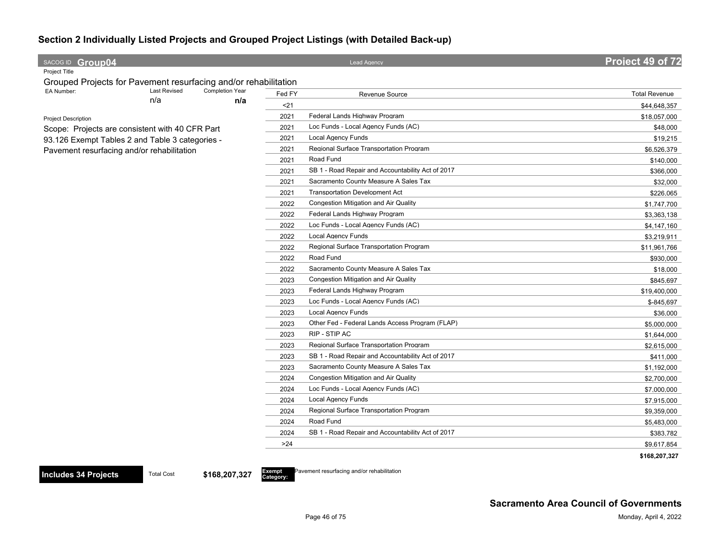| SACOG ID Group04                                                |                                                 |                               |        | <b>Lead Agency</b>                                | Project 49 of 72     |
|-----------------------------------------------------------------|-------------------------------------------------|-------------------------------|--------|---------------------------------------------------|----------------------|
| Project Title                                                   |                                                 |                               |        |                                                   |                      |
| Grouped Projects for Pavement resurfacing and/or rehabilitation |                                                 |                               |        |                                                   |                      |
| EA Number:                                                      | <b>Last Revised</b><br>n/a                      | <b>Completion Year</b><br>n/a | Fed FY | Revenue Source                                    | <b>Total Revenue</b> |
|                                                                 |                                                 |                               | $21$   |                                                   | \$44,648,357         |
| <b>Project Description</b>                                      |                                                 |                               | 2021   | Federal Lands Highway Program                     | \$18,057,000         |
|                                                                 | Scope: Projects are consistent with 40 CFR Part |                               | 2021   | Loc Funds - Local Agency Funds (AC)               | \$48,000             |
| 93.126 Exempt Tables 2 and Table 3 categories -                 |                                                 |                               | 2021   | <b>Local Agency Funds</b>                         | \$19,215             |
| Pavement resurfacing and/or rehabilitation                      |                                                 |                               | 2021   | Regional Surface Transportation Program           | \$6,526,379          |
|                                                                 |                                                 |                               | 2021   | Road Fund                                         | \$140,000            |
|                                                                 |                                                 |                               | 2021   | SB 1 - Road Repair and Accountability Act of 2017 | \$366,000            |
|                                                                 |                                                 |                               | 2021   | Sacramento County Measure A Sales Tax             | \$32,000             |
|                                                                 |                                                 |                               | 2021   | <b>Transportation Development Act</b>             | \$226,065            |
|                                                                 |                                                 |                               | 2022   | <b>Congestion Mitigation and Air Quality</b>      | \$1,747,700          |
|                                                                 |                                                 |                               | 2022   | Federal Lands Highway Program                     | \$3,363,138          |
|                                                                 |                                                 |                               | 2022   | Loc Funds - Local Agency Funds (AC)               | \$4,147,160          |
|                                                                 |                                                 |                               | 2022   | <b>Local Agency Funds</b>                         | \$3,219,911          |
|                                                                 |                                                 |                               | 2022   | Regional Surface Transportation Program           | \$11,961,766         |
|                                                                 |                                                 |                               | 2022   | Road Fund                                         | \$930,000            |
|                                                                 |                                                 |                               | 2022   | Sacramento County Measure A Sales Tax             | \$18,000             |
|                                                                 |                                                 |                               | 2023   | Congestion Mitigation and Air Quality             | \$845,697            |
|                                                                 |                                                 |                               | 2023   | Federal Lands Highway Program                     | \$19,400,000         |
|                                                                 |                                                 |                               | 2023   | Loc Funds - Local Agency Funds (AC)               | \$-845,697           |
|                                                                 |                                                 |                               | 2023   | <b>Local Agency Funds</b>                         | \$36,000             |
|                                                                 |                                                 |                               | 2023   | Other Fed - Federal Lands Access Program (FLAP)   | \$5,000,000          |
|                                                                 |                                                 |                               | 2023   | RIP - STIP AC                                     | \$1,644,000          |
|                                                                 |                                                 |                               | 2023   | Regional Surface Transportation Program           | \$2,615,000          |
|                                                                 |                                                 |                               | 2023   | SB 1 - Road Repair and Accountability Act of 2017 | \$411,000            |
|                                                                 |                                                 |                               | 2023   | Sacramento County Measure A Sales Tax             | \$1,192,000          |
|                                                                 |                                                 |                               | 2024   | Congestion Mitigation and Air Quality             | \$2,700,000          |
|                                                                 |                                                 |                               | 2024   | Loc Funds - Local Agency Funds (AC)               | \$7,000,000          |
|                                                                 |                                                 |                               | 2024   | <b>Local Agency Funds</b>                         | \$7,915,000          |
|                                                                 |                                                 |                               | 2024   | Regional Surface Transportation Program           | \$9,359,000          |
|                                                                 |                                                 |                               | 2024   | Road Fund                                         | \$5,483,000          |
|                                                                 |                                                 |                               | 2024   | SB 1 - Road Repair and Accountability Act of 2017 | \$383,782            |
|                                                                 |                                                 |                               | >24    |                                                   | \$9,617,854          |
|                                                                 |                                                 |                               |        |                                                   | \$168,207,327        |

**Category:**

Pavement resurfacing and/or rehabilitation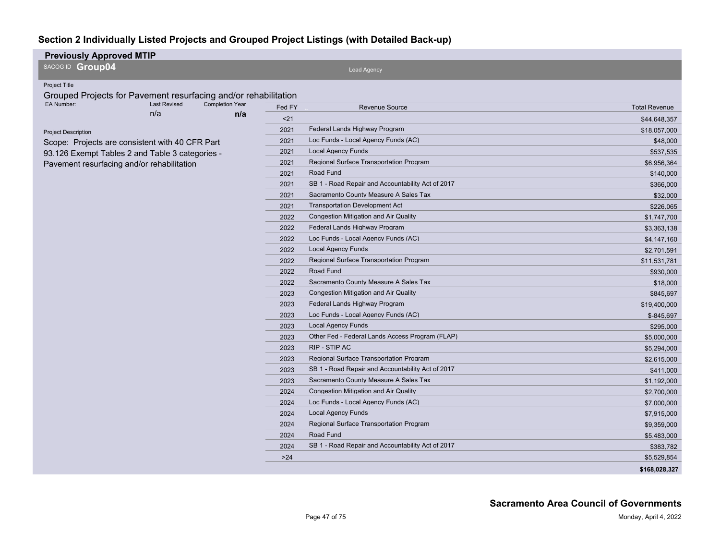| <b>Previously Approved MTIP</b>                                 |                     |                        |        |                                                   |                      |
|-----------------------------------------------------------------|---------------------|------------------------|--------|---------------------------------------------------|----------------------|
| SACOG ID Group04                                                |                     |                        |        | <b>Lead Agency</b>                                |                      |
| Project Title                                                   |                     |                        |        |                                                   |                      |
| Grouped Projects for Pavement resurfacing and/or rehabilitation |                     |                        |        |                                                   |                      |
| EA Number:                                                      | <b>Last Revised</b> | <b>Completion Year</b> | Fed FY | Revenue Source                                    | <b>Total Revenue</b> |
|                                                                 | n/a                 | n/a                    | $21$   |                                                   | \$44,648,357         |
| <b>Project Description</b>                                      |                     |                        | 2021   | Federal Lands Highway Program                     | \$18,057,000         |
| Scope: Projects are consistent with 40 CFR Part                 |                     |                        | 2021   | Loc Funds - Local Agency Funds (AC)               | \$48,000             |
| 93.126 Exempt Tables 2 and Table 3 categories -                 |                     |                        | 2021   | <b>Local Agency Funds</b>                         | \$537,535            |
| Pavement resurfacing and/or rehabilitation                      |                     |                        | 2021   | Regional Surface Transportation Program           | \$6,956,364          |
|                                                                 |                     |                        | 2021   | Road Fund                                         | \$140,000            |
|                                                                 |                     |                        | 2021   | SB 1 - Road Repair and Accountability Act of 2017 | \$366,000            |
|                                                                 |                     |                        | 2021   | Sacramento County Measure A Sales Tax             | \$32,000             |
|                                                                 |                     |                        | 2021   | <b>Transportation Development Act</b>             | \$226,065            |
|                                                                 |                     |                        | 2022   | Congestion Mitigation and Air Quality             | \$1,747,700          |
|                                                                 |                     |                        | 2022   | Federal Lands Highway Program                     | \$3,363,138          |
|                                                                 |                     |                        | 2022   | Loc Funds - Local Agency Funds (AC)               | \$4,147,160          |
|                                                                 |                     |                        | 2022   | <b>Local Agency Funds</b>                         | \$2,701,591          |
|                                                                 |                     |                        | 2022   | Regional Surface Transportation Program           | \$11,531,781         |
|                                                                 |                     |                        | 2022   | Road Fund                                         | \$930,000            |
|                                                                 |                     |                        | 2022   | Sacramento County Measure A Sales Tax             | \$18,000             |
|                                                                 |                     |                        | 2023   | Congestion Mitigation and Air Quality             | \$845,697            |
|                                                                 |                     |                        | 2023   | Federal Lands Highway Program                     | \$19,400,000         |
|                                                                 |                     |                        | 2023   | Loc Funds - Local Agency Funds (AC)               | $$ -845.697$         |
|                                                                 |                     |                        | 2023   | <b>Local Agency Funds</b>                         | \$295,000            |
|                                                                 |                     |                        | 2023   | Other Fed - Federal Lands Access Program (FLAP)   | \$5,000,000          |
|                                                                 |                     |                        | 2023   | RIP - STIP AC                                     | \$5,294,000          |
|                                                                 |                     |                        | 2023   | Regional Surface Transportation Program           | \$2,615,000          |
|                                                                 |                     |                        | 2023   | SB 1 - Road Repair and Accountability Act of 2017 | \$411,000            |
|                                                                 |                     |                        | 2023   | Sacramento County Measure A Sales Tax             | \$1,192,000          |
|                                                                 |                     |                        | 2024   | Congestion Mitigation and Air Quality             | \$2,700,000          |
|                                                                 |                     |                        | 2024   | Loc Funds - Local Agency Funds (AC)               | \$7,000,000          |
|                                                                 |                     |                        | 2024   | <b>Local Agency Funds</b>                         | \$7,915,000          |
|                                                                 |                     |                        | 2024   | Regional Surface Transportation Program           | \$9,359,000          |
|                                                                 |                     |                        | 2024   | Road Fund                                         | \$5.483,000          |
|                                                                 |                     |                        | 2024   | SB 1 - Road Repair and Accountability Act of 2017 | \$383,782            |
|                                                                 |                     |                        | >24    |                                                   | \$5,529,854          |
|                                                                 |                     |                        |        |                                                   | \$168,028,327        |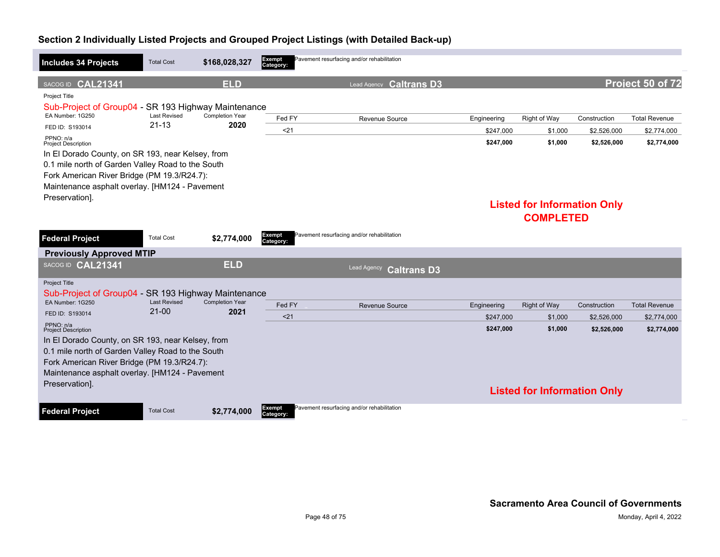| <b>Includes 34 Projects</b>                                                                   | <b>Total Cost</b>                | \$168,028,327                  | Exempt<br>Category: | Pavement resurfacing and/or rehabilitation |             |                                    |              |                      |
|-----------------------------------------------------------------------------------------------|----------------------------------|--------------------------------|---------------------|--------------------------------------------|-------------|------------------------------------|--------------|----------------------|
| SACOG ID CAL21341                                                                             |                                  | <b>ELD</b>                     |                     | <b>Caltrans D3</b><br>Lead Agency          |             |                                    |              | Project 50 of 72     |
| Project Title<br>Sub-Project of Group04 - SR 193 Highway Maintenance                          |                                  |                                |                     |                                            |             |                                    |              |                      |
| EA Number: 1G250                                                                              | <b>Last Revised</b><br>$21 - 13$ | <b>Completion Year</b><br>2020 | Fed FY              | Revenue Source                             | Engineering | Right of Way                       | Construction | <b>Total Revenue</b> |
| FED ID: S193014                                                                               |                                  |                                | $21$                |                                            | \$247.000   | \$1,000                            | \$2,526,000  | \$2,774,000          |
| PPNO: n/a<br><b>Project Description</b>                                                       |                                  |                                |                     |                                            | \$247,000   | \$1,000                            | \$2,526,000  | \$2,774,000          |
| In El Dorado County, on SR 193, near Kelsey, from                                             |                                  |                                |                     |                                            |             |                                    |              |                      |
| 0.1 mile north of Garden Valley Road to the South                                             |                                  |                                |                     |                                            |             |                                    |              |                      |
| Fork American River Bridge (PM 19.3/R24.7):<br>Maintenance asphalt overlay. [HM124 - Pavement |                                  |                                |                     |                                            |             |                                    |              |                      |
| Preservation].                                                                                |                                  |                                |                     |                                            |             |                                    |              |                      |
|                                                                                               |                                  |                                |                     |                                            |             | <b>Listed for Information Only</b> |              |                      |
|                                                                                               |                                  |                                |                     |                                            |             | <b>COMPLETED</b>                   |              |                      |
| <b>Federal Project</b>                                                                        | <b>Total Cost</b>                | \$2,774,000                    | Exempt<br>Category: | Pavement resurfacing and/or rehabilitation |             |                                    |              |                      |
| <b>Previously Approved MTIP</b>                                                               |                                  |                                |                     |                                            |             |                                    |              |                      |
| SACOG ID CAL21341                                                                             |                                  | <b>ELD</b>                     |                     | <b>Lead Agency</b><br><b>Caltrans D3</b>   |             |                                    |              |                      |
| <b>Project Title</b><br>Sub-Project of Group04 - SR 193 Highway Maintenance                   |                                  |                                |                     |                                            |             |                                    |              |                      |
| EA Number: 1G250                                                                              | <b>Last Revised</b>              | <b>Completion Year</b>         | Fed FY              | <b>Revenue Source</b>                      | Engineering | <b>Right of Way</b>                | Construction | <b>Total Revenue</b> |
| FED ID: S193014                                                                               | $21 - 00$                        | 2021                           | < 21                |                                            | \$247.000   | \$1,000                            | \$2,526,000  | \$2,774,000          |
| PPNO: n/a<br><b>Project Description</b>                                                       |                                  |                                |                     |                                            | \$247,000   | \$1,000                            | \$2,526,000  | \$2,774,000          |
| In El Dorado County, on SR 193, near Kelsey, from                                             |                                  |                                |                     |                                            |             |                                    |              |                      |
| 0.1 mile north of Garden Valley Road to the South                                             |                                  |                                |                     |                                            |             |                                    |              |                      |
| Fork American River Bridge (PM 19.3/R24.7):<br>Maintenance asphalt overlay. [HM124 - Pavement |                                  |                                |                     |                                            |             |                                    |              |                      |
| Preservation].                                                                                |                                  |                                |                     |                                            |             |                                    |              |                      |
|                                                                                               |                                  |                                |                     |                                            |             | <b>Listed for Information Only</b> |              |                      |
| <b>Federal Project</b>                                                                        | <b>Total Cost</b>                | \$2,774,000                    | Exempt<br>Category: | Pavement resurfacing and/or rehabilitation |             |                                    |              |                      |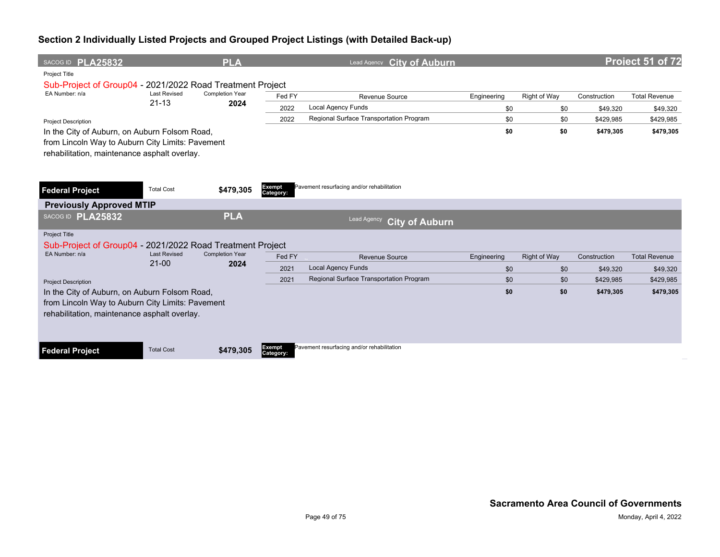| SACOG ID PLA25832                                         |                                  | <b>PLA</b>             |                     | Lead Agency City of Auburn                 |             |                     |              | Project 51 of 72     |  |  |  |
|-----------------------------------------------------------|----------------------------------|------------------------|---------------------|--------------------------------------------|-------------|---------------------|--------------|----------------------|--|--|--|
| Project Title                                             |                                  |                        |                     |                                            |             |                     |              |                      |  |  |  |
| Sub-Project of Group04 - 2021/2022 Road Treatment Project |                                  |                        |                     |                                            |             |                     |              |                      |  |  |  |
| EA Number: n/a                                            | <b>Last Revised</b><br>$21 - 13$ | Completion Year        | Fed FY              | Revenue Source                             | Engineering | Right of Way        | Construction | <b>Total Revenue</b> |  |  |  |
|                                                           |                                  | 2024                   | 2022                | <b>Local Agency Funds</b>                  | \$0         | \$0                 | \$49,320     | \$49,320             |  |  |  |
| <b>Project Description</b>                                |                                  |                        | 2022                | Regional Surface Transportation Program    | \$0         | \$0                 | \$429,985    | \$429,985            |  |  |  |
| In the City of Auburn, on Auburn Folsom Road,             |                                  |                        |                     |                                            | \$0         | \$0                 | \$479,305    | \$479,305            |  |  |  |
| from Lincoln Way to Auburn City Limits: Pavement          |                                  |                        |                     |                                            |             |                     |              |                      |  |  |  |
| rehabilitation, maintenance asphalt overlay.              |                                  |                        |                     |                                            |             |                     |              |                      |  |  |  |
|                                                           |                                  |                        |                     |                                            |             |                     |              |                      |  |  |  |
|                                                           |                                  |                        |                     |                                            |             |                     |              |                      |  |  |  |
| <b>Federal Project</b>                                    | <b>Total Cost</b>                | \$479,305              | Exempt<br>Category: | Pavement resurfacing and/or rehabilitation |             |                     |              |                      |  |  |  |
| <b>Previously Approved MTIP</b>                           |                                  |                        |                     |                                            |             |                     |              |                      |  |  |  |
| SACOG ID PLA25832                                         |                                  | <b>PLA</b>             |                     | Lead Agency<br><b>City of Auburn</b>       |             |                     |              |                      |  |  |  |
| <b>Project Title</b>                                      |                                  |                        |                     |                                            |             |                     |              |                      |  |  |  |
| Sub-Project of Group04 - 2021/2022 Road Treatment Project |                                  |                        |                     |                                            |             |                     |              |                      |  |  |  |
| EA Number: n/a                                            | <b>Last Revised</b>              | <b>Completion Year</b> | Fed FY              | <b>Revenue Source</b>                      | Engineering | <b>Right of Way</b> | Construction | <b>Total Revenue</b> |  |  |  |
|                                                           | $21 - 00$                        | 2024                   | 2021                | <b>Local Agency Funds</b>                  | \$0         | \$0                 | \$49,320     | \$49,320             |  |  |  |
| <b>Project Description</b>                                |                                  |                        | 2021                | Regional Surface Transportation Program    | \$0         | \$0                 | \$429,985    | \$429,985            |  |  |  |
| In the City of Auburn, on Auburn Folsom Road,             |                                  |                        |                     |                                            | \$0         | \$0                 | \$479,305    | \$479,305            |  |  |  |
| from Lincoln Way to Auburn City Limits: Pavement          |                                  |                        |                     |                                            |             |                     |              |                      |  |  |  |
| rehabilitation, maintenance asphalt overlay.              |                                  |                        |                     |                                            |             |                     |              |                      |  |  |  |
|                                                           |                                  |                        |                     |                                            |             |                     |              |                      |  |  |  |
|                                                           |                                  |                        |                     |                                            |             |                     |              |                      |  |  |  |
| <b>Federal Project</b>                                    | <b>Total Cost</b>                | \$479,305              | Exempt<br>Category: | Pavement resurfacing and/or rehabilitation |             |                     |              |                      |  |  |  |
|                                                           |                                  |                        |                     |                                            |             |                     |              |                      |  |  |  |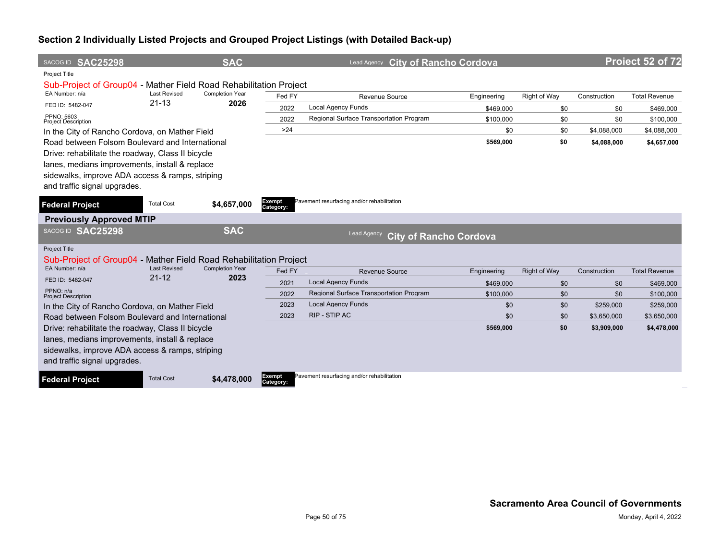| SACOG ID SAC25298                                                 |                                  | <b>SAC</b>                     |                            | <b>City of Rancho Cordova</b><br>Lead Agency   |             |                     |              | Project 52 of 72     |
|-------------------------------------------------------------------|----------------------------------|--------------------------------|----------------------------|------------------------------------------------|-------------|---------------------|--------------|----------------------|
| <b>Project Title</b>                                              |                                  |                                |                            |                                                |             |                     |              |                      |
| Sub-Project of Group04 - Mather Field Road Rehabilitation Project |                                  |                                |                            |                                                |             |                     |              |                      |
| EA Number: n/a                                                    | <b>Last Revised</b><br>$21 - 13$ | <b>Completion Year</b><br>2026 | Fed FY                     | Revenue Source                                 | Engineering | Right of Way        | Construction | <b>Total Revenue</b> |
| FED ID: 5482-047                                                  |                                  |                                | 2022                       | <b>Local Agency Funds</b>                      | \$469,000   | \$0                 | \$0          | \$469,000            |
| PPNO: 5603<br><b>Project Description</b>                          |                                  |                                | 2022                       | Regional Surface Transportation Program        | \$100,000   | \$0                 | \$0          | \$100,000            |
| In the City of Rancho Cordova, on Mather Field                    |                                  |                                | $>24$                      |                                                | \$0         | \$0                 | \$4,088,000  | \$4,088,000          |
| Road between Folsom Boulevard and International                   |                                  |                                |                            |                                                | \$569,000   | \$0                 | \$4,088,000  | \$4,657,000          |
| Drive: rehabilitate the roadway, Class II bicycle                 |                                  |                                |                            |                                                |             |                     |              |                      |
| lanes, medians improvements, install & replace                    |                                  |                                |                            |                                                |             |                     |              |                      |
| sidewalks, improve ADA access & ramps, striping                   |                                  |                                |                            |                                                |             |                     |              |                      |
| and traffic signal upgrades.                                      |                                  |                                |                            |                                                |             |                     |              |                      |
| <b>Federal Project</b>                                            | <b>Total Cost</b>                | \$4,657,000                    | <b>Exempt</b><br>Category: | Pavement resurfacing and/or rehabilitation     |             |                     |              |                      |
| <b>Previously Approved MTIP</b>                                   |                                  |                                |                            |                                                |             |                     |              |                      |
| SACOG ID SAC25298                                                 |                                  | <b>SAC</b>                     |                            | Lead Agency<br><b>City of Rancho Cordova</b>   |             |                     |              |                      |
| Project Title                                                     |                                  |                                |                            |                                                |             |                     |              |                      |
| Sub-Project of Group04 - Mather Field Road Rehabilitation Project |                                  |                                |                            |                                                |             |                     |              |                      |
| EA Number: n/a                                                    | <b>Last Revised</b><br>$21 - 12$ | <b>Completion Year</b>         | Fed FY                     | <b>Revenue Source</b>                          | Engineering | <b>Right of Way</b> | Construction | <b>Total Revenue</b> |
| FED ID: 5482-047                                                  |                                  | 2023                           | 2021                       | <b>Local Agency Funds</b>                      | \$469,000   | \$0                 | \$0          | \$469,000            |
| PPNO: n/a<br><b>Project Description</b>                           |                                  |                                | 2022                       | <b>Regional Surface Transportation Program</b> | \$100,000   | \$0                 | \$0          | \$100,000            |
| In the City of Rancho Cordova, on Mather Field                    |                                  |                                | 2023                       | <b>Local Agency Funds</b>                      | \$0         | \$0                 | \$259,000    | \$259,000            |
| Road between Folsom Boulevard and International                   |                                  |                                | 2023                       | RIP - STIP AC                                  | \$0         | \$0                 | \$3,650,000  | \$3,650,000          |
| Drive: rehabilitate the roadway, Class II bicycle                 |                                  |                                |                            |                                                | \$569,000   | \$0                 | \$3,909,000  | \$4,478,000          |
| lanes, medians improvements, install & replace                    |                                  |                                |                            |                                                |             |                     |              |                      |
| sidewalks, improve ADA access & ramps, striping                   |                                  |                                |                            |                                                |             |                     |              |                      |
| and traffic signal upgrades.                                      |                                  |                                |                            |                                                |             |                     |              |                      |
| <b>Federal Project</b>                                            | <b>Total Cost</b>                | \$4,478,000                    | Exempt<br>Category:        | Pavement resurfacing and/or rehabilitation     |             |                     |              |                      |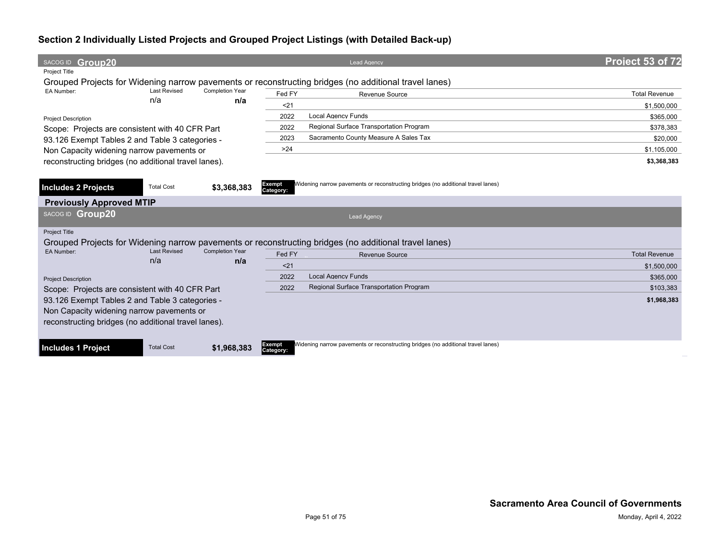| SACOG ID Group20                                     |                     |                        |                     | <b>Lead Agency</b>                                                                                    | Project 53 of 72     |
|------------------------------------------------------|---------------------|------------------------|---------------------|-------------------------------------------------------------------------------------------------------|----------------------|
| <b>Project Title</b>                                 |                     |                        |                     |                                                                                                       |                      |
|                                                      |                     |                        |                     | Grouped Projects for Widening narrow pavements or reconstructing bridges (no additional travel lanes) |                      |
| EA Number:                                           | <b>Last Revised</b> | <b>Completion Year</b> | Fed FY              | Revenue Source                                                                                        | <b>Total Revenue</b> |
|                                                      | n/a                 | n/a                    | $21$                |                                                                                                       | \$1,500,000          |
| <b>Project Description</b>                           |                     |                        | 2022                | <b>Local Agency Funds</b>                                                                             | \$365,000            |
| Scope: Projects are consistent with 40 CFR Part      |                     |                        | 2022                | Regional Surface Transportation Program                                                               | \$378.383            |
| 93.126 Exempt Tables 2 and Table 3 categories -      |                     |                        | 2023                | Sacramento County Measure A Sales Tax                                                                 | \$20,000             |
| Non Capacity widening narrow pavements or            |                     |                        | >24                 |                                                                                                       | \$1,105,000          |
| reconstructing bridges (no additional travel lanes). |                     |                        |                     |                                                                                                       | \$3,368,383          |
|                                                      |                     |                        |                     |                                                                                                       |                      |
| <b>Includes 2 Projects</b>                           | <b>Total Cost</b>   | \$3,368,383            | Exempt<br>Category: | Widening narrow pavements or reconstructing bridges (no additional travel lanes)                      |                      |
| <b>Previously Approved MTIP</b>                      |                     |                        |                     |                                                                                                       |                      |
| SACOG ID Group20                                     |                     |                        |                     | <b>Lead Agency</b>                                                                                    |                      |
| <b>Project Title</b>                                 |                     |                        |                     |                                                                                                       |                      |
|                                                      |                     |                        |                     | Grouped Projects for Widening narrow pavements or reconstructing bridges (no additional travel lanes) |                      |
| <b>EA Number:</b>                                    | <b>Last Revised</b> | <b>Completion Year</b> | Fed FY              | Revenue Source                                                                                        | <b>Total Revenue</b> |
|                                                      | n/a                 | n/a                    |                     |                                                                                                       |                      |
|                                                      |                     |                        | < 21                | <b>Local Agency Funds</b>                                                                             | \$1,500,000          |
| <b>Project Description</b>                           |                     |                        | 2022                | Regional Surface Transportation Program                                                               | \$365,000            |
| Scope: Projects are consistent with 40 CFR Part      |                     |                        | 2022                |                                                                                                       | \$103,383            |
| 93.126 Exempt Tables 2 and Table 3 categories -      |                     |                        |                     |                                                                                                       | \$1,968,383          |
| Non Capacity widening narrow pavements or            |                     |                        |                     |                                                                                                       |                      |
| reconstructing bridges (no additional travel lanes). |                     |                        |                     |                                                                                                       |                      |
|                                                      |                     |                        |                     |                                                                                                       |                      |
| <b>Includes 1 Project</b>                            | <b>Total Cost</b>   | \$1,968,383            | Exempt<br>Category: | Widening narrow pavements or reconstructing bridges (no additional travel lanes)                      |                      |
|                                                      |                     |                        |                     |                                                                                                       |                      |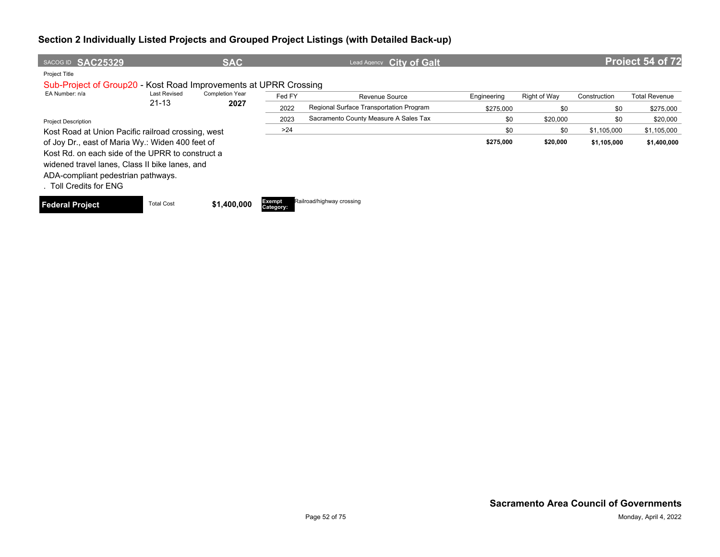| SACOG ID SAC25329                                                |                     | <b>SAC</b>             |                     | Lead Agency City of Galt                |             |              |              | Project 54 of 72     |
|------------------------------------------------------------------|---------------------|------------------------|---------------------|-----------------------------------------|-------------|--------------|--------------|----------------------|
| Project Title                                                    |                     |                        |                     |                                         |             |              |              |                      |
| Sub-Project of Group20 - Kost Road Improvements at UPRR Crossing |                     |                        |                     |                                         |             |              |              |                      |
| EA Number: n/a                                                   | <b>Last Revised</b> | <b>Completion Year</b> | Fed FY              | <b>Revenue Source</b>                   | Engineering | Right of Way | Construction | <b>Total Revenue</b> |
|                                                                  | $21 - 13$           | 2027                   | 2022                | Regional Surface Transportation Program | \$275.000   | \$0          | \$0          | \$275,000            |
| <b>Project Description</b>                                       |                     |                        | 2023                | Sacramento County Measure A Sales Tax   | \$0         | \$20,000     | \$0          | \$20,000             |
| Kost Road at Union Pacific railroad crossing, west               |                     |                        | >24                 |                                         | \$0         | \$0          | \$1,105,000  | \$1,105,000          |
| of Joy Dr., east of Maria Wy.: Widen 400 feet of                 |                     |                        |                     |                                         | \$275,000   | \$20,000     | \$1,105,000  | \$1,400,000          |
| Kost Rd, on each side of the UPRR to construct a                 |                     |                        |                     |                                         |             |              |              |                      |
| widened travel lanes, Class II bike lanes, and                   |                     |                        |                     |                                         |             |              |              |                      |
| ADA-compliant pedestrian pathways.                               |                     |                        |                     |                                         |             |              |              |                      |
| . Toll Credits for ENG                                           |                     |                        |                     |                                         |             |              |              |                      |
| <b>Federal Project</b>                                           | <b>Total Cost</b>   | \$1,400,000            | Exempt<br>Category: | Railroad/highway crossing               |             |              |              |                      |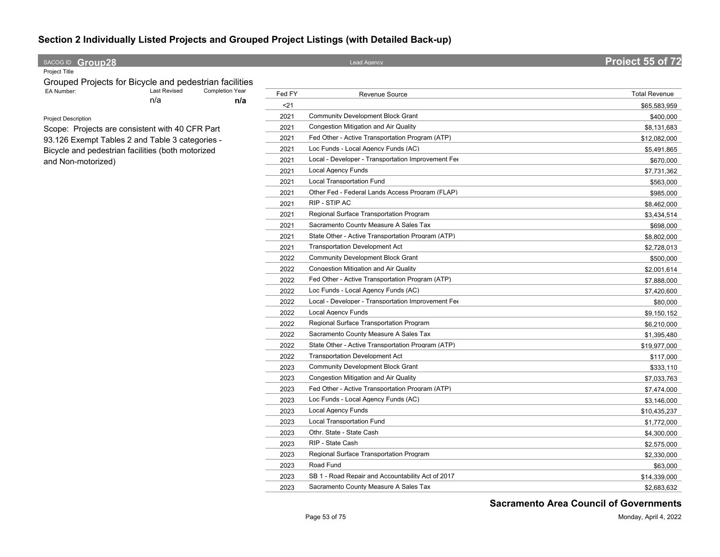## **SACOG ID Group28 Project 55 of 72**

Project Title

Grouped Projects for Bicycle and pedestrian facilities<br>EA Number: Last Revised Completion Year n/a **n/a** Completion Year

Project Description

Scope: Projects are consistent with 40 CFR Part 93.126 Exempt Tables 2 and Table 3 categories - Bicycle and pedestrian facilities (both motorized and Non-motorized)

| Fed FY | Revenue Source                                     | <b>Total Revenue</b> |
|--------|----------------------------------------------------|----------------------|
| $21$   |                                                    | \$65,583,959         |
| 2021   | <b>Community Development Block Grant</b>           | \$400.000            |
| 2021   | <b>Congestion Mitigation and Air Quality</b>       | \$8,131,683          |
| 2021   | Fed Other - Active Transportation Program (ATP)    | \$12,082,000         |
| 2021   | Loc Funds - Local Agency Funds (AC)                | \$5,491,865          |
| 2021   | Local - Developer - Transportation Improvement Fee | \$670,000            |
| 2021   | <b>Local Agency Funds</b>                          | \$7,731,362          |
| 2021   | Local Transportation Fund                          | \$563,000            |
| 2021   | Other Fed - Federal Lands Access Program (FLAP)    | \$985,000            |
| 2021   | RIP - STIP AC                                      | \$8,462,000          |
| 2021   | Regional Surface Transportation Program            | \$3,434,514          |
| 2021   | Sacramento County Measure A Sales Tax              | \$698,000            |
| 2021   | State Other - Active Transportation Program (ATP)  | \$8,802,000          |
| 2021   | <b>Transportation Development Act</b>              | \$2,728,013          |
| 2022   | <b>Community Development Block Grant</b>           | \$500,000            |
| 2022   | Congestion Mitigation and Air Quality              | \$2,001,614          |
| 2022   | Fed Other - Active Transportation Program (ATP)    | \$7,888,000          |
| 2022   | Loc Funds - Local Agency Funds (AC)                | \$7,420,600          |
| 2022   | Local - Developer - Transportation Improvement Fee | \$80,000             |
| 2022   | <b>Local Agency Funds</b>                          | \$9,150,152          |
| 2022   | Regional Surface Transportation Program            | \$6,210,000          |
| 2022   | Sacramento County Measure A Sales Tax              | \$1,395,480          |
| 2022   | State Other - Active Transportation Program (ATP)  | \$19,977,000         |
| 2022   | <b>Transportation Development Act</b>              | \$117,000            |
| 2023   | <b>Community Development Block Grant</b>           | \$333,110            |
| 2023   | Congestion Mitigation and Air Quality              | \$7,033,763          |
| 2023   | Fed Other - Active Transportation Program (ATP)    | \$7,474,000          |
| 2023   | Loc Funds - Local Agency Funds (AC)                | \$3,146,000          |
| 2023   | Local Agency Funds                                 | \$10,435,237         |
| 2023   | Local Transportation Fund                          | \$1,772,000          |
| 2023   | Othr. State - State Cash                           | \$4,300,000          |
| 2023   | RIP - State Cash                                   | \$2,575,000          |
| 2023   | Regional Surface Transportation Program            | \$2,330,000          |
| 2023   | Road Fund                                          | \$63,000             |
| 2023   | SB 1 - Road Repair and Accountability Act of 2017  | \$14,339,000         |
| 2023   | Sacramento County Measure A Sales Tax              | \$2.683.632          |

**Sacramento Area Council of Governments**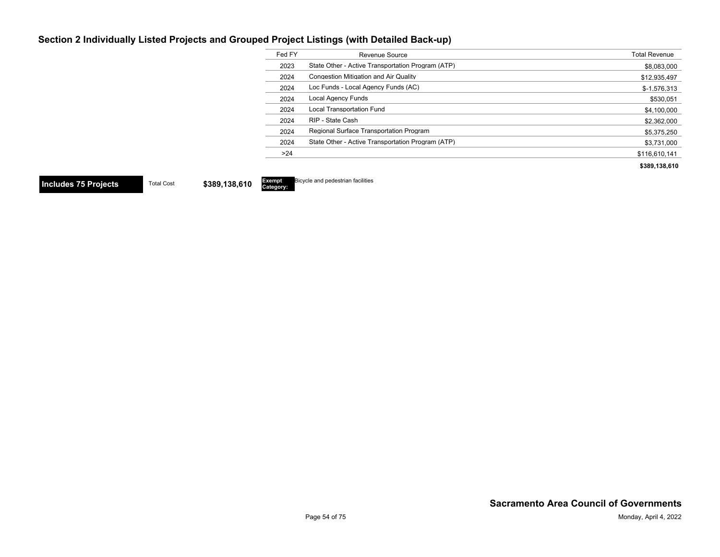| Fed FY | Revenue Source                                    | <b>Total Revenue</b> |
|--------|---------------------------------------------------|----------------------|
| 2023   | State Other - Active Transportation Program (ATP) | \$8,083,000          |
| 2024   | <b>Congestion Mitigation and Air Quality</b>      | \$12,935,497         |
| 2024   | Loc Funds - Local Agency Funds (AC)               | $$-1,576,313$        |
| 2024   | Local Agency Funds                                | \$530.051            |
| 2024   | <b>Local Transportation Fund</b>                  | \$4,100,000          |
| 2024   | RIP - State Cash                                  | \$2,362,000          |
| 2024   | Regional Surface Transportation Program           | \$5,375,250          |
| 2024   | State Other - Active Transportation Program (ATP) | \$3,731,000          |
| >24    |                                                   | \$116.610.141        |
|        |                                                   | \$389.138.610        |

**Includes 75 Projects** Total Cost \$389,138,610

Exempt<br>Category: Bicycle and pedestrian facilities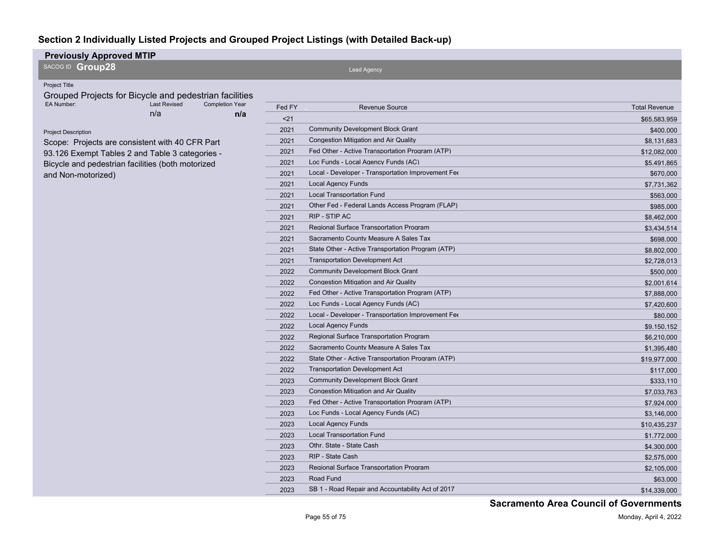| <b>Previously Approved MTIP</b>                                           |        |                                                    |                      |  |  |  |  |  |  |  |
|---------------------------------------------------------------------------|--------|----------------------------------------------------|----------------------|--|--|--|--|--|--|--|
| SACOG ID Group28                                                          |        | Lead Agency                                        |                      |  |  |  |  |  |  |  |
| Project Title                                                             |        |                                                    |                      |  |  |  |  |  |  |  |
| Grouped Projects for Bicycle and pedestrian facilities                    |        |                                                    |                      |  |  |  |  |  |  |  |
| EA Number:<br><b>Last Revised</b><br><b>Completion Year</b><br>n/a<br>n/a | Fed FY | <b>Revenue Source</b>                              | <b>Total Revenue</b> |  |  |  |  |  |  |  |
|                                                                           | $21$   |                                                    | \$65,583,959         |  |  |  |  |  |  |  |
| <b>Project Description</b>                                                | 2021   | <b>Community Development Block Grant</b>           | \$400,000            |  |  |  |  |  |  |  |
| Scope: Projects are consistent with 40 CFR Part                           | 2021   | <b>Congestion Mitigation and Air Quality</b>       | \$8,131,683          |  |  |  |  |  |  |  |
| 93.126 Exempt Tables 2 and Table 3 categories -                           | 2021   | Fed Other - Active Transportation Program (ATP)    | \$12,082,000         |  |  |  |  |  |  |  |
| Bicycle and pedestrian facilities (both motorized                         | 2021   | Loc Funds - Local Agency Funds (AC)                | \$5,491,865          |  |  |  |  |  |  |  |
| and Non-motorized)                                                        | 2021   | Local - Developer - Transportation Improvement Fee | \$670,000            |  |  |  |  |  |  |  |
|                                                                           | 2021   | <b>Local Agency Funds</b>                          | \$7,731,362          |  |  |  |  |  |  |  |
|                                                                           | 2021   | <b>Local Transportation Fund</b>                   | \$563,000            |  |  |  |  |  |  |  |
|                                                                           | 2021   | Other Fed - Federal Lands Access Program (FLAP)    | \$985,000            |  |  |  |  |  |  |  |
|                                                                           | 2021   | RIP - STIP AC                                      | \$8,462,000          |  |  |  |  |  |  |  |
|                                                                           | 2021   | Regional Surface Transportation Program            | \$3,434,514          |  |  |  |  |  |  |  |
|                                                                           | 2021   | Sacramento County Measure A Sales Tax              | \$698,000            |  |  |  |  |  |  |  |
|                                                                           | 2021   | State Other - Active Transportation Program (ATP)  | \$8,802,000          |  |  |  |  |  |  |  |
|                                                                           | 2021   | <b>Transportation Development Act</b>              | \$2,728,013          |  |  |  |  |  |  |  |
|                                                                           | 2022   | <b>Community Development Block Grant</b>           | \$500,000            |  |  |  |  |  |  |  |
|                                                                           | 2022   | Congestion Mitigation and Air Quality              | \$2,001,614          |  |  |  |  |  |  |  |
|                                                                           | 2022   | Fed Other - Active Transportation Program (ATP)    | \$7,888,000          |  |  |  |  |  |  |  |
|                                                                           | 2022   | Loc Funds - Local Agency Funds (AC)                | \$7,420,600          |  |  |  |  |  |  |  |
|                                                                           | 2022   | Local - Developer - Transportation Improvement Fee | \$80,000             |  |  |  |  |  |  |  |
|                                                                           | 2022   | <b>Local Agency Funds</b>                          | \$9,150,152          |  |  |  |  |  |  |  |
|                                                                           | 2022   | <b>Regional Surface Transportation Program</b>     | \$6,210,000          |  |  |  |  |  |  |  |
|                                                                           | 2022   | Sacramento County Measure A Sales Tax              | \$1,395,480          |  |  |  |  |  |  |  |
|                                                                           | 2022   | State Other - Active Transportation Program (ATP)  | \$19,977,000         |  |  |  |  |  |  |  |
|                                                                           | 2022   | <b>Transportation Development Act</b>              | \$117,000            |  |  |  |  |  |  |  |
|                                                                           | 2023   | <b>Community Development Block Grant</b>           | \$333,110            |  |  |  |  |  |  |  |
|                                                                           | 2023   | <b>Congestion Mitigation and Air Quality</b>       | \$7,033,763          |  |  |  |  |  |  |  |
|                                                                           | 2023   | Fed Other - Active Transportation Program (ATP)    | \$7,924,000          |  |  |  |  |  |  |  |
|                                                                           | 2023   | Loc Funds - Local Agency Funds (AC)                | \$3,146,000          |  |  |  |  |  |  |  |
|                                                                           | 2023   | <b>Local Agency Funds</b>                          | \$10,435,237         |  |  |  |  |  |  |  |
|                                                                           | 2023   | <b>Local Transportation Fund</b>                   | \$1,772,000          |  |  |  |  |  |  |  |
|                                                                           | 2023   | Othr. State - State Cash                           | \$4,300,000          |  |  |  |  |  |  |  |
|                                                                           | 2023   | RIP - State Cash                                   | \$2,575,000          |  |  |  |  |  |  |  |
|                                                                           | 2023   | Regional Surface Transportation Program            | \$2,105,000          |  |  |  |  |  |  |  |
|                                                                           | 2023   | Road Fund                                          | \$63,000             |  |  |  |  |  |  |  |
|                                                                           | 2023   | SB 1 - Road Repair and Accountability Act of 2017  | \$14,339,000         |  |  |  |  |  |  |  |
|                                                                           |        |                                                    |                      |  |  |  |  |  |  |  |

**Sacramento Area Council of Governments**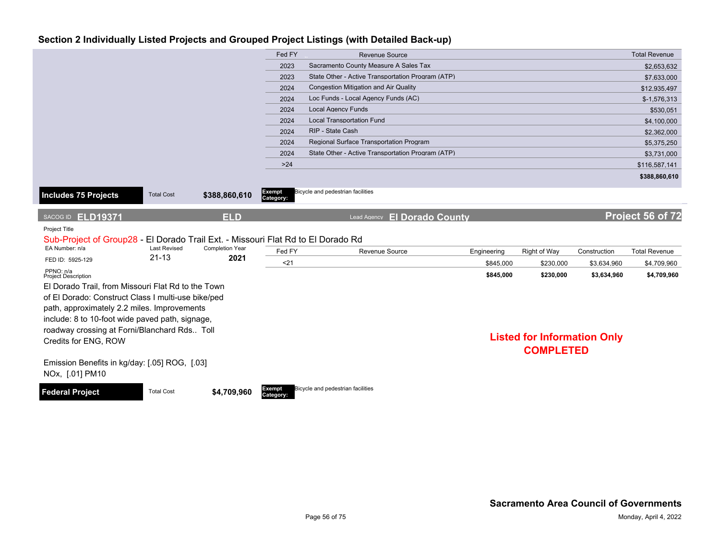|                                                                                                    |                     |                        | Fed FY              | <b>Revenue Source</b>                             |             |                                    |              | <b>Total Revenue</b> |
|----------------------------------------------------------------------------------------------------|---------------------|------------------------|---------------------|---------------------------------------------------|-------------|------------------------------------|--------------|----------------------|
|                                                                                                    |                     |                        | 2023                | Sacramento County Measure A Sales Tax             |             |                                    |              | \$2,653,632          |
|                                                                                                    |                     |                        | 2023                | State Other - Active Transportation Program (ATP) |             |                                    |              | \$7,633,000          |
|                                                                                                    |                     |                        | 2024                | <b>Congestion Mitigation and Air Quality</b>      |             |                                    |              | \$12,935,497         |
|                                                                                                    |                     |                        | 2024                | Loc Funds - Local Agency Funds (AC)               |             |                                    |              | $$-1,576,313$        |
|                                                                                                    |                     |                        | 2024                | <b>Local Agency Funds</b>                         |             |                                    |              | \$530,051            |
|                                                                                                    |                     |                        | 2024                | <b>Local Transportation Fund</b>                  |             |                                    |              | \$4,100,000          |
|                                                                                                    |                     |                        | 2024                | RIP - State Cash                                  |             |                                    |              | \$2,362,000          |
|                                                                                                    |                     |                        | 2024                | <b>Regional Surface Transportation Program</b>    |             |                                    |              | \$5,375,250          |
|                                                                                                    |                     |                        | 2024                | State Other - Active Transportation Program (ATP) |             |                                    |              | \$3,731,000          |
|                                                                                                    |                     |                        | $>24$               |                                                   |             |                                    |              | \$116,587,141        |
|                                                                                                    |                     |                        |                     |                                                   |             |                                    |              | \$388,860,610        |
|                                                                                                    |                     |                        | Exempt              | Bicycle and pedestrian facilities                 |             |                                    |              |                      |
| Includes 75 Projects                                                                               | <b>Total Cost</b>   | \$388,860,610          | Category:           |                                                   |             |                                    |              |                      |
|                                                                                                    |                     |                        |                     |                                                   |             |                                    |              |                      |
| SACOG ID ELD19371                                                                                  |                     | <b>ELD</b>             |                     | Lead Agency <b>El Dorado County</b>               |             |                                    |              | Project 56 of 72     |
| <b>Project Title</b>                                                                               |                     |                        |                     |                                                   |             |                                    |              |                      |
| Sub-Project of Group28 - El Dorado Trail Ext. - Missouri Flat Rd to El Dorado Rd<br>EA Number: n/a | <b>Last Revised</b> | <b>Completion Year</b> |                     |                                                   |             |                                    |              |                      |
| FED ID: 5925-129                                                                                   | $21 - 13$           | 2021                   | Fed FY              | Revenue Source                                    | Engineering | Right of Way                       | Construction | <b>Total Revenue</b> |
|                                                                                                    |                     |                        | $21$                |                                                   | \$845,000   | \$230,000                          | \$3,634,960  | \$4,709,960          |
| PPNO: n/a<br><b>Project Description</b>                                                            |                     |                        |                     |                                                   | \$845,000   | \$230,000                          | \$3,634,960  | \$4,709,960          |
| El Dorado Trail, from Missouri Flat Rd to the Town                                                 |                     |                        |                     |                                                   |             |                                    |              |                      |
| of El Dorado: Construct Class I multi-use bike/ped                                                 |                     |                        |                     |                                                   |             |                                    |              |                      |
| path, approximately 2.2 miles. Improvements                                                        |                     |                        |                     |                                                   |             |                                    |              |                      |
| include: 8 to 10-foot wide paved path, signage,                                                    |                     |                        |                     |                                                   |             |                                    |              |                      |
| roadway crossing at Forni/Blanchard Rds Toll                                                       |                     |                        |                     |                                                   |             |                                    |              |                      |
| Credits for ENG, ROW                                                                               |                     |                        |                     |                                                   |             | <b>Listed for Information Only</b> |              |                      |
|                                                                                                    |                     |                        |                     |                                                   |             | <b>COMPLETED</b>                   |              |                      |
| Emission Benefits in kg/day: [.05] ROG, [.03]                                                      |                     |                        |                     |                                                   |             |                                    |              |                      |
| NOx, [.01] PM10                                                                                    |                     |                        |                     |                                                   |             |                                    |              |                      |
|                                                                                                    |                     |                        |                     | Bicycle and pedestrian facilities                 |             |                                    |              |                      |
| <b>Federal Project</b>                                                                             | <b>Total Cost</b>   | \$4,709,960            | Exempt<br>Category: |                                                   |             |                                    |              |                      |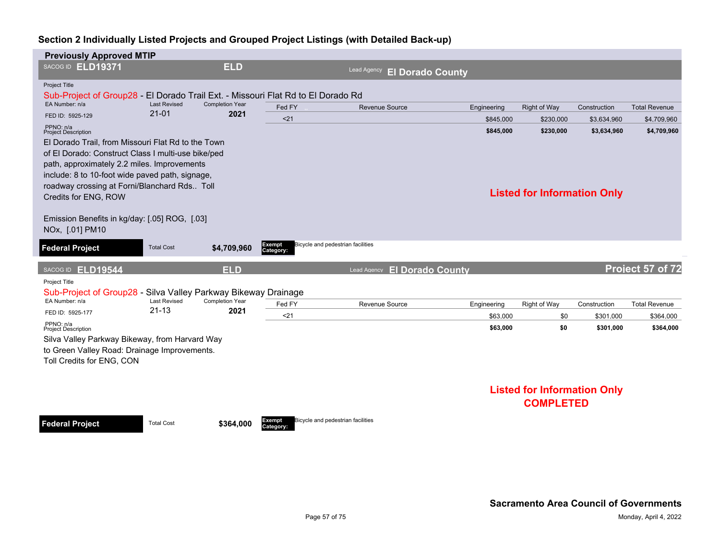| SACOG ID ELD19371<br><b>ELD</b><br><b>Lead Agency</b><br><b>El Dorado County</b><br>Project Title<br>Sub-Project of Group28 - El Dorado Trail Ext. - Missouri Flat Rd to El Dorado Rd<br>EA Number: n/a<br><b>Last Revised</b><br><b>Completion Year</b><br>Fed FY<br>Revenue Source<br>Right of Way<br>Construction<br>Engineering<br>$21 - 01$<br>2021<br>FED ID: 5925-129<br>< 21<br>\$845.000<br>\$230,000<br>\$3,634,960<br>PPNO: n/a<br>\$845,000<br>\$230,000<br>\$3,634,960<br><b>Project Description</b><br>El Dorado Trail, from Missouri Flat Rd to the Town<br>of El Dorado: Construct Class I multi-use bike/ped<br>path, approximately 2.2 miles. Improvements<br>include: 8 to 10-foot wide paved path, signage,<br>roadway crossing at Forni/Blanchard Rds Toll<br><b>Listed for Information Only</b><br>Credits for ENG, ROW<br>Emission Benefits in kg/day: [.05] ROG, [.03]<br>NOx, [.01] PM10<br>Bicycle and pedestrian facilities<br>Exempt<br><b>Federal Project</b><br><b>Total Cost</b><br>\$4,709,960<br>Category:<br>Project 57 of 72<br><b>ELD</b><br>SACOG ID ELD19544<br><b>El Dorado County</b><br>Lead Agency<br>Project Title<br>Sub-Project of Group28 - Silva Valley Parkway Bikeway Drainage<br><b>Last Revised</b><br><b>Completion Year</b><br>EA Number: n/a<br>Fed FY<br>Right of Way<br>Revenue Source<br>Construction<br>Engineering<br>$21 - 13$<br>2021<br>FED ID: 5925-177<br>$21$<br>\$63,000<br>\$301,000<br>\$0<br>PPNO: n/a<br>\$63,000<br>\$0<br>\$301,000<br><b>Project Description</b><br>Silva Valley Parkway Bikeway, from Harvard Way<br>to Green Valley Road: Drainage Improvements.<br>Toll Credits for ENG, CON<br><b>Listed for Information Only</b><br><b>COMPLETED</b><br>Bicycle and pedestrian facilities<br>Exempt<br><b>Total Cost</b><br><b>Federal Project</b><br>\$364,000 | <b>Previously Approved MTIP</b> |  |           |  |  |                      |
|-----------------------------------------------------------------------------------------------------------------------------------------------------------------------------------------------------------------------------------------------------------------------------------------------------------------------------------------------------------------------------------------------------------------------------------------------------------------------------------------------------------------------------------------------------------------------------------------------------------------------------------------------------------------------------------------------------------------------------------------------------------------------------------------------------------------------------------------------------------------------------------------------------------------------------------------------------------------------------------------------------------------------------------------------------------------------------------------------------------------------------------------------------------------------------------------------------------------------------------------------------------------------------------------------------------------------------------------------------------------------------------------------------------------------------------------------------------------------------------------------------------------------------------------------------------------------------------------------------------------------------------------------------------------------------------------------------------------------------------------------------------------------------------------------------------------------------------------------|---------------------------------|--|-----------|--|--|----------------------|
|                                                                                                                                                                                                                                                                                                                                                                                                                                                                                                                                                                                                                                                                                                                                                                                                                                                                                                                                                                                                                                                                                                                                                                                                                                                                                                                                                                                                                                                                                                                                                                                                                                                                                                                                                                                                                                               |                                 |  |           |  |  |                      |
|                                                                                                                                                                                                                                                                                                                                                                                                                                                                                                                                                                                                                                                                                                                                                                                                                                                                                                                                                                                                                                                                                                                                                                                                                                                                                                                                                                                                                                                                                                                                                                                                                                                                                                                                                                                                                                               |                                 |  |           |  |  |                      |
|                                                                                                                                                                                                                                                                                                                                                                                                                                                                                                                                                                                                                                                                                                                                                                                                                                                                                                                                                                                                                                                                                                                                                                                                                                                                                                                                                                                                                                                                                                                                                                                                                                                                                                                                                                                                                                               |                                 |  |           |  |  | <b>Total Revenue</b> |
|                                                                                                                                                                                                                                                                                                                                                                                                                                                                                                                                                                                                                                                                                                                                                                                                                                                                                                                                                                                                                                                                                                                                                                                                                                                                                                                                                                                                                                                                                                                                                                                                                                                                                                                                                                                                                                               |                                 |  |           |  |  | \$4,709,960          |
|                                                                                                                                                                                                                                                                                                                                                                                                                                                                                                                                                                                                                                                                                                                                                                                                                                                                                                                                                                                                                                                                                                                                                                                                                                                                                                                                                                                                                                                                                                                                                                                                                                                                                                                                                                                                                                               |                                 |  |           |  |  | \$4,709,960          |
|                                                                                                                                                                                                                                                                                                                                                                                                                                                                                                                                                                                                                                                                                                                                                                                                                                                                                                                                                                                                                                                                                                                                                                                                                                                                                                                                                                                                                                                                                                                                                                                                                                                                                                                                                                                                                                               |                                 |  |           |  |  |                      |
|                                                                                                                                                                                                                                                                                                                                                                                                                                                                                                                                                                                                                                                                                                                                                                                                                                                                                                                                                                                                                                                                                                                                                                                                                                                                                                                                                                                                                                                                                                                                                                                                                                                                                                                                                                                                                                               |                                 |  |           |  |  |                      |
|                                                                                                                                                                                                                                                                                                                                                                                                                                                                                                                                                                                                                                                                                                                                                                                                                                                                                                                                                                                                                                                                                                                                                                                                                                                                                                                                                                                                                                                                                                                                                                                                                                                                                                                                                                                                                                               |                                 |  |           |  |  |                      |
|                                                                                                                                                                                                                                                                                                                                                                                                                                                                                                                                                                                                                                                                                                                                                                                                                                                                                                                                                                                                                                                                                                                                                                                                                                                                                                                                                                                                                                                                                                                                                                                                                                                                                                                                                                                                                                               |                                 |  |           |  |  |                      |
|                                                                                                                                                                                                                                                                                                                                                                                                                                                                                                                                                                                                                                                                                                                                                                                                                                                                                                                                                                                                                                                                                                                                                                                                                                                                                                                                                                                                                                                                                                                                                                                                                                                                                                                                                                                                                                               |                                 |  |           |  |  | <b>Total Revenue</b> |
|                                                                                                                                                                                                                                                                                                                                                                                                                                                                                                                                                                                                                                                                                                                                                                                                                                                                                                                                                                                                                                                                                                                                                                                                                                                                                                                                                                                                                                                                                                                                                                                                                                                                                                                                                                                                                                               |                                 |  |           |  |  | \$364,000            |
|                                                                                                                                                                                                                                                                                                                                                                                                                                                                                                                                                                                                                                                                                                                                                                                                                                                                                                                                                                                                                                                                                                                                                                                                                                                                                                                                                                                                                                                                                                                                                                                                                                                                                                                                                                                                                                               |                                 |  |           |  |  | \$364,000            |
|                                                                                                                                                                                                                                                                                                                                                                                                                                                                                                                                                                                                                                                                                                                                                                                                                                                                                                                                                                                                                                                                                                                                                                                                                                                                                                                                                                                                                                                                                                                                                                                                                                                                                                                                                                                                                                               |                                 |  | Category: |  |  |                      |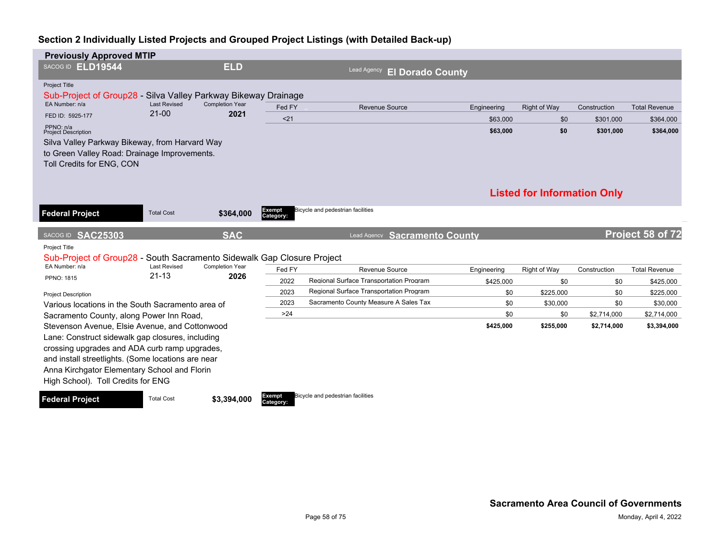| <b>Previously Approved MTIP</b>                                                                                                                                        |                                  |                                |                     |                                               |             |                                    |              |                      |
|------------------------------------------------------------------------------------------------------------------------------------------------------------------------|----------------------------------|--------------------------------|---------------------|-----------------------------------------------|-------------|------------------------------------|--------------|----------------------|
| SACOG ID ELD19544                                                                                                                                                      |                                  | <b>ELD</b>                     |                     | <b>Lead Agency</b><br><b>El Dorado County</b> |             |                                    |              |                      |
| Project Title<br>Sub-Project of Group28 - Silva Valley Parkway Bikeway Drainage                                                                                        |                                  |                                |                     |                                               |             |                                    |              |                      |
| EA Number: n/a                                                                                                                                                         | <b>Last Revised</b><br>$21 - 00$ | <b>Completion Year</b><br>2021 | Fed FY              | <b>Revenue Source</b>                         | Engineering | Right of Way                       | Construction | <b>Total Revenue</b> |
| FED ID: 5925-177                                                                                                                                                       |                                  |                                | $21$                |                                               | \$63,000    | \$0                                | \$301,000    | \$364,000            |
| PPNO: n/a<br><b>Project Description</b><br>Silva Valley Parkway Bikeway, from Harvard Way<br>to Green Valley Road: Drainage Improvements.<br>Toll Credits for ENG, CON |                                  |                                |                     |                                               | \$63,000    | \$0                                | \$301,000    | \$364,000            |
|                                                                                                                                                                        |                                  |                                |                     |                                               |             | <b>Listed for Information Only</b> |              |                      |
| <b>Federal Project</b>                                                                                                                                                 | <b>Total Cost</b>                | \$364,000                      | Exempt<br>Category: | Bicycle and pedestrian facilities             |             |                                    |              |                      |
|                                                                                                                                                                        |                                  |                                |                     |                                               |             |                                    |              |                      |
| SACOG ID SAC25303                                                                                                                                                      |                                  | <b>SAC</b>                     |                     | Lead Agency Sacramento County                 |             |                                    |              | Project 58 of 72     |
| Project Title                                                                                                                                                          |                                  |                                |                     |                                               |             |                                    |              |                      |
| Sub-Project of Group28 - South Sacramento Sidewalk Gap Closure Project                                                                                                 |                                  |                                |                     |                                               |             |                                    |              |                      |
| EA Number: n/a                                                                                                                                                         | <b>Last Revised</b>              | <b>Completion Year</b>         | Fed FY              | Revenue Source                                | Engineering | Right of Way                       | Construction | <b>Total Revenue</b> |
| <b>PPNO: 1815</b>                                                                                                                                                      | $21 - 13$                        | 2026                           | 2022                | Regional Surface Transportation Program       | \$425,000   | \$0                                | \$0          | \$425,000            |
| <b>Project Description</b>                                                                                                                                             |                                  |                                | 2023                | Regional Surface Transportation Program       | \$0         | \$225.000                          | \$0          | \$225,000            |
| Various locations in the South Sacramento area of                                                                                                                      |                                  |                                | 2023                | Sacramento County Measure A Sales Tax         | \$0         | \$30,000                           | \$0          | \$30,000             |
| Sacramento County, along Power Inn Road,                                                                                                                               |                                  |                                | >24                 |                                               | \$0         | \$0                                | \$2,714,000  | \$2,714,000          |
| Stevenson Avenue, Elsie Avenue, and Cottonwood                                                                                                                         |                                  |                                |                     |                                               | \$425,000   | \$255,000                          | \$2,714,000  | \$3,394,000          |
| Lane: Construct sidewalk gap closures, including                                                                                                                       |                                  |                                |                     |                                               |             |                                    |              |                      |
| crossing upgrades and ADA curb ramp upgrades,                                                                                                                          |                                  |                                |                     |                                               |             |                                    |              |                      |
| and install streetlights. (Some locations are near                                                                                                                     |                                  |                                |                     |                                               |             |                                    |              |                      |
| Anna Kirchgator Elementary School and Florin<br>High School). Toll Credits for ENG                                                                                     |                                  |                                |                     |                                               |             |                                    |              |                      |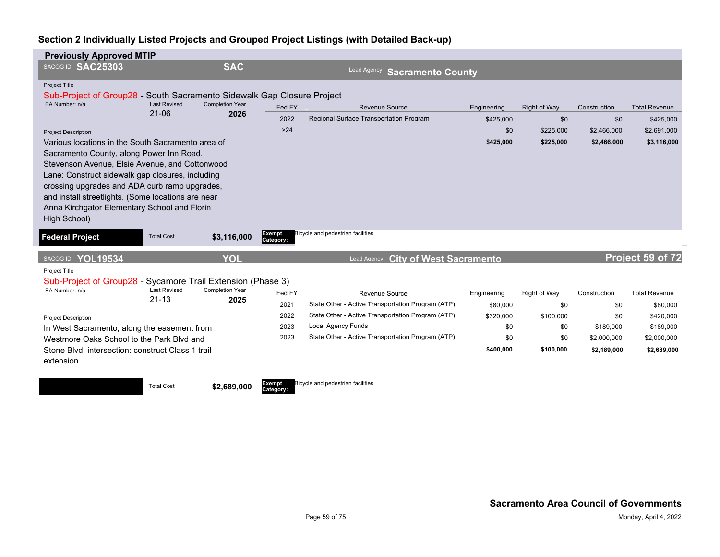| <b>Previously Approved MTIP</b>                                                                                                                                                                                                                                                                                                                                                                          |                                  |                                |                     |                                                                     |                         |                     |                     |                                  |
|----------------------------------------------------------------------------------------------------------------------------------------------------------------------------------------------------------------------------------------------------------------------------------------------------------------------------------------------------------------------------------------------------------|----------------------------------|--------------------------------|---------------------|---------------------------------------------------------------------|-------------------------|---------------------|---------------------|----------------------------------|
| SACOG ID SAC25303                                                                                                                                                                                                                                                                                                                                                                                        |                                  | <b>SAC</b>                     |                     | Lead Agency<br><b>Sacramento County</b>                             |                         |                     |                     |                                  |
| Project Title<br>Sub-Project of Group28 - South Sacramento Sidewalk Gap Closure Project<br>EA Number: n/a                                                                                                                                                                                                                                                                                                | <b>Last Revised</b>              | <b>Completion Year</b>         | Fed FY              | <b>Revenue Source</b>                                               | Engineering             | <b>Right of Way</b> | Construction        | <b>Total Revenue</b>             |
|                                                                                                                                                                                                                                                                                                                                                                                                          | $21 - 06$                        | 2026                           |                     | Regional Surface Transportation Program                             |                         |                     |                     |                                  |
|                                                                                                                                                                                                                                                                                                                                                                                                          |                                  |                                | 2022<br>$>24$       |                                                                     | \$425,000<br>\$0        | \$0<br>\$225,000    | \$0<br>\$2,466,000  | \$425,000<br>\$2,691,000         |
| <b>Project Description</b><br>Various locations in the South Sacramento area of<br>Sacramento County, along Power Inn Road,<br>Stevenson Avenue, Elsie Avenue, and Cottonwood<br>Lane: Construct sidewalk gap closures, including<br>crossing upgrades and ADA curb ramp upgrades,<br>and install streetlights. (Some locations are near<br>Anna Kirchgator Elementary School and Florin<br>High School) |                                  |                                |                     |                                                                     | \$425,000               | \$225,000           | \$2,466,000         | \$3,116,000                      |
| <b>Federal Project</b>                                                                                                                                                                                                                                                                                                                                                                                   | <b>Total Cost</b>                | \$3,116,000                    | Exempt<br>Category: | Bicycle and pedestrian facilities                                   |                         |                     |                     |                                  |
| SACOG ID YOL19534                                                                                                                                                                                                                                                                                                                                                                                        |                                  | YOL                            |                     | <b>City of West Sacramento</b><br>Lead Agency                       |                         |                     |                     | Project 59 of 72                 |
| Project Title<br>Sub-Project of Group28 - Sycamore Trail Extension (Phase 3)<br>EA Number: n/a                                                                                                                                                                                                                                                                                                           | <b>Last Revised</b><br>$21 - 13$ | <b>Completion Year</b><br>2025 | Fed FY<br>2021      | Revenue Source<br>State Other - Active Transportation Program (ATP) | Engineering<br>\$80,000 | Right of Way<br>\$0 | Construction<br>\$0 | <b>Total Revenue</b><br>\$80,000 |
|                                                                                                                                                                                                                                                                                                                                                                                                          |                                  |                                | 2022                | State Other - Active Transportation Program (ATP)                   | \$320,000               | \$100,000           | \$0                 | \$420,000                        |
| <b>Project Description</b><br>In West Sacramento, along the easement from                                                                                                                                                                                                                                                                                                                                |                                  |                                | 2023                | <b>Local Agency Funds</b>                                           | \$0                     | \$0                 | \$189,000           | \$189,000                        |
| Westmore Oaks School to the Park Blyd and                                                                                                                                                                                                                                                                                                                                                                |                                  |                                | 2023                | State Other - Active Transportation Program (ATP)                   | \$0                     | \$0                 | \$2,000,000         | \$2,000,000                      |
| Stone Blvd. intersection: construct Class 1 trail<br>extension.                                                                                                                                                                                                                                                                                                                                          |                                  |                                |                     |                                                                     | \$400,000               | \$100,000           | \$2,189,000         | \$2,689,000                      |
|                                                                                                                                                                                                                                                                                                                                                                                                          | <b>Total Cost</b>                | \$2,689,000                    | Exempt<br>Category: | Bicycle and pedestrian facilities                                   |                         |                     |                     |                                  |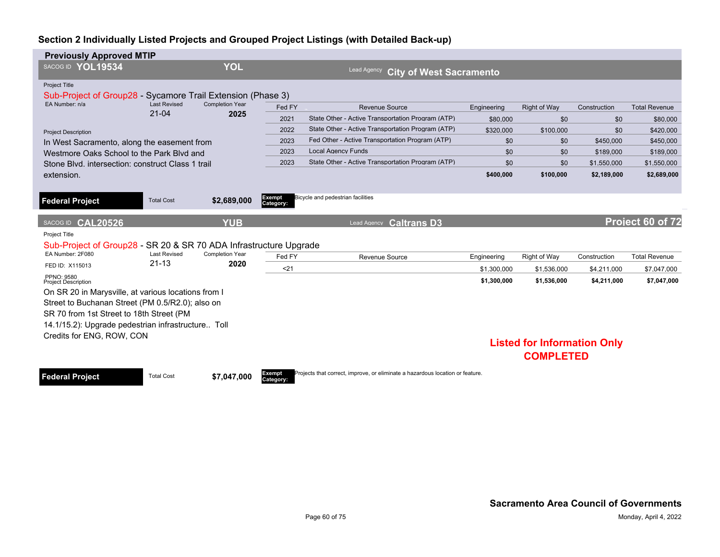| <b>Previously Approved MTIP</b>                                                           |                                  |                                |                                                      |                                                                               |             |                                    |              |                      |  |  |
|-------------------------------------------------------------------------------------------|----------------------------------|--------------------------------|------------------------------------------------------|-------------------------------------------------------------------------------|-------------|------------------------------------|--------------|----------------------|--|--|
| SACOG ID YOL19534                                                                         |                                  | <b>YOL</b>                     | <b>Lead Agency</b><br><b>City of West Sacramento</b> |                                                                               |             |                                    |              |                      |  |  |
| <b>Project Title</b><br>Sub-Project of Group28 - Sycamore Trail Extension (Phase 3)       |                                  |                                |                                                      |                                                                               |             |                                    |              |                      |  |  |
| EA Number: n/a                                                                            | <b>Last Revised</b><br>$21 - 04$ | <b>Completion Year</b><br>2025 | Fed FY                                               | Revenue Source                                                                | Engineering | <b>Right of Way</b>                | Construction | <b>Total Revenue</b> |  |  |
|                                                                                           |                                  |                                | 2021                                                 | State Other - Active Transportation Program (ATP)                             | \$80,000    | \$0                                | \$0          | \$80,000             |  |  |
| <b>Project Description</b>                                                                |                                  |                                | 2022                                                 | State Other - Active Transportation Program (ATP)                             | \$320,000   | \$100,000                          | \$0          | \$420,000            |  |  |
| In West Sacramento, along the easement from                                               |                                  |                                | 2023                                                 | Fed Other - Active Transportation Program (ATP)                               | \$0         | \$0                                | \$450,000    | \$450,000            |  |  |
| Westmore Oaks School to the Park Blyd and                                                 |                                  |                                | 2023                                                 | <b>Local Agency Funds</b>                                                     | \$0         | \$0                                | \$189,000    | \$189,000            |  |  |
| Stone Blvd. intersection: construct Class 1 trail                                         |                                  |                                | 2023                                                 | State Other - Active Transportation Program (ATP)                             | \$0         | \$0                                | \$1.550.000  | \$1,550,000          |  |  |
| extension.                                                                                |                                  |                                |                                                      |                                                                               | \$400,000   | \$100,000                          | \$2,189,000  | \$2,689,000          |  |  |
| <b>Federal Project</b>                                                                    | <b>Total Cost</b>                | \$2,689,000                    | Exempt<br>Category:                                  | Bicycle and pedestrian facilities                                             |             |                                    |              |                      |  |  |
| SACOG ID CAL20526                                                                         |                                  | <b>YUB</b>                     |                                                      | <b>Caltrans D3</b><br>Lead Agency                                             |             |                                    |              | Project 60 of 72     |  |  |
| <b>Project Title</b><br>Sub-Project of Group28 - SR 20 & SR 70 ADA Infrastructure Upgrade |                                  |                                |                                                      |                                                                               |             |                                    |              |                      |  |  |
| EA Number: 2F080                                                                          | <b>Last Revised</b>              | <b>Completion Year</b>         | Fed FY                                               | Revenue Source                                                                | Engineering | Right of Way                       | Construction | <b>Total Revenue</b> |  |  |
| FED ID: X115013                                                                           | $21 - 13$                        | 2020                           | $21$                                                 |                                                                               | \$1,300,000 | \$1,536,000                        | \$4,211,000  | \$7,047,000          |  |  |
| PPNO: 9580<br><b>Project Description</b>                                                  |                                  |                                |                                                      |                                                                               | \$1,300,000 | \$1,536,000                        | \$4,211,000  | \$7,047,000          |  |  |
| On SR 20 in Marysville, at various locations from I                                       |                                  |                                |                                                      |                                                                               |             |                                    |              |                      |  |  |
| Street to Buchanan Street (PM 0.5/R2.0); also on                                          |                                  |                                |                                                      |                                                                               |             |                                    |              |                      |  |  |
| SR 70 from 1st Street to 18th Street (PM                                                  |                                  |                                |                                                      |                                                                               |             |                                    |              |                      |  |  |
| 14.1/15.2): Upgrade pedestrian infrastructure Toll                                        |                                  |                                |                                                      |                                                                               |             |                                    |              |                      |  |  |
| Credits for ENG, ROW, CON                                                                 |                                  |                                |                                                      |                                                                               |             |                                    |              |                      |  |  |
|                                                                                           |                                  |                                |                                                      |                                                                               |             | <b>Listed for Information Only</b> |              |                      |  |  |
|                                                                                           |                                  |                                |                                                      |                                                                               |             | <b>COMPLETED</b>                   |              |                      |  |  |
| <b>Federal Project</b>                                                                    | <b>Total Cost</b>                | \$7,047,000                    | Exempt                                               | Projects that correct, improve, or eliminate a hazardous location or feature. |             |                                    |              |                      |  |  |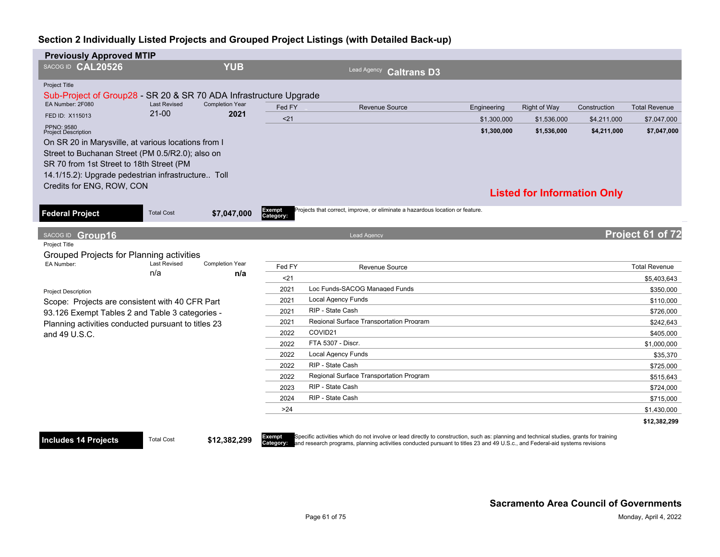| <b>Previously Approved MTIP</b>                                                       |                            |                               |                     |                                                                               |             |                                    |              |                      |
|---------------------------------------------------------------------------------------|----------------------------|-------------------------------|---------------------|-------------------------------------------------------------------------------|-------------|------------------------------------|--------------|----------------------|
| SACOG ID CAL20526                                                                     |                            | <b>YUB</b>                    |                     | Lead Agency Caltrans D3                                                       |             |                                    |              |                      |
|                                                                                       |                            |                               |                     |                                                                               |             |                                    |              |                      |
| Project Title                                                                         |                            |                               |                     |                                                                               |             |                                    |              |                      |
| Sub-Project of Group28 - SR 20 & SR 70 ADA Infrastructure Upgrade<br>EA Number: 2F080 | <b>Last Revised</b>        | <b>Completion Year</b>        |                     |                                                                               |             |                                    |              |                      |
| FED ID: X115013                                                                       | $21 - 00$                  | 2021                          | Fed FY              | <b>Revenue Source</b>                                                         | Engineering | <b>Right of Way</b>                | Construction | <b>Total Revenue</b> |
| PPNO: 9580                                                                            |                            |                               | $21$                |                                                                               | \$1,300,000 | \$1,536,000                        | \$4,211,000  | \$7,047,000          |
| <b>Project Description</b>                                                            |                            |                               |                     |                                                                               | \$1,300,000 | \$1,536,000                        | \$4,211,000  | \$7,047,000          |
| On SR 20 in Marysville, at various locations from I                                   |                            |                               |                     |                                                                               |             |                                    |              |                      |
| Street to Buchanan Street (PM 0.5/R2.0); also on                                      |                            |                               |                     |                                                                               |             |                                    |              |                      |
| SR 70 from 1st Street to 18th Street (PM                                              |                            |                               |                     |                                                                               |             |                                    |              |                      |
| 14.1/15.2): Upgrade pedestrian infrastructure Toll                                    |                            |                               |                     |                                                                               |             |                                    |              |                      |
| Credits for ENG, ROW, CON                                                             |                            |                               |                     |                                                                               |             | <b>Listed for Information Only</b> |              |                      |
|                                                                                       |                            |                               |                     |                                                                               |             |                                    |              |                      |
| <b>Federal Project</b>                                                                | <b>Total Cost</b>          | \$7,047,000                   | Exempt<br>Category: | Projects that correct, improve, or eliminate a hazardous location or feature. |             |                                    |              |                      |
|                                                                                       |                            |                               |                     |                                                                               |             |                                    |              |                      |
| SACOG ID Group16                                                                      |                            |                               |                     | <b>Lead Agency</b>                                                            |             |                                    |              | Project 61 of 72     |
| Project Title                                                                         |                            |                               |                     |                                                                               |             |                                    |              |                      |
| Grouped Projects for Planning activities                                              |                            |                               |                     |                                                                               |             |                                    |              |                      |
| EA Number:                                                                            | <b>Last Revised</b><br>n/a | <b>Completion Year</b><br>n/a | Fed FY              | Revenue Source                                                                |             |                                    |              | <b>Total Revenue</b> |
|                                                                                       |                            |                               | $21$                |                                                                               |             |                                    |              | \$5,403,643          |
| <b>Project Description</b>                                                            |                            |                               | 2021                | Loc Funds-SACOG Managed Funds                                                 |             |                                    |              | \$350,000            |
| Scope: Projects are consistent with 40 CFR Part                                       |                            |                               | 2021                | <b>Local Agency Funds</b>                                                     |             |                                    |              | \$110,000            |
| 93.126 Exempt Tables 2 and Table 3 categories -                                       |                            |                               | 2021                | RIP - State Cash                                                              |             |                                    |              | \$726,000            |
| Planning activities conducted pursuant to titles 23                                   |                            |                               | 2021                | Regional Surface Transportation Program                                       |             |                                    |              | \$242,643            |
| and 49 U.S.C.                                                                         |                            |                               | 2022                | COVID21                                                                       |             |                                    |              | \$405,000            |
|                                                                                       |                            |                               | 2022                | FTA 5307 - Discr.                                                             |             |                                    |              | \$1,000,000          |
|                                                                                       |                            |                               | 2022                | <b>Local Agency Funds</b>                                                     |             |                                    |              | \$35,370             |
|                                                                                       |                            |                               | 2022                | RIP - State Cash                                                              |             |                                    |              | \$725,000            |
|                                                                                       |                            |                               | 2022                | Regional Surface Transportation Program                                       |             |                                    |              | \$515,643            |
|                                                                                       |                            |                               | 2023                | RIP - State Cash                                                              |             |                                    |              | \$724,000            |
|                                                                                       |                            |                               | 2024                | RIP - State Cash                                                              |             |                                    |              | \$715,000            |
|                                                                                       |                            |                               | >24                 |                                                                               |             |                                    |              | \$1,430,000          |
|                                                                                       |                            |                               |                     |                                                                               |             |                                    |              | \$12,382,299         |

#### **Includes 14 Projects** Total Cost \$12,382,299

Exempt Specific activities which do not involve or lead directly to construction, such as: planning and technical studies, grants for training<br>Category: and research programs, planning activities conducted pursuant to titl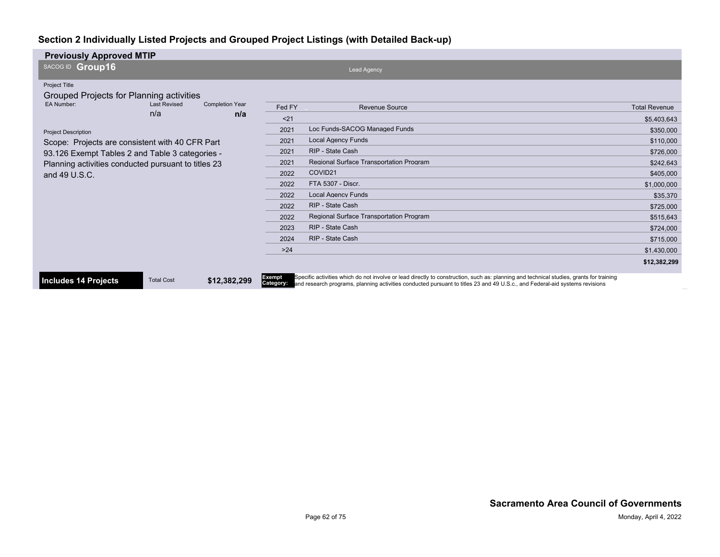| <b>Previously Approved MTIP</b>                     |                     |                        |                     |                                                                                                                                                                                                                                                                        |                      |
|-----------------------------------------------------|---------------------|------------------------|---------------------|------------------------------------------------------------------------------------------------------------------------------------------------------------------------------------------------------------------------------------------------------------------------|----------------------|
| SACOG ID Group16                                    |                     |                        |                     | <b>Lead Agency</b>                                                                                                                                                                                                                                                     |                      |
| <b>Project Title</b>                                |                     |                        |                     |                                                                                                                                                                                                                                                                        |                      |
| Grouped Projects for Planning activities            |                     |                        |                     |                                                                                                                                                                                                                                                                        |                      |
| EA Number:                                          | <b>Last Revised</b> | <b>Completion Year</b> | Fed FY              | <b>Revenue Source</b>                                                                                                                                                                                                                                                  | <b>Total Revenue</b> |
|                                                     | n/a                 | n/a                    | $21$                |                                                                                                                                                                                                                                                                        | \$5.403.643          |
| <b>Project Description</b>                          |                     |                        | 2021                | Loc Funds-SACOG Managed Funds                                                                                                                                                                                                                                          | \$350,000            |
| Scope: Projects are consistent with 40 CFR Part     |                     |                        | 2021                | <b>Local Agency Funds</b>                                                                                                                                                                                                                                              | \$110,000            |
| 93.126 Exempt Tables 2 and Table 3 categories -     |                     |                        | 2021                | RIP - State Cash                                                                                                                                                                                                                                                       | \$726,000            |
| Planning activities conducted pursuant to titles 23 |                     |                        | 2021                | <b>Regional Surface Transportation Program</b>                                                                                                                                                                                                                         | \$242,643            |
| and 49 U.S.C.                                       |                     |                        | 2022                | COVID21                                                                                                                                                                                                                                                                | \$405,000            |
|                                                     |                     |                        | 2022                | FTA 5307 - Discr.                                                                                                                                                                                                                                                      | \$1,000,000          |
|                                                     |                     |                        | 2022                | <b>Local Agency Funds</b>                                                                                                                                                                                                                                              | \$35,370             |
|                                                     |                     |                        | 2022                | RIP - State Cash                                                                                                                                                                                                                                                       | \$725,000            |
|                                                     |                     |                        | 2022                | Regional Surface Transportation Program                                                                                                                                                                                                                                | \$515,643            |
|                                                     |                     |                        | 2023                | RIP - State Cash                                                                                                                                                                                                                                                       | \$724,000            |
|                                                     |                     |                        | 2024                | RIP - State Cash                                                                                                                                                                                                                                                       | \$715,000            |
|                                                     |                     |                        | $>24$               |                                                                                                                                                                                                                                                                        | \$1,430,000          |
|                                                     |                     |                        |                     |                                                                                                                                                                                                                                                                        | \$12,382,299         |
| <b>Includes 14 Projects</b>                         | <b>Total Cost</b>   | \$12,382,299           | Exempt<br>Category: | Specific activities which do not involve or lead directly to construction, such as: planning and technical studies, grants for training<br>and research programs, planning activities conducted pursuant to titles 23 and 49 U.S.c., and Eederal-aid systems revisions |                      |

**Category:** and research programs, planning activities conducted pursuant to titles 23 and 49 U.S.c., and Federal-aid systems revisions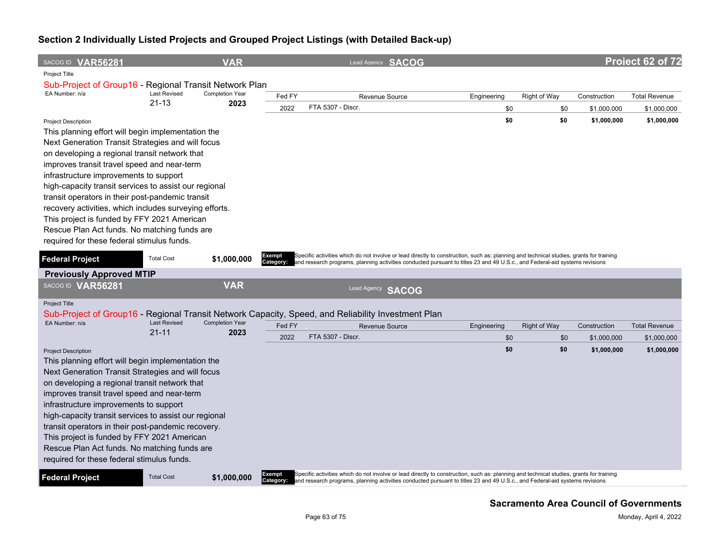| SACOG ID VAR56281                                                                                          |                                  | <b>VAR</b>                     |                            | Lead Agency SACOG                                                                                                                                                                                                                                                                |             |                     |              | Project 62 of 72     |
|------------------------------------------------------------------------------------------------------------|----------------------------------|--------------------------------|----------------------------|----------------------------------------------------------------------------------------------------------------------------------------------------------------------------------------------------------------------------------------------------------------------------------|-------------|---------------------|--------------|----------------------|
| Project Title                                                                                              |                                  |                                |                            |                                                                                                                                                                                                                                                                                  |             |                     |              |                      |
| Sub-Project of Group16 - Regional Transit Network Plan                                                     |                                  |                                |                            |                                                                                                                                                                                                                                                                                  |             |                     |              |                      |
| EA Number: n/a                                                                                             | <b>Last Revised</b><br>$21 - 13$ | <b>Completion Year</b><br>2023 | Fed FY                     | Revenue Source                                                                                                                                                                                                                                                                   | Engineering | Right of Way        | Construction | <b>Total Revenue</b> |
|                                                                                                            |                                  |                                | 2022                       | FTA 5307 - Discr.                                                                                                                                                                                                                                                                | \$0         | \$0                 | \$1,000,000  | \$1,000,000          |
| <b>Project Description</b>                                                                                 |                                  |                                |                            |                                                                                                                                                                                                                                                                                  | \$0         | \$0                 | \$1,000,000  | \$1,000,000          |
| This planning effort will begin implementation the                                                         |                                  |                                |                            |                                                                                                                                                                                                                                                                                  |             |                     |              |                      |
| Next Generation Transit Strategies and will focus                                                          |                                  |                                |                            |                                                                                                                                                                                                                                                                                  |             |                     |              |                      |
| on developing a regional transit network that                                                              |                                  |                                |                            |                                                                                                                                                                                                                                                                                  |             |                     |              |                      |
| improves transit travel speed and near-term                                                                |                                  |                                |                            |                                                                                                                                                                                                                                                                                  |             |                     |              |                      |
| infrastructure improvements to support                                                                     |                                  |                                |                            |                                                                                                                                                                                                                                                                                  |             |                     |              |                      |
| high-capacity transit services to assist our regional                                                      |                                  |                                |                            |                                                                                                                                                                                                                                                                                  |             |                     |              |                      |
| transit operators in their post-pandemic transit<br>recovery activities, which includes surveying efforts. |                                  |                                |                            |                                                                                                                                                                                                                                                                                  |             |                     |              |                      |
| This project is funded by FFY 2021 American                                                                |                                  |                                |                            |                                                                                                                                                                                                                                                                                  |             |                     |              |                      |
| Rescue Plan Act funds. No matching funds are                                                               |                                  |                                |                            |                                                                                                                                                                                                                                                                                  |             |                     |              |                      |
| required for these federal stimulus funds.                                                                 |                                  |                                |                            |                                                                                                                                                                                                                                                                                  |             |                     |              |                      |
|                                                                                                            |                                  |                                |                            |                                                                                                                                                                                                                                                                                  |             |                     |              |                      |
| <b>Federal Project</b>                                                                                     | <b>Total Cost</b>                | \$1,000,000                    | <b>Exempt</b><br>Category: | Specific activities which do not involve or lead directly to construction, such as: planning and technical studies, grants for training<br>and research programs, planning activities conducted pursuant to titles 23 and 49 U.S.c., and Federal-aid systems revisions           |             |                     |              |                      |
| <b>Previously Approved MTIP</b>                                                                            |                                  |                                |                            |                                                                                                                                                                                                                                                                                  |             |                     |              |                      |
| SACOG ID VAR56281                                                                                          |                                  | <b>VAR</b>                     |                            | Lead Agency <b>SACOG</b>                                                                                                                                                                                                                                                         |             |                     |              |                      |
| <b>Project Title</b>                                                                                       |                                  |                                |                            |                                                                                                                                                                                                                                                                                  |             |                     |              |                      |
|                                                                                                            |                                  |                                |                            | Sub-Project of Group16 - Regional Transit Network Capacity, Speed, and Reliability Investment Plan                                                                                                                                                                               |             |                     |              |                      |
| EA Number: n/a                                                                                             | <b>Last Revised</b>              | <b>Completion Year</b>         | Fed FY                     | Revenue Source                                                                                                                                                                                                                                                                   | Engineering | <b>Right of Way</b> | Construction | <b>Total Revenue</b> |
|                                                                                                            | $21 - 11$                        | 2023                           | 2022                       | FTA 5307 - Discr.                                                                                                                                                                                                                                                                | \$0         | \$0                 | \$1,000,000  | \$1,000,000          |
| <b>Project Description</b>                                                                                 |                                  |                                |                            |                                                                                                                                                                                                                                                                                  | \$0         | \$0                 | \$1,000,000  | \$1,000,000          |
| This planning effort will begin implementation the                                                         |                                  |                                |                            |                                                                                                                                                                                                                                                                                  |             |                     |              |                      |
| Next Generation Transit Strategies and will focus                                                          |                                  |                                |                            |                                                                                                                                                                                                                                                                                  |             |                     |              |                      |
| on developing a regional transit network that                                                              |                                  |                                |                            |                                                                                                                                                                                                                                                                                  |             |                     |              |                      |
| improves transit travel speed and near-term                                                                |                                  |                                |                            |                                                                                                                                                                                                                                                                                  |             |                     |              |                      |
| infrastructure improvements to support                                                                     |                                  |                                |                            |                                                                                                                                                                                                                                                                                  |             |                     |              |                      |
| high-capacity transit services to assist our regional                                                      |                                  |                                |                            |                                                                                                                                                                                                                                                                                  |             |                     |              |                      |
| transit operators in their post-pandemic recovery.                                                         |                                  |                                |                            |                                                                                                                                                                                                                                                                                  |             |                     |              |                      |
| This project is funded by FFY 2021 American                                                                |                                  |                                |                            |                                                                                                                                                                                                                                                                                  |             |                     |              |                      |
| Rescue Plan Act funds. No matching funds are                                                               |                                  |                                |                            |                                                                                                                                                                                                                                                                                  |             |                     |              |                      |
| required for these federal stimulus funds.                                                                 |                                  |                                |                            |                                                                                                                                                                                                                                                                                  |             |                     |              |                      |
| <b>Federal Project</b>                                                                                     | <b>Total Cost</b>                | \$1,000,000                    | Exempt                     | Specific activities which do not involve or lead directly to construction, such as: planning and technical studies, grants for training<br>Category: and research programs, planning activities conducted pursuant to titles 23 and 49 U.S.c., and Federal-aid systems revisions |             |                     |              |                      |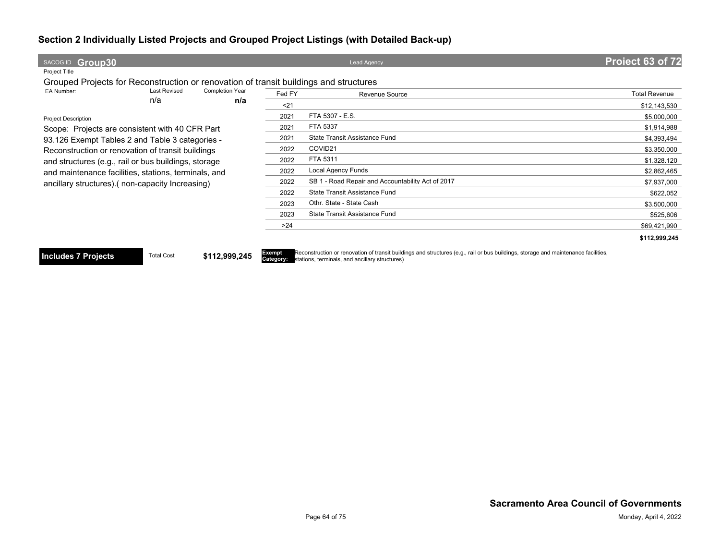| SACOG ID Group30                                                                                       |                     |                        |        | <b>Lead Agency</b>                                                                                                                                                                                    | Project 63 of 72     |
|--------------------------------------------------------------------------------------------------------|---------------------|------------------------|--------|-------------------------------------------------------------------------------------------------------------------------------------------------------------------------------------------------------|----------------------|
| Project Title<br>Grouped Projects for Reconstruction or renovation of transit buildings and structures |                     |                        |        |                                                                                                                                                                                                       |                      |
| EA Number:                                                                                             | <b>Last Revised</b> | <b>Completion Year</b> | Fed FY | Revenue Source                                                                                                                                                                                        | <b>Total Revenue</b> |
|                                                                                                        | n/a                 | n/a                    | $21$   |                                                                                                                                                                                                       | \$12,143,530         |
| <b>Project Description</b>                                                                             |                     |                        | 2021   | FTA 5307 - E.S.                                                                                                                                                                                       | \$5,000,000          |
| Scope: Projects are consistent with 40 CFR Part                                                        |                     |                        | 2021   | FTA 5337                                                                                                                                                                                              | \$1,914,988          |
| 93.126 Exempt Tables 2 and Table 3 categories -                                                        |                     |                        | 2021   | State Transit Assistance Fund                                                                                                                                                                         | \$4,393,494          |
| Reconstruction or renovation of transit buildings                                                      |                     |                        | 2022   | COVID21                                                                                                                                                                                               | \$3,350,000          |
| and structures (e.g., rail or bus buildings, storage                                                   |                     |                        | 2022   | FTA 5311                                                                                                                                                                                              | \$1,328,120          |
| and maintenance facilities, stations, terminals, and                                                   |                     |                        | 2022   | <b>Local Agency Funds</b>                                                                                                                                                                             | \$2,862,465          |
| ancillary structures) (non-capacity Increasing)                                                        |                     |                        | 2022   | SB 1 - Road Repair and Accountability Act of 2017                                                                                                                                                     | \$7,937,000          |
|                                                                                                        |                     |                        | 2022   | State Transit Assistance Fund                                                                                                                                                                         | \$622,052            |
|                                                                                                        |                     |                        | 2023   | Othr. State - State Cash                                                                                                                                                                              | \$3,500,000          |
|                                                                                                        |                     |                        | 2023   | State Transit Assistance Fund                                                                                                                                                                         | \$525,606            |
|                                                                                                        |                     |                        | >24    |                                                                                                                                                                                                       | \$69,421,990         |
|                                                                                                        |                     |                        |        |                                                                                                                                                                                                       | \$112,999,245        |
| <b>Includes 7 Projects</b>                                                                             | <b>Total Cost</b>   | \$112,999,245          | Exempt | Reconstruction or renovation of transit buildings and structures (e.g., rail or bus buildings, storage and maintenance facilities,<br><b>Category:</b> stations, terminals, and ancillary structures) |                      |

**Category:** stations, terminals, and ancillary structures)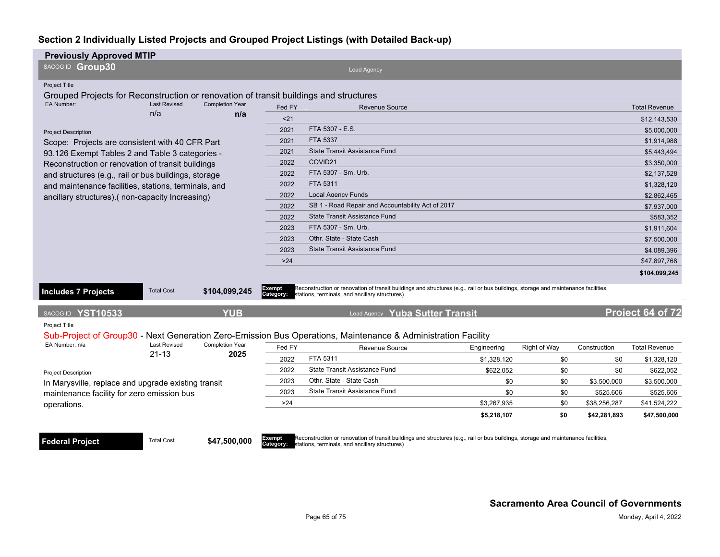| <b>Previously Approved MTIP</b>                                                                              |                     |                                                                                                                                                                                      |             |              |              |                      |  |
|--------------------------------------------------------------------------------------------------------------|---------------------|--------------------------------------------------------------------------------------------------------------------------------------------------------------------------------------|-------------|--------------|--------------|----------------------|--|
| SACOG ID Group30                                                                                             |                     | <b>Lead Agency</b>                                                                                                                                                                   |             |              |              |                      |  |
| <b>Project Title</b>                                                                                         |                     |                                                                                                                                                                                      |             |              |              |                      |  |
| Grouped Projects for Reconstruction or renovation of transit buildings and structures                        |                     |                                                                                                                                                                                      |             |              |              |                      |  |
| <b>EA Number:</b><br><b>Last Revised</b><br><b>Completion Year</b>                                           | Fed FY              | <b>Revenue Source</b>                                                                                                                                                                |             |              |              | <b>Total Revenue</b> |  |
| n/a<br>n/a                                                                                                   | $21$                |                                                                                                                                                                                      |             |              |              | \$12,143,530         |  |
| <b>Project Description</b>                                                                                   | 2021                | FTA 5307 - E.S.                                                                                                                                                                      |             |              |              | \$5,000,000          |  |
| Scope: Projects are consistent with 40 CFR Part                                                              | 2021                | <b>FTA 5337</b>                                                                                                                                                                      |             |              |              | \$1,914,988          |  |
| 93.126 Exempt Tables 2 and Table 3 categories -                                                              | 2021                | <b>State Transit Assistance Fund</b>                                                                                                                                                 |             |              |              | \$5,443,494          |  |
| Reconstruction or renovation of transit buildings                                                            | 2022                | COVID21                                                                                                                                                                              |             |              |              | \$3,350,000          |  |
| and structures (e.g., rail or bus buildings, storage                                                         | 2022                | FTA 5307 - Sm. Urb.                                                                                                                                                                  |             |              |              | \$2,137,528          |  |
| and maintenance facilities, stations, terminals, and                                                         | 2022                | FTA 5311                                                                                                                                                                             |             |              |              | \$1,328,120          |  |
| ancillary structures). (non-capacity Increasing)                                                             | 2022                | <b>Local Agency Funds</b>                                                                                                                                                            |             |              |              | \$2.862.465          |  |
|                                                                                                              | 2022                | SB 1 - Road Repair and Accountability Act of 2017<br>\$7,937,000                                                                                                                     |             |              |              |                      |  |
|                                                                                                              | 2022                | State Transit Assistance Fund                                                                                                                                                        |             |              |              | \$583.352            |  |
|                                                                                                              | 2023                | FTA 5307 - Sm. Urb.                                                                                                                                                                  |             |              |              | \$1,911,604          |  |
|                                                                                                              | 2023                | Othr. State - State Cash                                                                                                                                                             |             |              |              | \$7,500,000          |  |
|                                                                                                              | 2023                | <b>State Transit Assistance Fund</b>                                                                                                                                                 |             |              |              | \$4,089,396          |  |
|                                                                                                              | >24                 |                                                                                                                                                                                      |             |              |              | \$47,897,768         |  |
|                                                                                                              |                     |                                                                                                                                                                                      |             |              |              | \$104,099,245        |  |
| <b>Includes 7 Projects</b><br><b>Total Cost</b><br>\$104,099,245                                             | Exempt<br>Category: | Reconstruction or renovation of transit buildings and structures (e.g., rail or bus buildings, storage and maintenance facilities,<br>stations, terminals, and ancillary structures) |             |              |              |                      |  |
| <b>YUB</b><br>SACOG ID YST10533                                                                              |                     | Lead Agency Yuba Sutter Transit                                                                                                                                                      |             |              |              | Project 64 of 72     |  |
| <b>Project Title</b>                                                                                         |                     |                                                                                                                                                                                      |             |              |              |                      |  |
| Sub-Project of Group30 - Next Generation Zero-Emission Bus Operations, Maintenance & Administration Facility |                     |                                                                                                                                                                                      |             |              |              |                      |  |
| <b>Last Revised</b><br><b>Completion Year</b><br>EA Number: n/a                                              | Fed FY              | Revenue Source                                                                                                                                                                       | Engineering | Right of Way | Construction | <b>Total Revenue</b> |  |
| $21 - 13$<br>2025                                                                                            | 2022                | FTA 5311                                                                                                                                                                             | \$1,328,120 | \$0          | \$0          | \$1,328,120          |  |
| <b>Project Description</b>                                                                                   | 2022                | State Transit Assistance Fund                                                                                                                                                        | \$622.052   | \$0          | \$0          | \$622,052            |  |
| In Marysville, replace and upgrade existing transit                                                          | 2023                | Othr. State - State Cash                                                                                                                                                             | \$0         | \$0          | \$3,500,000  | \$3,500,000          |  |
| maintenance facility for zero emission bus                                                                   | 2023                | State Transit Assistance Fund                                                                                                                                                        | \$0         | \$0          | \$525,606    | \$525,606            |  |
| operations.                                                                                                  | >24                 |                                                                                                                                                                                      | \$3,267,935 | \$0          | \$38,256,287 | \$41,524,222         |  |
|                                                                                                              |                     |                                                                                                                                                                                      | \$5,218,107 | \$0          | \$42,281,893 | \$47,500,000         |  |
|                                                                                                              |                     |                                                                                                                                                                                      |             |              |              |                      |  |

**Federal Project** Total Cost \$47,500,000

**Exempt R**econstruction or renovation of transit buildings and structures (e.g., rail or bus buildings, storage and maintenance facilities, <br>**Category: s**tations, terminals, and ancillary structures)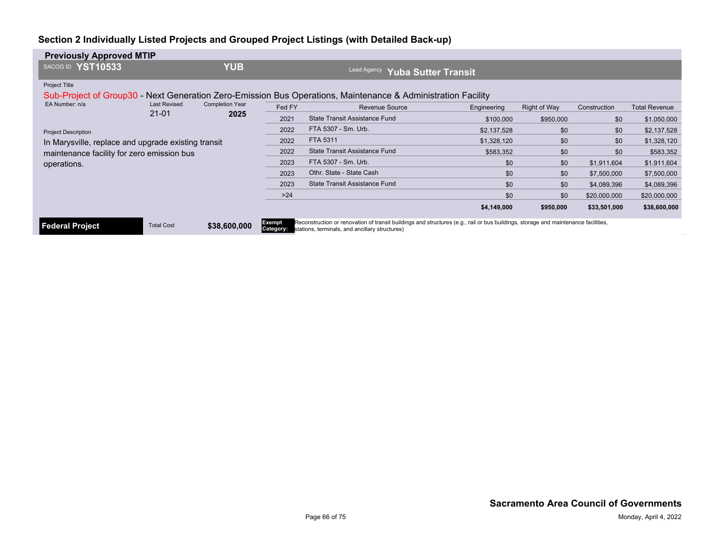| <b>Previously Approved MTIP</b>                     |                     |                        |                               |                                                                                                                                                                                                       |             |              |              |                      |
|-----------------------------------------------------|---------------------|------------------------|-------------------------------|-------------------------------------------------------------------------------------------------------------------------------------------------------------------------------------------------------|-------------|--------------|--------------|----------------------|
| SACOG ID YST10533                                   |                     | <b>YUB</b>             |                               | <b>Lead Agency</b><br>Yuba Sutter Transit                                                                                                                                                             |             |              |              |                      |
| <b>Project Title</b>                                |                     |                        |                               | Sub-Project of Group30 - Next Generation Zero-Emission Bus Operations, Maintenance & Administration Facility                                                                                          |             |              |              |                      |
| EA Number: n/a                                      | <b>Last Revised</b> | <b>Completion Year</b> | Fed FY                        | <b>Revenue Source</b>                                                                                                                                                                                 | Engineering | Right of Way | Construction | <b>Total Revenue</b> |
|                                                     | $21 - 01$<br>2025   | 2021                   | State Transit Assistance Fund | \$100,000                                                                                                                                                                                             | \$950,000   | \$0          | \$1,050,000  |                      |
| <b>Project Description</b>                          |                     |                        | 2022                          | FTA 5307 - Sm. Urb.                                                                                                                                                                                   | \$2,137,528 | \$0          | \$0          | \$2,137,528          |
| In Marysville, replace and upgrade existing transit |                     |                        | 2022                          | FTA 5311                                                                                                                                                                                              | \$1,328,120 | \$0          | \$0          | \$1,328,120          |
| maintenance facility for zero emission bus          |                     |                        | 2022                          | State Transit Assistance Fund                                                                                                                                                                         | \$583,352   | \$0          | \$0          | \$583,352            |
| operations.                                         |                     |                        | 2023                          | FTA 5307 - Sm. Urb.                                                                                                                                                                                   | \$0         | \$0          | \$1,911,604  | \$1,911,604          |
|                                                     |                     |                        | 2023                          | Othr. State - State Cash                                                                                                                                                                              | \$0         | \$0          | \$7,500,000  | \$7,500,000          |
|                                                     |                     |                        | 2023                          | State Transit Assistance Fund                                                                                                                                                                         | \$0         | \$0          | \$4,089,396  | \$4,089,396          |
|                                                     |                     |                        | $>24$                         |                                                                                                                                                                                                       | \$0         | \$0          | \$20,000,000 | \$20,000,000         |
|                                                     |                     |                        |                               |                                                                                                                                                                                                       | \$4,149,000 | \$950,000    | \$33,501,000 | \$38,600,000         |
| Federal Project                                     | <b>Total Cost</b>   | \$38,600,000           | <b>Exempt</b>                 | Reconstruction or renovation of transit buildings and structures (e.g., rail or bus buildings, storage and maintenance facilities,<br><b>Category:</b> stations, terminals, and ancillary structures) |             |              |              |                      |

**Exempt R**econstruction or renovation of transit buildings and structures (e.g., rail or bus buildings, storage and maintenance facilities, <br>**Category: s**tations, terminals, and ancillary structures)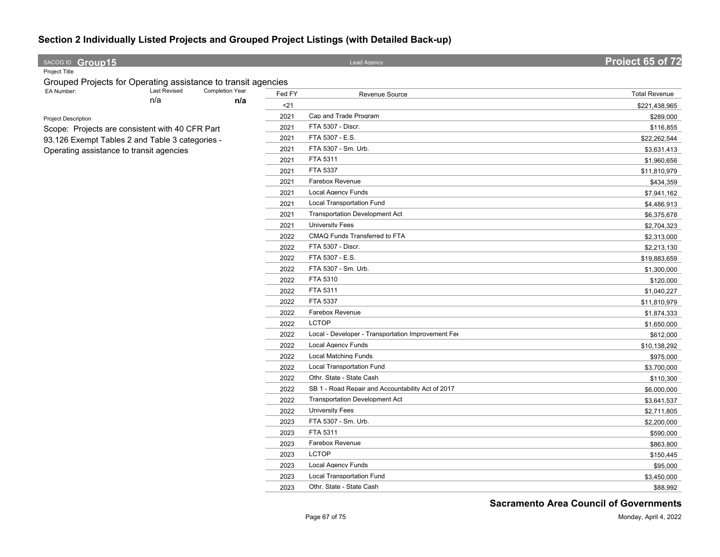| SACOG ID Group15                                              |                     |                 |        | Lead Agency                                        |                      |  |
|---------------------------------------------------------------|---------------------|-----------------|--------|----------------------------------------------------|----------------------|--|
| Project Title                                                 |                     |                 |        |                                                    |                      |  |
| Grouped Projects for Operating assistance to transit agencies |                     |                 |        |                                                    |                      |  |
| EA Number:                                                    | <b>Last Revised</b> | Completion Year | Fed FY | Revenue Source                                     | <b>Total Revenue</b> |  |
|                                                               | n/a                 | n/a             | $21$   |                                                    | \$221,438,965        |  |
| Project Description                                           |                     |                 | 2021   | Cap and Trade Program                              | \$289,000            |  |
| Scope: Projects are consistent with 40 CFR Part               |                     |                 | 2021   | FTA 5307 - Discr.                                  | \$116,855            |  |
| 93.126 Exempt Tables 2 and Table 3 categories -               |                     |                 | 2021   | FTA 5307 - E.S.                                    | \$22,262,544         |  |
| Operating assistance to transit agencies                      |                     |                 | 2021   | FTA 5307 - Sm. Urb.                                | \$3,631,413          |  |
|                                                               |                     |                 | 2021   | FTA 5311                                           | \$1,960,656          |  |
|                                                               |                     |                 | 2021   | FTA 5337                                           | \$11,810,979         |  |
|                                                               |                     |                 | 2021   | Farebox Revenue                                    | \$434,359            |  |
|                                                               |                     |                 | 2021   | <b>Local Agency Funds</b>                          | \$7,941,162          |  |
|                                                               |                     |                 | 2021   | <b>Local Transportation Fund</b>                   | \$4,486,913          |  |
|                                                               |                     |                 | 2021   | <b>Transportation Development Act</b>              | \$6,375,678          |  |
|                                                               |                     |                 | 2021   | <b>University Fees</b>                             | \$2,704,323          |  |
|                                                               |                     |                 | 2022   | CMAQ Funds Transferred to FTA                      | \$2,313,000          |  |
|                                                               |                     |                 | 2022   | FTA 5307 - Discr.                                  | \$2,213,130          |  |
|                                                               |                     |                 | 2022   | FTA 5307 - E.S.                                    | \$19,883,659         |  |
|                                                               |                     |                 | 2022   | FTA 5307 - Sm. Urb.                                | \$1,300,000          |  |
|                                                               |                     |                 | 2022   | FTA 5310                                           | \$120,000            |  |
|                                                               |                     |                 | 2022   | FTA 5311                                           | \$1,040,227          |  |
|                                                               |                     |                 | 2022   | FTA 5337                                           | \$11,810,979         |  |
|                                                               |                     |                 | 2022   | Farebox Revenue                                    | \$1,874,333          |  |
|                                                               |                     |                 | 2022   | <b>LCTOP</b>                                       | \$1,650,000          |  |
|                                                               |                     |                 | 2022   | Local - Developer - Transportation Improvement Fee | \$612,000            |  |
|                                                               |                     |                 | 2022   | <b>Local Agency Funds</b>                          | \$10,138,292         |  |
|                                                               |                     |                 | 2022   | <b>Local Matching Funds</b>                        | \$975,000            |  |
|                                                               |                     |                 | 2022   | Local Transportation Fund                          | \$3,700,000          |  |
|                                                               |                     |                 | 2022   | Othr. State - State Cash                           | \$110,300            |  |
|                                                               |                     |                 | 2022   | SB 1 - Road Repair and Accountability Act of 2017  | \$6,000,000          |  |
|                                                               |                     |                 | 2022   | <b>Transportation Development Act</b>              | \$3,641,537          |  |
|                                                               |                     |                 | 2022   | <b>University Fees</b>                             | \$2,711,805          |  |
|                                                               |                     |                 | 2023   | FTA 5307 - Sm. Urb.                                | \$2,200,000          |  |
|                                                               |                     |                 | 2023   | FTA 5311                                           | \$590,000            |  |
|                                                               |                     |                 | 2023   | Farebox Revenue                                    | \$863,800            |  |
|                                                               |                     |                 | 2023   | <b>LCTOP</b>                                       | \$150,445            |  |
|                                                               |                     |                 | 2023   | <b>Local Agency Funds</b>                          | \$95,000             |  |
|                                                               |                     |                 | 2023   | <b>Local Transportation Fund</b>                   | \$3,450,000          |  |
|                                                               |                     |                 | 2023   | Othr. State - State Cash                           | \$88,992             |  |
|                                                               |                     |                 |        |                                                    |                      |  |

**Sacramento Area Council of Governments**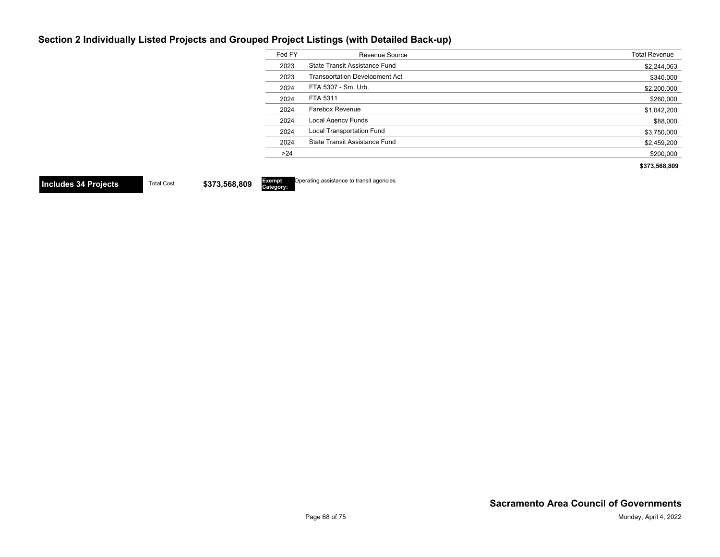Exempt<br>Category:

| Fed FY | Revenue Source                        | <b>Total Revenue</b> |
|--------|---------------------------------------|----------------------|
| 2023   | State Transit Assistance Fund         | \$2,244,063          |
| 2023   | <b>Transportation Development Act</b> | \$340,000            |
| 2024   | FTA 5307 - Sm. Urb.                   | \$2,200,000          |
| 2024   | FTA 5311                              | \$260,000            |
| 2024   | Farebox Revenue                       | \$1,042,200          |
| 2024   | Local Agency Funds                    | \$88,000             |
| 2024   | <b>Local Transportation Fund</b>      | \$3,750,000          |
| 2024   | State Transit Assistance Fund         | \$2,459,200          |
| >24    |                                       | \$200.000            |
|        |                                       | \$373.568.809        |

**Includes 34 Projects** Total Cost \$373,568,809

**Operating assistance to transit agencies**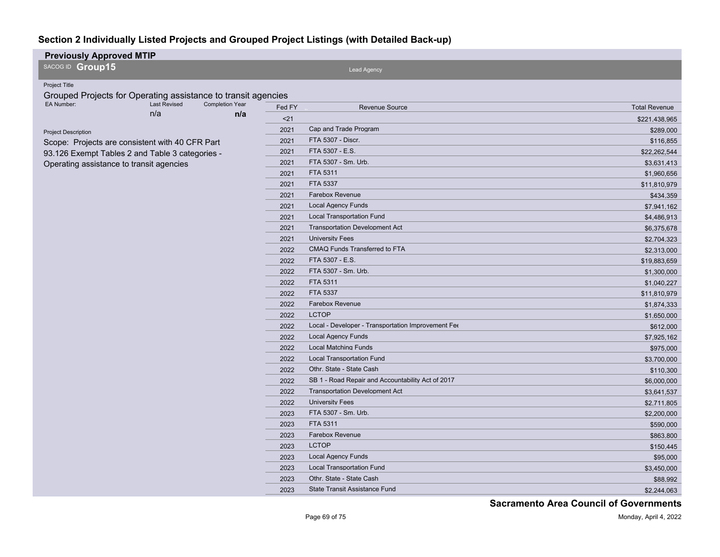| <b>Previously Approved MTIP</b>                                           |        |                                                    |                      |
|---------------------------------------------------------------------------|--------|----------------------------------------------------|----------------------|
| SACOG ID Group15                                                          |        | Lead Agency                                        |                      |
| Project Title                                                             |        |                                                    |                      |
| Grouped Projects for Operating assistance to transit agencies             |        |                                                    |                      |
| EA Number:<br><b>Last Revised</b><br><b>Completion Year</b><br>n/a<br>n/a | Fed FY | <b>Revenue Source</b>                              | <b>Total Revenue</b> |
|                                                                           | $21$   |                                                    | \$221,438,965        |
| <b>Project Description</b>                                                | 2021   | Cap and Trade Program                              | \$289,000            |
| Scope: Projects are consistent with 40 CFR Part                           | 2021   | FTA 5307 - Discr.                                  | \$116,855            |
| 93.126 Exempt Tables 2 and Table 3 categories -                           | 2021   | FTA 5307 - E.S.                                    | \$22,262,544         |
| Operating assistance to transit agencies                                  | 2021   | FTA 5307 - Sm. Urb.                                | \$3,631,413          |
|                                                                           | 2021   | FTA 5311                                           | \$1,960,656          |
|                                                                           | 2021   | FTA 5337                                           | \$11,810,979         |
|                                                                           | 2021   | <b>Farebox Revenue</b>                             | \$434,359            |
|                                                                           | 2021   | <b>Local Agency Funds</b>                          | \$7,941,162          |
|                                                                           | 2021   | <b>Local Transportation Fund</b>                   | \$4,486,913          |
|                                                                           | 2021   | <b>Transportation Development Act</b>              | \$6,375,678          |
|                                                                           | 2021   | <b>University Fees</b>                             | \$2,704,323          |
|                                                                           | 2022   | CMAQ Funds Transferred to FTA                      | \$2,313,000          |
|                                                                           | 2022   | FTA 5307 - E.S.                                    | \$19,883,659         |
|                                                                           | 2022   | FTA 5307 - Sm. Urb.                                | \$1,300,000          |
|                                                                           | 2022   | FTA 5311                                           | \$1,040,227          |
|                                                                           | 2022   | FTA 5337                                           | \$11,810,979         |
|                                                                           | 2022   | Farebox Revenue                                    | \$1,874,333          |
|                                                                           | 2022   | <b>LCTOP</b>                                       | \$1,650,000          |
|                                                                           | 2022   | Local - Developer - Transportation Improvement Fee | \$612,000            |
|                                                                           | 2022   | <b>Local Agency Funds</b>                          | \$7,925,162          |
|                                                                           | 2022   | <b>Local Matching Funds</b>                        | \$975,000            |
|                                                                           | 2022   | <b>Local Transportation Fund</b>                   | \$3,700,000          |
|                                                                           | 2022   | Othr. State - State Cash                           | \$110,300            |
|                                                                           | 2022   | SB 1 - Road Repair and Accountability Act of 2017  | \$6,000,000          |
|                                                                           | 2022   | <b>Transportation Development Act</b>              | \$3,641,537          |
|                                                                           | 2022   | <b>University Fees</b>                             | \$2,711,805          |
|                                                                           | 2023   | FTA 5307 - Sm. Urb.                                | \$2,200,000          |
|                                                                           | 2023   | FTA 5311                                           | \$590,000            |
|                                                                           | 2023   | Farebox Revenue                                    | \$863,800            |
|                                                                           | 2023   | <b>LCTOP</b>                                       | \$150,445            |
|                                                                           | 2023   | <b>Local Agency Funds</b>                          | \$95,000             |
|                                                                           | 2023   | <b>Local Transportation Fund</b>                   | \$3,450,000          |
|                                                                           | 2023   | Othr. State - State Cash                           | \$88,992             |
|                                                                           | 2023   | State Transit Assistance Fund                      | \$2,244,063          |

**Sacramento Area Council of Governments**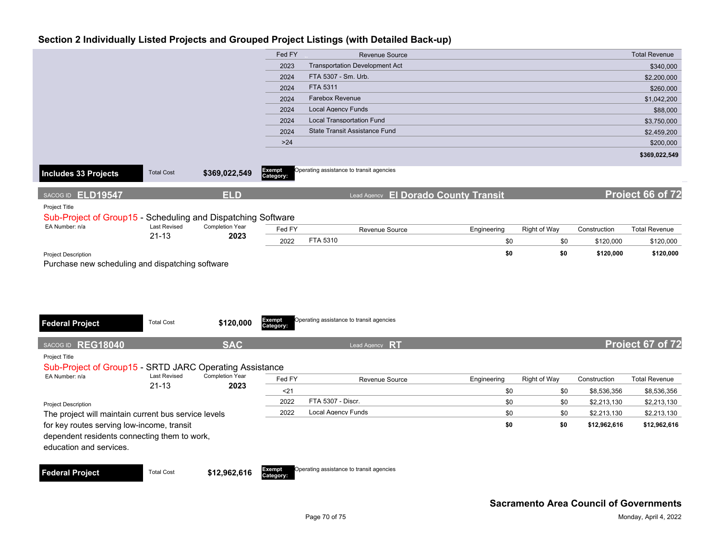|                                                              |                     |                        | Fed FY                     | <b>Revenue Source</b>                    |             |              |              | <b>Total Revenue</b> |
|--------------------------------------------------------------|---------------------|------------------------|----------------------------|------------------------------------------|-------------|--------------|--------------|----------------------|
|                                                              |                     |                        | 2023                       | <b>Transportation Development Act</b>    |             |              |              | \$340,000            |
|                                                              |                     |                        | 2024                       | FTA 5307 - Sm. Urb.                      |             |              |              | \$2,200,000          |
|                                                              |                     |                        | 2024                       | FTA 5311                                 |             |              |              | \$260,000            |
|                                                              |                     |                        | 2024                       | <b>Farebox Revenue</b>                   |             |              |              | \$1,042,200          |
|                                                              |                     |                        | 2024                       | <b>Local Agency Funds</b>                |             |              |              | \$88,000             |
|                                                              |                     |                        | 2024                       | <b>Local Transportation Fund</b>         |             |              |              | \$3,750,000          |
|                                                              |                     |                        | 2024                       | State Transit Assistance Fund            |             |              |              | \$2,459,200          |
|                                                              |                     |                        | $>24$                      |                                          |             |              |              | \$200,000            |
|                                                              |                     |                        |                            |                                          |             |              |              | \$369,022,549        |
| <b>Includes 33 Projects</b>                                  | <b>Total Cost</b>   | \$369,022,549          | Exempt<br>Category:        | Operating assistance to transit agencies |             |              |              |                      |
| SACOG ID ELD19547                                            |                     | <b>ELD</b>             |                            | Lead Agency El Dorado County Transit     |             |              |              | Project 66 of 72     |
| Project Title                                                |                     |                        |                            |                                          |             |              |              |                      |
| Sub-Project of Group15 - Scheduling and Dispatching Software |                     |                        |                            |                                          |             |              |              |                      |
| EA Number: n/a                                               | <b>Last Revised</b> | <b>Completion Year</b> | Fed FY                     | Revenue Source                           | Engineering | Right of Way | Construction | <b>Total Revenue</b> |
|                                                              | $21 - 13$           | 2023                   | 2022                       | FTA 5310                                 | \$0         | \$0          | \$120,000    | \$120,000            |
| <b>Project Description</b>                                   |                     |                        |                            |                                          | \$0         | \$0          | \$120,000    | \$120,000            |
| Purchase new scheduling and dispatching software             |                     |                        |                            |                                          |             |              |              |                      |
|                                                              |                     |                        |                            |                                          |             |              |              |                      |
|                                                              |                     |                        |                            |                                          |             |              |              |                      |
|                                                              |                     |                        |                            |                                          |             |              |              |                      |
|                                                              |                     |                        |                            |                                          |             |              |              |                      |
|                                                              |                     |                        |                            |                                          |             |              |              |                      |
| <b>Federal Project</b>                                       | <b>Total Cost</b>   | \$120,000              | <b>Exempt</b><br>Category: | Operating assistance to transit agencies |             |              |              |                      |
|                                                              |                     |                        |                            |                                          |             |              |              |                      |
| SACOG ID REG18040                                            |                     | <b>SAC</b>             |                            | Lead Agency RT                           |             |              |              | Project 67 of 72     |
| Project Title                                                |                     |                        |                            |                                          |             |              |              |                      |
| Sub-Project of Group15 - SRTD JARC Operating Assistance      |                     |                        |                            |                                          |             |              |              |                      |
| EA Number: n/a                                               | <b>Last Revised</b> | <b>Completion Year</b> | Fed FY                     | Revenue Source                           | Engineering | Right of Way | Construction | <b>Total Revenue</b> |
|                                                              | $21 - 13$           | 2023                   | $21$                       |                                          | \$0         | \$0          | \$8,536,356  | \$8,536,356          |
| <b>Project Description</b>                                   |                     |                        | 2022                       | FTA 5307 - Discr.                        | \$0         | \$0          | \$2,213,130  | \$2,213,130          |
| The project will maintain current bus service levels         |                     |                        | 2022                       | <b>Local Agency Funds</b>                | \$0         | \$0          | \$2,213,130  | \$2,213,130          |
| for key routes serving low-income, transit                   |                     |                        |                            |                                          | \$0         | \$0          | \$12,962,616 | \$12,962,616         |
| dependent residents connecting them to work,                 |                     |                        |                            |                                          |             |              |              |                      |
| education and services.                                      |                     |                        |                            |                                          |             |              |              |                      |
|                                                              |                     |                        |                            |                                          |             |              |              |                      |
| <b>Federal Project</b>                                       | <b>Total Cost</b>   | \$12,962,616           | Exempt                     | Operating assistance to transit agencies |             |              |              |                      |
|                                                              |                     |                        | Category:                  |                                          |             |              |              |                      |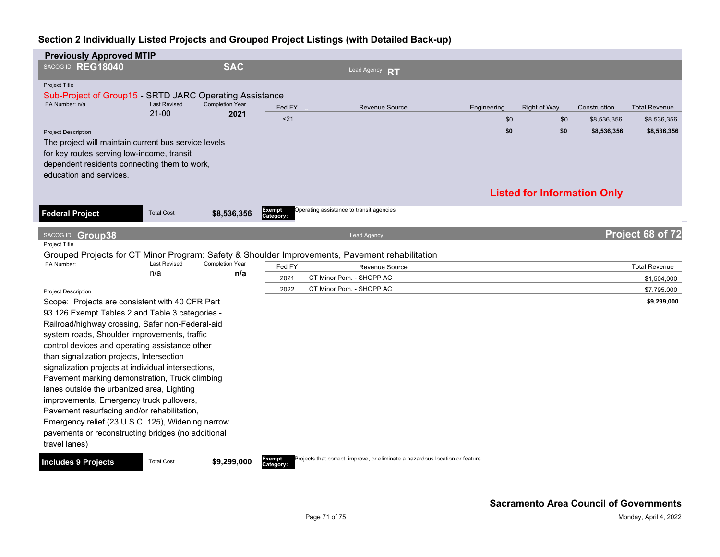| <b>Previously Approved MTIP</b>                                                                  |                            |                        |                     |                                                                               |             |                     |                                    |                      |
|--------------------------------------------------------------------------------------------------|----------------------------|------------------------|---------------------|-------------------------------------------------------------------------------|-------------|---------------------|------------------------------------|----------------------|
| SACOG ID REG18040                                                                                |                            | <b>SAC</b>             |                     | Lead Agency RT                                                                |             |                     |                                    |                      |
| <b>Project Title</b>                                                                             |                            |                        |                     |                                                                               |             |                     |                                    |                      |
| Sub-Project of Group15 - SRTD JARC Operating Assistance<br>EA Number: n/a                        | <b>Last Revised</b>        | <b>Completion Year</b> |                     |                                                                               |             |                     |                                    |                      |
|                                                                                                  | $21 - 00$                  | 2021                   | Fed FY              | <b>Revenue Source</b>                                                         | Engineering | <b>Right of Way</b> | Construction                       | <b>Total Revenue</b> |
|                                                                                                  |                            |                        | $21$                |                                                                               | \$0         | \$0                 | \$8,536,356                        | \$8,536,356          |
| <b>Project Description</b>                                                                       |                            |                        |                     |                                                                               | \$0         | \$0                 | \$8,536,356                        | \$8,536,356          |
| The project will maintain current bus service levels                                             |                            |                        |                     |                                                                               |             |                     |                                    |                      |
| for key routes serving low-income, transit<br>dependent residents connecting them to work,       |                            |                        |                     |                                                                               |             |                     |                                    |                      |
| education and services.                                                                          |                            |                        |                     |                                                                               |             |                     |                                    |                      |
|                                                                                                  |                            |                        |                     |                                                                               |             |                     |                                    |                      |
|                                                                                                  |                            |                        |                     |                                                                               |             |                     | <b>Listed for Information Only</b> |                      |
|                                                                                                  | <b>Total Cost</b>          |                        | Exempt              | Operating assistance to transit agencies                                      |             |                     |                                    |                      |
| <b>Federal Project</b>                                                                           |                            | \$8,536,356            | Category:           |                                                                               |             |                     |                                    |                      |
| SACOG ID Group38                                                                                 |                            |                        |                     | <b>Lead Agency</b>                                                            |             |                     |                                    | Project 68 of 72     |
| Project Title                                                                                    |                            |                        |                     |                                                                               |             |                     |                                    |                      |
| Grouped Projects for CT Minor Program: Safety & Shoulder Improvements, Pavement rehabilitation   |                            |                        |                     |                                                                               |             |                     |                                    |                      |
| EA Number:                                                                                       | <b>Last Revised</b><br>n/a | <b>Completion Year</b> | Fed FY              | Revenue Source                                                                |             |                     |                                    | <b>Total Revenue</b> |
|                                                                                                  |                            | n/a                    | 2021                | CT Minor Pgm. - SHOPP AC                                                      |             |                     |                                    | \$1,504,000          |
| <b>Project Description</b>                                                                       |                            |                        | 2022                | CT Minor Pqm. - SHOPP AC                                                      |             |                     |                                    | \$7,795,000          |
| Scope: Projects are consistent with 40 CFR Part                                                  |                            |                        |                     |                                                                               |             |                     |                                    | \$9,299,000          |
| 93.126 Exempt Tables 2 and Table 3 categories -                                                  |                            |                        |                     |                                                                               |             |                     |                                    |                      |
| Railroad/highway crossing, Safer non-Federal-aid                                                 |                            |                        |                     |                                                                               |             |                     |                                    |                      |
| system roads, Shoulder improvements, traffic                                                     |                            |                        |                     |                                                                               |             |                     |                                    |                      |
| control devices and operating assistance other                                                   |                            |                        |                     |                                                                               |             |                     |                                    |                      |
| than signalization projects, Intersection<br>signalization projects at individual intersections, |                            |                        |                     |                                                                               |             |                     |                                    |                      |
| Pavement marking demonstration, Truck climbing                                                   |                            |                        |                     |                                                                               |             |                     |                                    |                      |
| lanes outside the urbanized area, Lighting                                                       |                            |                        |                     |                                                                               |             |                     |                                    |                      |
| improvements, Emergency truck pullovers,                                                         |                            |                        |                     |                                                                               |             |                     |                                    |                      |
| Pavement resurfacing and/or rehabilitation,                                                      |                            |                        |                     |                                                                               |             |                     |                                    |                      |
| Emergency relief (23 U.S.C. 125), Widening narrow                                                |                            |                        |                     |                                                                               |             |                     |                                    |                      |
| pavements or reconstructing bridges (no additional                                               |                            |                        |                     |                                                                               |             |                     |                                    |                      |
| travel lanes)                                                                                    |                            |                        |                     |                                                                               |             |                     |                                    |                      |
| <b>Includes 9 Projects</b>                                                                       | <b>Total Cost</b>          | \$9,299,000            | Exempt<br>Category: | Projects that correct, improve, or eliminate a hazardous location or feature. |             |                     |                                    |                      |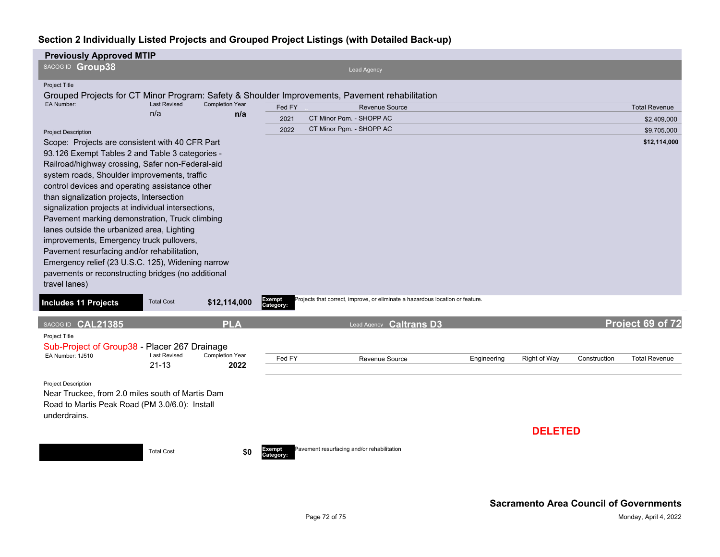| <b>Previously Approved MTIP</b>                                                                |                     |                               |                     |                                            |                                                                               |             |                |              |                      |
|------------------------------------------------------------------------------------------------|---------------------|-------------------------------|---------------------|--------------------------------------------|-------------------------------------------------------------------------------|-------------|----------------|--------------|----------------------|
| SACOG ID Group38                                                                               |                     |                               |                     |                                            | Lead Agency                                                                   |             |                |              |                      |
| <b>Project Title</b>                                                                           |                     |                               |                     |                                            |                                                                               |             |                |              |                      |
| Grouped Projects for CT Minor Program: Safety & Shoulder Improvements, Pavement rehabilitation |                     |                               |                     |                                            |                                                                               |             |                |              |                      |
| EA Number:                                                                                     | <b>Last Revised</b> | <b>Completion Year</b><br>n/a | Fed FY              |                                            | Revenue Source                                                                |             |                |              | <b>Total Revenue</b> |
|                                                                                                | n/a                 |                               | 2021                | CT Minor Pgm. - SHOPP AC                   |                                                                               |             |                |              | \$2,409,000          |
| <b>Project Description</b>                                                                     |                     |                               | 2022                | CT Minor Pgm. - SHOPP AC                   |                                                                               |             |                |              | \$9,705,000          |
| Scope: Projects are consistent with 40 CFR Part                                                |                     |                               |                     |                                            |                                                                               |             |                |              | \$12,114,000         |
| 93.126 Exempt Tables 2 and Table 3 categories -                                                |                     |                               |                     |                                            |                                                                               |             |                |              |                      |
| Railroad/highway crossing, Safer non-Federal-aid                                               |                     |                               |                     |                                            |                                                                               |             |                |              |                      |
| system roads, Shoulder improvements, traffic                                                   |                     |                               |                     |                                            |                                                                               |             |                |              |                      |
| control devices and operating assistance other<br>than signalization projects, Intersection    |                     |                               |                     |                                            |                                                                               |             |                |              |                      |
| signalization projects at individual intersections,                                            |                     |                               |                     |                                            |                                                                               |             |                |              |                      |
| Pavement marking demonstration, Truck climbing                                                 |                     |                               |                     |                                            |                                                                               |             |                |              |                      |
| lanes outside the urbanized area, Lighting                                                     |                     |                               |                     |                                            |                                                                               |             |                |              |                      |
| improvements, Emergency truck pullovers,                                                       |                     |                               |                     |                                            |                                                                               |             |                |              |                      |
| Pavement resurfacing and/or rehabilitation,                                                    |                     |                               |                     |                                            |                                                                               |             |                |              |                      |
| Emergency relief (23 U.S.C. 125), Widening narrow                                              |                     |                               |                     |                                            |                                                                               |             |                |              |                      |
| pavements or reconstructing bridges (no additional                                             |                     |                               |                     |                                            |                                                                               |             |                |              |                      |
| travel lanes)                                                                                  |                     |                               |                     |                                            |                                                                               |             |                |              |                      |
| <b>Includes 11 Projects</b>                                                                    | <b>Total Cost</b>   | \$12,114,000                  | Exempt<br>Category: |                                            | Projects that correct, improve, or eliminate a hazardous location or feature. |             |                |              |                      |
| SACOG ID CAL21385                                                                              |                     | <b>PLA</b>                    |                     |                                            | Lead Agency Caltrans D3                                                       |             |                |              | Project 69 of 72     |
| Project Title                                                                                  |                     |                               |                     |                                            |                                                                               |             |                |              |                      |
| Sub-Project of Group38 - Placer 267 Drainage                                                   |                     |                               |                     |                                            |                                                                               |             |                |              |                      |
| EA Number: 1J510                                                                               | <b>Last Revised</b> | <b>Completion Year</b>        | Fed FY              |                                            | Revenue Source                                                                | Engineering | Right of Way   | Construction | <b>Total Revenue</b> |
|                                                                                                | $21 - 13$           | 2022                          |                     |                                            |                                                                               |             |                |              |                      |
| <b>Project Description</b>                                                                     |                     |                               |                     |                                            |                                                                               |             |                |              |                      |
| Near Truckee, from 2.0 miles south of Martis Dam                                               |                     |                               |                     |                                            |                                                                               |             |                |              |                      |
| Road to Martis Peak Road (PM 3.0/6.0): Install                                                 |                     |                               |                     |                                            |                                                                               |             |                |              |                      |
| underdrains.                                                                                   |                     |                               |                     |                                            |                                                                               |             |                |              |                      |
|                                                                                                |                     |                               |                     |                                            |                                                                               |             | <b>DELETED</b> |              |                      |
|                                                                                                |                     |                               |                     |                                            |                                                                               |             |                |              |                      |
|                                                                                                | <b>Total Cost</b>   | \$0                           | Exempt<br>Category: | Pavement resurfacing and/or rehabilitation |                                                                               |             |                |              |                      |
|                                                                                                |                     |                               |                     |                                            |                                                                               |             |                |              |                      |
|                                                                                                |                     |                               |                     |                                            |                                                                               |             |                |              |                      |
|                                                                                                |                     |                               |                     |                                            |                                                                               |             |                |              |                      |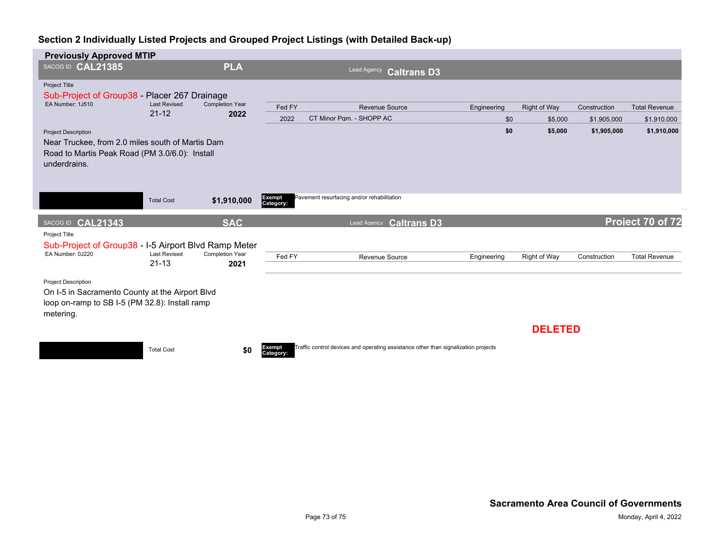| <b>Previously Approved MTIP</b>                                                                                                                  |                                  |                                |                     |                                                                                    |             |                |              |                      |
|--------------------------------------------------------------------------------------------------------------------------------------------------|----------------------------------|--------------------------------|---------------------|------------------------------------------------------------------------------------|-------------|----------------|--------------|----------------------|
| SACOG ID CAL21385                                                                                                                                |                                  | <b>PLA</b>                     |                     | Lead Agency Caltrans D3                                                            |             |                |              |                      |
| Project Title<br>Sub-Project of Group38 - Placer 267 Drainage                                                                                    |                                  |                                |                     |                                                                                    |             |                |              |                      |
| EA Number: 1J510                                                                                                                                 | <b>Last Revised</b><br>$21 - 12$ | <b>Completion Year</b><br>2022 | Fed FY              | Revenue Source                                                                     | Engineering | Right of Way   | Construction | <b>Total Revenue</b> |
|                                                                                                                                                  |                                  |                                | 2022                | CT Minor Pam. - SHOPP AC                                                           | \$0         | \$5,000        | \$1,905,000  | \$1,910,000          |
| <b>Project Description</b><br>Near Truckee, from 2.0 miles south of Martis Dam<br>Road to Martis Peak Road (PM 3.0/6.0): Install<br>underdrains. |                                  |                                |                     |                                                                                    | \$0         | \$5,000        | \$1,905,000  | \$1,910,000          |
|                                                                                                                                                  | <b>Total Cost</b>                | \$1,910,000                    | Exempt<br>Category: | Pavement resurfacing and/or rehabilitation                                         |             |                |              |                      |
| SACOG ID CAL21343                                                                                                                                |                                  | <b>SAC</b>                     |                     | <b>Caltrans D3</b><br>Lead Agency                                                  |             |                |              | Project 70 of 72     |
| Project Title<br>Sub-Project of Group38 - I-5 Airport Blvd Ramp Meter<br>EA Number: 0J220                                                        | <b>Last Revised</b><br>$21 - 13$ | <b>Completion Year</b><br>2021 | Fed FY              | Revenue Source                                                                     | Engineering | Right of Way   | Construction | <b>Total Revenue</b> |
| <b>Project Description</b><br>On I-5 in Sacramento County at the Airport Blvd<br>loop on-ramp to SB I-5 (PM 32.8): Install ramp<br>metering.     |                                  |                                |                     |                                                                                    |             |                |              |                      |
|                                                                                                                                                  |                                  |                                |                     |                                                                                    |             | <b>DELETED</b> |              |                      |
|                                                                                                                                                  | <b>Total Cost</b>                | \$0                            | Exempt<br>Category: | Traffic control devices and operating assistance other than signalization projects |             |                |              |                      |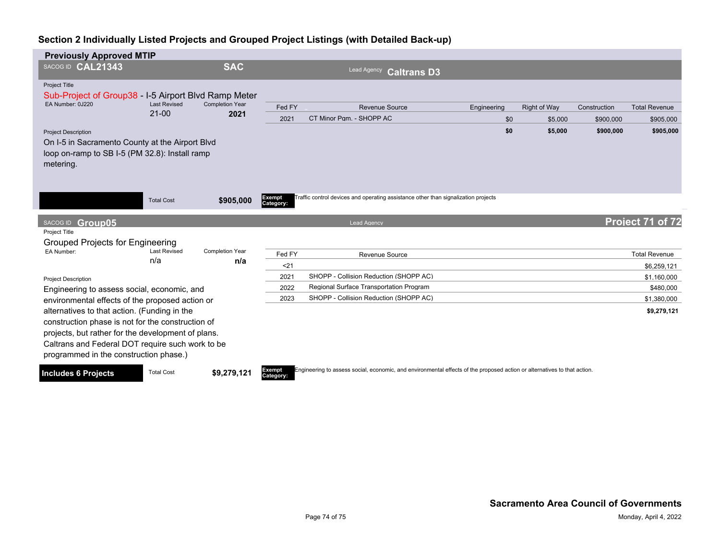| <b>Previously Approved MTIP</b>                                                                                                                                                                                                                       |                                  |                                |                     |                                                                                                          |             |                     |              |                      |
|-------------------------------------------------------------------------------------------------------------------------------------------------------------------------------------------------------------------------------------------------------|----------------------------------|--------------------------------|---------------------|----------------------------------------------------------------------------------------------------------|-------------|---------------------|--------------|----------------------|
| SACOG ID CAL21343                                                                                                                                                                                                                                     |                                  | <b>SAC</b>                     |                     | <b>Lead Agency</b><br><b>Caltrans D3</b>                                                                 |             |                     |              |                      |
| <b>Project Title</b><br>Sub-Project of Group38 - I-5 Airport Blvd Ramp Meter                                                                                                                                                                          |                                  |                                |                     |                                                                                                          |             |                     |              |                      |
| EA Number: 0J220                                                                                                                                                                                                                                      | <b>Last Revised</b><br>$21 - 00$ | <b>Completion Year</b><br>2021 | Fed FY              | <b>Revenue Source</b>                                                                                    | Engineering | <b>Right of Way</b> | Construction | <b>Total Revenue</b> |
|                                                                                                                                                                                                                                                       |                                  |                                | 2021                | CT Minor Pqm. - SHOPP AC                                                                                 | \$0         | \$5,000             | \$900,000    | \$905,000            |
| <b>Project Description</b><br>On I-5 in Sacramento County at the Airport Blvd<br>loop on-ramp to SB I-5 (PM 32.8): Install ramp<br>metering.                                                                                                          |                                  |                                |                     |                                                                                                          | \$0         | \$5,000             | \$900,000    | \$905,000            |
| SACOG ID Group05                                                                                                                                                                                                                                      | <b>Total Cost</b>                | \$905,000                      | Exempt<br>Category: | Traffic control devices and operating assistance other than signalization projects<br><b>Lead Agency</b> |             |                     |              | Project 71 of 72     |
| Project Title                                                                                                                                                                                                                                         |                                  |                                |                     |                                                                                                          |             |                     |              |                      |
| <b>Grouped Projects for Engineering</b><br>EA Number:                                                                                                                                                                                                 | <b>Last Revised</b>              | <b>Completion Year</b>         | Fed FY              | Revenue Source                                                                                           |             |                     |              | <b>Total Revenue</b> |
|                                                                                                                                                                                                                                                       | n/a                              | n/a                            | $21$                |                                                                                                          |             |                     |              | \$6,259,121          |
| <b>Project Description</b>                                                                                                                                                                                                                            |                                  |                                | 2021                | SHOPP - Collision Reduction (SHOPP AC)                                                                   |             |                     |              | \$1,160,000          |
| Engineering to assess social, economic, and                                                                                                                                                                                                           |                                  |                                | 2022                | Regional Surface Transportation Program                                                                  |             |                     |              | \$480,000            |
| environmental effects of the proposed action or                                                                                                                                                                                                       |                                  |                                | 2023                | SHOPP - Collision Reduction (SHOPP AC)                                                                   |             |                     |              | \$1,380,000          |
| alternatives to that action. (Funding in the<br>construction phase is not for the construction of<br>projects, but rather for the development of plans.<br>Caltrans and Federal DOT require such work to be<br>programmed in the construction phase.) |                                  |                                |                     |                                                                                                          |             |                     |              | \$9,279,121          |
|                                                                                                                                                                                                                                                       |                                  |                                |                     |                                                                                                          |             |                     |              |                      |